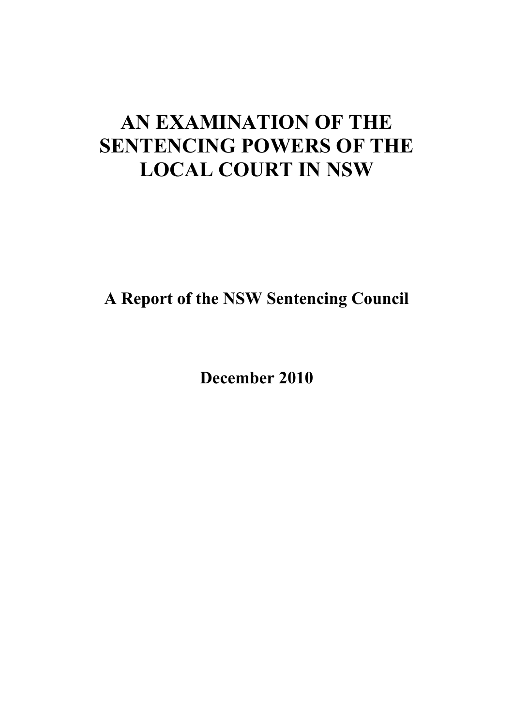# **AN EXAMINATION OF THE SENTENCING POWERS OF THE LOCAL COURT IN NSW**

**A Report of the NSW Sentencing Council** 

**December 2010**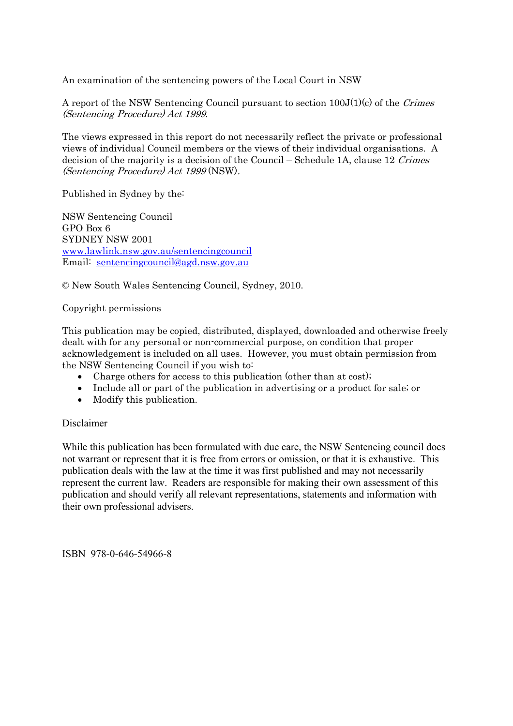An examination of the sentencing powers of the Local Court in NSW

A report of the NSW Sentencing Council pursuant to section 100J(1)(c) of the Crimes (Sentencing Procedure) Act 1999.

The views expressed in this report do not necessarily reflect the private or professional views of individual Council members or the views of their individual organisations. A decision of the majority is a decision of the Council – Schedule 1A, clause 12 Crimes (Sentencing Procedure) Act 1999 (NSW).

Published in Sydney by the:

NSW Sentencing Council GPO Box 6 SYDNEY NSW 2001 www.lawlink.nsw.gov.au/sentencingcouncil Email: sentencingcouncil@agd.nsw.gov.au

© New South Wales Sentencing Council, Sydney, 2010.

### Copyright permissions

This publication may be copied, distributed, displayed, downloaded and otherwise freely dealt with for any personal or non-commercial purpose, on condition that proper acknowledgement is included on all uses. However, you must obtain permission from the NSW Sentencing Council if you wish to:

- Charge others for access to this publication (other than at cost);
- Include all or part of the publication in advertising or a product for sale; or
- Modify this publication.

### Disclaimer

While this publication has been formulated with due care, the NSW Sentencing council does not warrant or represent that it is free from errors or omission, or that it is exhaustive. This publication deals with the law at the time it was first published and may not necessarily represent the current law. Readers are responsible for making their own assessment of this publication and should verify all relevant representations, statements and information with their own professional advisers.

ISBN 978-0-646-54966-8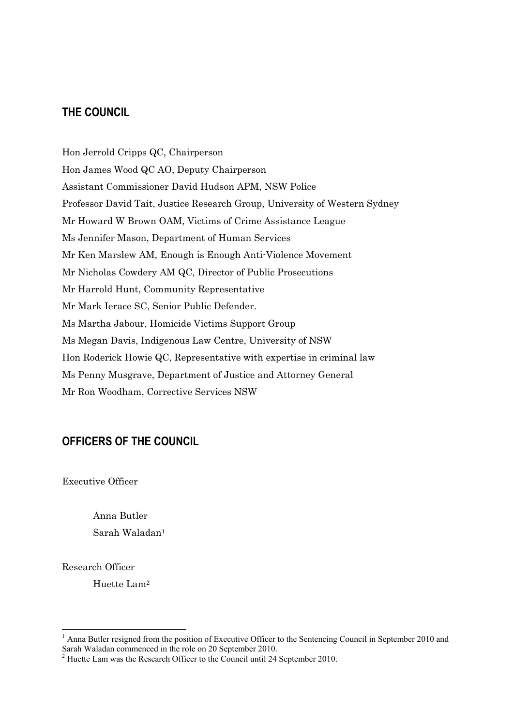### **THE COUNCIL**

Hon Jerrold Cripps QC, Chairperson Hon James Wood QC AO, Deputy Chairperson Assistant Commissioner David Hudson APM, NSW Police Professor David Tait, Justice Research Group, University of Western Sydney Mr Howard W Brown OAM, Victims of Crime Assistance League Ms Jennifer Mason, Department of Human Services Mr Ken Marslew AM, Enough is Enough Anti-Violence Movement Mr Nicholas Cowdery AM QC, Director of Public Prosecutions Mr Harrold Hunt, Community Representative Mr Mark Ierace SC, Senior Public Defender. Ms Martha Jabour, Homicide Victims Support Group Ms Megan Davis, Indigenous Law Centre, University of NSW Hon Roderick Howie QC, Representative with expertise in criminal law Ms Penny Musgrave, Department of Justice and Attorney General Mr Ron Woodham, Corrective Services NSW

### **OFFICERS OF THE COUNCIL**

Executive Officer

Anna Butler Sarah Waladan1

Research Officer

 $\overline{a}$ 

Huette Lam2

<sup>&</sup>lt;sup>1</sup> Anna Butler resigned from the position of Executive Officer to the Sentencing Council in September 2010 and Sarah Waladan commenced in the role on 20 September 2010.<br><sup>2</sup> Huette Lam was the Research Officer to the Council until 24 September 2010.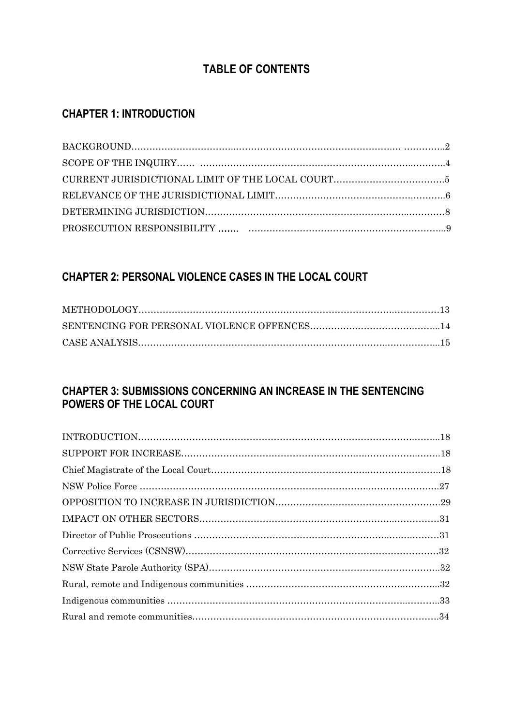# **TABLE OF CONTENTS**

### **CHAPTER 1: INTRODUCTION**

## **CHAPTER 2: PERSONAL VIOLENCE CASES IN THE LOCAL COURT**

### **CHAPTER 3: SUBMISSIONS CONCERNING AN INCREASE IN THE SENTENCING POWERS OF THE LOCAL COURT**

| $\text{INTRODUCTION}.\textcolor{red}{\textbf{18}} \text{18}$ |  |
|--------------------------------------------------------------|--|
|                                                              |  |
|                                                              |  |
|                                                              |  |
|                                                              |  |
|                                                              |  |
|                                                              |  |
|                                                              |  |
|                                                              |  |
|                                                              |  |
|                                                              |  |
|                                                              |  |
|                                                              |  |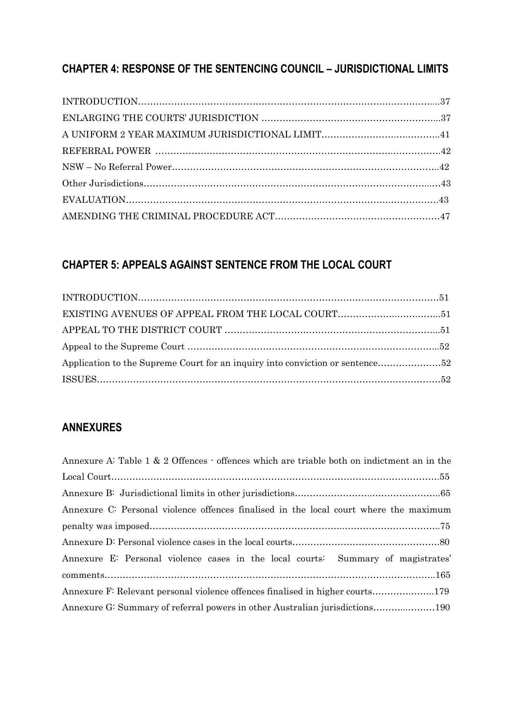# **CHAPTER 4: RESPONSE OF THE SENTENCING COUNCIL – JURISDICTIONAL LIMITS**

# **CHAPTER 5: APPEALS AGAINST SENTENCE FROM THE LOCAL COURT**

### **ANNEXURES**

| Annexure A: Table 1 & 2 Offences $\cdot$ offences which are triable both on indictment an in the |
|--------------------------------------------------------------------------------------------------|
|                                                                                                  |
|                                                                                                  |
| Annexure C: Personal violence offences finalised in the local court where the maximum            |
|                                                                                                  |
|                                                                                                  |
| Annexure E: Personal violence cases in the local courts: Summary of magistrates'                 |
|                                                                                                  |
| Annexure F: Relevant personal violence offences finalised in higher courts179                    |
| Annexure G: Summary of referral powers in other Australian jurisdictions190                      |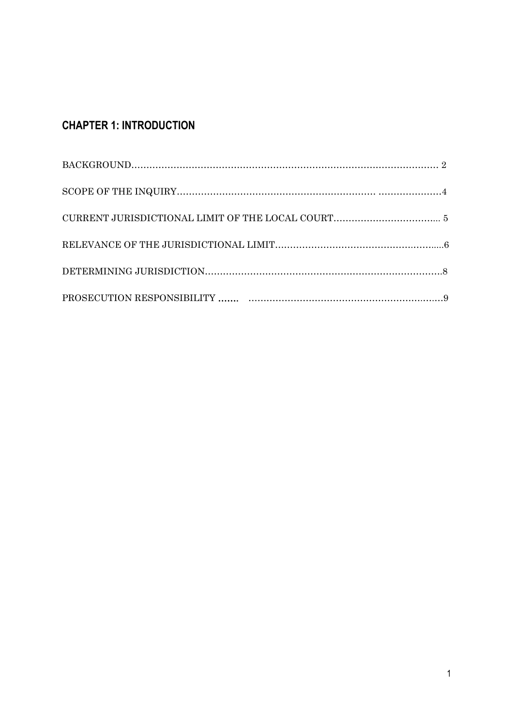# **CHAPTER 1: INTRODUCTION**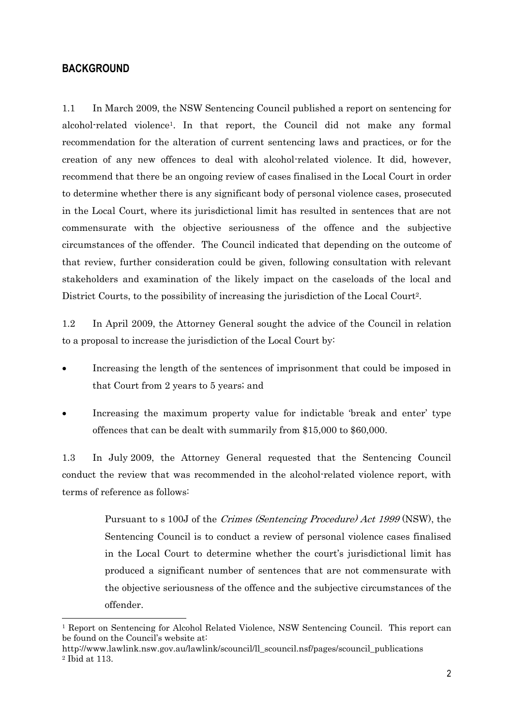### **BACKGROUND**

 $\overline{a}$ 

1.1 In March 2009, the NSW Sentencing Council published a report on sentencing for alcohol-related violence1. In that report, the Council did not make any formal recommendation for the alteration of current sentencing laws and practices, or for the creation of any new offences to deal with alcohol-related violence. It did, however, recommend that there be an ongoing review of cases finalised in the Local Court in order to determine whether there is any significant body of personal violence cases, prosecuted in the Local Court, where its jurisdictional limit has resulted in sentences that are not commensurate with the objective seriousness of the offence and the subjective circumstances of the offender. The Council indicated that depending on the outcome of that review, further consideration could be given, following consultation with relevant stakeholders and examination of the likely impact on the caseloads of the local and District Courts, to the possibility of increasing the jurisdiction of the Local Court<sup>2</sup>.

1.2 In April 2009, the Attorney General sought the advice of the Council in relation to a proposal to increase the jurisdiction of the Local Court by:

- Increasing the length of the sentences of imprisonment that could be imposed in that Court from 2 years to 5 years; and
- Increasing the maximum property value for indictable 'break and enter' type offences that can be dealt with summarily from \$15,000 to \$60,000.

1.3 In July 2009, the Attorney General requested that the Sentencing Council conduct the review that was recommended in the alcohol-related violence report, with terms of reference as follows:

> Pursuant to s 100J of the Crimes (Sentencing Procedure) Act 1999 (NSW), the Sentencing Council is to conduct a review of personal violence cases finalised in the Local Court to determine whether the court's jurisdictional limit has produced a significant number of sentences that are not commensurate with the objective seriousness of the offence and the subjective circumstances of the offender.

<sup>1</sup> Report on Sentencing for Alcohol Related Violence, NSW Sentencing Council. This report can be found on the Council's website at:

http://www.lawlink.nsw.gov.au/lawlink/scouncil/ll\_scouncil.nsf/pages/scouncil\_publications 2 Ibid at 113.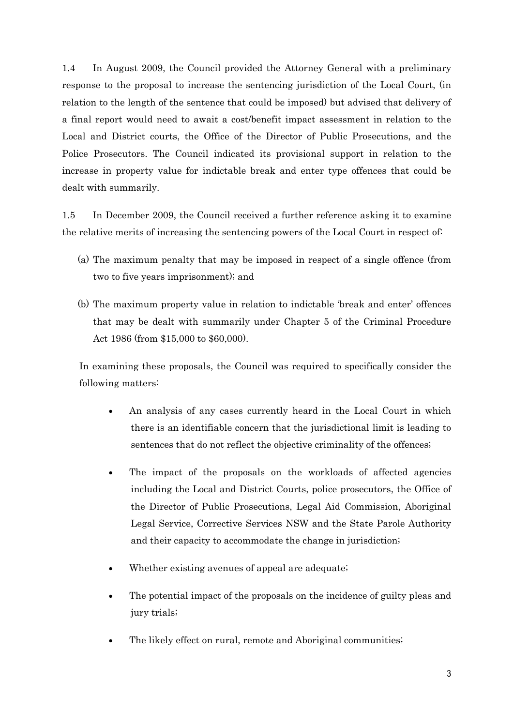1.4 In August 2009, the Council provided the Attorney General with a preliminary response to the proposal to increase the sentencing jurisdiction of the Local Court, (in relation to the length of the sentence that could be imposed) but advised that delivery of a final report would need to await a cost/benefit impact assessment in relation to the Local and District courts, the Office of the Director of Public Prosecutions, and the Police Prosecutors. The Council indicated its provisional support in relation to the increase in property value for indictable break and enter type offences that could be dealt with summarily.

1.5 In December 2009, the Council received a further reference asking it to examine the relative merits of increasing the sentencing powers of the Local Court in respect of:

- (a) The maximum penalty that may be imposed in respect of a single offence (from two to five years imprisonment); and
- (b) The maximum property value in relation to indictable 'break and enter' offences that may be dealt with summarily under Chapter 5 of the Criminal Procedure Act 1986 (from \$15,000 to \$60,000).

 In examining these proposals, the Council was required to specifically consider the following matters:

- An analysis of any cases currently heard in the Local Court in which there is an identifiable concern that the jurisdictional limit is leading to sentences that do not reflect the objective criminality of the offences;
- The impact of the proposals on the workloads of affected agencies including the Local and District Courts, police prosecutors, the Office of the Director of Public Prosecutions, Legal Aid Commission, Aboriginal Legal Service, Corrective Services NSW and the State Parole Authority and their capacity to accommodate the change in jurisdiction;
- Whether existing avenues of appeal are adequate;
- The potential impact of the proposals on the incidence of guilty pleas and jury trials;
- The likely effect on rural, remote and Aboriginal communities;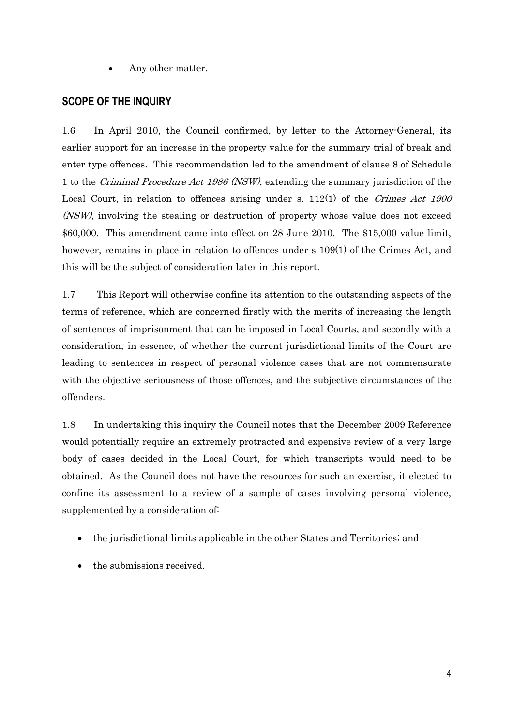Any other matter.

### **SCOPE OF THE INQUIRY**

1.6 In April 2010, the Council confirmed, by letter to the Attorney-General, its earlier support for an increase in the property value for the summary trial of break and enter type offences. This recommendation led to the amendment of clause 8 of Schedule 1 to the Criminal Procedure Act 1986 (NSW), extending the summary jurisdiction of the Local Court, in relation to offences arising under s. 112(1) of the Crimes Act 1900 (NSW), involving the stealing or destruction of property whose value does not exceed \$60,000. This amendment came into effect on 28 June 2010. The \$15,000 value limit, however, remains in place in relation to offences under s 109(1) of the Crimes Act, and this will be the subject of consideration later in this report.

1.7 This Report will otherwise confine its attention to the outstanding aspects of the terms of reference, which are concerned firstly with the merits of increasing the length of sentences of imprisonment that can be imposed in Local Courts, and secondly with a consideration, in essence, of whether the current jurisdictional limits of the Court are leading to sentences in respect of personal violence cases that are not commensurate with the objective seriousness of those offences, and the subjective circumstances of the offenders.

1.8 In undertaking this inquiry the Council notes that the December 2009 Reference would potentially require an extremely protracted and expensive review of a very large body of cases decided in the Local Court, for which transcripts would need to be obtained. As the Council does not have the resources for such an exercise, it elected to confine its assessment to a review of a sample of cases involving personal violence, supplemented by a consideration of:

- the jurisdictional limits applicable in the other States and Territories; and
- the submissions received.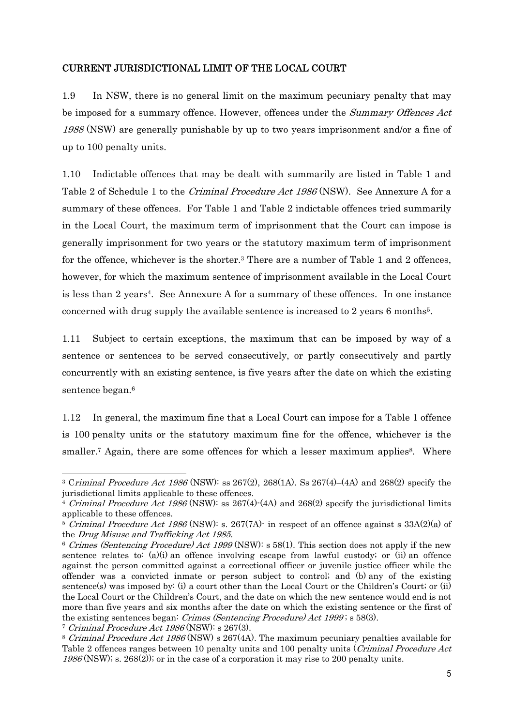### CURRENT JURISDICTIONAL LIMIT OF THE LOCAL COURT

1.9 In NSW, there is no general limit on the maximum pecuniary penalty that may be imposed for a summary offence. However, offences under the Summary Offences Act 1988 (NSW) are generally punishable by up to two years imprisonment and/or a fine of up to 100 penalty units.

1.10 Indictable offences that may be dealt with summarily are listed in Table 1 and Table 2 of Schedule 1 to the *Criminal Procedure Act 1986* (NSW). See Annexure A for a summary of these offences. For Table 1 and Table 2 indictable offences tried summarily in the Local Court, the maximum term of imprisonment that the Court can impose is generally imprisonment for two years or the statutory maximum term of imprisonment for the offence, whichever is the shorter.3 There are a number of Table 1 and 2 offences, however, for which the maximum sentence of imprisonment available in the Local Court is less than 2 years4. See Annexure A for a summary of these offences. In one instance concerned with drug supply the available sentence is increased to 2 years 6 months5.

1.11 Subject to certain exceptions, the maximum that can be imposed by way of a sentence or sentences to be served consecutively, or partly consecutively and partly concurrently with an existing sentence, is five years after the date on which the existing sentence began.<sup>6</sup>

1.12 In general, the maximum fine that a Local Court can impose for a Table 1 offence is 100 penalty units or the statutory maximum fine for the offence, whichever is the smaller.<sup>7</sup> Again, there are some offences for which a lesser maximum applies<sup>8</sup>. Where

<sup>&</sup>lt;sup>3</sup> Criminal Procedure Act 1986 (NSW): ss 267(2), 268(1A). Ss 267(4)–(4A) and 268(2) specify the jurisdictional limits applicable to these offences.

<sup>&</sup>lt;sup>4</sup> Criminal Procedure Act 1986 (NSW): ss 267(4)-(4A) and 268(2) specify the jurisdictional limits applicable to these offences.

<sup>&</sup>lt;sup>5</sup> Criminal Procedure Act 1986 (NSW): s. 267(7A) in respect of an offence against s  $33A(2)(a)$  of the Drug Misuse and Trafficking Act 1985.

<sup>6</sup> Crimes (Sentencing Procedure) Act 1999 (NSW): s 58(1). This section does not apply if the new sentence relates to:  $(a)(i)$  an offence involving escape from lawful custody; or  $(ii)$  an offence against the person committed against a correctional officer or juvenile justice officer while the offender was a convicted inmate or person subject to control; and (b) any of the existing sentence(s) was imposed by: (i) a court other than the Local Court or the Children's Court; or (ii) the Local Court or the Children's Court, and the date on which the new sentence would end is not more than five years and six months after the date on which the existing sentence or the first of the existing sentences began: Crimes (Sentencing Procedure) Act 1999 ; s 58(3).

<sup>7</sup> Criminal Procedure Act 1986 (NSW): s 267(3).

<sup>&</sup>lt;sup>8</sup> Criminal Procedure Act 1986 (NSW) s 267(4A). The maximum pecuniary penalties available for Table 2 offences ranges between 10 penalty units and 100 penalty units (Criminal Procedure Act 1986 (NSW); s. 268(2)); or in the case of a corporation it may rise to 200 penalty units.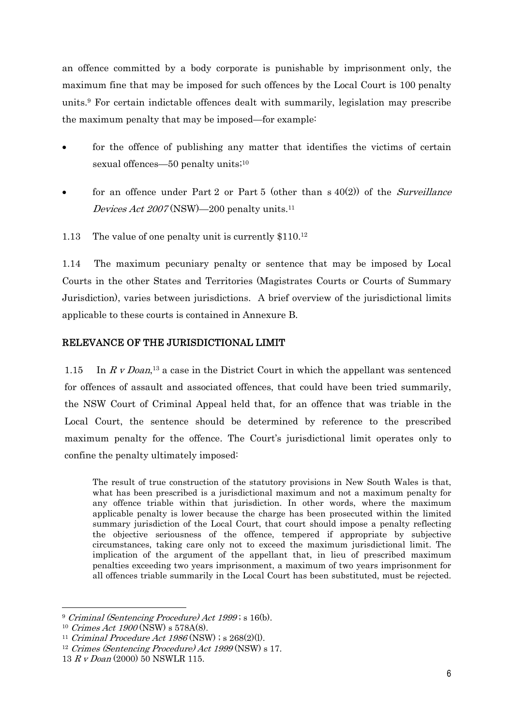an offence committed by a body corporate is punishable by imprisonment only, the maximum fine that may be imposed for such offences by the Local Court is 100 penalty units.9 For certain indictable offences dealt with summarily, legislation may prescribe the maximum penalty that may be imposed—for example:

- for the offence of publishing any matter that identifies the victims of certain sexual offences—50 penalty units;<sup>10</sup>
- for an offence under Part 2 or Part 5 (other than  $s(40(2))$  of the *Surveillance* Devices Act 2007 (NSW)—200 penalty units.<sup>11</sup>
- 1.13 The value of one penalty unit is currently \$110.12

1.14 The maximum pecuniary penalty or sentence that may be imposed by Local Courts in the other States and Territories (Magistrates Courts or Courts of Summary Jurisdiction), varies between jurisdictions. A brief overview of the jurisdictional limits applicable to these courts is contained in Annexure B.

### RELEVANCE OF THE JURISDICTIONAL LIMIT

1.15 In  $R \, v$  Doan,<sup>13</sup> a case in the District Court in which the appellant was sentenced for offences of assault and associated offences, that could have been tried summarily, the NSW Court of Criminal Appeal held that, for an offence that was triable in the Local Court, the sentence should be determined by reference to the prescribed maximum penalty for the offence. The Court's jurisdictional limit operates only to confine the penalty ultimately imposed:

 The result of true construction of the statutory provisions in New South Wales is that, what has been prescribed is a jurisdictional maximum and not a maximum penalty for any offence triable within that jurisdiction. In other words, where the maximum applicable penalty is lower because the charge has been prosecuted within the limited summary jurisdiction of the Local Court, that court should impose a penalty reflecting the objective seriousness of the offence, tempered if appropriate by subjective circumstances, taking care only not to exceed the maximum jurisdictional limit. The implication of the argument of the appellant that, in lieu of prescribed maximum penalties exceeding two years imprisonment, a maximum of two years imprisonment for all offences triable summarily in the Local Court has been substituted, must be rejected.

<sup>9</sup> Criminal (Sentencing Procedure) Act 1999 ; s 16(b).

<sup>10</sup> Crimes Act 1900 (NSW) s 578A(8).

<sup>&</sup>lt;sup>11</sup> Criminal Procedure Act 1986 (NSW) ; s  $268(2)(l)$ .<br><sup>12</sup> Crimes (Sentencing Procedure) Act 1999 (NSW) s 17.

<sup>13</sup> R v Doan (2000) 50 NSWLR 115.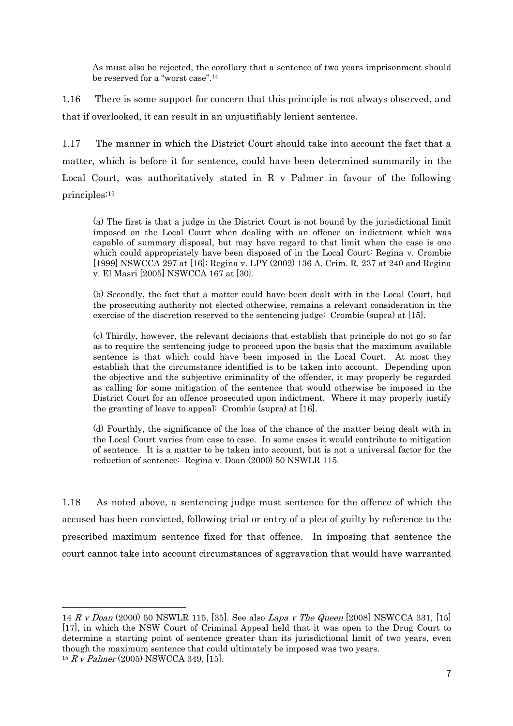As must also be rejected, the corollary that a sentence of two years imprisonment should be reserved for a "worst case".14

1.16 There is some support for concern that this principle is not always observed, and that if overlooked, it can result in an unjustifiably lenient sentence.

1.17 The manner in which the District Court should take into account the fact that a matter, which is before it for sentence, could have been determined summarily in the Local Court, was authoritatively stated in R v Palmer in favour of the following principles:15

(a) The first is that a judge in the District Court is not bound by the jurisdictional limit imposed on the Local Court when dealing with an offence on indictment which was capable of summary disposal, but may have regard to that limit when the case is one which could appropriately have been disposed of in the Local Court: Regina v. Crombie [1999] NSWCCA 297 at [16]; Regina v. LPY (2002) 136 A. Crim. R. 237 at 240 and Regina v. El Masri [2005] NSWCCA 167 at [30}.

 (b) Secondly, the fact that a matter could have been dealt with in the Local Court, had the prosecuting authority not elected otherwise, remains a relevant consideration in the exercise of the discretion reserved to the sentencing judge: Crombie (supra) at [15].

(c) Thirdly, however, the relevant decisions that establish that principle do not go so far as to require the sentencing judge to proceed upon the basis that the maximum available sentence is that which could have been imposed in the Local Court. At most they establish that the circumstance identified is to be taken into account. Depending upon the objective and the subjective criminality of the offender, it may properly be regarded as calling for some mitigation of the sentence that would otherwise be imposed in the District Court for an offence prosecuted upon indictment. Where it may properly justify the granting of leave to appeal: Crombie (supra) at [16].

(d) Fourthly, the significance of the loss of the chance of the matter being dealt with in the Local Court varies from case to case. In some cases it would contribute to mitigation of sentence. It is a matter to be taken into account, but is not a universal factor for the reduction of sentence: Regina v. Doan (2000) 50 NSWLR 115.

1.18 As noted above, a sentencing judge must sentence for the offence of which the accused has been convicted, following trial or entry of a plea of guilty by reference to the prescribed maximum sentence fixed for that offence. In imposing that sentence the court cannot take into account circumstances of aggravation that would have warranted

<sup>14</sup> R v Doan (2000) 50 NSWLR 115, [35]. See also Lapa v The Queen [2008] NSWCCA 331, [15] [17], in which the NSW Court of Criminal Appeal held that it was open to the Drug Court to determine a starting point of sentence greater than its jurisdictional limit of two years, even though the maximum sentence that could ultimately be imposed was two years.  $15 R V$  Palmer (2005) NSWCCA 349, [15].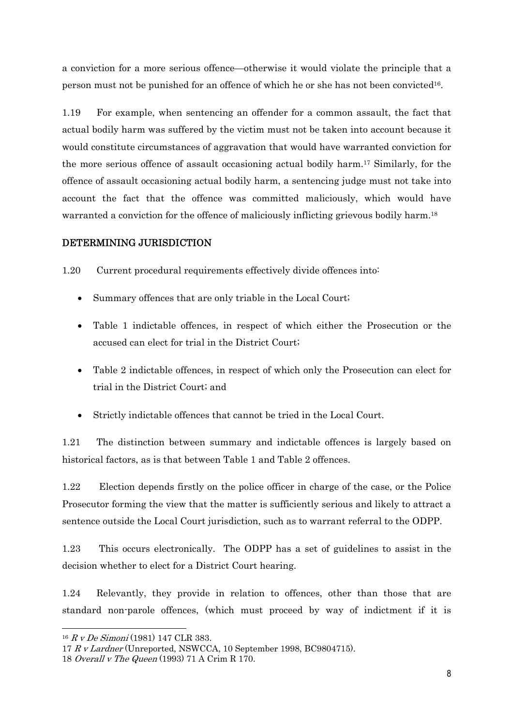a conviction for a more serious offence—otherwise it would violate the principle that a person must not be punished for an offence of which he or she has not been convicted16.

1.19 For example, when sentencing an offender for a common assault, the fact that actual bodily harm was suffered by the victim must not be taken into account because it would constitute circumstances of aggravation that would have warranted conviction for the more serious offence of assault occasioning actual bodily harm.17 Similarly, for the offence of assault occasioning actual bodily harm, a sentencing judge must not take into account the fact that the offence was committed maliciously, which would have warranted a conviction for the offence of maliciously inflicting grievous bodily harm.<sup>18</sup>

### DETERMINING JURISDICTION

1.20 Current procedural requirements effectively divide offences into:

- Summary offences that are only triable in the Local Court;
- Table 1 indictable offences, in respect of which either the Prosecution or the accused can elect for trial in the District Court;
- Table 2 indictable offences, in respect of which only the Prosecution can elect for trial in the District Court; and
- Strictly indictable offences that cannot be tried in the Local Court.

1.21 The distinction between summary and indictable offences is largely based on historical factors, as is that between Table 1 and Table 2 offences.

1.22 Election depends firstly on the police officer in charge of the case, or the Police Prosecutor forming the view that the matter is sufficiently serious and likely to attract a sentence outside the Local Court jurisdiction, such as to warrant referral to the ODPP.

1.23 This occurs electronically. The ODPP has a set of guidelines to assist in the decision whether to elect for a District Court hearing.

1.24 Relevantly, they provide in relation to offences, other than those that are standard non-parole offences, (which must proceed by way of indictment if it is

<sup>16</sup> R v De Simoni (1981) 147 CLR 383.

<sup>17</sup> R v Lardner (Unreported, NSWCCA, 10 September 1998, BC9804715).

<sup>18</sup> Overall v The Queen (1993) 71 A Crim R 170.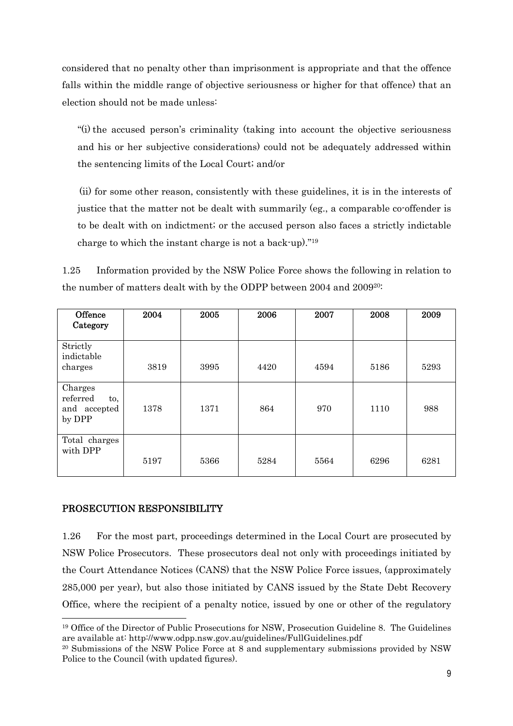considered that no penalty other than imprisonment is appropriate and that the offence falls within the middle range of objective seriousness or higher for that offence) that an election should not be made unless:

 "(i) the accused person's criminality (taking into account the objective seriousness and his or her subjective considerations) could not be adequately addressed within the sentencing limits of the Local Court; and/or

 (ii) for some other reason, consistently with these guidelines, it is in the interests of justice that the matter not be dealt with summarily (eg., a comparable co-offender is to be dealt with on indictment; or the accused person also faces a strictly indictable charge to which the instant charge is not a back-up)."19

1.25 Information provided by the NSW Police Force shows the following in relation to the number of matters dealt with by the ODPP between 2004 and 200920:

| Offence<br>Category                                  | 2004 | 2005 | 2006 | 2007 | 2008 | 2009 |
|------------------------------------------------------|------|------|------|------|------|------|
| Strictly<br>indictable<br>charges                    | 3819 | 3995 | 4420 | 4594 | 5186 | 5293 |
| Charges<br>referred<br>to,<br>and accepted<br>by DPP | 1378 | 1371 | 864  | 970  | 1110 | 988  |
| Total charges<br>with DPP                            | 5197 | 5366 | 5284 | 5564 | 6296 | 6281 |

### PROSECUTION RESPONSIBILITY

 $\overline{a}$ 

1.26 For the most part, proceedings determined in the Local Court are prosecuted by NSW Police Prosecutors. These prosecutors deal not only with proceedings initiated by the Court Attendance Notices (CANS) that the NSW Police Force issues, (approximately 285,000 per year), but also those initiated by CANS issued by the State Debt Recovery Office, where the recipient of a penalty notice, issued by one or other of the regulatory

<sup>19</sup> Office of the Director of Public Prosecutions for NSW, Prosecution Guideline 8. The Guidelines are available at: http://www.odpp.nsw.gov.au/guidelines/FullGuidelines.pdf

<sup>20</sup> Submissions of the NSW Police Force at 8 and supplementary submissions provided by NSW Police to the Council (with updated figures).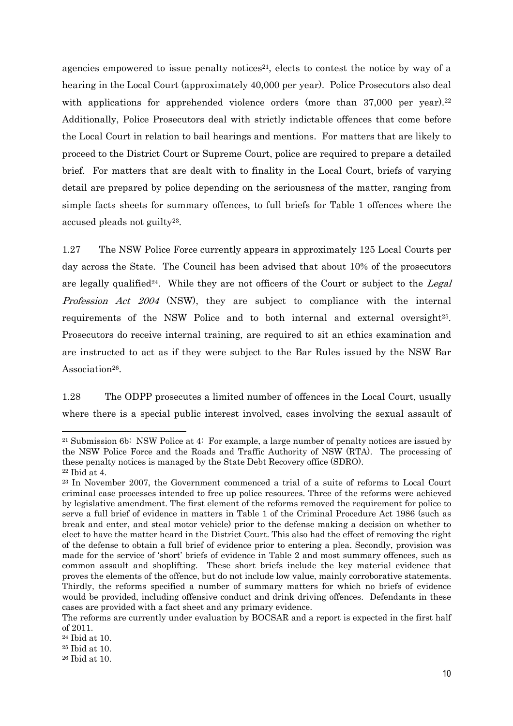agencies empowered to issue penalty notices<sup>21</sup>, elects to contest the notice by way of a hearing in the Local Court (approximately 40,000 per year). Police Prosecutors also deal with applications for apprehended violence orders (more than 37,000 per year).<sup>22</sup> Additionally, Police Prosecutors deal with strictly indictable offences that come before the Local Court in relation to bail hearings and mentions. For matters that are likely to proceed to the District Court or Supreme Court, police are required to prepare a detailed brief. For matters that are dealt with to finality in the Local Court, briefs of varying detail are prepared by police depending on the seriousness of the matter, ranging from simple facts sheets for summary offences, to full briefs for Table 1 offences where the accused pleads not guilty23.

1.27 The NSW Police Force currently appears in approximately 125 Local Courts per day across the State. The Council has been advised that about 10% of the prosecutors are legally qualified<sup>24</sup>. While they are not officers of the Court or subject to the Legal Profession Act 2004 (NSW), they are subject to compliance with the internal requirements of the NSW Police and to both internal and external oversight<sup>25</sup>. Prosecutors do receive internal training, are required to sit an ethics examination and are instructed to act as if they were subject to the Bar Rules issued by the NSW Bar Association<sup>26</sup>.

1.28 The ODPP prosecutes a limited number of offences in the Local Court, usually where there is a special public interest involved, cases involving the sexual assault of

<sup>21</sup> Submission 6b: NSW Police at 4: For example, a large number of penalty notices are issued by the NSW Police Force and the Roads and Traffic Authority of NSW (RTA). The processing of these penalty notices is managed by the State Debt Recovery office (SDRO).

<sup>22</sup> Ibid at 4.

<sup>23</sup> In November 2007, the Government commenced a trial of a suite of reforms to Local Court criminal case processes intended to free up police resources. Three of the reforms were achieved by legislative amendment. The first element of the reforms removed the requirement for police to serve a full brief of evidence in matters in Table 1 of the Criminal Procedure Act 1986 (such as break and enter, and steal motor vehicle) prior to the defense making a decision on whether to elect to have the matter heard in the District Court. This also had the effect of removing the right of the defense to obtain a full brief of evidence prior to entering a plea. Secondly, provision was made for the service of 'short' briefs of evidence in Table 2 and most summary offences, such as common assault and shoplifting. These short briefs include the key material evidence that proves the elements of the offence, but do not include low value, mainly corroborative statements. Thirdly, the reforms specified a number of summary matters for which no briefs of evidence would be provided, including offensive conduct and drink driving offences. Defendants in these cases are provided with a fact sheet and any primary evidence.

The reforms are currently under evaluation by BOCSAR and a report is expected in the first half of 2011.

<sup>24</sup> Ibid at 10.

<sup>25</sup> Ibid at 10.

<sup>26</sup> Ibid at 10.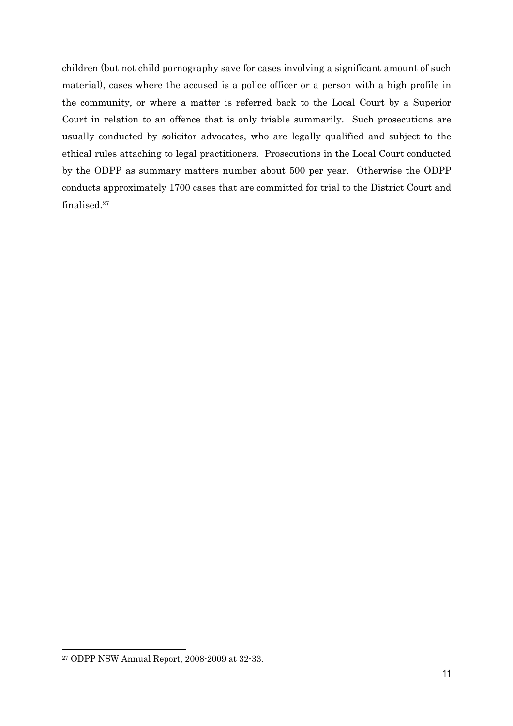children (but not child pornography save for cases involving a significant amount of such material), cases where the accused is a police officer or a person with a high profile in the community, or where a matter is referred back to the Local Court by a Superior Court in relation to an offence that is only triable summarily. Such prosecutions are usually conducted by solicitor advocates, who are legally qualified and subject to the ethical rules attaching to legal practitioners. Prosecutions in the Local Court conducted by the ODPP as summary matters number about 500 per year. Otherwise the ODPP conducts approximately 1700 cases that are committed for trial to the District Court and finalised.27

<sup>27</sup> ODPP NSW Annual Report, 2008-2009 at 32-33.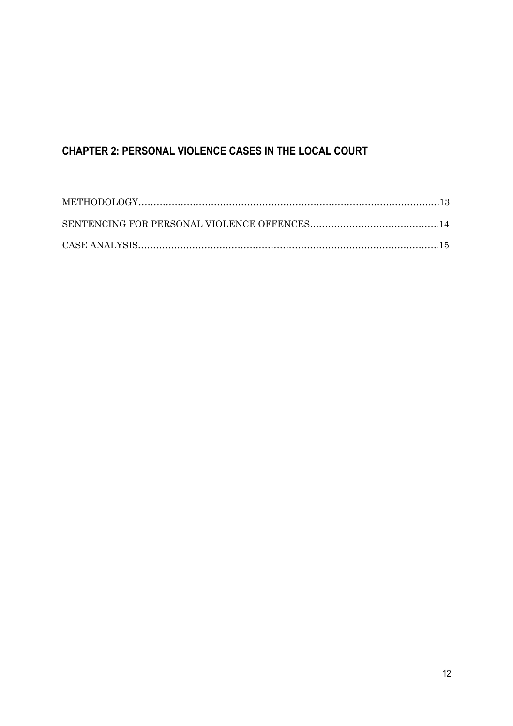# **CHAPTER 2: PERSONAL VIOLENCE CASES IN THE LOCAL COURT**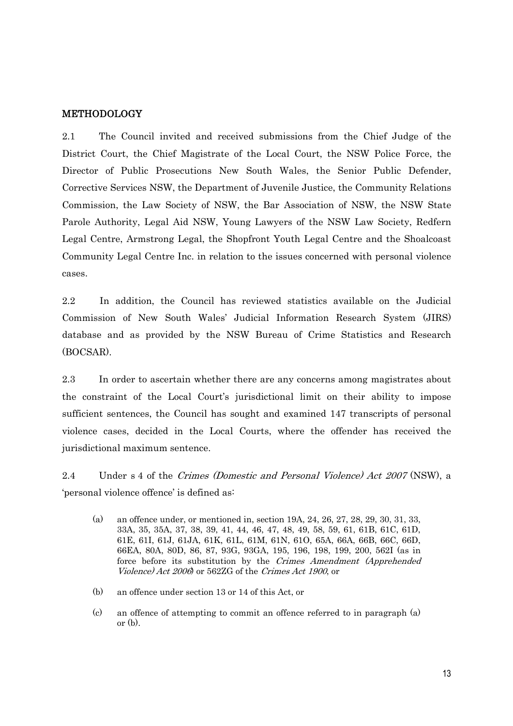### METHODOLOGY

2.1 The Council invited and received submissions from the Chief Judge of the District Court, the Chief Magistrate of the Local Court, the NSW Police Force, the Director of Public Prosecutions New South Wales, the Senior Public Defender, Corrective Services NSW, the Department of Juvenile Justice, the Community Relations Commission, the Law Society of NSW, the Bar Association of NSW, the NSW State Parole Authority, Legal Aid NSW, Young Lawyers of the NSW Law Society, Redfern Legal Centre, Armstrong Legal, the Shopfront Youth Legal Centre and the Shoalcoast Community Legal Centre Inc. in relation to the issues concerned with personal violence cases.

2.2 In addition, the Council has reviewed statistics available on the Judicial Commission of New South Wales' Judicial Information Research System (JIRS) database and as provided by the NSW Bureau of Crime Statistics and Research (BOCSAR).

2.3 In order to ascertain whether there are any concerns among magistrates about the constraint of the Local Court's jurisdictional limit on their ability to impose sufficient sentences, the Council has sought and examined 147 transcripts of personal violence cases, decided in the Local Courts, where the offender has received the jurisdictional maximum sentence.

2.4 Under s 4 of the Crimes (Domestic and Personal Violence) Act 2007 (NSW), a 'personal violence offence' is defined as:

- (a) an offence under, or mentioned in, section 19A, 24, 26, 27, 28, 29, 30, 31, 33, 33A, 35, 35A, 37, 38, 39, 41, 44, 46, 47, 48, 49, 58, 59, 61, 61B, 61C, 61D, 61E, 61I, 61J, 61JA, 61K, 61L, 61M, 61N, 61O, 65A, 66A, 66B, 66C, 66D, 66EA, 80A, 80D, 86, 87, 93G, 93GA, 195, 196, 198, 199, 200, 562I (as in force before its substitution by the Crimes Amendment (Apprehended Violence) Act 2006) or 562ZG of the Crimes Act 1900, or
- (b) an offence under section 13 or 14 of this Act, or
- (c) an offence of attempting to commit an offence referred to in paragraph (a) or (b).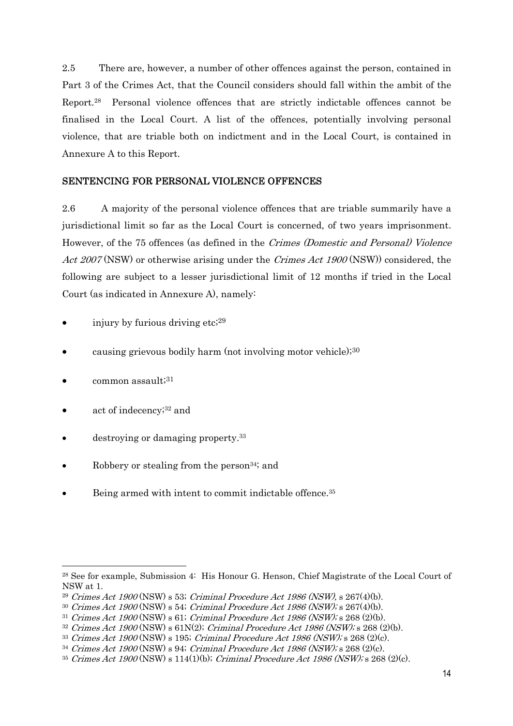2.5 There are, however, a number of other offences against the person, contained in Part 3 of the Crimes Act, that the Council considers should fall within the ambit of the Report.28 Personal violence offences that are strictly indictable offences cannot be finalised in the Local Court. A list of the offences, potentially involving personal violence, that are triable both on indictment and in the Local Court, is contained in Annexure A to this Report.

### SENTENCING FOR PERSONAL VIOLENCE OFFENCES

2.6 A majority of the personal violence offences that are triable summarily have a jurisdictional limit so far as the Local Court is concerned, of two years imprisonment. However, of the 75 offences (as defined in the Crimes (Domestic and Personal) Violence Act 2007 (NSW) or otherwise arising under the *Crimes Act 1900* (NSW) considered, the following are subject to a lesser jurisdictional limit of 12 months if tried in the Local Court (as indicated in Annexure A), namely:

- injury by furious driving etc;29
- causing grievous bodily harm (not involving motor vehicle);30
- common assault;<sup>31</sup>

- act of indecency;32 and
- destroying or damaging property.33
- Robbery or stealing from the person<sup>34</sup>; and
- Being armed with intent to commit indictable offence.<sup>35</sup>

<sup>28</sup> See for example, Submission 4: His Honour G. Henson, Chief Magistrate of the Local Court of NSW at 1.

<sup>&</sup>lt;sup>29</sup> Crimes Act 1900 (NSW) s 53; Criminal Procedure Act 1986 (NSW), s  $267(4)(b)$ .

 $30$  Crimes Act 1900 (NSW) s 54; Criminal Procedure Act 1986 (NSW); s 267(4)(b).

 $31$  Crimes Act 1900 (NSW) s 61; Criminal Procedure Act 1986 (NSW); s 268 (2)(b).

 $32$  Crimes Act 1900 (NSW) s 61N(2); Criminal Procedure Act 1986 (NSW); s 268 (2)(b).

 $33$  Crimes Act 1900 (NSW) s 195; Criminal Procedure Act 1986 (NSW); s 268 (2)(c).

 $34$  Crimes Act 1900 (NSW) s 94; Criminal Procedure Act 1986 (NSW); s 268 (2)(c).

<sup>&</sup>lt;sup>35</sup> Crimes Act 1900 (NSW) s 114(1)(b); Criminal Procedure Act 1986 (NSW); s 268 (2)(c).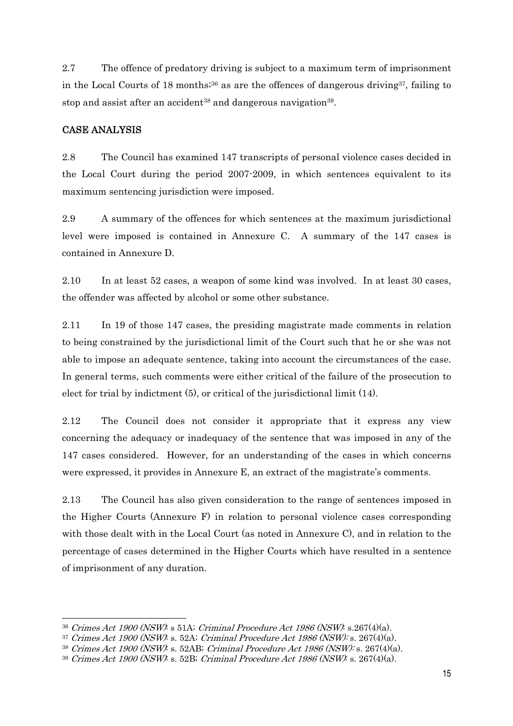2.7 The offence of predatory driving is subject to a maximum term of imprisonment in the Local Courts of 18 months;<sup>36</sup> as are the offences of dangerous driving<sup>37</sup>, failing to stop and assist after an accident<sup>38</sup> and dangerous navigation<sup>39</sup>.

### CASE ANALYSIS

 $\overline{a}$ 

2.8 The Council has examined 147 transcripts of personal violence cases decided in the Local Court during the period 2007-2009, in which sentences equivalent to its maximum sentencing jurisdiction were imposed.

2.9 A summary of the offences for which sentences at the maximum jurisdictional level were imposed is contained in Annexure C. A summary of the 147 cases is contained in Annexure D.

2.10 In at least 52 cases, a weapon of some kind was involved. In at least 30 cases, the offender was affected by alcohol or some other substance.

2.11 In 19 of those 147 cases, the presiding magistrate made comments in relation to being constrained by the jurisdictional limit of the Court such that he or she was not able to impose an adequate sentence, taking into account the circumstances of the case. In general terms, such comments were either critical of the failure of the prosecution to elect for trial by indictment (5), or critical of the jurisdictional limit (14).

2.12 The Council does not consider it appropriate that it express any view concerning the adequacy or inadequacy of the sentence that was imposed in any of the 147 cases considered. However, for an understanding of the cases in which concerns were expressed, it provides in Annexure E, an extract of the magistrate's comments.

2.13 The Council has also given consideration to the range of sentences imposed in the Higher Courts (Annexure F) in relation to personal violence cases corresponding with those dealt with in the Local Court (as noted in Annexure C), and in relation to the percentage of cases determined in the Higher Courts which have resulted in a sentence of imprisonment of any duration.

 $36$  Crimes Act 1900 (NSW): s 51A; Criminal Procedure Act 1986 (NSW): s.267(4)(a).

 $37$  Crimes Act 1900 (NSW): s. 52A; Criminal Procedure Act 1986 (NSW): s. 267(4)(a).

<sup>38</sup> Crimes Act 1900 (NSW): s. 52AB; Criminal Procedure Act 1986 (NSW): s. 267(4)(a).

 $39$  Crimes Act 1900 (NSW): s. 52B; Criminal Procedure Act 1986 (NSW): s. 267(4)(a).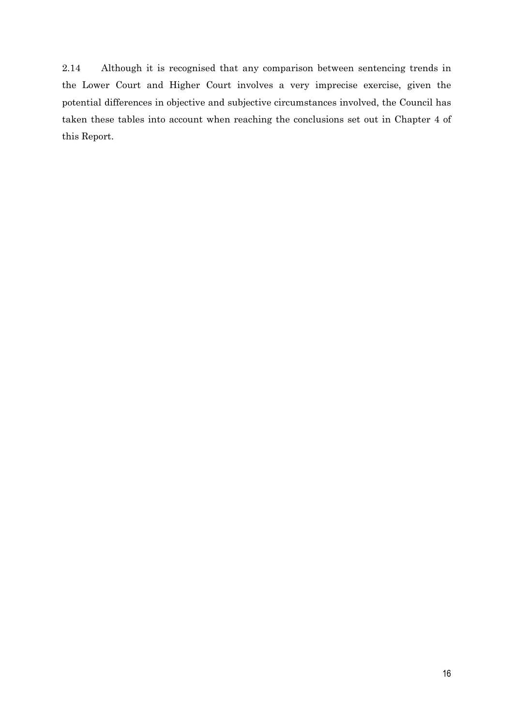2.14 Although it is recognised that any comparison between sentencing trends in the Lower Court and Higher Court involves a very imprecise exercise, given the potential differences in objective and subjective circumstances involved, the Council has taken these tables into account when reaching the conclusions set out in Chapter 4 of this Report.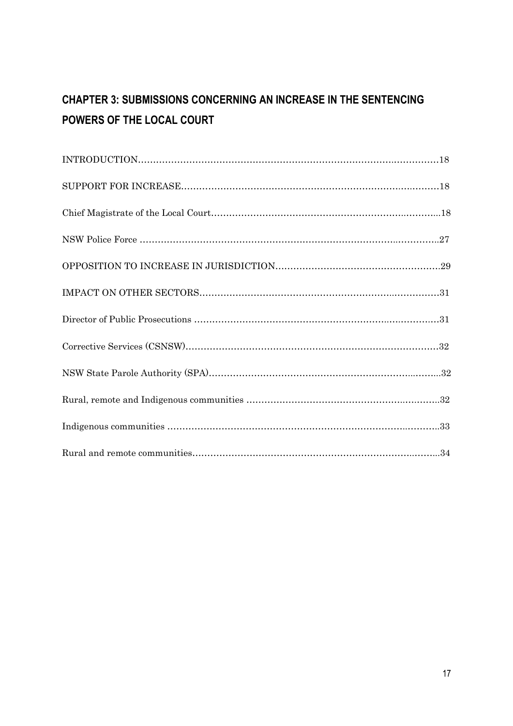# **CHAPTER 3: SUBMISSIONS CONCERNING AN INCREASE IN THE SENTENCING POWERS OF THE LOCAL COURT**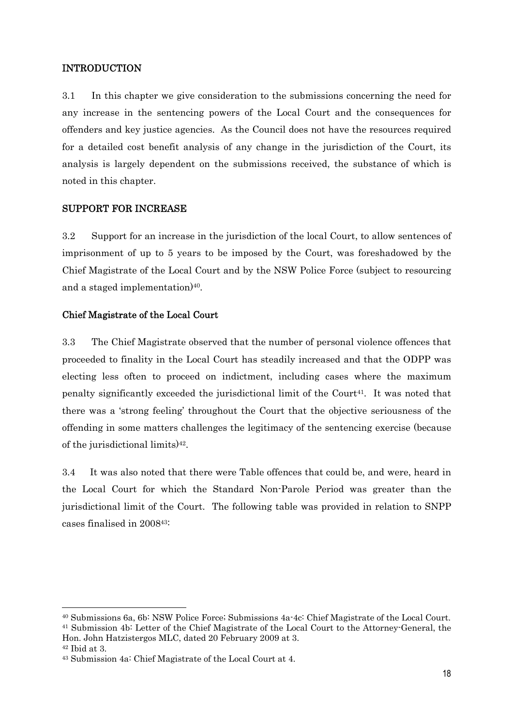### INTRODUCTION

3.1 In this chapter we give consideration to the submissions concerning the need for any increase in the sentencing powers of the Local Court and the consequences for offenders and key justice agencies. As the Council does not have the resources required for a detailed cost benefit analysis of any change in the jurisdiction of the Court, its analysis is largely dependent on the submissions received, the substance of which is noted in this chapter.

### SUPPORT FOR INCREASE

3.2 Support for an increase in the jurisdiction of the local Court, to allow sentences of imprisonment of up to 5 years to be imposed by the Court, was foreshadowed by the Chief Magistrate of the Local Court and by the NSW Police Force (subject to resourcing and a staged implementation)<sup>40</sup>.

### Chief Magistrate of the Local Court

3.3 The Chief Magistrate observed that the number of personal violence offences that proceeded to finality in the Local Court has steadily increased and that the ODPP was electing less often to proceed on indictment, including cases where the maximum penalty significantly exceeded the jurisdictional limit of the Court<sup>41</sup>. It was noted that there was a 'strong feeling' throughout the Court that the objective seriousness of the offending in some matters challenges the legitimacy of the sentencing exercise (because of the jurisdictional limits)42.

3.4 It was also noted that there were Table offences that could be, and were, heard in the Local Court for which the Standard Non-Parole Period was greater than the jurisdictional limit of the Court. The following table was provided in relation to SNPP cases finalised in 200843:

<sup>40</sup> Submissions 6a, 6b: NSW Police Force; Submissions 4a-4c: Chief Magistrate of the Local Court. 41 Submission 4b: Letter of the Chief Magistrate of the Local Court to the Attorney-General, the

Hon. John Hatzistergos MLC, dated 20 February 2009 at 3. 42 Ibid at 3.

<sup>43</sup> Submission 4a: Chief Magistrate of the Local Court at 4.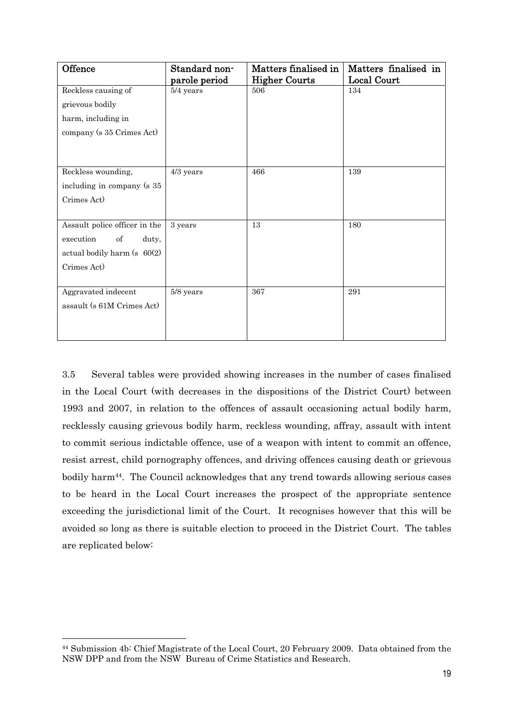| Offence                        | Matters finalised in<br>Standard non- |                      | Matters finalised in |
|--------------------------------|---------------------------------------|----------------------|----------------------|
|                                | parole period                         | <b>Higher Courts</b> | Local Court          |
| Reckless causing of            | $5/4$ years                           | 506                  | 134                  |
| grievous bodily                |                                       |                      |                      |
| harm, including in             |                                       |                      |                      |
| company (s 35 Crimes Act)      |                                       |                      |                      |
|                                |                                       |                      |                      |
|                                |                                       |                      |                      |
| Reckless wounding,             | $4/3$ years                           | 466                  | 139                  |
| including in company (s 35     |                                       |                      |                      |
| Crimes Act)                    |                                       |                      |                      |
|                                |                                       |                      |                      |
| Assault police officer in the  | 3 years                               | 13                   | 180                  |
| execution<br>of<br>duty,       |                                       |                      |                      |
| actual bodily harm $(s 60(2))$ |                                       |                      |                      |
| Crimes Act)                    |                                       |                      |                      |
|                                |                                       |                      |                      |
| Aggravated indecent            | 5/8 years                             | 367                  | 291                  |
| assault (s 61M Crimes Act)     |                                       |                      |                      |
|                                |                                       |                      |                      |
|                                |                                       |                      |                      |

3.5 Several tables were provided showing increases in the number of cases finalised in the Local Court (with decreases in the dispositions of the District Court) between 1993 and 2007, in relation to the offences of assault occasioning actual bodily harm, recklessly causing grievous bodily harm, reckless wounding, affray, assault with intent to commit serious indictable offence, use of a weapon with intent to commit an offence, resist arrest, child pornography offences, and driving offences causing death or grievous bodily harm44. The Council acknowledges that any trend towards allowing serious cases to be heard in the Local Court increases the prospect of the appropriate sentence exceeding the jurisdictional limit of the Court. It recognises however that this will be avoided so long as there is suitable election to proceed in the District Court. The tables are replicated below:

<sup>44</sup> Submission 4b: Chief Magistrate of the Local Court, 20 February 2009. Data obtained from the NSW DPP and from the NSW Bureau of Crime Statistics and Research.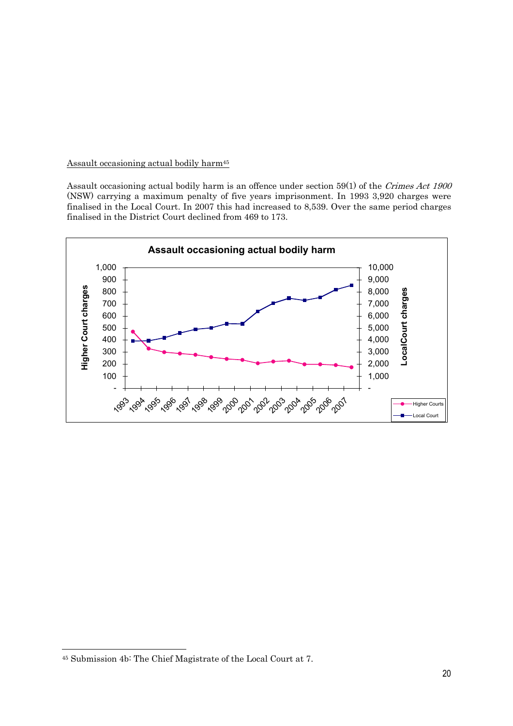### Assault occasioning actual bodily harm<sup>45</sup>

Assault occasioning actual bodily harm is an offence under section 59(1) of the Crimes Act 1900 (NSW) carrying a maximum penalty of five years imprisonment. In 1993 3,920 charges were finalised in the Local Court. In 2007 this had increased to 8,539. Over the same period charges finalised in the District Court declined from 469 to 173.



<sup>45</sup> Submission 4b: The Chief Magistrate of the Local Court at 7.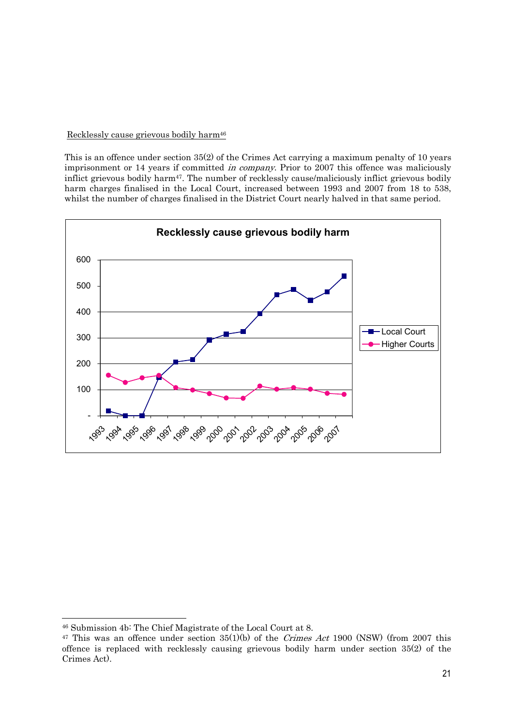### Recklessly cause grievous bodily harm46

This is an offence under section 35(2) of the Crimes Act carrying a maximum penalty of 10 years imprisonment or 14 years if committed in company. Prior to 2007 this offence was maliciously inflict grievous bodily harm47. The number of recklessly cause/maliciously inflict grievous bodily harm charges finalised in the Local Court, increased between 1993 and 2007 from 18 to 538, whilst the number of charges finalised in the District Court nearly halved in that same period.



<sup>46</sup> Submission 4b: The Chief Magistrate of the Local Court at 8.

<sup>&</sup>lt;sup>47</sup> This was an offence under section  $35(1)(b)$  of the *Crimes Act* 1900 (NSW) (from 2007 this offence is replaced with recklessly causing grievous bodily harm under section 35(2) of the Crimes Act).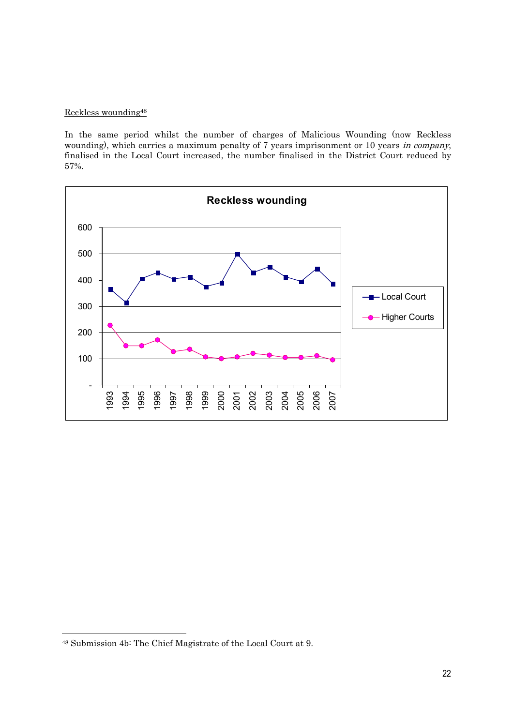### Reckless wounding48

In the same period whilst the number of charges of Malicious Wounding (now Reckless wounding), which carries a maximum penalty of 7 years imprisonment or 10 years in company, finalised in the Local Court increased, the number finalised in the District Court reduced by 57%.



<sup>48</sup> Submission 4b: The Chief Magistrate of the Local Court at 9.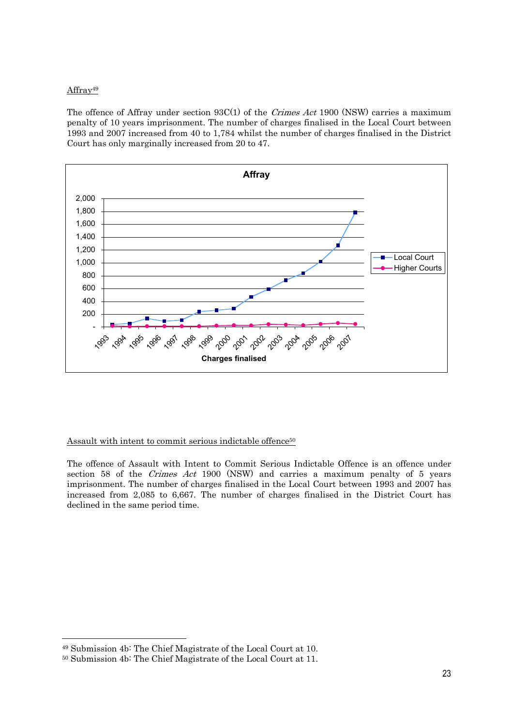#### Affray49

The offence of Affray under section  $93C(1)$  of the *Crimes Act* 1900 (NSW) carries a maximum penalty of 10 years imprisonment. The number of charges finalised in the Local Court between 1993 and 2007 increased from 40 to 1,784 whilst the number of charges finalised in the District Court has only marginally increased from 20 to 47.



#### Assault with intent to commit serious indictable offence<sup>50</sup>

The offence of Assault with Intent to Commit Serious Indictable Offence is an offence under section 58 of the Crimes Act 1900 (NSW) and carries a maximum penalty of 5 years imprisonment. The number of charges finalised in the Local Court between 1993 and 2007 has increased from 2,085 to 6,667. The number of charges finalised in the District Court has declined in the same period time.

<sup>49</sup> Submission 4b: The Chief Magistrate of the Local Court at 10.

<sup>50</sup> Submission 4b: The Chief Magistrate of the Local Court at 11.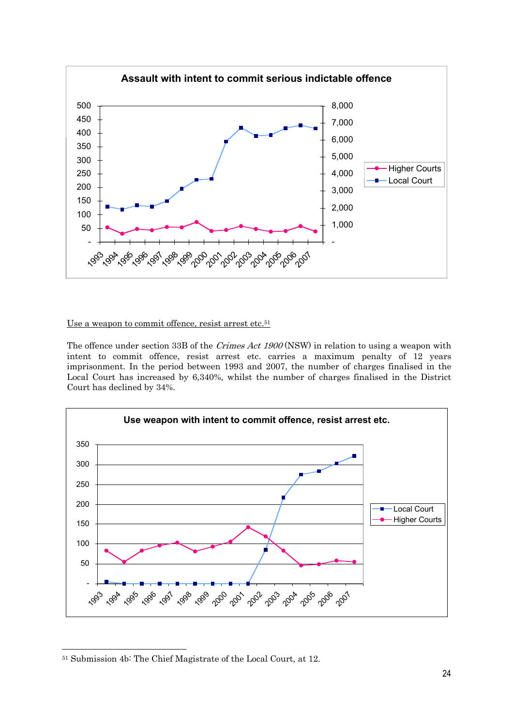

### Use a weapon to commit offence, resist arrest etc.<sup>51</sup>

The offence under section 33B of the *Crimes Act 1900* (NSW) in relation to using a weapon with intent to commit offence, resist arrest etc. carries a maximum penalty of 12 years imprisonment. In the period between 1993 and 2007, the number of charges finalised in the Local Court has increased by 6,340%, whilst the number of charges finalised in the District Court has declined by 34%.



<sup>51</sup> Submission 4b: The Chief Magistrate of the Local Court, at 12.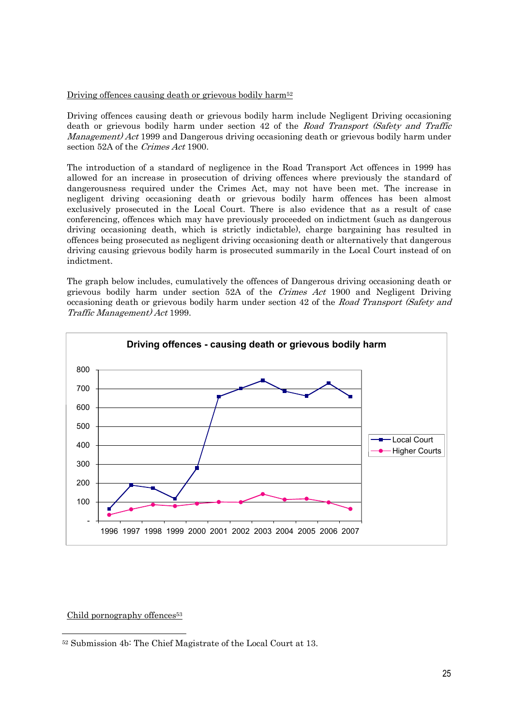#### Driving offences causing death or grievous bodily harm<sup>52</sup>

Driving offences causing death or grievous bodily harm include Negligent Driving occasioning death or grievous bodily harm under section 42 of the Road Transport (Safety and Traffic Management) Act 1999 and Dangerous driving occasioning death or grievous bodily harm under section 52A of the Crimes Act 1900.

The introduction of a standard of negligence in the Road Transport Act offences in 1999 has allowed for an increase in prosecution of driving offences where previously the standard of dangerousness required under the Crimes Act, may not have been met. The increase in negligent driving occasioning death or grievous bodily harm offences has been almost exclusively prosecuted in the Local Court. There is also evidence that as a result of case conferencing, offences which may have previously proceeded on indictment (such as dangerous driving occasioning death, which is strictly indictable), charge bargaining has resulted in offences being prosecuted as negligent driving occasioning death or alternatively that dangerous driving causing grievous bodily harm is prosecuted summarily in the Local Court instead of on indictment.

The graph below includes, cumulatively the offences of Dangerous driving occasioning death or grievous bodily harm under section 52A of the Crimes Act 1900 and Negligent Driving occasioning death or grievous bodily harm under section 42 of the Road Transport (Safety and Traffic Management) Act 1999.



Child pornography offences<sup>53</sup>

 52 Submission 4b: The Chief Magistrate of the Local Court at 13.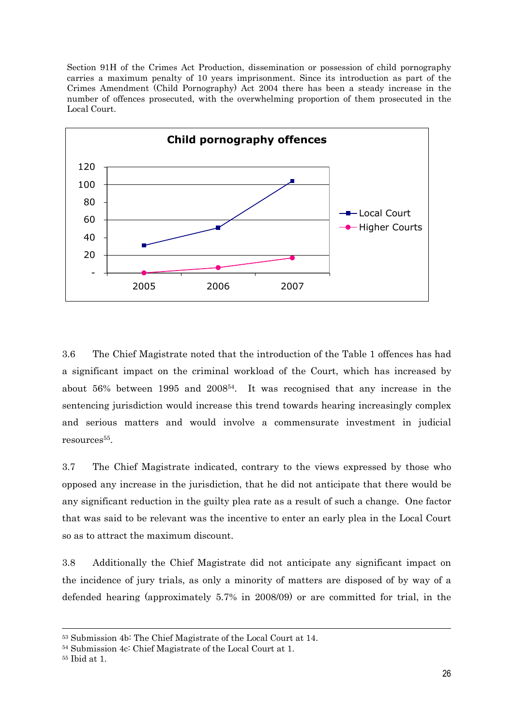Section 91H of the Crimes Act Production, dissemination or possession of child pornography carries a maximum penalty of 10 years imprisonment. Since its introduction as part of the Crimes Amendment (Child Pornography) Act 2004 there has been a steady increase in the number of offences prosecuted, with the overwhelming proportion of them prosecuted in the Local Court.



3.6 The Chief Magistrate noted that the introduction of the Table 1 offences has had a significant impact on the criminal workload of the Court, which has increased by about 56% between 1995 and 200854. It was recognised that any increase in the sentencing jurisdiction would increase this trend towards hearing increasingly complex and serious matters and would involve a commensurate investment in judicial resources55.

3.7 The Chief Magistrate indicated, contrary to the views expressed by those who opposed any increase in the jurisdiction, that he did not anticipate that there would be any significant reduction in the guilty plea rate as a result of such a change. One factor that was said to be relevant was the incentive to enter an early plea in the Local Court so as to attract the maximum discount.

3.8 Additionally the Chief Magistrate did not anticipate any significant impact on the incidence of jury trials, as only a minority of matters are disposed of by way of a defended hearing (approximately 5.7% in 2008/09) or are committed for trial, in the

 <sup>53</sup> Submission 4b: The Chief Magistrate of the Local Court at 14.

<sup>54</sup> Submission 4c: Chief Magistrate of the Local Court at 1.

<sup>55</sup> Ibid at 1.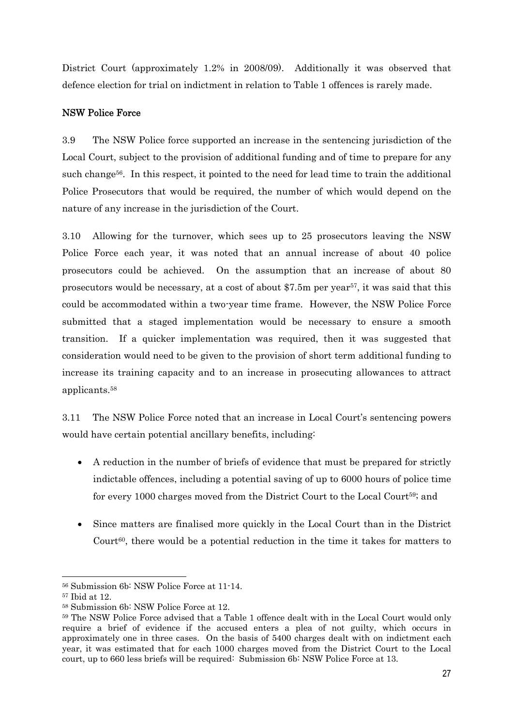District Court (approximately 1.2% in 2008/09). Additionally it was observed that defence election for trial on indictment in relation to Table 1 offences is rarely made.

### NSW Police Force

3.9 The NSW Police force supported an increase in the sentencing jurisdiction of the Local Court, subject to the provision of additional funding and of time to prepare for any such change<sup>56</sup>. In this respect, it pointed to the need for lead time to train the additional Police Prosecutors that would be required, the number of which would depend on the nature of any increase in the jurisdiction of the Court.

3.10 Allowing for the turnover, which sees up to 25 prosecutors leaving the NSW Police Force each year, it was noted that an annual increase of about 40 police prosecutors could be achieved. On the assumption that an increase of about 80 prosecutors would be necessary, at a cost of about \$7.5m per year<sup>57</sup>, it was said that this could be accommodated within a two-year time frame. However, the NSW Police Force submitted that a staged implementation would be necessary to ensure a smooth transition. If a quicker implementation was required, then it was suggested that consideration would need to be given to the provision of short term additional funding to increase its training capacity and to an increase in prosecuting allowances to attract applicants.58

3.11 The NSW Police Force noted that an increase in Local Court's sentencing powers would have certain potential ancillary benefits, including:

- A reduction in the number of briefs of evidence that must be prepared for strictly indictable offences, including a potential saving of up to 6000 hours of police time for every 1000 charges moved from the District Court to the Local Court59; and
- Since matters are finalised more quickly in the Local Court than in the District Court<sup>60</sup>, there would be a potential reduction in the time it takes for matters to

<sup>56</sup> Submission 6b: NSW Police Force at 11-14.

<sup>57</sup> Ibid at 12.

<sup>58</sup> Submission 6b: NSW Police Force at 12.

<sup>59</sup> The NSW Police Force advised that a Table 1 offence dealt with in the Local Court would only require a brief of evidence if the accused enters a plea of not guilty, which occurs in approximately one in three cases. On the basis of 5400 charges dealt with on indictment each year, it was estimated that for each 1000 charges moved from the District Court to the Local court, up to 660 less briefs will be required: Submission 6b: NSW Police Force at 13.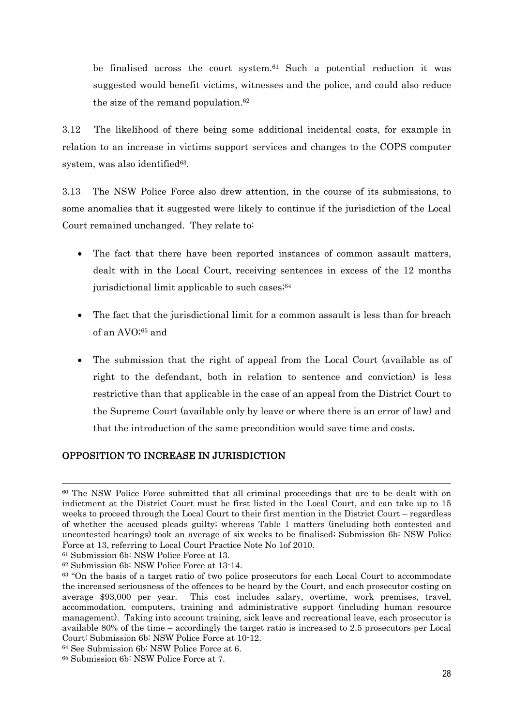be finalised across the court system.61 Such a potential reduction it was suggested would benefit victims, witnesses and the police, and could also reduce the size of the remand population.<sup>62</sup>

3.12 The likelihood of there being some additional incidental costs, for example in relation to an increase in victims support services and changes to the COPS computer system, was also identified<sup>63</sup>.

3.13 The NSW Police Force also drew attention, in the course of its submissions, to some anomalies that it suggested were likely to continue if the jurisdiction of the Local Court remained unchanged. They relate to:

- The fact that there have been reported instances of common assault matters, dealt with in the Local Court, receiving sentences in excess of the 12 months jurisdictional limit applicable to such cases;<sup>64</sup>
- The fact that the jurisdictional limit for a common assault is less than for breach of an AVO;65 and
- The submission that the right of appeal from the Local Court (available as of right to the defendant, both in relation to sentence and conviction) is less restrictive than that applicable in the case of an appeal from the District Court to the Supreme Court (available only by leave or where there is an error of law) and that the introduction of the same precondition would save time and costs.

### OPPOSITION TO INCREASE IN JURISDICTION

 <sup>60</sup> The NSW Police Force submitted that all criminal proceedings that are to be dealt with on indictment at the District Court must be first listed in the Local Court, and can take up to 15 weeks to proceed through the Local Court to their first mention in the District Court – regardless of whether the accused pleads guilty; whereas Table 1 matters (including both contested and uncontested hearings) took an average of six weeks to be finalised; Submission 6b: NSW Police Force at 13, referring to Local Court Practice Note No 1of 2010.

<sup>61</sup> Submission 6b: NSW Police Force at 13.

<sup>62</sup> Submission 6b: NSW Police Force at 13-14.

<sup>63 &</sup>quot;On the basis of a target ratio of two police prosecutors for each Local Court to accommodate the increased seriousness of the offences to be heard by the Court, and each prosecutor costing on average \$93,000 per year. This cost includes salary, overtime, work premises, travel, accommodation, computers, training and administrative support (including human resource management). Taking into account training, sick leave and recreational leave, each prosecutor is available 80% of the time – accordingly the target ratio is increased to 2.5 prosecutors per Local Court: Submission 6b: NSW Police Force at 10-12.

<sup>64</sup> See Submission 6b: NSW Police Force at 6.

<sup>65</sup> Submission 6b: NSW Police Force at 7.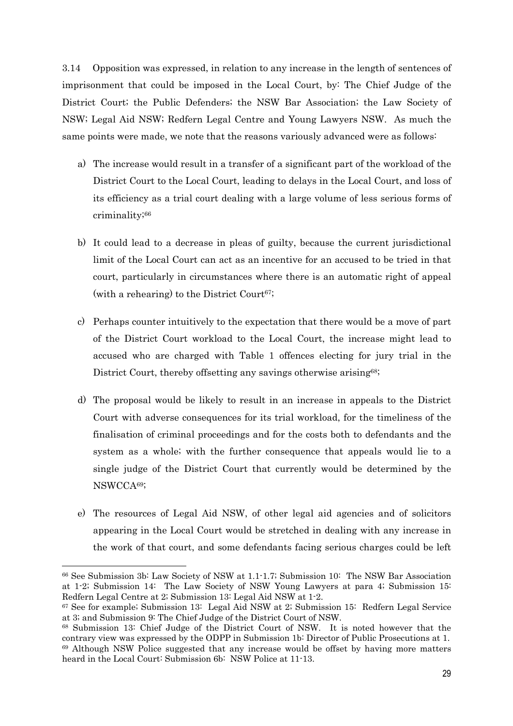3.14 Opposition was expressed, in relation to any increase in the length of sentences of imprisonment that could be imposed in the Local Court, by: The Chief Judge of the District Court; the Public Defenders; the NSW Bar Association; the Law Society of NSW; Legal Aid NSW; Redfern Legal Centre and Young Lawyers NSW. As much the same points were made, we note that the reasons variously advanced were as follows:

- a) The increase would result in a transfer of a significant part of the workload of the District Court to the Local Court, leading to delays in the Local Court, and loss of its efficiency as a trial court dealing with a large volume of less serious forms of criminality;66
- b) It could lead to a decrease in pleas of guilty, because the current jurisdictional limit of the Local Court can act as an incentive for an accused to be tried in that court, particularly in circumstances where there is an automatic right of appeal (with a rehearing) to the District Court<sup>67</sup>;
- c) Perhaps counter intuitively to the expectation that there would be a move of part of the District Court workload to the Local Court, the increase might lead to accused who are charged with Table 1 offences electing for jury trial in the District Court, thereby offsetting any savings otherwise arising<sup>68</sup>;
- d) The proposal would be likely to result in an increase in appeals to the District Court with adverse consequences for its trial workload, for the timeliness of the finalisation of criminal proceedings and for the costs both to defendants and the system as a whole; with the further consequence that appeals would lie to a single judge of the District Court that currently would be determined by the NSWCCA69;
- e) The resources of Legal Aid NSW, of other legal aid agencies and of solicitors appearing in the Local Court would be stretched in dealing with any increase in the work of that court, and some defendants facing serious charges could be left

<sup>66</sup> See Submission 3b: Law Society of NSW at 1.1-1.7; Submission 10: The NSW Bar Association at 1-2; Submission 14: The Law Society of NSW Young Lawyers at para 4; Submission 15: Redfern Legal Centre at 2; Submission 13: Legal Aid NSW at 1-2.

<sup>67</sup> See for example; Submission 13: Legal Aid NSW at 2; Submission 15: Redfern Legal Service at 3; and Submission 9: The Chief Judge of the District Court of NSW.

<sup>68</sup> Submission 13: Chief Judge of the District Court of NSW. It is noted however that the contrary view was expressed by the ODPP in Submission 1b: Director of Public Prosecutions at 1. 69 Although NSW Police suggested that any increase would be offset by having more matters heard in the Local Court: Submission 6b: NSW Police at 11-13.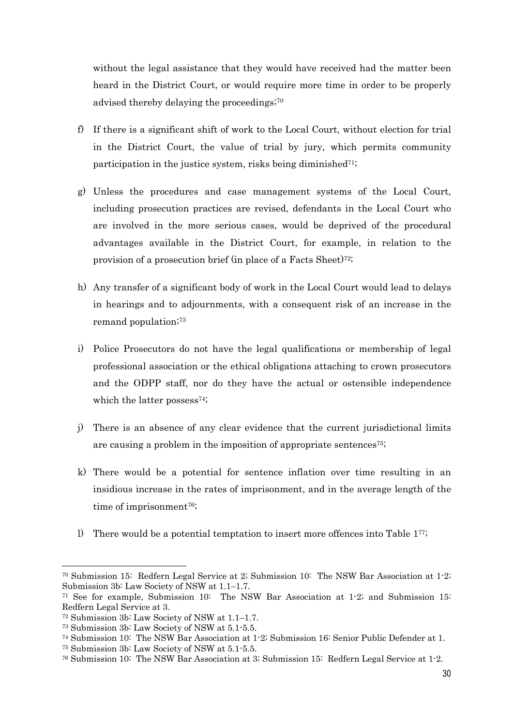without the legal assistance that they would have received had the matter been heard in the District Court, or would require more time in order to be properly advised thereby delaying the proceedings;70

- f) If there is a significant shift of work to the Local Court, without election for trial in the District Court, the value of trial by jury, which permits community participation in the justice system, risks being diminished<sup>71;</sup>
- g) Unless the procedures and case management systems of the Local Court, including prosecution practices are revised, defendants in the Local Court who are involved in the more serious cases, would be deprived of the procedural advantages available in the District Court, for example, in relation to the provision of a prosecution brief (in place of a Facts Sheet)<sup>72</sup>;
- h) Any transfer of a significant body of work in the Local Court would lead to delays in hearings and to adjournments, with a consequent risk of an increase in the remand population;73
- i) Police Prosecutors do not have the legal qualifications or membership of legal professional association or the ethical obligations attaching to crown prosecutors and the ODPP staff, nor do they have the actual or ostensible independence which the latter possess<sup>74</sup>;
- j) There is an absence of any clear evidence that the current jurisdictional limits are causing a problem in the imposition of appropriate sentences75;
- k) There would be a potential for sentence inflation over time resulting in an insidious increase in the rates of imprisonment, and in the average length of the time of imprisonment<sup>76</sup>;
- l) There would be a potential temptation to insert more offences into Table 177;

<sup>70</sup> Submission 15: Redfern Legal Service at 2; Submission 10: The NSW Bar Association at 1-2; Submission 3b: Law Society of NSW at 1.1–1.7.

<sup>71</sup> See for example, Submission 10: The NSW Bar Association at 1-2; and Submission 15: Redfern Legal Service at 3.

<sup>72</sup> Submission 3b: Law Society of NSW at 1.1–1.7.

<sup>73</sup> Submission 3b: Law Society of NSW at 5.1-5.5.

<sup>74</sup> Submission 10: The NSW Bar Association at 1-2; Submission 16: Senior Public Defender at 1.

<sup>75</sup> Submission 3b: Law Society of NSW at 5.1-5.5.

<sup>76</sup> Submission 10: The NSW Bar Association at 3; Submission 15: Redfern Legal Service at 1-2.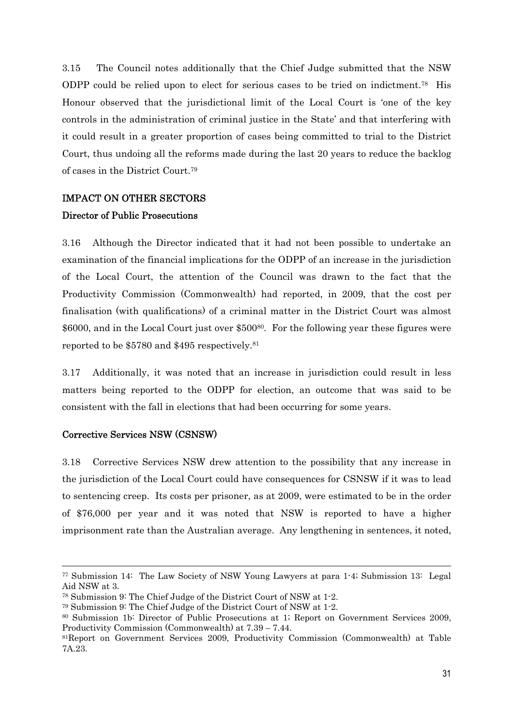3.15 The Council notes additionally that the Chief Judge submitted that the NSW ODPP could be relied upon to elect for serious cases to be tried on indictment.78 His Honour observed that the jurisdictional limit of the Local Court is 'one of the key controls in the administration of criminal justice in the State' and that interfering with it could result in a greater proportion of cases being committed to trial to the District Court, thus undoing all the reforms made during the last 20 years to reduce the backlog of cases in the District Court.79

### IMPACT ON OTHER SECTORS

### Director of Public Prosecutions

3.16 Although the Director indicated that it had not been possible to undertake an examination of the financial implications for the ODPP of an increase in the jurisdiction of the Local Court, the attention of the Council was drawn to the fact that the Productivity Commission (Commonwealth) had reported, in 2009, that the cost per finalisation (with qualifications) of a criminal matter in the District Court was almost \$6000, and in the Local Court just over \$50080. For the following year these figures were reported to be \$5780 and \$495 respectively.81

3.17 Additionally, it was noted that an increase in jurisdiction could result in less matters being reported to the ODPP for election, an outcome that was said to be consistent with the fall in elections that had been occurring for some years.

### Corrective Services NSW (CSNSW)

3.18 Corrective Services NSW drew attention to the possibility that any increase in the jurisdiction of the Local Court could have consequences for CSNSW if it was to lead to sentencing creep. Its costs per prisoner, as at 2009, were estimated to be in the order of \$76,000 per year and it was noted that NSW is reported to have a higher imprisonment rate than the Australian average. Any lengthening in sentences, it noted,

 <sup>77</sup> Submission 14: The Law Society of NSW Young Lawyers at para 1-4; Submission 13: Legal Aid NSW at 3.

<sup>78</sup> Submission 9: The Chief Judge of the District Court of NSW at 1-2.

<sup>79</sup> Submission 9: The Chief Judge of the District Court of NSW at 1-2.

<sup>80</sup> Submission 1b: Director of Public Prosecutions at 1; Report on Government Services 2009, Productivity Commission (Commonwealth) at 7.39 – 7.44.

<sup>81</sup>Report on Government Services 2009, Productivity Commission (Commonwealth) at Table 7A.23.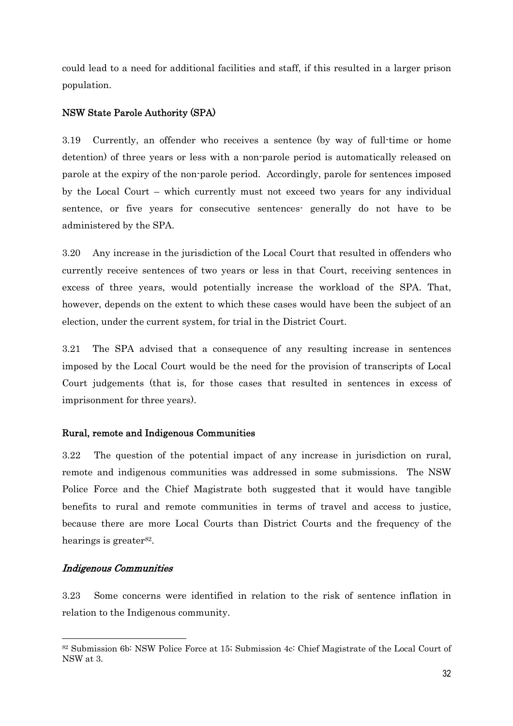could lead to a need for additional facilities and staff, if this resulted in a larger prison population.

### NSW State Parole Authority (SPA)

3.19 Currently, an offender who receives a sentence (by way of full-time or home detention) of three years or less with a non-parole period is automatically released on parole at the expiry of the non-parole period. Accordingly, parole for sentences imposed by the Local Court – which currently must not exceed two years for any individual sentence, or five years for consecutive sentences- generally do not have to be administered by the SPA.

3.20 Any increase in the jurisdiction of the Local Court that resulted in offenders who currently receive sentences of two years or less in that Court, receiving sentences in excess of three years, would potentially increase the workload of the SPA. That, however, depends on the extent to which these cases would have been the subject of an election, under the current system, for trial in the District Court.

3.21 The SPA advised that a consequence of any resulting increase in sentences imposed by the Local Court would be the need for the provision of transcripts of Local Court judgements (that is, for those cases that resulted in sentences in excess of imprisonment for three years).

#### Rural, remote and Indigenous Communities

3.22 The question of the potential impact of any increase in jurisdiction on rural, remote and indigenous communities was addressed in some submissions. The NSW Police Force and the Chief Magistrate both suggested that it would have tangible benefits to rural and remote communities in terms of travel and access to justice, because there are more Local Courts than District Courts and the frequency of the hearings is greater<sup>82</sup>.

#### Indigenous Communities

3.23 Some concerns were identified in relation to the risk of sentence inflation in relation to the Indigenous community.

<sup>82</sup> Submission 6b: NSW Police Force at 15; Submission 4c: Chief Magistrate of the Local Court of NSW at 3.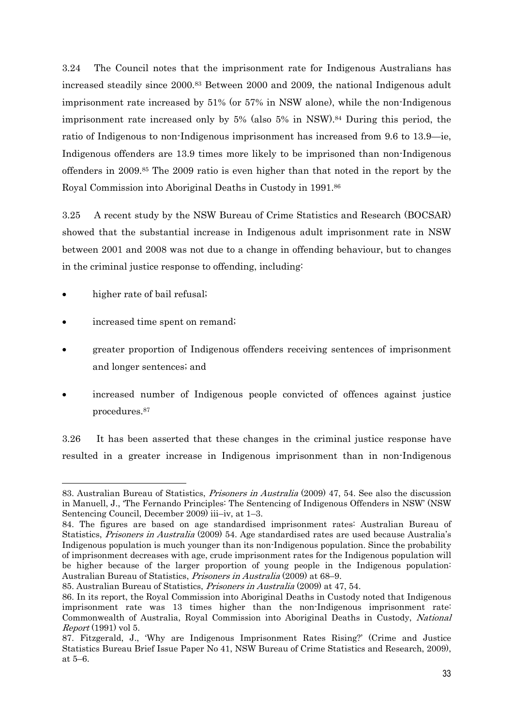3.24 The Council notes that the imprisonment rate for Indigenous Australians has increased steadily since 2000.83 Between 2000 and 2009, the national Indigenous adult imprisonment rate increased by 51% (or 57% in NSW alone), while the non-Indigenous imprisonment rate increased only by 5% (also 5% in NSW).84 During this period, the ratio of Indigenous to non-Indigenous imprisonment has increased from 9.6 to 13.9—ie, Indigenous offenders are 13.9 times more likely to be imprisoned than non-Indigenous offenders in 2009.85 The 2009 ratio is even higher than that noted in the report by the Royal Commission into Aboriginal Deaths in Custody in 1991.86

3.25 A recent study by the NSW Bureau of Crime Statistics and Research (BOCSAR) showed that the substantial increase in Indigenous adult imprisonment rate in NSW between 2001 and 2008 was not due to a change in offending behaviour, but to changes in the criminal justice response to offending, including:

higher rate of bail refusal;

- increased time spent on remand;
- greater proportion of Indigenous offenders receiving sentences of imprisonment and longer sentences; and
- increased number of Indigenous people convicted of offences against justice procedures.87

3.26 It has been asserted that these changes in the criminal justice response have resulted in a greater increase in Indigenous imprisonment than in non-Indigenous

<sup>83.</sup> Australian Bureau of Statistics, Prisoners in Australia (2009) 47, 54. See also the discussion in Manuell, J., 'The Fernando Principles: The Sentencing of Indigenous Offenders in NSW' (NSW Sentencing Council, December 2009) iii–iv, at 1–3.

<sup>84.</sup> The figures are based on age standardised imprisonment rates: Australian Bureau of Statistics, Prisoners in Australia (2009) 54. Age standardised rates are used because Australia's Indigenous population is much younger than its non-Indigenous population. Since the probability of imprisonment decreases with age, crude imprisonment rates for the Indigenous population will be higher because of the larger proportion of young people in the Indigenous population: Australian Bureau of Statistics, Prisoners in Australia (2009) at 68–9.

<sup>85.</sup> Australian Bureau of Statistics, Prisoners in Australia (2009) at 47, 54.

<sup>86.</sup> In its report, the Royal Commission into Aboriginal Deaths in Custody noted that Indigenous imprisonment rate was 13 times higher than the non-Indigenous imprisonment rate: Commonwealth of Australia, Royal Commission into Aboriginal Deaths in Custody, National Report (1991) vol 5.

<sup>87.</sup> Fitzgerald, J., 'Why are Indigenous Imprisonment Rates Rising?' (Crime and Justice Statistics Bureau Brief Issue Paper No 41, NSW Bureau of Crime Statistics and Research, 2009), at 5–6.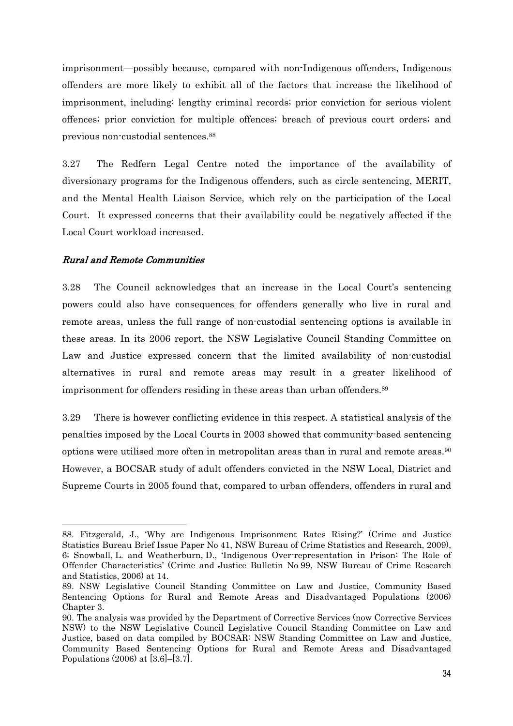imprisonment—possibly because, compared with non-Indigenous offenders, Indigenous offenders are more likely to exhibit all of the factors that increase the likelihood of imprisonment, including: lengthy criminal records; prior conviction for serious violent offences; prior conviction for multiple offences; breach of previous court orders; and previous non-custodial sentences.88

3.27 The Redfern Legal Centre noted the importance of the availability of diversionary programs for the Indigenous offenders, such as circle sentencing, MERIT, and the Mental Health Liaison Service, which rely on the participation of the Local Court. It expressed concerns that their availability could be negatively affected if the Local Court workload increased.

### Rural and Remote Communities

3.28 The Council acknowledges that an increase in the Local Court's sentencing powers could also have consequences for offenders generally who live in rural and remote areas, unless the full range of non-custodial sentencing options is available in these areas. In its 2006 report, the NSW Legislative Council Standing Committee on Law and Justice expressed concern that the limited availability of non-custodial alternatives in rural and remote areas may result in a greater likelihood of imprisonment for offenders residing in these areas than urban offenders.<sup>89</sup>

3.29 There is however conflicting evidence in this respect. A statistical analysis of the penalties imposed by the Local Courts in 2003 showed that community-based sentencing options were utilised more often in metropolitan areas than in rural and remote areas.<sup>90</sup> However, a BOCSAR study of adult offenders convicted in the NSW Local, District and Supreme Courts in 2005 found that, compared to urban offenders, offenders in rural and

<sup>88.</sup> Fitzgerald, J., 'Why are Indigenous Imprisonment Rates Rising?' (Crime and Justice Statistics Bureau Brief Issue Paper No 41, NSW Bureau of Crime Statistics and Research, 2009), 6; Snowball, L. and Weatherburn, D., 'Indigenous Over-representation in Prison: The Role of Offender Characteristics' (Crime and Justice Bulletin No 99, NSW Bureau of Crime Research and Statistics, 2006) at 14.

<sup>89.</sup> NSW Legislative Council Standing Committee on Law and Justice, Community Based Sentencing Options for Rural and Remote Areas and Disadvantaged Populations (2006) Chapter 3.

<sup>90.</sup> The analysis was provided by the Department of Corrective Services (now Corrective Services NSW) to the NSW Legislative Council Legislative Council Standing Committee on Law and Justice, based on data compiled by BOCSAR: NSW Standing Committee on Law and Justice, Community Based Sentencing Options for Rural and Remote Areas and Disadvantaged Populations (2006) at [3.6]–[3.7].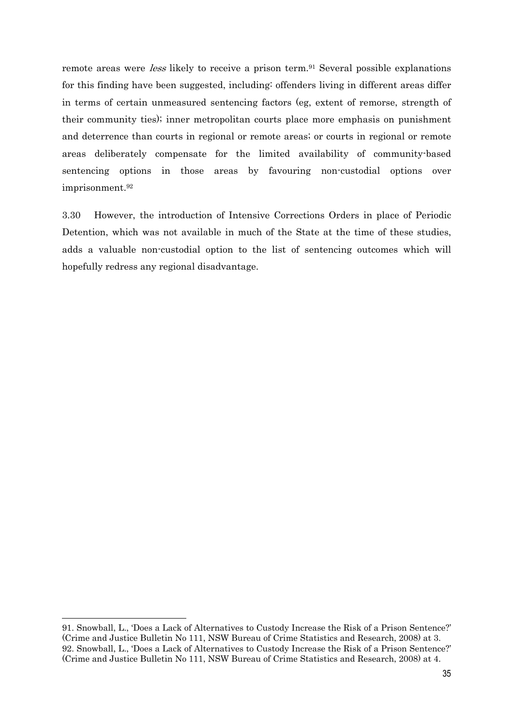remote areas were *less* likely to receive a prison term.<sup>91</sup> Several possible explanations for this finding have been suggested, including: offenders living in different areas differ in terms of certain unmeasured sentencing factors (eg, extent of remorse, strength of their community ties); inner metropolitan courts place more emphasis on punishment and deterrence than courts in regional or remote areas; or courts in regional or remote areas deliberately compensate for the limited availability of community-based sentencing options in those areas by favouring non-custodial options over imprisonment.92

3.30 However, the introduction of Intensive Corrections Orders in place of Periodic Detention, which was not available in much of the State at the time of these studies, adds a valuable non-custodial option to the list of sentencing outcomes which will hopefully redress any regional disadvantage.

<sup>91.</sup> Snowball, L., 'Does a Lack of Alternatives to Custody Increase the Risk of a Prison Sentence?' (Crime and Justice Bulletin No 111, NSW Bureau of Crime Statistics and Research, 2008) at 3. 92. Snowball, L., 'Does a Lack of Alternatives to Custody Increase the Risk of a Prison Sentence?' (Crime and Justice Bulletin No 111, NSW Bureau of Crime Statistics and Research, 2008) at 4.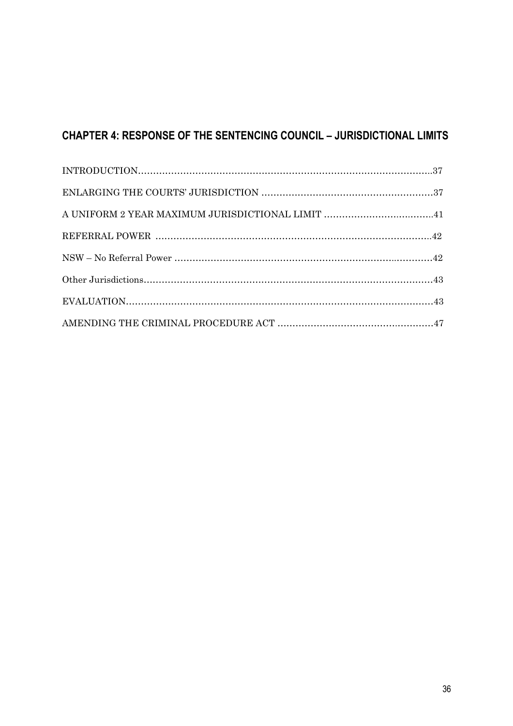# **CHAPTER 4: RESPONSE OF THE SENTENCING COUNCIL – JURISDICTIONAL LIMITS**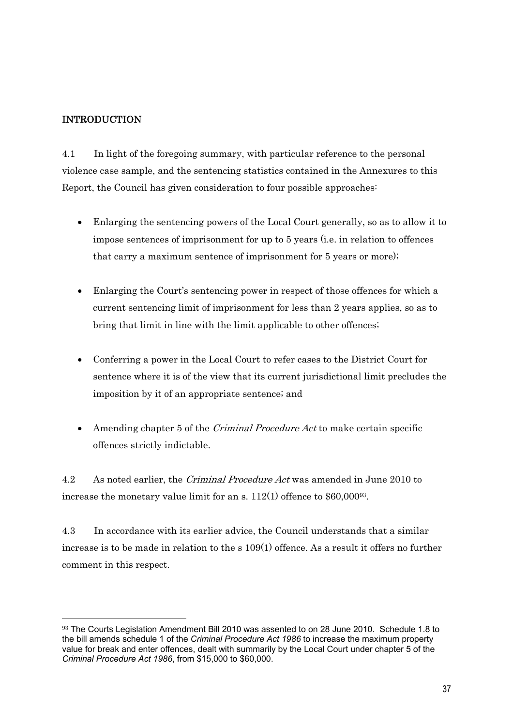### INTRODUCTION

 $\overline{a}$ 

4.1 In light of the foregoing summary, with particular reference to the personal violence case sample, and the sentencing statistics contained in the Annexures to this Report, the Council has given consideration to four possible approaches:

- Enlarging the sentencing powers of the Local Court generally, so as to allow it to impose sentences of imprisonment for up to 5 years (i.e. in relation to offences that carry a maximum sentence of imprisonment for 5 years or more);
- Enlarging the Court's sentencing power in respect of those offences for which a current sentencing limit of imprisonment for less than 2 years applies, so as to bring that limit in line with the limit applicable to other offences;
- Conferring a power in the Local Court to refer cases to the District Court for sentence where it is of the view that its current jurisdictional limit precludes the imposition by it of an appropriate sentence; and
- $\bullet$  Amending chapter 5 of the *Criminal Procedure Act* to make certain specific offences strictly indictable.

4.2 As noted earlier, the *Criminal Procedure Act* was amended in June 2010 to increase the monetary value limit for an s. 112(1) offence to \$60,00093.

4.3 In accordance with its earlier advice, the Council understands that a similar increase is to be made in relation to the s 109(1) offence. As a result it offers no further comment in this respect.

<sup>93</sup> The Courts Legislation Amendment Bill 2010 was assented to on 28 June 2010. Schedule 1.8 to the bill amends schedule 1 of the *Criminal Procedure Act 1986* to increase the maximum property value for break and enter offences, dealt with summarily by the Local Court under chapter 5 of the *Criminal Procedure Act 1986*, from \$15,000 to \$60,000.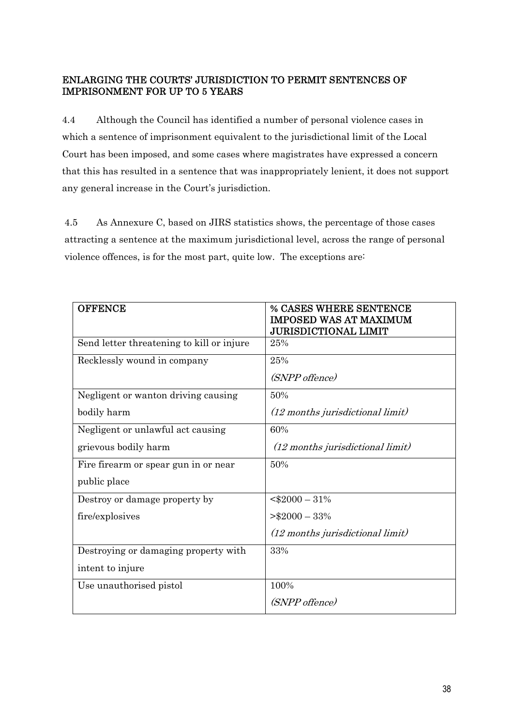### ENLARGING THE COURTS' JURISDICTION TO PERMIT SENTENCES OF IMPRISONMENT FOR UP TO 5 YEARS

4.4 Although the Council has identified a number of personal violence cases in which a sentence of imprisonment equivalent to the jurisdictional limit of the Local Court has been imposed, and some cases where magistrates have expressed a concern that this has resulted in a sentence that was inappropriately lenient, it does not support any general increase in the Court's jurisdiction.

4.5 As Annexure C, based on JIRS statistics shows, the percentage of those cases attracting a sentence at the maximum jurisdictional level, across the range of personal violence offences, is for the most part, quite low. The exceptions are:

| <b>OFFENCE</b>                            | <b>% CASES WHERE SENTENCE</b><br><b>IMPOSED WAS AT MAXIMUM</b> |
|-------------------------------------------|----------------------------------------------------------------|
|                                           | <b>JURISDICTIONAL LIMIT</b>                                    |
| Send letter threatening to kill or injure | 25%                                                            |
| Recklessly wound in company               | 25%                                                            |
|                                           | (SNPP offence)                                                 |
| Negligent or wanton driving causing       | 50%                                                            |
| bodily harm                               | (12 months jurisdictional limit)                               |
| Negligent or unlawful act causing         | 60%                                                            |
| grievous bodily harm                      | (12 months jurisdictional limit)                               |
| Fire firearm or spear gun in or near      | 50%                                                            |
| public place                              |                                                                |
| Destroy or damage property by             | $<$ \$2000 - 31%                                               |
| fire/explosives                           | $>\$2000-33\%$                                                 |
|                                           | (12 months jurisdictional limit)                               |
| Destroying or damaging property with      | 33%                                                            |
| intent to injure                          |                                                                |
| Use unauthorised pistol                   | 100%                                                           |
|                                           | (SNPP offence)                                                 |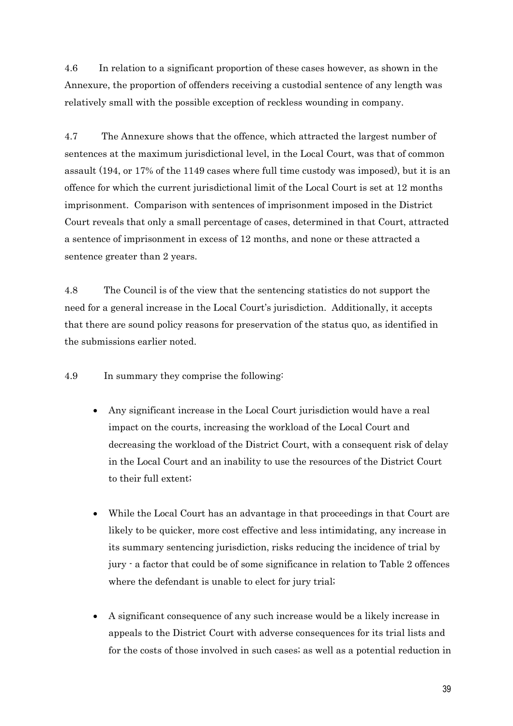4.6 In relation to a significant proportion of these cases however, as shown in the Annexure, the proportion of offenders receiving a custodial sentence of any length was relatively small with the possible exception of reckless wounding in company.

4.7 The Annexure shows that the offence, which attracted the largest number of sentences at the maximum jurisdictional level, in the Local Court, was that of common assault (194, or 17% of the 1149 cases where full time custody was imposed), but it is an offence for which the current jurisdictional limit of the Local Court is set at 12 months imprisonment. Comparison with sentences of imprisonment imposed in the District Court reveals that only a small percentage of cases, determined in that Court, attracted a sentence of imprisonment in excess of 12 months, and none or these attracted a sentence greater than 2 years.

4.8 The Council is of the view that the sentencing statistics do not support the need for a general increase in the Local Court's jurisdiction. Additionally, it accepts that there are sound policy reasons for preservation of the status quo, as identified in the submissions earlier noted.

4.9 In summary they comprise the following:

- Any significant increase in the Local Court jurisdiction would have a real impact on the courts, increasing the workload of the Local Court and decreasing the workload of the District Court, with a consequent risk of delay in the Local Court and an inability to use the resources of the District Court to their full extent;
- While the Local Court has an advantage in that proceedings in that Court are likely to be quicker, more cost effective and less intimidating, any increase in its summary sentencing jurisdiction, risks reducing the incidence of trial by jury - a factor that could be of some significance in relation to Table 2 offences where the defendant is unable to elect for jury trial;
- A significant consequence of any such increase would be a likely increase in appeals to the District Court with adverse consequences for its trial lists and for the costs of those involved in such cases; as well as a potential reduction in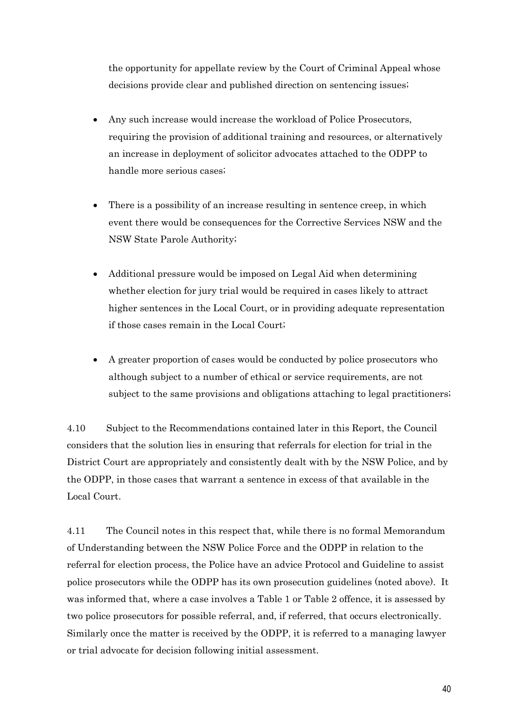the opportunity for appellate review by the Court of Criminal Appeal whose decisions provide clear and published direction on sentencing issues;

- Any such increase would increase the workload of Police Prosecutors, requiring the provision of additional training and resources, or alternatively an increase in deployment of solicitor advocates attached to the ODPP to handle more serious cases;
- There is a possibility of an increase resulting in sentence creep, in which event there would be consequences for the Corrective Services NSW and the NSW State Parole Authority;
- Additional pressure would be imposed on Legal Aid when determining whether election for jury trial would be required in cases likely to attract higher sentences in the Local Court, or in providing adequate representation if those cases remain in the Local Court;
- A greater proportion of cases would be conducted by police prosecutors who although subject to a number of ethical or service requirements, are not subject to the same provisions and obligations attaching to legal practitioners;

4.10 Subject to the Recommendations contained later in this Report, the Council considers that the solution lies in ensuring that referrals for election for trial in the District Court are appropriately and consistently dealt with by the NSW Police, and by the ODPP, in those cases that warrant a sentence in excess of that available in the Local Court.

4.11 The Council notes in this respect that, while there is no formal Memorandum of Understanding between the NSW Police Force and the ODPP in relation to the referral for election process, the Police have an advice Protocol and Guideline to assist police prosecutors while the ODPP has its own prosecution guidelines (noted above). It was informed that, where a case involves a Table 1 or Table 2 offence, it is assessed by two police prosecutors for possible referral, and, if referred, that occurs electronically. Similarly once the matter is received by the ODPP, it is referred to a managing lawyer or trial advocate for decision following initial assessment.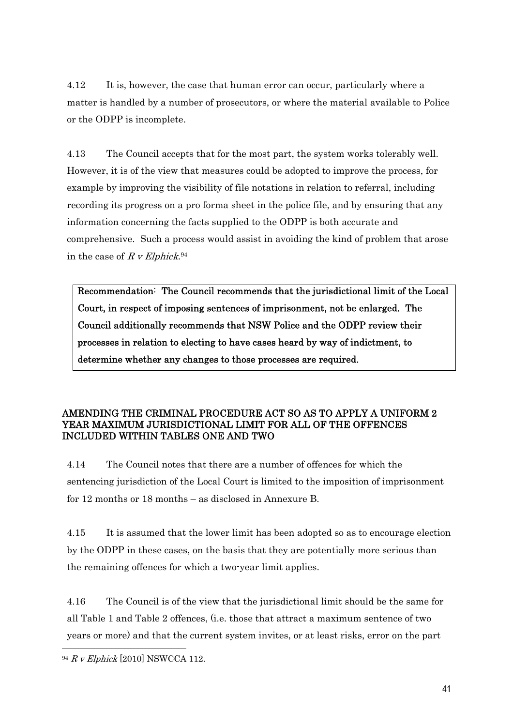4.12 It is, however, the case that human error can occur, particularly where a matter is handled by a number of prosecutors, or where the material available to Police or the ODPP is incomplete.

4.13 The Council accepts that for the most part, the system works tolerably well. However, it is of the view that measures could be adopted to improve the process, for example by improving the visibility of file notations in relation to referral, including recording its progress on a pro forma sheet in the police file, and by ensuring that any information concerning the facts supplied to the ODPP is both accurate and comprehensive. Such a process would assist in avoiding the kind of problem that arose in the case of R v Elphick.<sup>94</sup>

Recommendation: The Council recommends that the jurisdictional limit of the Local Court, in respect of imposing sentences of imprisonment, not be enlarged. The Council additionally recommends that NSW Police and the ODPP review their processes in relation to electing to have cases heard by way of indictment, to determine whether any changes to those processes are required.

### AMENDING THE CRIMINAL PROCEDURE ACT SO AS TO APPLY A UNIFORM 2 YEAR MAXIMUM JURISDICTIONAL LIMIT FOR ALL OF THE OFFENCES INCLUDED WITHIN TABLES ONE AND TWO

4.14 The Council notes that there are a number of offences for which the sentencing jurisdiction of the Local Court is limited to the imposition of imprisonment for 12 months or 18 months – as disclosed in Annexure B.

4.15 It is assumed that the lower limit has been adopted so as to encourage election by the ODPP in these cases, on the basis that they are potentially more serious than the remaining offences for which a two-year limit applies.

4.16 The Council is of the view that the jurisdictional limit should be the same for all Table 1 and Table 2 offences, (i.e. those that attract a maximum sentence of two years or more) and that the current system invites, or at least risks, error on the part

 $94 R V$  Elphick [2010] NSWCCA 112.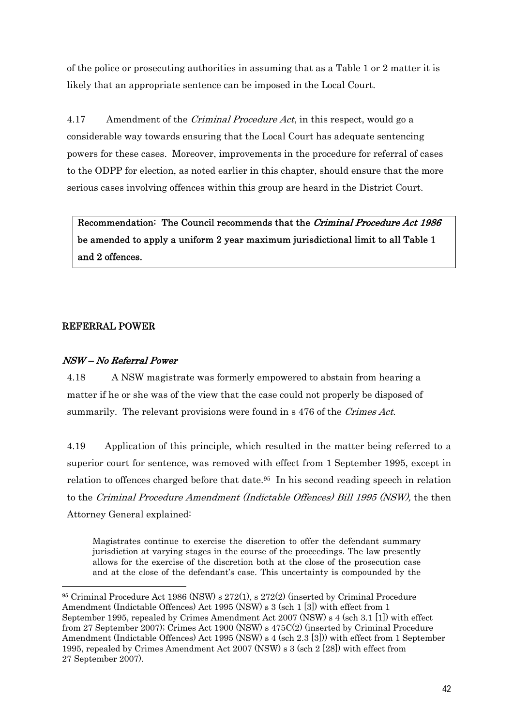of the police or prosecuting authorities in assuming that as a Table 1 or 2 matter it is likely that an appropriate sentence can be imposed in the Local Court.

4.17 Amendment of the *Criminal Procedure Act*, in this respect, would go a considerable way towards ensuring that the Local Court has adequate sentencing powers for these cases. Moreover, improvements in the procedure for referral of cases to the ODPP for election, as noted earlier in this chapter, should ensure that the more serious cases involving offences within this group are heard in the District Court.

Recommendation: The Council recommends that the Criminal Procedure Act 1986 be amended to apply a uniform 2 year maximum jurisdictional limit to all Table 1 and 2 offences.

### REFERRAL POWER

 $\overline{a}$ 

### NSW – No Referral Power

4.18 A NSW magistrate was formerly empowered to abstain from hearing a matter if he or she was of the view that the case could not properly be disposed of summarily. The relevant provisions were found in s 476 of the Crimes Act.

4.19 Application of this principle, which resulted in the matter being referred to a superior court for sentence, was removed with effect from 1 September 1995, except in relation to offences charged before that date.95 In his second reading speech in relation to the Criminal Procedure Amendment (Indictable Offences) Bill 1995 (NSW), the then Attorney General explained:

Magistrates continue to exercise the discretion to offer the defendant summary jurisdiction at varying stages in the course of the proceedings. The law presently allows for the exercise of the discretion both at the close of the prosecution case and at the close of the defendant's case. This uncertainty is compounded by the

<sup>95</sup> Criminal Procedure Act 1986 (NSW) s 272(1), s 272(2) (inserted by Criminal Procedure Amendment (Indictable Offences) Act 1995 (NSW) s 3 (sch 1 [3]) with effect from 1 September 1995, repealed by Crimes Amendment Act 2007 (NSW) s 4 (sch 3.1 [1]) with effect from 27 September 2007); Crimes Act 1900 (NSW) s 475C(2) (inserted by Criminal Procedure Amendment (Indictable Offences) Act 1995 (NSW) s 4 (sch 2.3 [3])) with effect from 1 September 1995, repealed by Crimes Amendment Act 2007 (NSW) s 3 (sch 2 [28]) with effect from 27 September 2007).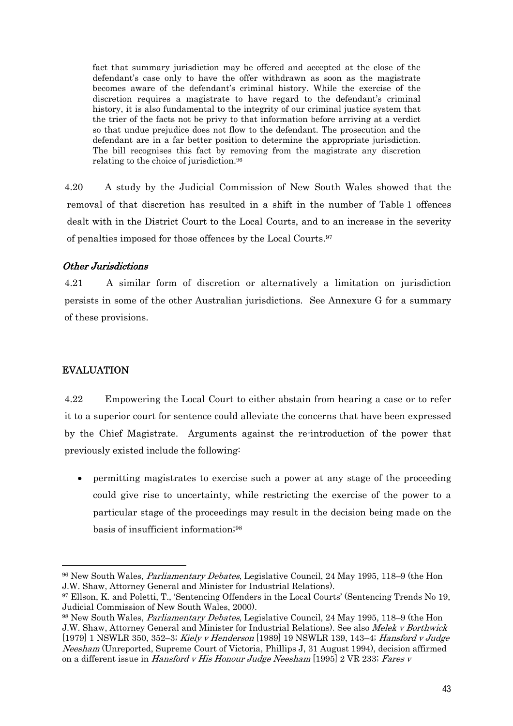fact that summary jurisdiction may be offered and accepted at the close of the defendant's case only to have the offer withdrawn as soon as the magistrate becomes aware of the defendant's criminal history. While the exercise of the discretion requires a magistrate to have regard to the defendant's criminal history, it is also fundamental to the integrity of our criminal justice system that the trier of the facts not be privy to that information before arriving at a verdict so that undue prejudice does not flow to the defendant. The prosecution and the defendant are in a far better position to determine the appropriate jurisdiction. The bill recognises this fact by removing from the magistrate any discretion relating to the choice of jurisdiction.96

4.20 A study by the Judicial Commission of New South Wales showed that the removal of that discretion has resulted in a shift in the number of Table 1 offences dealt with in the District Court to the Local Courts, and to an increase in the severity of penalties imposed for those offences by the Local Courts.97

### Other Jurisdictions

4.21 A similar form of discretion or alternatively a limitation on jurisdiction persists in some of the other Australian jurisdictions. See Annexure G for a summary of these provisions.

### EVALUATION

 $\overline{a}$ 

4.22 Empowering the Local Court to either abstain from hearing a case or to refer it to a superior court for sentence could alleviate the concerns that have been expressed by the Chief Magistrate. Arguments against the re-introduction of the power that previously existed include the following:

 permitting magistrates to exercise such a power at any stage of the proceeding could give rise to uncertainty, while restricting the exercise of the power to a particular stage of the proceedings may result in the decision being made on the basis of insufficient information;98

<sup>96</sup> New South Wales, Parliamentary Debates, Legislative Council, 24 May 1995, 118–9 (the Hon J.W. Shaw, Attorney General and Minister for Industrial Relations).

<sup>97</sup> Ellson, K. and Poletti, T., 'Sentencing Offenders in the Local Courts' (Sentencing Trends No 19, Judicial Commission of New South Wales, 2000).

<sup>98</sup> New South Wales, Parliamentary Debates, Legislative Council, 24 May 1995, 118–9 (the Hon J.W. Shaw, Attorney General and Minister for Industrial Relations). See also Melek v Borthwick [1979] 1 NSWLR 350, 352–3; Kiely v Henderson [1989] 19 NSWLR 139, 143–4; Hansford v Judge Neesham (Unreported, Supreme Court of Victoria, Phillips J, 31 August 1994), decision affirmed on a different issue in *Hansford v His Honour Judge Neesham* [1995] 2 VR 233; Fares v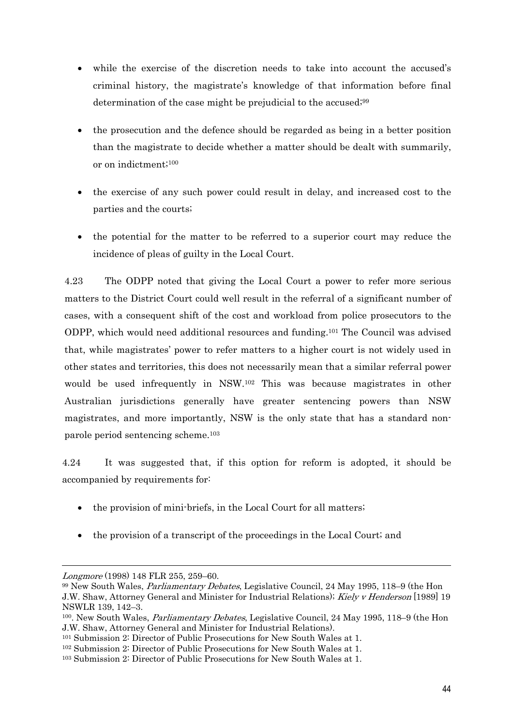- while the exercise of the discretion needs to take into account the accused's criminal history, the magistrate's knowledge of that information before final determination of the case might be prejudicial to the accused;<sup>99</sup>
- the prosecution and the defence should be regarded as being in a better position than the magistrate to decide whether a matter should be dealt with summarily, or on indictment;100
- the exercise of any such power could result in delay, and increased cost to the parties and the courts;
- the potential for the matter to be referred to a superior court may reduce the incidence of pleas of guilty in the Local Court.

4.23 The ODPP noted that giving the Local Court a power to refer more serious matters to the District Court could well result in the referral of a significant number of cases, with a consequent shift of the cost and workload from police prosecutors to the ODPP, which would need additional resources and funding.101 The Council was advised that, while magistrates' power to refer matters to a higher court is not widely used in other states and territories, this does not necessarily mean that a similar referral power would be used infrequently in NSW.102 This was because magistrates in other Australian jurisdictions generally have greater sentencing powers than NSW magistrates, and more importantly, NSW is the only state that has a standard nonparole period sentencing scheme.103

 4.24 It was suggested that, if this option for reform is adopted, it should be accompanied by requirements for:

- the provision of mini-briefs, in the Local Court for all matters;
- the provision of a transcript of the proceedings in the Local Court; and

Longmore (1998) 148 FLR 255, 259–60.

<sup>99</sup> New South Wales, Parliamentary Debates, Legislative Council, 24 May 1995, 118–9 (the Hon J.W. Shaw, Attorney General and Minister for Industrial Relations); Kiely v Henderson [1989] 19 NSWLR 139, 142–3.

<sup>&</sup>lt;sup>100</sup>. New South Wales, *Parliamentary Debates*, Legislative Council, 24 May 1995, 118–9 (the Hon J.W. Shaw, Attorney General and Minister for Industrial Relations).

<sup>101</sup> Submission 2: Director of Public Prosecutions for New South Wales at 1.

<sup>102</sup> Submission 2: Director of Public Prosecutions for New South Wales at 1.

<sup>103</sup> Submission 2: Director of Public Prosecutions for New South Wales at 1.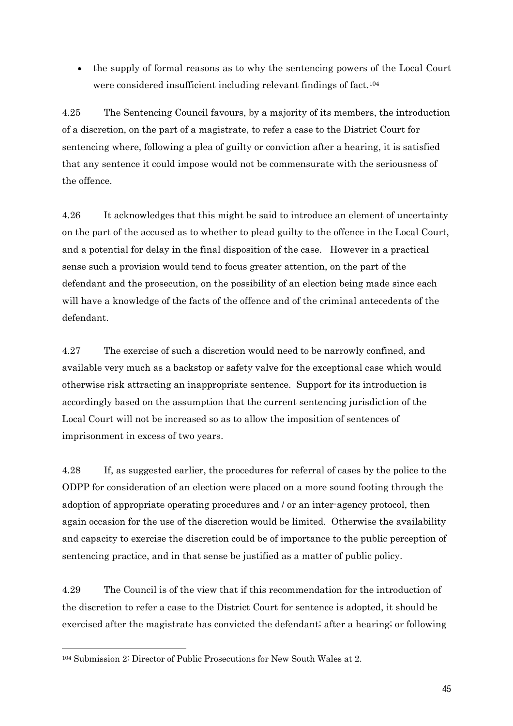the supply of formal reasons as to why the sentencing powers of the Local Court were considered insufficient including relevant findings of fact.<sup>104</sup>

4.25 The Sentencing Council favours, by a majority of its members, the introduction of a discretion, on the part of a magistrate, to refer a case to the District Court for sentencing where, following a plea of guilty or conviction after a hearing, it is satisfied that any sentence it could impose would not be commensurate with the seriousness of the offence.

4.26 It acknowledges that this might be said to introduce an element of uncertainty on the part of the accused as to whether to plead guilty to the offence in the Local Court, and a potential for delay in the final disposition of the case. However in a practical sense such a provision would tend to focus greater attention, on the part of the defendant and the prosecution, on the possibility of an election being made since each will have a knowledge of the facts of the offence and of the criminal antecedents of the defendant.

4.27 The exercise of such a discretion would need to be narrowly confined, and available very much as a backstop or safety valve for the exceptional case which would otherwise risk attracting an inappropriate sentence. Support for its introduction is accordingly based on the assumption that the current sentencing jurisdiction of the Local Court will not be increased so as to allow the imposition of sentences of imprisonment in excess of two years.

4.28 If, as suggested earlier, the procedures for referral of cases by the police to the ODPP for consideration of an election were placed on a more sound footing through the adoption of appropriate operating procedures and / or an inter-agency protocol, then again occasion for the use of the discretion would be limited. Otherwise the availability and capacity to exercise the discretion could be of importance to the public perception of sentencing practice, and in that sense be justified as a matter of public policy.

4.29 The Council is of the view that if this recommendation for the introduction of the discretion to refer a case to the District Court for sentence is adopted, it should be exercised after the magistrate has convicted the defendant; after a hearing; or following

<sup>104</sup> Submission 2: Director of Public Prosecutions for New South Wales at 2.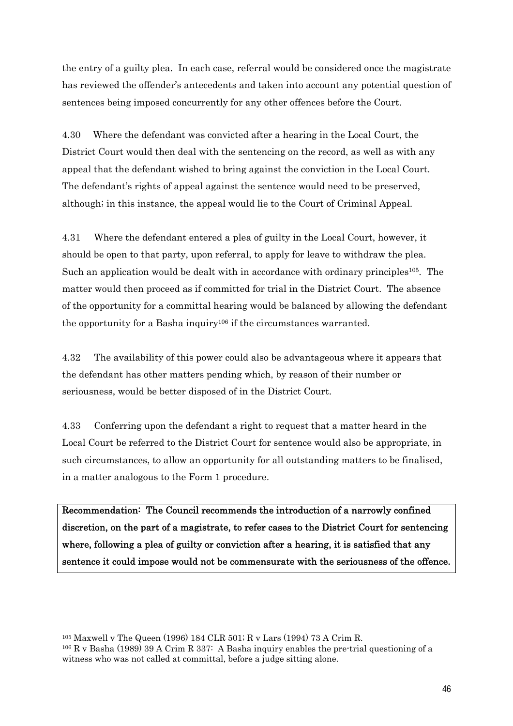the entry of a guilty plea. In each case, referral would be considered once the magistrate has reviewed the offender's antecedents and taken into account any potential question of sentences being imposed concurrently for any other offences before the Court.

4.30 Where the defendant was convicted after a hearing in the Local Court, the District Court would then deal with the sentencing on the record, as well as with any appeal that the defendant wished to bring against the conviction in the Local Court. The defendant's rights of appeal against the sentence would need to be preserved, although; in this instance, the appeal would lie to the Court of Criminal Appeal.

4.31 Where the defendant entered a plea of guilty in the Local Court, however, it should be open to that party, upon referral, to apply for leave to withdraw the plea. Such an application would be dealt with in accordance with ordinary principles<sup>105</sup>. The matter would then proceed as if committed for trial in the District Court. The absence of the opportunity for a committal hearing would be balanced by allowing the defendant the opportunity for a Basha inquiry106 if the circumstances warranted.

4.32 The availability of this power could also be advantageous where it appears that the defendant has other matters pending which, by reason of their number or seriousness, would be better disposed of in the District Court.

4.33 Conferring upon the defendant a right to request that a matter heard in the Local Court be referred to the District Court for sentence would also be appropriate, in such circumstances, to allow an opportunity for all outstanding matters to be finalised, in a matter analogous to the Form 1 procedure.

Recommendation: The Council recommends the introduction of a narrowly confined discretion, on the part of a magistrate, to refer cases to the District Court for sentencing where, following a plea of guilty or conviction after a hearing, it is satisfied that any sentence it could impose would not be commensurate with the seriousness of the offence.

<sup>105</sup> Maxwell v The Queen (1996) 184 CLR 501; R v Lars (1994) 73 A Crim R.

 $106$  R v Basha (1989) 39 A Crim R 337: A Basha inquiry enables the pre-trial questioning of a witness who was not called at committal, before a judge sitting alone.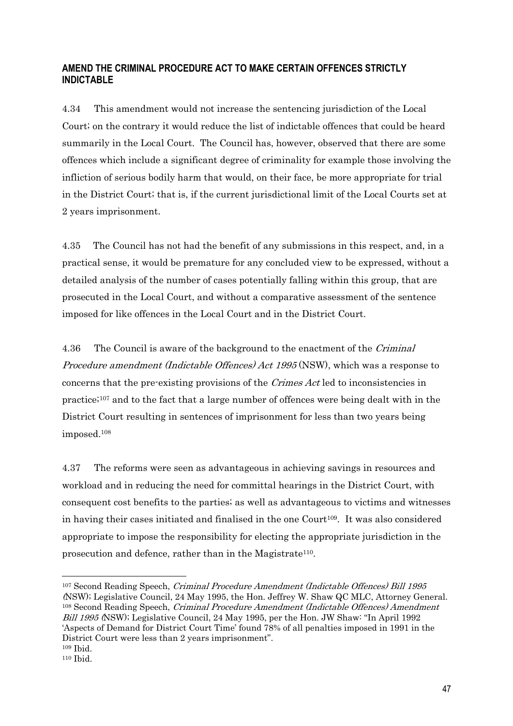### **AMEND THE CRIMINAL PROCEDURE ACT TO MAKE CERTAIN OFFENCES STRICTLY INDICTABLE**

4.34 This amendment would not increase the sentencing jurisdiction of the Local Court; on the contrary it would reduce the list of indictable offences that could be heard summarily in the Local Court. The Council has, however, observed that there are some offences which include a significant degree of criminality for example those involving the infliction of serious bodily harm that would, on their face, be more appropriate for trial in the District Court; that is, if the current jurisdictional limit of the Local Courts set at 2 years imprisonment.

4.35 The Council has not had the benefit of any submissions in this respect, and, in a practical sense, it would be premature for any concluded view to be expressed, without a detailed analysis of the number of cases potentially falling within this group, that are prosecuted in the Local Court, and without a comparative assessment of the sentence imposed for like offences in the Local Court and in the District Court.

4.36 The Council is aware of the background to the enactment of the *Criminal* Procedure amendment (Indictable Offences) Act 1995 (NSW), which was a response to concerns that the pre-existing provisions of the Crimes Act led to inconsistencies in practice;107 and to the fact that a large number of offences were being dealt with in the District Court resulting in sentences of imprisonment for less than two years being imposed.108

4.37 The reforms were seen as advantageous in achieving savings in resources and workload and in reducing the need for committal hearings in the District Court, with consequent cost benefits to the parties; as well as advantageous to victims and witnesses in having their cases initiated and finalised in the one Court<sup>109</sup>. It was also considered appropriate to impose the responsibility for electing the appropriate jurisdiction in the prosecution and defence, rather than in the Magistrate<sup>110</sup>.

<sup>107</sup> Second Reading Speech, Criminal Procedure Amendment (Indictable Offences) Bill 1995 (NSW); Legislative Council, 24 May 1995, the Hon. Jeffrey W. Shaw QC MLC, Attorney General. <sup>108</sup> Second Reading Speech, *Criminal Procedure Amendment (Indictable Offences) Amendment* Bill 1995 (NSW); Legislative Council, 24 May 1995, per the Hon. JW Shaw: "In April 1992 'Aspects of Demand for District Court Time' found 78% of all penalties imposed in 1991 in the District Court were less than 2 years imprisonment". 109 Ibid.

<sup>110</sup> Ibid.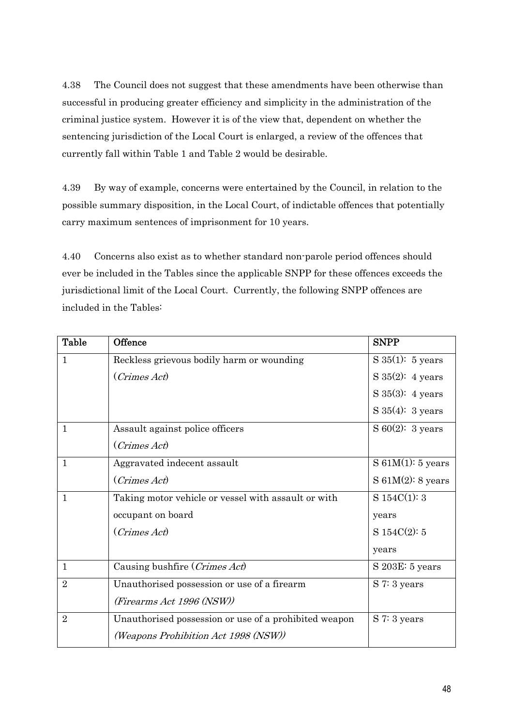4.38 The Council does not suggest that these amendments have been otherwise than successful in producing greater efficiency and simplicity in the administration of the criminal justice system. However it is of the view that, dependent on whether the sentencing jurisdiction of the Local Court is enlarged, a review of the offences that currently fall within Table 1 and Table 2 would be desirable.

4.39 By way of example, concerns were entertained by the Council, in relation to the possible summary disposition, in the Local Court, of indictable offences that potentially carry maximum sentences of imprisonment for 10 years.

4.40 Concerns also exist as to whether standard non-parole period offences should ever be included in the Tables since the applicable SNPP for these offences exceeds the jurisdictional limit of the Local Court. Currently, the following SNPP offences are included in the Tables:

| <b>Table</b>   | Offence                                               | <b>SNPP</b>                 |
|----------------|-------------------------------------------------------|-----------------------------|
| $\mathbf{1}$   | Reckless grievous bodily harm or wounding             | $S 35(1)$ : 5 years         |
|                | (Crimes Act)                                          | S $35(2)$ : 4 years         |
|                |                                                       | S $35(3)$ : 4 years         |
|                |                                                       | $S\,35(4):$ 3 years         |
| $\mathbf{1}$   | Assault against police officers                       | $S\ 60(2)$ : 3 years        |
|                | (Crimes Act)                                          |                             |
| $\mathbf{1}$   | Aggravated indecent assault                           | $S 61M(1): 5 \text{ years}$ |
|                | (Crimes Act)                                          | $S 61M(2): 8 \text{ years}$ |
| $\mathbf{1}$   | Taking motor vehicle or vessel with assault or with   | S 154C(1): 3                |
|                | occupant on board                                     | years                       |
|                | (Crimes Act)                                          | S $154C(2): 5$              |
|                |                                                       | years                       |
| $\mathbf{1}$   | Causing bushfire (Crimes Act)                         | $S$ 203E: $5$ years         |
| $\overline{2}$ | Unauthorised possession or use of a firearm           | $S$ 7: 3 years              |
|                | (Firearms Act 1996 (NSW))                             |                             |
| $\overline{2}$ | Unauthorised possession or use of a prohibited weapon | S 7:3 years                 |
|                | (Weapons Prohibition Act 1998 (NSW))                  |                             |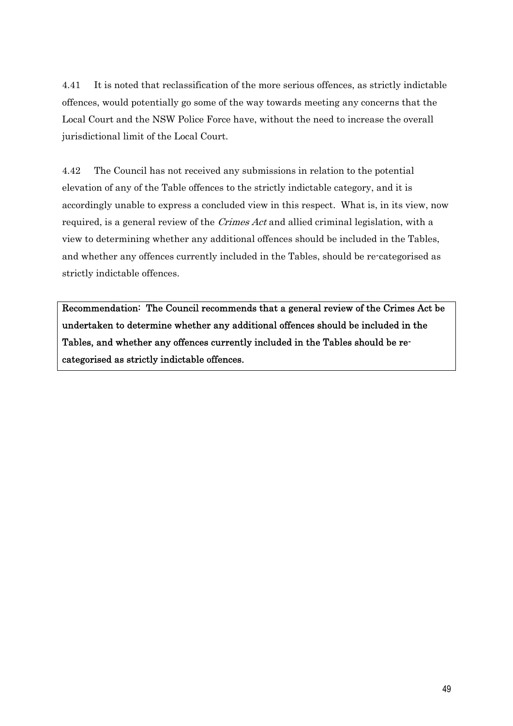4.41 It is noted that reclassification of the more serious offences, as strictly indictable offences, would potentially go some of the way towards meeting any concerns that the Local Court and the NSW Police Force have, without the need to increase the overall jurisdictional limit of the Local Court.

4.42 The Council has not received any submissions in relation to the potential elevation of any of the Table offences to the strictly indictable category, and it is accordingly unable to express a concluded view in this respect. What is, in its view, now required, is a general review of the *Crimes Act* and allied criminal legislation, with a view to determining whether any additional offences should be included in the Tables, and whether any offences currently included in the Tables, should be re-categorised as strictly indictable offences.

Recommendation: The Council recommends that a general review of the Crimes Act be undertaken to determine whether any additional offences should be included in the Tables, and whether any offences currently included in the Tables should be recategorised as strictly indictable offences.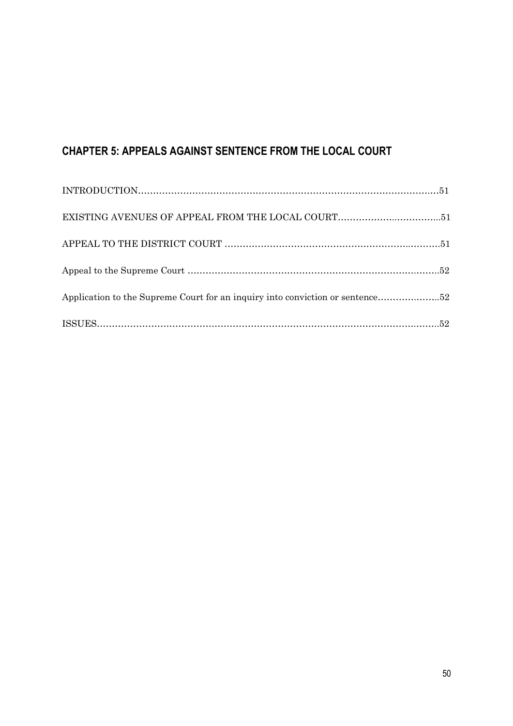# **CHAPTER 5: APPEALS AGAINST SENTENCE FROM THE LOCAL COURT**

| Application to the Supreme Court for an inquiry into conviction or sentence52                   |  |
|-------------------------------------------------------------------------------------------------|--|
| $\text{ISSUES}.\text{}\text{}\text{}\text{}\text{}\text{}\text{}\text{}\text{}\text{}\text{}52$ |  |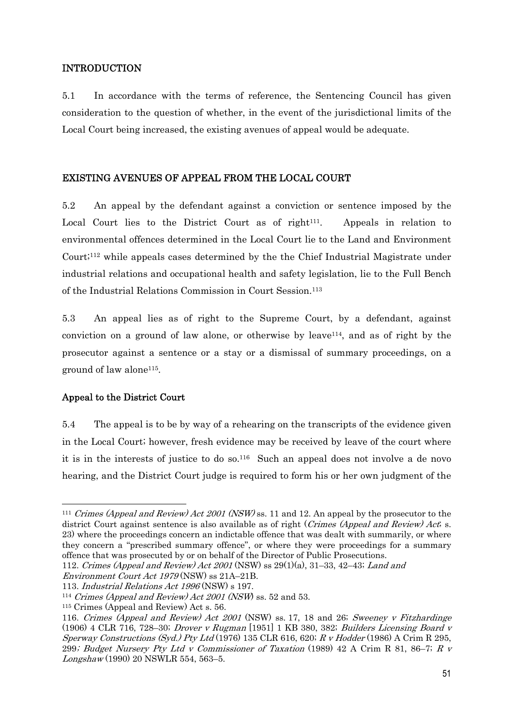### INTRODUCTION

5.1 In accordance with the terms of reference, the Sentencing Council has given consideration to the question of whether, in the event of the jurisdictional limits of the Local Court being increased, the existing avenues of appeal would be adequate.

### EXISTING AVENUES OF APPEAL FROM THE LOCAL COURT

5.2 An appeal by the defendant against a conviction or sentence imposed by the Local Court lies to the District Court as of right<sup>111</sup>. Appeals in relation to environmental offences determined in the Local Court lie to the Land and Environment Court;112 while appeals cases determined by the the Chief Industrial Magistrate under industrial relations and occupational health and safety legislation, lie to the Full Bench of the Industrial Relations Commission in Court Session.113

5.3 An appeal lies as of right to the Supreme Court, by a defendant, against conviction on a ground of law alone, or otherwise by leave  $114$ , and as of right by the prosecutor against a sentence or a stay or a dismissal of summary proceedings, on a ground of law alone115.

### Appeal to the District Court

5.4 The appeal is to be by way of a rehearing on the transcripts of the evidence given in the Local Court; however, fresh evidence may be received by leave of the court where it is in the interests of justice to do so.116 Such an appeal does not involve a de novo hearing, and the District Court judge is required to form his or her own judgment of the

<sup>&</sup>lt;sup>111</sup> Crimes (Appeal and Review) Act 2001 (NSW) ss. 11 and 12. An appeal by the prosecutor to the district Court against sentence is also available as of right (*Crimes (Appeal and Review) Act*; s. 23) where the proceedings concern an indictable offence that was dealt with summarily, or where they concern a "prescribed summary offence", or where they were proceedings for a summary offence that was prosecuted by or on behalf of the Director of Public Prosecutions.

<sup>112.</sup> Crimes (Appeal and Review) Act 2001 (NSW) ss  $29(1)(a)$ , 31–33, 42–43; Land and

Environment Court Act 1979 (NSW) ss 21A–21B.

<sup>113.</sup> Industrial Relations Act 1996 (NSW) s 197.<br><sup>114</sup> Crimes (Appeal and Review) Act 2001 (NSW) ss. 52 and 53.

<sup>115</sup> Crimes (Appeal and Review) Act s. 56.

<sup>116.</sup> Crimes (Appeal and Review) Act 2001 (NSW) ss. 17, 18 and 26; Sweeney v Fitzhardinge (1906) 4 CLR 716, 728–30; Drover v Rugman [1951] 1 KB 380, 382; Builders Licensing Board v Sperway Constructions (Syd.) Pty Ltd (1976) 135 CLR 616, 620;  $R<sub>V</sub>$  Hodder (1986) A Crim R 295, 299; Budget Nursery Pty Ltd v Commissioner of Taxation (1989) 42 A Crim R 81, 86–7; R v Longshaw (1990) 20 NSWLR 554, 563–5.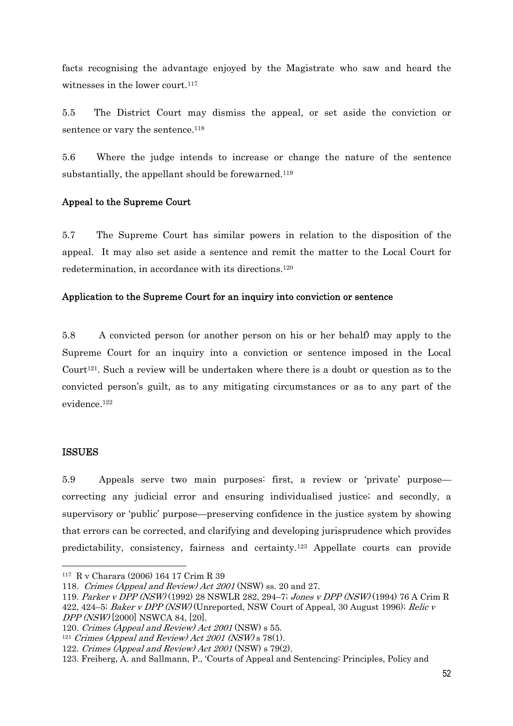facts recognising the advantage enjoyed by the Magistrate who saw and heard the witnesses in the lower court. $117$ 

5.5 The District Court may dismiss the appeal, or set aside the conviction or sentence or vary the sentence.<sup>118</sup>

5.6 Where the judge intends to increase or change the nature of the sentence substantially, the appellant should be forewarned.<sup>119</sup>

### Appeal to the Supreme Court

5.7 The Supreme Court has similar powers in relation to the disposition of the appeal. It may also set aside a sentence and remit the matter to the Local Court for redetermination, in accordance with its directions.120

### Application to the Supreme Court for an inquiry into conviction or sentence

5.8 A convicted person (or another person on his or her behalf) may apply to the Supreme Court for an inquiry into a conviction or sentence imposed in the Local Court<sup>121</sup>. Such a review will be undertaken where there is a doubt or question as to the convicted person's guilt, as to any mitigating circumstances or as to any part of the evidence.122

### ISSUES

5.9 Appeals serve two main purposes: first, a review or 'private' purpose correcting any judicial error and ensuring individualised justice; and secondly, a supervisory or 'public' purpose—preserving confidence in the justice system by showing that errors can be corrected, and clarifying and developing jurisprudence which provides predictability, consistency, fairness and certainty.123 Appellate courts can provide

<sup>117</sup> R v Charara (2006) 164 17 Crim R 39

<sup>118.</sup> Crimes (Appeal and Review) Act 2001 (NSW) ss. 20 and 27.

<sup>119.</sup> Parker v DPP (NSW) (1992) 28 NSWLR 282, 294–7; Jones v DPP (NSW) (1994) 76 A Crim R 422, 424–5; Baker v DPP (NSW) (Unreported, NSW Court of Appeal, 30 August 1996); Relic v DPP (NSW) [2000] NSWCA 84, [20].

<sup>120.</sup> Crimes (Appeal and Review) Act 2001 (NSW) s 55.<br><sup>121</sup> Crimes (Appeal and Review) Act 2001 (NSW) s 78(1).

<sup>122.</sup> Crimes (Appeal and Review) Act 2001 (NSW) s 79(2).

<sup>123.</sup> Freiberg, A. and Sallmann, P., 'Courts of Appeal and Sentencing: Principles, Policy and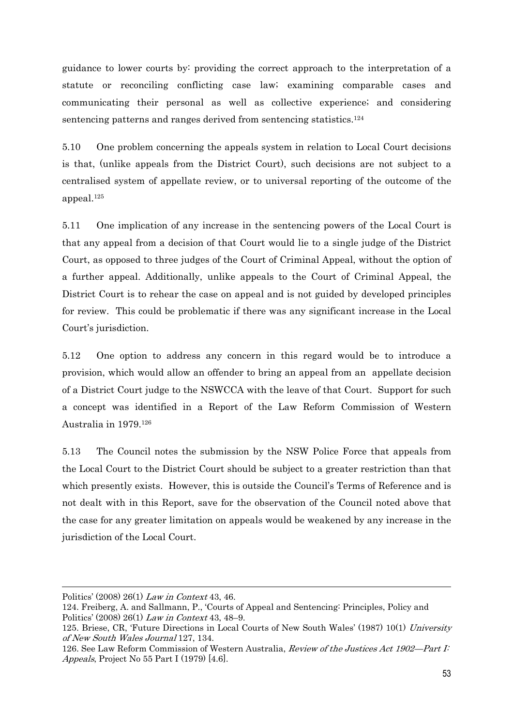guidance to lower courts by: providing the correct approach to the interpretation of a statute or reconciling conflicting case law; examining comparable cases and communicating their personal as well as collective experience; and considering sentencing patterns and ranges derived from sentencing statistics.<sup>124</sup>

5.10 One problem concerning the appeals system in relation to Local Court decisions is that, (unlike appeals from the District Court), such decisions are not subject to a centralised system of appellate review, or to universal reporting of the outcome of the appeal.125

5.11 One implication of any increase in the sentencing powers of the Local Court is that any appeal from a decision of that Court would lie to a single judge of the District Court, as opposed to three judges of the Court of Criminal Appeal, without the option of a further appeal. Additionally, unlike appeals to the Court of Criminal Appeal, the District Court is to rehear the case on appeal and is not guided by developed principles for review. This could be problematic if there was any significant increase in the Local Court's jurisdiction.

5.12 One option to address any concern in this regard would be to introduce a provision, which would allow an offender to bring an appeal from an appellate decision of a District Court judge to the NSWCCA with the leave of that Court. Support for such a concept was identified in a Report of the Law Reform Commission of Western Australia in 1979.126

5.13 The Council notes the submission by the NSW Police Force that appeals from the Local Court to the District Court should be subject to a greater restriction than that which presently exists. However, this is outside the Council's Terms of Reference and is not dealt with in this Report, save for the observation of the Council noted above that the case for any greater limitation on appeals would be weakened by any increase in the jurisdiction of the Local Court.

Politics' (2008) 26(1) Law in Context 43, 46.

<sup>124.</sup> Freiberg, A. and Sallmann, P., 'Courts of Appeal and Sentencing: Principles, Policy and Politics' (2008) 26(1) Law in Context 43, 48–9.

<sup>125.</sup> Briese, CR, 'Future Directions in Local Courts of New South Wales' (1987) 10(1) University of New South Wales Journal 127, 134.

<sup>126.</sup> See Law Reform Commission of Western Australia, *Review of the Justices Act 1902—Part I:* Appeals, Project No 55 Part I (1979) [4.6].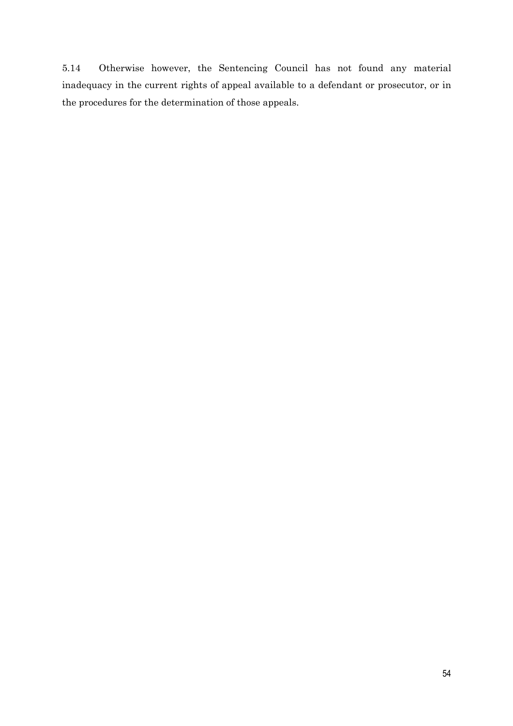5.14 Otherwise however, the Sentencing Council has not found any material inadequacy in the current rights of appeal available to a defendant or prosecutor, or in the procedures for the determination of those appeals.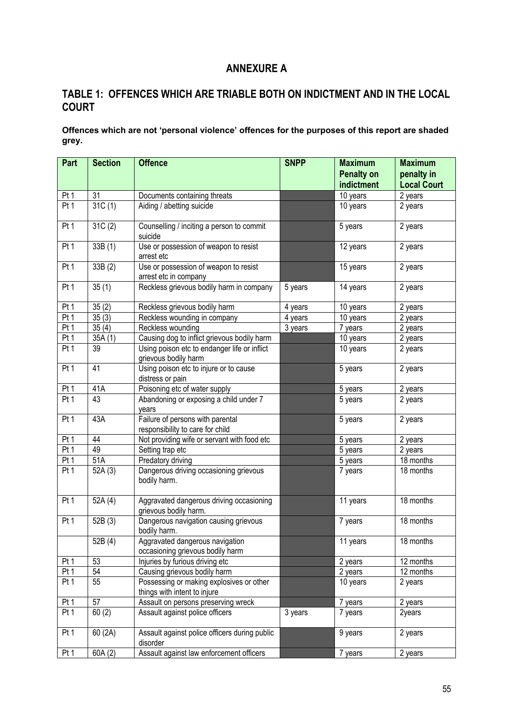## **ANNEXURE A**

## **TABLE 1: OFFENCES WHICH ARE TRIABLE BOTH ON INDICTMENT AND IN THE LOCAL COURT**

**Offences which are not 'personal violence' offences for the purposes of this report are shaded grey.** 

| Part            | <b>Section</b> | <b>Offence</b>                                                           | <b>SNPP</b> | <b>Maximum</b>    | <b>Maximum</b>     |
|-----------------|----------------|--------------------------------------------------------------------------|-------------|-------------------|--------------------|
|                 |                |                                                                          |             | <b>Penalty on</b> | penalty in         |
|                 |                |                                                                          |             | indictment        | <b>Local Court</b> |
| Pt 1            | 31             | Documents containing threats                                             |             | 10 years          | 2 years            |
| Pt <sub>1</sub> | 31C(1)         | Aiding / abetting suicide                                                |             | 10 years          | 2 years            |
| Pt <sub>1</sub> | 31C(2)         | Counselling / inciting a person to commit<br>suicide                     |             | 5 years           | 2 years            |
| Pt <sub>1</sub> | 33B (1)        | Use or possession of weapon to resist<br>arrest etc                      |             | 12 years          | 2 years            |
| Pt 1            | 33B (2)        | Use or possession of weapon to resist<br>arrest etc in company           |             | 15 years          | 2 years            |
| Pt 1            | 35(1)          | Reckless grievous bodily harm in company                                 | 5 years     | 14 years          | 2 years            |
| Pt 1            | 35(2)          | Reckless grievous bodily harm                                            | 4 years     | 10 years          | 2 years            |
| Pt1             | 35(3)          | Reckless wounding in company                                             | 4 years     | 10 years          | 2 years            |
| Pt 1            | 35(4)          | Reckless wounding                                                        | 3 years     | 7 years           | 2 years            |
| Pt 1            | 35A(1)         | Causing dog to inflict grievous bodily harm                              |             | 10 years          | 2 years            |
| Pt 1            | 39             | Using poison etc to endanger life or inflict<br>grievous bodily harm     |             | 10 years          | 2 years            |
| Pt <sub>1</sub> | 41             | Using poison etc to injure or to cause<br>distress or pain               |             | 5 years           | 2 years            |
| Pt <sub>1</sub> | 41A            | Poisoning etc of water supply                                            |             | 5 years           | 2 years            |
| Pt <sub>1</sub> | 43             | Abandoning or exposing a child under 7<br>years                          |             | 5 years           | 2 years            |
| Pt <sub>1</sub> | 43A            | Failure of persons with parental<br>responsibility to care for child     |             | 5 years           | 2 years            |
| Pt 1            | 44             | Not providing wife or servant with food etc                              |             | 5 years           | 2 years            |
| Pt1             | 49             | Setting trap etc                                                         |             | 5 years           | 2 years            |
| Pt 1            | 51A            | Predatory driving                                                        |             | 5 years           | 18 months          |
| Pt 1            | 52A(3)         | Dangerous driving occasioning grievous<br>bodily harm.                   |             | 7 years           | 18 months          |
| Pt <sub>1</sub> | 52A(4)         | Aggravated dangerous driving occasioning<br>grievous bodily harm.        |             | 11 years          | 18 months          |
| Pt <sub>1</sub> | 52B (3)        | Dangerous navigation causing grievous<br>bodily harm.                    |             | 7 years           | 18 months          |
|                 | 52B (4)        | Aggravated dangerous navigation<br>occasioning grievous bodily harm      |             | 11 years          | 18 months          |
| Pt 1            | 53             | Injuries by furious driving etc                                          |             | 2 years           | 12 months          |
| Pt 1            | 54             | Causing grievous bodily harm                                             |             | 2 years           | 12 months          |
| Pt 1            | 55             | Possessing or making explosives or other<br>things with intent to injure |             | 10 years          | 2 years            |
| Pt 1            | 57             | Assault on persons preserving wreck                                      |             | 7 years           | 2 years            |
| Pt 1            | 60(2)          | Assault against police officers                                          | 3 years     | 7 years           | 2years             |
| Pt 1            | 60 (2A)        | Assault against police officers during public<br>disorder                |             | 9 years           | 2 years            |
| Pt 1            | 60A(2)         | Assault against law enforcement officers                                 |             | 7 years           | 2 years            |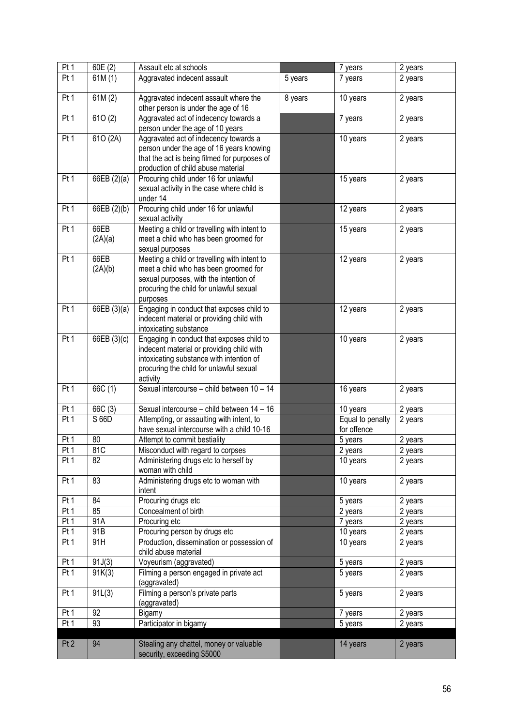| Pt1             | 60E(2)          | Assault etc at schools                                                                                                                                                                    |         | 7 years                         | 2 years |
|-----------------|-----------------|-------------------------------------------------------------------------------------------------------------------------------------------------------------------------------------------|---------|---------------------------------|---------|
| Pt 1            | 61M(1)          | Aggravated indecent assault                                                                                                                                                               | 5 years | 7 years                         | 2 years |
| Pt <sub>1</sub> | 61M(2)          | Aggravated indecent assault where the<br>other person is under the age of 16                                                                                                              | 8 years | 10 years                        | 2 years |
| Pt1             | 610(2)          | Aggravated act of indecency towards a<br>person under the age of 10 years                                                                                                                 |         | 7 years                         | 2 years |
| Pt 1            | 610 (2A)        | Aggravated act of indecency towards a<br>person under the age of 16 years knowing<br>that the act is being filmed for purposes of<br>production of child abuse material                   |         | 10 years                        | 2 years |
| Pt <sub>1</sub> | 66EB (2)(a)     | Procuring child under 16 for unlawful<br>sexual activity in the case where child is<br>under 14                                                                                           |         | 15 years                        | 2 years |
| Pt <sub>1</sub> | 66EB (2)(b)     | Procuring child under 16 for unlawful<br>sexual activity                                                                                                                                  |         | 12 years                        | 2 years |
| Pt 1            | 66EB<br>(2A)(a) | Meeting a child or travelling with intent to<br>meet a child who has been groomed for<br>sexual purposes                                                                                  |         | 15 years                        | 2 years |
| Pt <sub>1</sub> | 66EB<br>(2A)(b) | Meeting a child or travelling with intent to<br>meet a child who has been groomed for<br>sexual purposes, with the intention of<br>procuring the child for unlawful sexual<br>purposes    |         | 12 years                        | 2 years |
| Pt <sub>1</sub> | 66EB (3)(a)     | Engaging in conduct that exposes child to<br>indecent material or providing child with<br>intoxicating substance                                                                          |         | 12 years                        | 2 years |
| Pt <sub>1</sub> | 66EB (3)(c)     | Engaging in conduct that exposes child to<br>indecent material or providing child with<br>intoxicating substance with intention of<br>procuring the child for unlawful sexual<br>activity |         | 10 years                        | 2 years |
| Pt 1            | 66C (1)         | Sexual intercourse - child between 10 - 14                                                                                                                                                |         | 16 years                        | 2 years |
| Pt 1            | 66C(3)          | Sexual intercourse - child between 14 - 16                                                                                                                                                |         | 10 years                        | 2 years |
| Pt 1            | S 66D           | Attempting, or assaulting with intent, to<br>have sexual intercourse with a child 10-16                                                                                                   |         | Equal to penalty<br>for offence | 2 years |
| Pt 1            | 80              | Attempt to commit bestiality                                                                                                                                                              |         | 5 years                         | 2 years |
| Pt 1            | 81C             | Misconduct with regard to corpses                                                                                                                                                         |         | 2 years                         | 2 years |
| Pt 1            | 82              | Administering drugs etc to herself by<br>woman with child                                                                                                                                 |         | 10 years                        | 2 years |
| Pt 1            | 83              | Administering drugs etc to woman with<br>intent                                                                                                                                           |         | 10 years                        | 2 years |
| Pt 1            | 84              | Procuring drugs etc                                                                                                                                                                       |         | 5 years                         | 2 years |
| Pt1             | 85              | Concealment of birth                                                                                                                                                                      |         | 2 years                         | 2 years |
| Pt 1            | 91A             | Procuring etc                                                                                                                                                                             |         | 7 years                         | 2 years |
| Pt <sub>1</sub> | 91B             | Procuring person by drugs etc                                                                                                                                                             |         | 10 years                        | 2 years |
| Pt <sub>1</sub> | 91H             | Production, dissemination or possession of<br>child abuse material                                                                                                                        |         | 10 years                        | 2 years |
| Pt 1            | 91J(3)          | Voyeurism (aggravated)                                                                                                                                                                    |         | 5 years                         | 2 years |
| Pt <sub>1</sub> | 91K(3)          | Filming a person engaged in private act<br>(aggravated)                                                                                                                                   |         | 5 years                         | 2 years |
| Pt <sub>1</sub> | 91L(3)          | Filming a person's private parts<br>(aggravated)                                                                                                                                          |         | 5 years                         | 2 years |
| Pt 1            | 92              | Bigamy                                                                                                                                                                                    |         | 7 years                         | 2 years |
| Pt 1            | 93              | Participator in bigamy                                                                                                                                                                    |         | 5 years                         | 2 years |
| Pt <sub>2</sub> | 94              | Stealing any chattel, money or valuable<br>security, exceeding \$5000                                                                                                                     |         | 14 years                        | 2 years |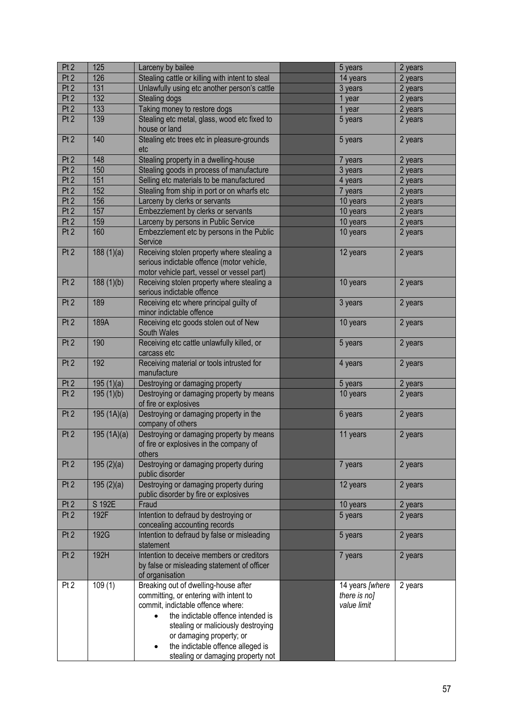| Pt <sub>2</sub> | 125        | Larceny by bailee                                                                                                                                                                                                                                                                                                  | 5 years                                        | 2 years |
|-----------------|------------|--------------------------------------------------------------------------------------------------------------------------------------------------------------------------------------------------------------------------------------------------------------------------------------------------------------------|------------------------------------------------|---------|
| Pt2             | 126        | Stealing cattle or killing with intent to steal                                                                                                                                                                                                                                                                    | 14 years                                       | 2 years |
| Pt <sub>2</sub> | 131        | Unlawfully using etc another person's cattle                                                                                                                                                                                                                                                                       | 3 years                                        | 2 years |
| Pt <sub>2</sub> | 132        | Stealing dogs                                                                                                                                                                                                                                                                                                      | 1 year                                         | 2 years |
| Pt <sub>2</sub> | 133        | Taking money to restore dogs                                                                                                                                                                                                                                                                                       | 1 year                                         | 2 years |
| Pt <sub>2</sub> | 139        | Stealing etc metal, glass, wood etc fixed to                                                                                                                                                                                                                                                                       | 5 years                                        | 2 years |
|                 |            | house or land                                                                                                                                                                                                                                                                                                      |                                                |         |
| Pt <sub>2</sub> | 140        | Stealing etc trees etc in pleasure-grounds<br>etc                                                                                                                                                                                                                                                                  | 5 years                                        | 2 years |
| Pt <sub>2</sub> | 148        | Stealing property in a dwelling-house                                                                                                                                                                                                                                                                              | 7 years                                        | 2 years |
| Pt2             | 150        | Stealing goods in process of manufacture                                                                                                                                                                                                                                                                           | 3 years                                        | 2 years |
| Pt2             | 151        | Selling etc materials to be manufactured                                                                                                                                                                                                                                                                           | 4 years                                        | 2 years |
| Pt2             | 152        | Stealing from ship in port or on wharfs etc                                                                                                                                                                                                                                                                        | 7 years                                        | 2 years |
| Pt2             | 156        | Larceny by clerks or servants                                                                                                                                                                                                                                                                                      | 10 years                                       | 2 years |
| Pt2             | 157        | Embezzlement by clerks or servants                                                                                                                                                                                                                                                                                 | 10 years                                       | 2 years |
| Pt2             | 159        | Larceny by persons in Public Service                                                                                                                                                                                                                                                                               | 10 years                                       | 2 years |
| Pt <sub>2</sub> | 160        | Embezzlement etc by persons in the Public                                                                                                                                                                                                                                                                          | 10 years                                       | 2 years |
|                 |            | Service                                                                                                                                                                                                                                                                                                            |                                                |         |
| Pt2             | 188(1)(a)  | Receiving stolen property where stealing a<br>serious indictable offence (motor vehicle,                                                                                                                                                                                                                           | 12 years                                       | 2 years |
|                 |            | motor vehicle part, vessel or vessel part)                                                                                                                                                                                                                                                                         |                                                |         |
| Pt <sub>2</sub> | 188(1)(b)  | Receiving stolen property where stealing a<br>serious indictable offence                                                                                                                                                                                                                                           | 10 years                                       | 2 years |
| Pt <sub>2</sub> | 189        | Receiving etc where principal guilty of<br>minor indictable offence                                                                                                                                                                                                                                                | 3 years                                        | 2 years |
| Pt <sub>2</sub> | 189A       | Receiving etc goods stolen out of New<br>South Wales                                                                                                                                                                                                                                                               | 10 years                                       | 2 years |
| Pt <sub>2</sub> | 190        | Receiving etc cattle unlawfully killed, or<br>carcass etc                                                                                                                                                                                                                                                          | 5 years                                        | 2 years |
| Pt <sub>2</sub> | 192        | Receiving material or tools intrusted for<br>manufacture                                                                                                                                                                                                                                                           | 4 years                                        | 2 years |
| Pt <sub>2</sub> | 195(1)(a)  | Destroying or damaging property                                                                                                                                                                                                                                                                                    | 5 years                                        | 2 years |
| Pt <sub>2</sub> | 195(1)(b)  | Destroying or damaging property by means<br>of fire or explosives                                                                                                                                                                                                                                                  | 10 years                                       | 2 years |
| Pt <sub>2</sub> | 195(1A)(a) | Destroying or damaging property in the<br>company of others                                                                                                                                                                                                                                                        | 6 years                                        | 2 years |
| Pt <sub>2</sub> | 195(1A)(a) | Destroying or damaging property by means<br>of fire or explosives in the company of<br>others                                                                                                                                                                                                                      | 11 years                                       | 2 years |
| Pt <sub>2</sub> | 195(2)(a)  | Destroying or damaging property during<br>public disorder                                                                                                                                                                                                                                                          | 7 years                                        | 2 years |
| Pt <sub>2</sub> | 195(2)(a)  | Destroying or damaging property during<br>public disorder by fire or explosives                                                                                                                                                                                                                                    | 12 years                                       | 2 years |
| Pt <sub>2</sub> | S 192E     | Fraud                                                                                                                                                                                                                                                                                                              | 10 years                                       | 2 years |
| Pt2             | 192F       | Intention to defraud by destroying or<br>concealing accounting records                                                                                                                                                                                                                                             | 5 years                                        | 2 years |
| Pt <sub>2</sub> | 192G       | Intention to defraud by false or misleading<br>statement                                                                                                                                                                                                                                                           | 5 years                                        | 2 years |
| Pt <sub>2</sub> | 192H       | Intention to deceive members or creditors<br>by false or misleading statement of officer<br>of organisation                                                                                                                                                                                                        | 7 years                                        | 2 years |
| Pt <sub>2</sub> | 109(1)     | Breaking out of dwelling-house after<br>committing, or entering with intent to<br>commit, indictable offence where:<br>the indictable offence intended is<br>$\bullet$<br>stealing or maliciously destroying<br>or damaging property; or<br>the indictable offence alleged is<br>stealing or damaging property not | 14 years [where<br>there is no]<br>value limit | 2 years |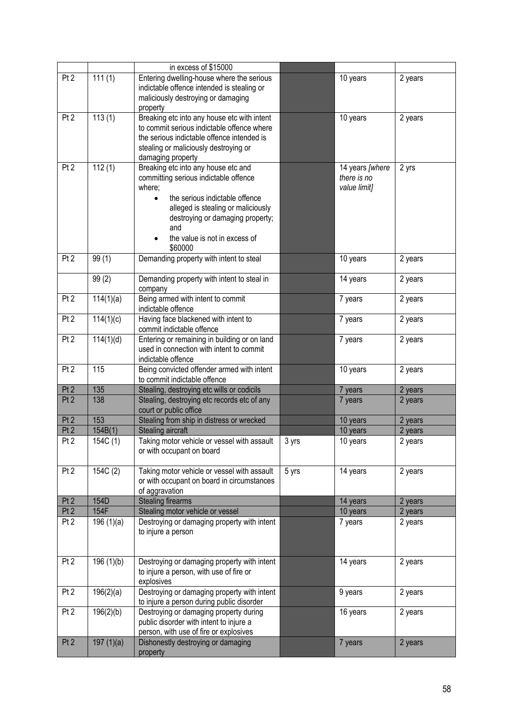|                 |           | in excess of \$15000                                             |                 |                                |         |
|-----------------|-----------|------------------------------------------------------------------|-----------------|--------------------------------|---------|
| Pt <sub>2</sub> | 111(1)    | Entering dwelling-house where the serious                        |                 | 10 years                       | 2 years |
|                 |           | indictable offence intended is stealing or                       |                 |                                |         |
|                 |           | maliciously destroying or damaging                               |                 |                                |         |
|                 |           | property                                                         |                 |                                |         |
| Pt <sub>2</sub> | 113(1)    | Breaking etc into any house etc with intent                      |                 | 10 years                       | 2 years |
|                 |           | to commit serious indictable offence where                       |                 |                                |         |
|                 |           | the serious indictable offence intended is                       |                 |                                |         |
|                 |           | stealing or maliciously destroying or                            |                 |                                |         |
|                 |           | damaging property                                                |                 |                                |         |
| Pt <sub>2</sub> | 112(1)    | Breaking etc into any house etc and                              |                 | 14 years [where<br>there is no | 2 yrs   |
|                 |           | committing serious indictable offence<br>where;                  |                 |                                |         |
|                 |           | the serious indictable offence<br>$\bullet$                      |                 | value limit]                   |         |
|                 |           | alleged is stealing or maliciously                               |                 |                                |         |
|                 |           | destroying or damaging property;                                 |                 |                                |         |
|                 |           | and                                                              |                 |                                |         |
|                 |           | the value is not in excess of                                    |                 |                                |         |
|                 |           | \$60000                                                          |                 |                                |         |
| Pt <sub>2</sub> | 99(1)     | Demanding property with intent to steal                          |                 | 10 years                       | 2 years |
|                 |           |                                                                  |                 |                                |         |
|                 | 99(2)     | Demanding property with intent to steal in                       |                 | 14 years                       | 2 years |
|                 |           | company                                                          |                 |                                |         |
| Pt <sub>2</sub> | 114(1)(a) | Being armed with intent to commit                                |                 | 7 years                        | 2 years |
|                 |           | indictable offence                                               |                 |                                |         |
| Pt <sub>2</sub> | 114(1)(c) | Having face blackened with intent to                             |                 | 7 years                        | 2 years |
|                 |           | commit indictable offence                                        |                 |                                |         |
| Pt <sub>2</sub> | 114(1)(d) | Entering or remaining in building or on land                     |                 | 7 years                        | 2 years |
|                 |           | used in connection with intent to commit                         |                 |                                |         |
| Pt <sub>2</sub> | 115       | indictable offence<br>Being convicted offender armed with intent |                 | 10 years                       | 2 years |
|                 |           | to commit indictable offence                                     |                 |                                |         |
| Pt <sub>2</sub> | 135       | Stealing, destroying etc wills or codicils                       |                 | 7 years                        | 2 years |
| Pt <sub>2</sub> | 138       | Stealing, destroying etc records etc of any                      |                 | 7 years                        | 2 years |
|                 |           | court or public office                                           |                 |                                |         |
| Pt <sub>2</sub> | 153       | Stealing from ship in distress or wrecked                        |                 | 10 years                       | 2 years |
| Pt <sub>2</sub> | 154B(1)   | Stealing aircraft                                                |                 | 10 years                       | 2 years |
| Pt <sub>2</sub> | 154C (1)  | Taking motor vehicle or vessel with assault                      | 3 yrs           | 10 years                       | 2 years |
|                 |           | or with occupant on board                                        |                 |                                |         |
|                 |           |                                                                  |                 |                                |         |
| Pt <sub>2</sub> | 154C(2)   | Taking motor vehicle or vessel with assault                      | $5 \text{ yrs}$ | 14 years                       | 2 years |
|                 |           | or with occupant on board in circumstances                       |                 |                                |         |
|                 |           | of aggravation                                                   |                 |                                |         |
| Pt <sub>2</sub> | 154D      | <b>Stealing firearms</b>                                         |                 | 14 years                       | 2 years |
| Pt2             | 154F      | Stealing motor vehicle or vessel                                 |                 | 10 years                       | 2 years |
| Pt <sub>2</sub> | 196(1)(a) | Destroying or damaging property with intent                      |                 | 7 years                        | 2 years |
|                 |           | to injure a person                                               |                 |                                |         |
|                 |           |                                                                  |                 |                                |         |
| Pt <sub>2</sub> | 196(1)(b) | Destroying or damaging property with intent                      |                 | 14 years                       | 2 years |
|                 |           | to injure a person, with use of fire or                          |                 |                                |         |
|                 |           | explosives                                                       |                 |                                |         |
| Pt <sub>2</sub> | 196(2)(a) | Destroying or damaging property with intent                      |                 | 9 years                        | 2 years |
|                 |           | to injure a person during public disorder                        |                 |                                |         |
| Pt <sub>2</sub> | 196(2)(b) | Destroying or damaging property during                           |                 | 16 years                       | 2 years |
|                 |           | public disorder with intent to injure a                          |                 |                                |         |
|                 |           | person, with use of fire or explosives                           |                 |                                |         |
| Pt <sub>2</sub> | 197(1)(a) | Dishonestly destroying or damaging                               |                 | 7 years                        | 2 years |
|                 |           | property                                                         |                 |                                |         |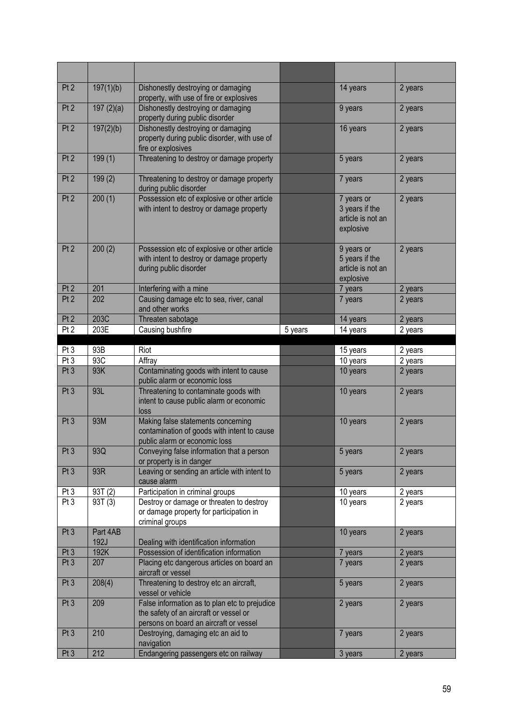| Pt <sub>2</sub>                    | 197(1)(b)               | Dishonestly destroying or damaging<br>property, with use of fire or explosives                                                    |         | 14 years                                                       | 2 years            |
|------------------------------------|-------------------------|-----------------------------------------------------------------------------------------------------------------------------------|---------|----------------------------------------------------------------|--------------------|
| Pt <sub>2</sub>                    | 197(2)(a)               | Dishonestly destroying or damaging<br>property during public disorder                                                             |         | 9 years                                                        | 2 years            |
| Pt <sub>2</sub>                    | 197(2)(b)               | Dishonestly destroying or damaging<br>property during public disorder, with use of<br>fire or explosives                          |         | 16 years                                                       | 2 years            |
| Pt <sub>2</sub>                    | 199(1)                  | Threatening to destroy or damage property                                                                                         |         | 5 years                                                        | 2 years            |
| Pt <sub>2</sub>                    | 199(2)                  | Threatening to destroy or damage property<br>during public disorder                                                               |         | 7 years                                                        | 2 years            |
| Pt <sub>2</sub>                    | 200(1)                  | Possession etc of explosive or other article<br>with intent to destroy or damage property                                         |         | 7 years or<br>3 years if the<br>article is not an<br>explosive | 2 years            |
| Pt <sub>2</sub>                    | 200(2)                  | Possession etc of explosive or other article<br>with intent to destroy or damage property<br>during public disorder               |         | 9 years or<br>5 years if the<br>article is not an<br>explosive | 2 years            |
| Pt <sub>2</sub>                    | 201                     | Interfering with a mine                                                                                                           |         | 7 years                                                        | 2 years            |
| Pt <sub>2</sub>                    | 202                     | Causing damage etc to sea, river, canal<br>and other works                                                                        |         | 7 years                                                        | 2 years            |
| Pt <sub>2</sub>                    | 203C                    | Threaten sabotage                                                                                                                 |         | 14 years                                                       | 2 years            |
| Pt <sub>2</sub>                    | 203E                    | Causing bushfire                                                                                                                  | 5 years | 14 years                                                       | 2 years            |
| Pt <sub>3</sub>                    | 93B                     | Riot                                                                                                                              |         | 15 years                                                       | 2 years            |
| Pt <sub>3</sub>                    | 93C                     | Affray                                                                                                                            |         | 10 years                                                       | 2 years            |
| Pt <sub>3</sub>                    | 93K                     | Contaminating goods with intent to cause<br>public alarm or economic loss                                                         |         | 10 years                                                       | 2 years            |
| Pt <sub>3</sub>                    | 93L                     | Threatening to contaminate goods with<br>intent to cause public alarm or economic<br>loss                                         |         | 10 years                                                       | 2 years            |
| Pt <sub>3</sub>                    | 93M                     | Making false statements concerning<br>contamination of goods with intent to cause                                                 |         | 10 years                                                       | 2 years            |
| Pt 3                               |                         | public alarm or economic loss                                                                                                     |         |                                                                |                    |
|                                    | 93Q                     | Conveying false information that a person<br>or property is in danger                                                             |         | 5 years                                                        | 2 years            |
| Pt <sub>3</sub>                    | 93R                     | Leaving or sending an article with intent to<br>cause alarm                                                                       |         | 5 years                                                        | 2 years            |
| Pt <sub>3</sub>                    | 93T(2)                  | Participation in criminal groups                                                                                                  |         | 10 years                                                       | 2 years            |
| Pt <sub>3</sub>                    | 93T(3)                  | Destroy or damage or threaten to destroy<br>or damage property for participation in                                               |         | 10 years                                                       | 2 years            |
| Pt <sub>3</sub>                    | Part 4AB<br><b>192J</b> | criminal groups<br>Dealing with identification information                                                                        |         | 10 years                                                       | 2 years            |
| Pt <sub>3</sub>                    | 192K                    | Possession of identification information                                                                                          |         | 7 years                                                        | 2 years            |
| Pt <sub>3</sub>                    | 207                     | Placing etc dangerous articles on board an<br>aircraft or vessel                                                                  |         | 7 years                                                        | 2 years            |
| Pt <sub>3</sub>                    | 208(4)                  | Threatening to destroy etc an aircraft,<br>vessel or vehicle                                                                      |         | 5 years                                                        | 2 years            |
| Pt <sub>3</sub>                    | 209                     | False information as to plan etc to prejudice<br>the safety of an aircraft or vessel or<br>persons on board an aircraft or vessel |         | 2 years                                                        | 2 years            |
| Pt <sub>3</sub><br>Pt <sub>3</sub> | 210<br>212              | Destroying, damaging etc an aid to<br>navigation<br>Endangering passengers etc on railway                                         |         | 7 years<br>3 years                                             | 2 years<br>2 years |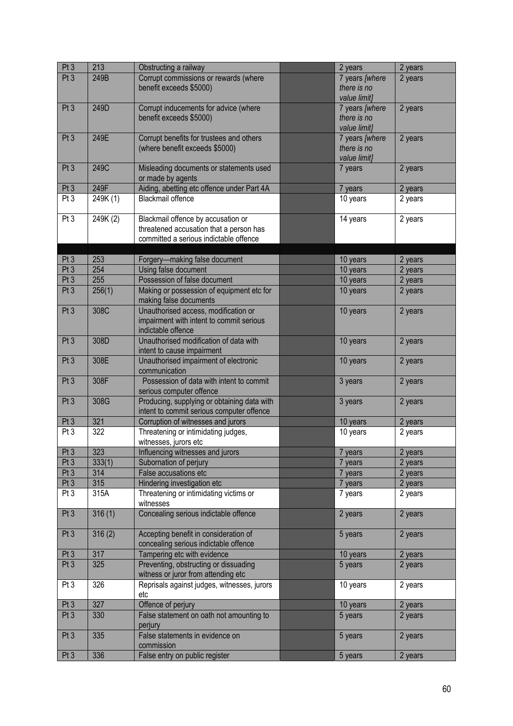| Pt <sub>3</sub> | 213      | Obstructing a railway                                                                                                   | 2 years                                       | 2 years |
|-----------------|----------|-------------------------------------------------------------------------------------------------------------------------|-----------------------------------------------|---------|
| Pt <sub>3</sub> | 249B     | Corrupt commissions or rewards (where<br>benefit exceeds \$5000)                                                        | 7 years [where<br>there is no<br>value limit] | 2 years |
| Pt <sub>3</sub> | 249D     | Corrupt inducements for advice (where<br>benefit exceeds \$5000)                                                        | 7 years [where<br>there is no<br>value limit] | 2 years |
| Pt <sub>3</sub> | 249E     | Corrupt benefits for trustees and others<br>(where benefit exceeds \$5000)                                              | 7 years [where<br>there is no<br>value limit] | 2 years |
| Pt <sub>3</sub> | 249C     | Misleading documents or statements used<br>or made by agents                                                            | 7 years                                       | 2 years |
| Pt <sub>3</sub> | 249F     | Aiding, abetting etc offence under Part 4A                                                                              | 7 years                                       | 2 years |
| Pt3             | 249K (1) | Blackmail offence                                                                                                       | 10 years                                      | 2 years |
| Pt <sub>3</sub> | 249K (2) | Blackmail offence by accusation or<br>threatened accusation that a person has<br>committed a serious indictable offence | 14 years                                      | 2 years |
| Pt <sub>3</sub> | 253      | Forgery-making false document                                                                                           | 10 years                                      | 2 years |
| Pt <sub>3</sub> | 254      | Using false document                                                                                                    | 10 years                                      | 2 years |
| Pt <sub>3</sub> | 255      | Possession of false document                                                                                            | 10 years                                      | 2 years |
| Pt <sub>3</sub> | 256(1)   | Making or possession of equipment etc for<br>making false documents                                                     | 10 years                                      | 2 years |
| Pt <sub>3</sub> | 308C     | Unauthorised access, modification or<br>impairment with intent to commit serious<br>indictable offence                  | 10 years                                      | 2 years |
| Pt <sub>3</sub> | 308D     | Unauthorised modification of data with<br>intent to cause impairment                                                    | 10 years                                      | 2 years |
| Pt <sub>3</sub> | 308E     | Unauthorised impairment of electronic<br>communication                                                                  | 10 years                                      | 2 years |
| Pt <sub>3</sub> | 308F     | Possession of data with intent to commit<br>serious computer offence                                                    | 3 years                                       | 2 years |
| Pt <sub>3</sub> | 308G     | Producing, supplying or obtaining data with<br>intent to commit serious computer offence                                | 3 years                                       | 2 years |
| Pt <sub>3</sub> | 321      | Corruption of witnesses and jurors                                                                                      | 10 years                                      | 2 years |
| Pt <sub>3</sub> | 322      | Threatening or intimidating judges,<br>witnesses, jurors etc                                                            | 10 years                                      | 2 years |
| Pt <sub>3</sub> | 323      | Influencing witnesses and jurors                                                                                        | 7 years                                       | 2 years |
| Pt <sub>3</sub> | 333(1)   | Subornation of perjury                                                                                                  | 7 years                                       | 2 years |
| Pt <sub>3</sub> | 314      | False accusations etc                                                                                                   | 7 years                                       | 2 years |
| Pt <sub>3</sub> | 315      | Hindering investigation etc                                                                                             | 7 years                                       | 2 years |
| Pt <sub>3</sub> | 315A     | Threatening or intimidating victims or<br>witnesses                                                                     | 7 years                                       | 2 years |
| Pt <sub>3</sub> | 316(1)   | Concealing serious indictable offence                                                                                   | 2 years                                       | 2 years |
| Pt <sub>3</sub> | 316(2)   | Accepting benefit in consideration of<br>concealing serious indictable offence                                          | 5 years                                       | 2 years |
| Pt <sub>3</sub> | 317      | Tampering etc with evidence                                                                                             | 10 years                                      | 2 years |
| Pt <sub>3</sub> | 325      | Preventing, obstructing or dissuading<br>witness or juror from attending etc                                            | 5 years                                       | 2 years |
| Pt <sub>3</sub> | 326      | Reprisals against judges, witnesses, jurors<br>etc                                                                      | 10 years                                      | 2 years |
| Pt <sub>3</sub> | 327      | Offence of perjury                                                                                                      | 10 years                                      | 2 years |
| Pt <sub>3</sub> | 330      | False statement on oath not amounting to<br>perjury                                                                     | 5 years                                       | 2 years |
| Pt <sub>3</sub> | 335      | False statements in evidence on<br>commission                                                                           | 5 years                                       | 2 years |
| Pt <sub>3</sub> | 336      | False entry on public register                                                                                          | 5 years                                       | 2 years |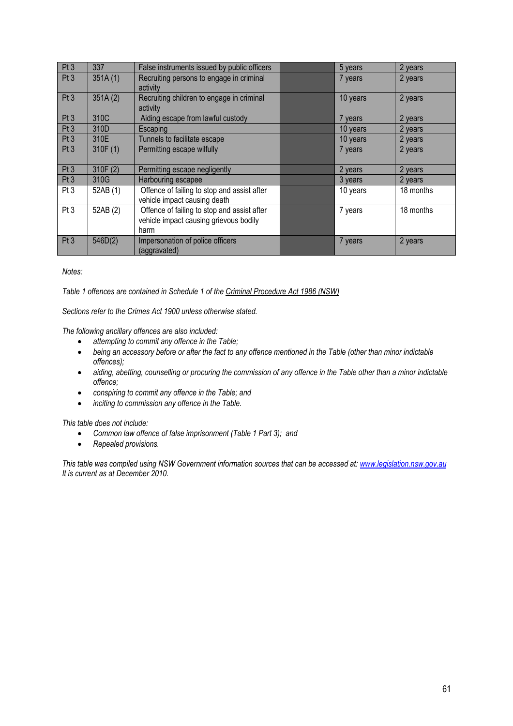| Pt <sub>3</sub> | 337      | False instruments issued by public officers | 5 years  | 2 years   |
|-----------------|----------|---------------------------------------------|----------|-----------|
| Pt <sub>3</sub> | 351A(1)  | Recruiting persons to engage in criminal    | 7 years  | 2 years   |
|                 |          | activity                                    |          |           |
| Pt <sub>3</sub> | 351A(2)  | Recruiting children to engage in criminal   | 10 years | 2 years   |
|                 |          | activity                                    |          |           |
| Pt <sub>3</sub> | 310C     | Aiding escape from lawful custody           | 7 years  | 2 years   |
| Pt <sub>3</sub> | 310D     | Escaping                                    | 10 years | 2 years   |
| Pt <sub>3</sub> | 310E     | Tunnels to facilitate escape                | 10 years | 2 years   |
| Pt3             | 310F(1)  | Permitting escape wilfully                  | 7 years  | 2 years   |
|                 |          |                                             |          |           |
| Pt <sub>3</sub> | 310F (2) | Permitting escape negligently               | 2 years  | 2 years   |
| Pt <sub>3</sub> | 310G     | Harbouring escapee                          | 3 years  | 2 years   |
| Pt <sub>3</sub> | 52AB (1) | Offence of failing to stop and assist after | 10 years | 18 months |
|                 |          | vehicle impact causing death                |          |           |
| Pt <sub>3</sub> | 52AB (2) | Offence of failing to stop and assist after | 7 years  | 18 months |
|                 |          | vehicle impact causing grievous bodily      |          |           |
|                 |          | harm                                        |          |           |
| Pt <sub>3</sub> | 546D(2)  | Impersonation of police officers            | 7 years  | 2 years   |
|                 |          | (aggravated)                                |          |           |

*Notes:* 

*Table 1 offences are contained in Schedule 1 of the Criminal Procedure Act 1986 (NSW)*

*Sections refer to the Crimes Act 1900 unless otherwise stated.* 

*The following ancillary offences are also included:* 

- *attempting to commit any offence in the Table;*
- *being an accessory before or after the fact to any offence mentioned in the Table (other than minor indictable offences);*
- *aiding, abetting, counselling or procuring the commission of any offence in the Table other than a minor indictable offence;*
- *conspiring to commit any offence in the Table; and*
- *inciting to commission any offence in the Table.*

*This table does not include:* 

- *Common law offence of false imprisonment (Table 1 Part 3); and*
- *Repealed provisions.*

*This table was compiled using NSW Government information sources that can be accessed at: www.legislation.nsw.gov.au It is current as at December 2010.*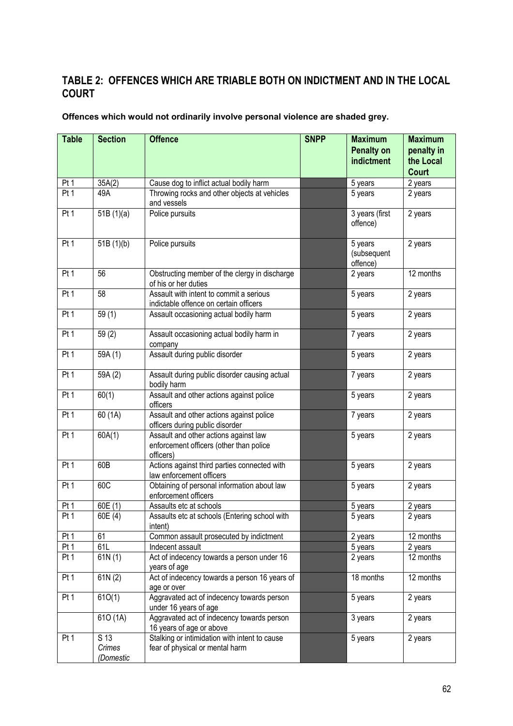# **TABLE 2: OFFENCES WHICH ARE TRIABLE BOTH ON INDICTMENT AND IN THE LOCAL COURT**

| Offences which would not ordinarily involve personal violence are shaded grey. |  |
|--------------------------------------------------------------------------------|--|
|--------------------------------------------------------------------------------|--|

| <b>Table</b>    | <b>Section</b>              | <b>Offence</b>                                                                                | <b>SNPP</b> | <b>Maximum</b><br><b>Penalty on</b><br>indictment | <b>Maximum</b><br>penalty in<br>the Local<br><b>Court</b> |
|-----------------|-----------------------------|-----------------------------------------------------------------------------------------------|-------------|---------------------------------------------------|-----------------------------------------------------------|
| Pt <sub>1</sub> | 35A(2)                      | Cause dog to inflict actual bodily harm                                                       |             | 5 years                                           | 2 years                                                   |
| Pt 1            | 49A                         | Throwing rocks and other objects at vehicles<br>and vessels                                   |             | 5 years                                           | 2 years                                                   |
| Pt1             | 51B(1)(a)                   | Police pursuits                                                                               |             | 3 years (first<br>offence)                        | 2 years                                                   |
| Pt 1            | 51B(1)(b)                   | Police pursuits                                                                               |             | 5 years<br>(subsequent<br>offence)                | 2 years                                                   |
| Pt <sub>1</sub> | 56                          | Obstructing member of the clergy in discharge<br>of his or her duties                         |             | 2 years                                           | 12 months                                                 |
| Pt 1            | 58                          | Assault with intent to commit a serious<br>indictable offence on certain officers             |             | 5 years                                           | 2 years                                                   |
| Pt <sub>1</sub> | 59(1)                       | Assault occasioning actual bodily harm                                                        |             | 5 years                                           | 2 years                                                   |
| Pt 1            | 59(2)                       | Assault occasioning actual bodily harm in<br>company                                          |             | 7 years                                           | 2 years                                                   |
| Pt 1            | 59A (1)                     | Assault during public disorder                                                                |             | 5 years                                           | 2 years                                                   |
| Pt 1            | 59A (2)                     | Assault during public disorder causing actual<br>bodily harm                                  |             | 7 years                                           | 2 years                                                   |
| Pt 1            | 60(1)                       | Assault and other actions against police<br>officers                                          |             | 5 years                                           | 2 years                                                   |
| Pt 1            | 60 (1A)                     | Assault and other actions against police<br>officers during public disorder                   |             | 7 years                                           | 2 years                                                   |
| Pt <sub>1</sub> | 60A(1)                      | Assault and other actions against law<br>enforcement officers (other than police<br>officers) |             | 5 years                                           | 2 years                                                   |
| Pt <sub>1</sub> | 60B                         | Actions against third parties connected with<br>law enforcement officers                      |             | 5 years                                           | 2 years                                                   |
| Pt <sub>1</sub> | 60C                         | Obtaining of personal information about law<br>enforcement officers                           |             | 5 years                                           | 2 years                                                   |
| Pt 1            | 60E (1)                     | Assaults etc at schools                                                                       |             | 5 years                                           | 2 years                                                   |
| Pt 1            | 60E (4)                     | Assaults etc at schools (Entering school with<br>intent)                                      |             | 5 years                                           | 2 years                                                   |
| Pt 1            | 61                          | Common assault prosecuted by indictment                                                       |             | 2 years                                           | 12 months                                                 |
| Pt 1            | 61L                         | Indecent assault                                                                              |             | 5 years                                           | 2 years                                                   |
| Pt 1            | 61N(1)                      | Act of indecency towards a person under 16<br>years of age                                    |             | 2 years                                           | $\overline{12}$ months                                    |
| Pt 1            | 61N(2)                      | Act of indecency towards a person 16 years of<br>age or over                                  |             | 18 months                                         | 12 months                                                 |
| Pt 1            | 610(1)                      | Aggravated act of indecency towards person<br>under 16 years of age                           |             | 5 years                                           | 2 years                                                   |
|                 | 610 (1A)                    | Aggravated act of indecency towards person<br>16 years of age or above                        |             | 3 years                                           | 2 years                                                   |
| Pt <sub>1</sub> | S 13<br>Crimes<br>(Domestic | Stalking or intimidation with intent to cause<br>fear of physical or mental harm              |             | 5 years                                           | 2 years                                                   |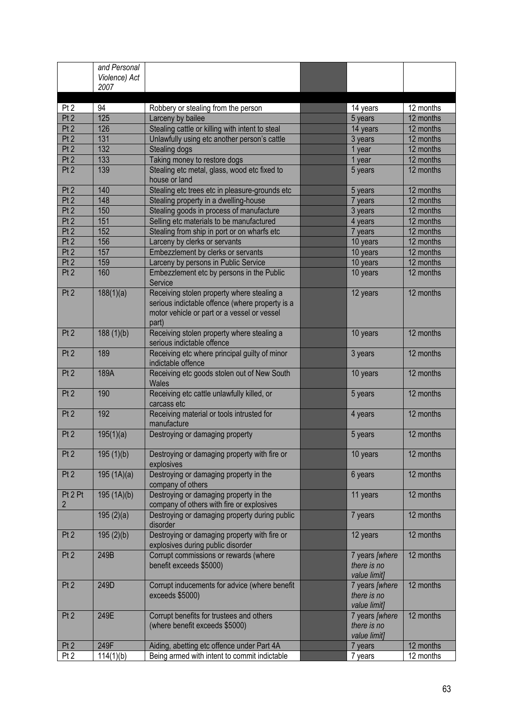|                 | and Personal<br>Violence) Act<br>2007 |                                                                                                                                                       |                                               |                                               |                        |
|-----------------|---------------------------------------|-------------------------------------------------------------------------------------------------------------------------------------------------------|-----------------------------------------------|-----------------------------------------------|------------------------|
| Pt <sub>2</sub> | 94                                    | Robbery or stealing from the person                                                                                                                   |                                               | 14 years                                      | 12 months              |
| Pt2             | 125                                   | Larceny by bailee                                                                                                                                     |                                               | 5 years                                       | 12 months              |
| Pt2             | 126                                   | Stealing cattle or killing with intent to steal                                                                                                       |                                               | 14 years                                      | 12 months              |
| Pt2             | 131                                   | Unlawfully using etc another person's cattle                                                                                                          |                                               | 3 years                                       | 12 months              |
| Pt2             | 132                                   | Stealing dogs                                                                                                                                         |                                               | 1 year                                        | 12 months              |
| Pt2             | 133                                   | Taking money to restore dogs                                                                                                                          |                                               | 1 year                                        | 12 months              |
| Pt <sub>2</sub> | 139                                   | Stealing etc metal, glass, wood etc fixed to<br>house or land                                                                                         |                                               | 5 years                                       | 12 months              |
| Pt <sub>2</sub> | 140                                   | Stealing etc trees etc in pleasure-grounds etc                                                                                                        |                                               | 5 years                                       | 12 months              |
| Pt2             | 148                                   | Stealing property in a dwelling-house                                                                                                                 |                                               | 7 years                                       | 12 months              |
| Pt2             | 150                                   | Stealing goods in process of manufacture                                                                                                              |                                               | 3 years                                       | 12 months              |
| Pt2             | 151<br>152                            | Selling etc materials to be manufactured                                                                                                              |                                               | 4 years                                       | 12 months              |
| Pt2<br>Pt2      | 156                                   | Stealing from ship in port or on wharfs etc                                                                                                           |                                               | 7 years                                       | 12 months<br>12 months |
| Pt2             | 157                                   | Larceny by clerks or servants<br>Embezzlement by clerks or servants                                                                                   |                                               | 10 years<br>10 years                          | 12 months              |
| Pt2             | 159                                   | Larceny by persons in Public Service                                                                                                                  |                                               | 10 years                                      | 12 months              |
| Pt2             | 160                                   | Embezzlement etc by persons in the Public<br>Service                                                                                                  |                                               | 10 years                                      | 12 months              |
| Pt <sub>2</sub> | 188(1)(a)                             | Receiving stolen property where stealing a<br>serious indictable offence (where property is a<br>motor vehicle or part or a vessel or vessel<br>part) |                                               | 12 years                                      | 12 months              |
| Pt <sub>2</sub> | 188(1)(b)                             | Receiving stolen property where stealing a<br>serious indictable offence                                                                              | 10 years                                      | 12 months                                     |                        |
| Pt <sub>2</sub> | 189                                   | Receiving etc where principal guilty of minor<br>indictable offence                                                                                   | 3 years                                       | 12 months                                     |                        |
| Pt <sub>2</sub> | 189A                                  | Receiving etc goods stolen out of New South<br><b>Wales</b>                                                                                           |                                               | 10 years                                      | 12 months              |
| Pt <sub>2</sub> | 190                                   | Receiving etc cattle unlawfully killed, or<br>carcass etc                                                                                             |                                               | 5 years                                       | 12 months              |
| Pt <sub>2</sub> | 192                                   | Receiving material or tools intrusted for<br>manufacture                                                                                              |                                               | 4 years                                       | 12 months              |
| Pt <sub>2</sub> | 195(1)(a)                             | Destroying or damaging property                                                                                                                       |                                               | 5 years                                       | 12 months              |
| Pt <sub>2</sub> | 195(1)(b)                             | Destroying or damaging property with fire or<br>explosives                                                                                            |                                               | 10 years                                      | 12 months              |
| Pt <sub>2</sub> | 195(1A)(a)                            | Destroying or damaging property in the<br>company of others                                                                                           |                                               | 6 years                                       | 12 months              |
| Pt 2 Pt<br>2    | 195(1A)(b)                            | Destroying or damaging property in the<br>company of others with fire or explosives                                                                   |                                               | 11 years                                      | 12 months              |
|                 | 195(2)(a)                             | Destroying or damaging property during public<br>disorder                                                                                             |                                               | 7 years                                       | 12 months              |
| Pt <sub>2</sub> | 195(2)(b)                             | Destroying or damaging property with fire or<br>explosives during public disorder                                                                     |                                               | 12 years                                      | 12 months              |
| Pt <sub>2</sub> | 249B                                  | Corrupt commissions or rewards (where<br>benefit exceeds \$5000)                                                                                      | 7 years [where<br>there is no<br>value limit] | 12 months                                     |                        |
| Pt <sub>2</sub> | 249D                                  | Corrupt inducements for advice (where benefit<br>exceeds \$5000)                                                                                      | 7 years [where<br>there is no<br>value limit] | 12 months                                     |                        |
| Pt <sub>2</sub> | 249E                                  | Corrupt benefits for trustees and others<br>(where benefit exceeds \$5000)                                                                            |                                               | 7 years [where<br>there is no<br>value limit] | 12 months              |
| Pt <sub>2</sub> | 249F                                  | Aiding, abetting etc offence under Part 4A                                                                                                            |                                               | 7 years                                       | 12 months              |
| Pt <sub>2</sub> | 114(1)(b)                             | Being armed with intent to commit indictable                                                                                                          |                                               | 7 years                                       | 12 months              |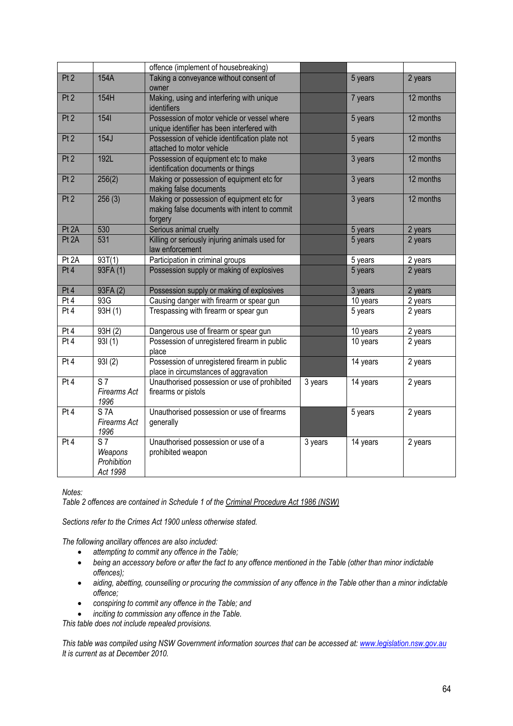|                 |                                                      | offence (implement of housebreaking)                                                                 |         |          |           |
|-----------------|------------------------------------------------------|------------------------------------------------------------------------------------------------------|---------|----------|-----------|
| Pt2             | 154A                                                 | Taking a conveyance without consent of<br>owner                                                      |         | 5 years  | 2 years   |
| Pt <sub>2</sub> | 154H                                                 | Making, using and interfering with unique<br>identifiers                                             |         | 7 years  | 12 months |
| Pt2             | 1541                                                 | Possession of motor vehicle or vessel where<br>unique identifier has been interfered with            |         | 5 years  | 12 months |
| Pt2             | 154J                                                 | Possession of vehicle identification plate not<br>attached to motor vehicle                          |         | 5 years  | 12 months |
| Pt2             | 192L                                                 | Possession of equipment etc to make<br>identification documents or things                            |         | 3 years  | 12 months |
| Pt <sub>2</sub> | 256(2)                                               | Making or possession of equipment etc for<br>making false documents                                  |         | 3 years  | 12 months |
| Pt <sub>2</sub> | 256(3)                                               | Making or possession of equipment etc for<br>making false documents with intent to commit<br>forgery |         | 3 years  | 12 months |
| Pt 2A           | 530                                                  | Serious animal cruelty                                                                               |         | 5 years  | 2 years   |
| Pt 2A           | 531                                                  | Killing or seriously injuring animals used for<br>law enforcement                                    |         | 5 years  | 2 years   |
| Pt 2A           | 93T(1)                                               | Participation in criminal groups                                                                     |         | 5 years  | 2 years   |
| Pt4             | 93FA (1)                                             | Possession supply or making of explosives                                                            |         | 5 years  | 2 years   |
| Pt 4            | 93FA (2)                                             | Possession supply or making of explosives                                                            |         | 3 years  | 2 years   |
| Pt 4            | 93G                                                  | Causing danger with firearm or spear gun                                                             |         | 10 years | 2 years   |
| Pt 4            | 93H $(1)$                                            | Trespassing with firearm or spear gun                                                                |         | 5 years  | 2 years   |
| Pt 4            | 93H(2)                                               | Dangerous use of firearm or spear gun                                                                |         | 10 years | 2 years   |
| Pt4             | 931(1)                                               | Possession of unregistered firearm in public<br>place                                                |         | 10 years | 2 years   |
| Pt 4            | 931(2)                                               | Possession of unregistered firearm in public<br>place in circumstances of aggravation                |         | 14 years | 2 years   |
| Pt4             | $\overline{\text{S}7}$<br>Firearms Act<br>1996       | Unauthorised possession or use of prohibited<br>firearms or pistols                                  | 3 years | 14 years | 2 years   |
| Pt4             | <b>S7A</b><br>Firearms Act<br>1996                   | Unauthorised possession or use of firearms<br>generally                                              |         | 5 years  | 2 years   |
| Pt 4            | S <sub>7</sub><br>Weapons<br>Prohibition<br>Act 1998 | Unauthorised possession or use of a<br>prohibited weapon                                             | 3 years | 14 years | 2 years   |

*Notes:* 

*Table 2 offences are contained in Schedule 1 of the Criminal Procedure Act 1986 (NSW)*

*Sections refer to the Crimes Act 1900 unless otherwise stated.* 

*The following ancillary offences are also included:* 

- *attempting to commit any offence in the Table;*
- **being an accessory before or after the fact to any offence mentioned in the Table (other than minor indictable** *offences);*
- *aiding, abetting, counselling or procuring the commission of any offence in the Table other than a minor indictable offence;*
- *conspiring to commit any offence in the Table; and*
- *inciting to commission any offence in the Table.*

*This table does not include repealed provisions.* 

*This table was compiled using NSW Government information sources that can be accessed at: www.legislation.nsw.gov.au It is current as at December 2010.*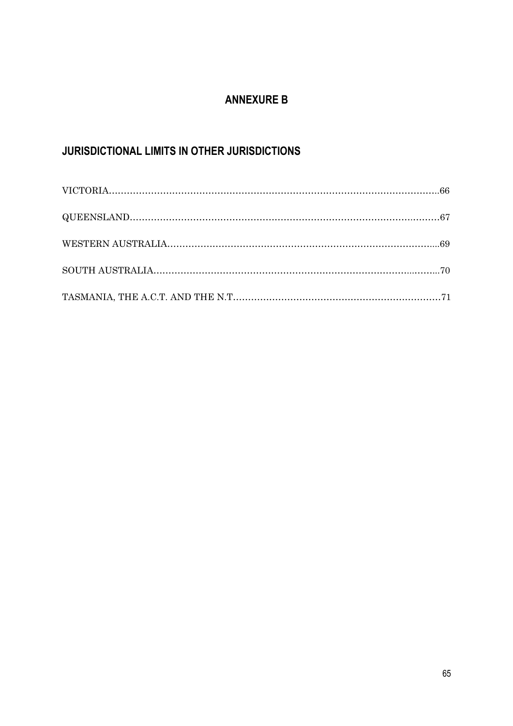# **ANNEXURE B**

# **JURISDICTIONAL LIMITS IN OTHER JURISDICTIONS**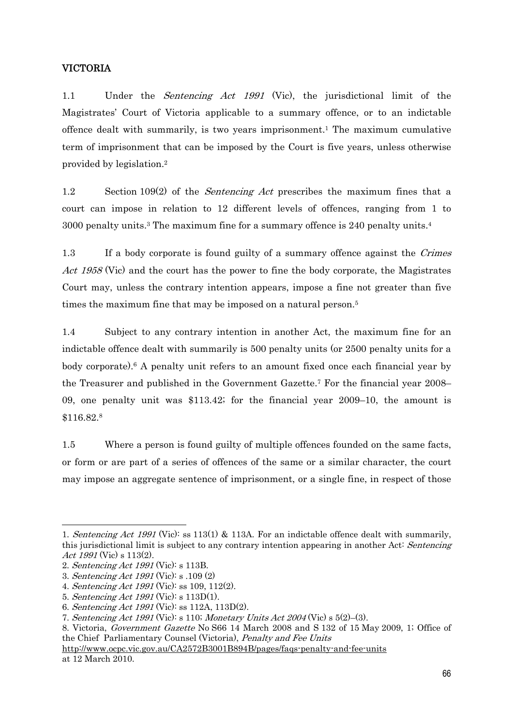#### VICTORIA

1.1 Under the Sentencing Act 1991 (Vic), the jurisdictional limit of the Magistrates' Court of Victoria applicable to a summary offence, or to an indictable offence dealt with summarily, is two years imprisonment.1 The maximum cumulative term of imprisonment that can be imposed by the Court is five years, unless otherwise provided by legislation.2

1.2 Section 109(2) of the *Sentencing Act* prescribes the maximum fines that a court can impose in relation to 12 different levels of offences, ranging from 1 to 3000 penalty units.3 The maximum fine for a summary offence is 240 penalty units.4

1.3 If a body corporate is found guilty of a summary offence against the *Crimes* Act 1958 (Vic) and the court has the power to fine the body corporate, the Magistrates Court may, unless the contrary intention appears, impose a fine not greater than five times the maximum fine that may be imposed on a natural person.<sup>5</sup>

1.4 Subject to any contrary intention in another Act, the maximum fine for an indictable offence dealt with summarily is 500 penalty units (or 2500 penalty units for a body corporate).6 A penalty unit refers to an amount fixed once each financial year by the Treasurer and published in the Government Gazette.7 For the financial year 2008– 09, one penalty unit was \$113.42; for the financial year 2009–10, the amount is \$116.82.8

1.5 Where a person is found guilty of multiple offences founded on the same facts, or form or are part of a series of offences of the same or a similar character, the court may impose an aggregate sentence of imprisonment, or a single fine, in respect of those

<sup>1.</sup> Sentencing Act 1991 (Vic): ss 113(1) & 113A. For an indictable offence dealt with summarily, this jurisdictional limit is subject to any contrary intention appearing in another Act: Sentencing Act 1991 (Vic) s 113(2).

<sup>2.</sup> Sentencing Act 1991 (Vic): s 113B.

<sup>3.</sup> Sentencing Act 1991 (Vic): s .109 (2)

<sup>4.</sup> Sentencing Act 1991 (Vic): ss 109, 112(2).

<sup>5.</sup> Sentencing Act 1991 (Vic): s 113D(1).

<sup>6.</sup> Sentencing Act 1991 (Vic): ss 112A, 113D(2).

<sup>7.</sup> Sentencing Act 1991 (Vic): s 110; Monetary Units Act 2004 (Vic) s 5(2)–(3).

<sup>8.</sup> Victoria, Government Gazette No S66 14 March 2008 and S 132 of 15 May 2009, 1; Office of the Chief Parliamentary Counsel (Victoria), Penalty and Fee Units

http://www.ocpc.vic.gov.au/CA2572B3001B894B/pages/faqs-penalty-and-fee-units at 12 March 2010.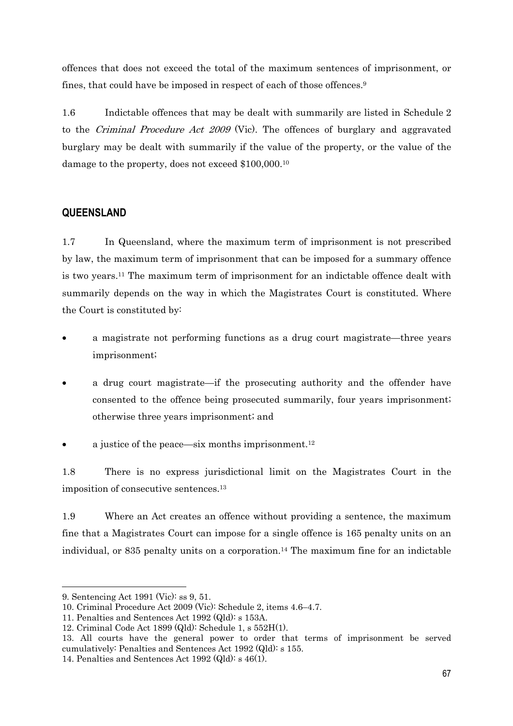offences that does not exceed the total of the maximum sentences of imprisonment, or fines, that could have be imposed in respect of each of those offences.9

1.6 Indictable offences that may be dealt with summarily are listed in Schedule 2 to the Criminal Procedure Act 2009 (Vic). The offences of burglary and aggravated burglary may be dealt with summarily if the value of the property, or the value of the damage to the property, does not exceed \$100,000.10

### **QUEENSLAND**

1.7 In Queensland, where the maximum term of imprisonment is not prescribed by law, the maximum term of imprisonment that can be imposed for a summary offence is two years.11 The maximum term of imprisonment for an indictable offence dealt with summarily depends on the way in which the Magistrates Court is constituted. Where the Court is constituted by:

- a magistrate not performing functions as a drug court magistrate—three years imprisonment;
- a drug court magistrate—if the prosecuting authority and the offender have consented to the offence being prosecuted summarily, four years imprisonment; otherwise three years imprisonment; and
- a justice of the peace—six months imprisonment.12

1.8 There is no express jurisdictional limit on the Magistrates Court in the imposition of consecutive sentences.13

1.9 Where an Act creates an offence without providing a sentence, the maximum fine that a Magistrates Court can impose for a single offence is 165 penalty units on an individual, or 835 penalty units on a corporation.<sup>14</sup> The maximum fine for an indictable

 $\overline{a}$ 

<sup>9.</sup> Sentencing Act 1991 (Vic): ss 9, 51.

<sup>10.</sup> Criminal Procedure Act 2009 (Vic): Schedule 2, items 4.6–4.7.

<sup>11.</sup> Penalties and Sentences Act 1992 (Qld): s 153A.

<sup>12.</sup> Criminal Code Act 1899 (Qld): Schedule 1, s 552H(1).

<sup>13.</sup> All courts have the general power to order that terms of imprisonment be served cumulatively: Penalties and Sentences Act 1992 (Qld): s 155.

<sup>14.</sup> Penalties and Sentences Act 1992 (Qld): s 46(1).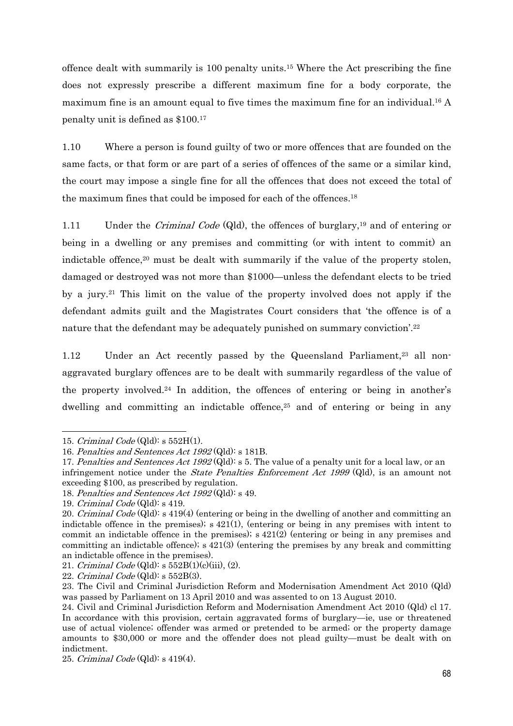offence dealt with summarily is 100 penalty units.15 Where the Act prescribing the fine does not expressly prescribe a different maximum fine for a body corporate, the maximum fine is an amount equal to five times the maximum fine for an individual.16 A penalty unit is defined as \$100.17

1.10 Where a person is found guilty of two or more offences that are founded on the same facts, or that form or are part of a series of offences of the same or a similar kind, the court may impose a single fine for all the offences that does not exceed the total of the maximum fines that could be imposed for each of the offences.18

1.11 Under the *Criminal Code* (Qld), the offences of burglary,<sup>19</sup> and of entering or being in a dwelling or any premises and committing (or with intent to commit) an indictable offence,20 must be dealt with summarily if the value of the property stolen, damaged or destroyed was not more than \$1000—unless the defendant elects to be tried by a jury.21 This limit on the value of the property involved does not apply if the defendant admits guilt and the Magistrates Court considers that 'the offence is of a nature that the defendant may be adequately punished on summary conviction'.22

1.12 Under an Act recently passed by the Queensland Parliament,<sup>23</sup> all nonaggravated burglary offences are to be dealt with summarily regardless of the value of the property involved.24 In addition, the offences of entering or being in another's dwelling and committing an indictable offence,<sup>25</sup> and of entering or being in any

<sup>15.</sup> Criminal Code  $(QId)$ : s 552H $(1)$ .

<sup>16.</sup> Penalties and Sentences Act 1992 (Qld): s 181B.

<sup>17.</sup> Penalties and Sentences Act 1992 (Qld): s 5. The value of a penalty unit for a local law, or an infringement notice under the State Penalties Enforcement Act 1999 (Qld), is an amount not exceeding \$100, as prescribed by regulation.

<sup>18.</sup> Penalties and Sentences Act  $1992 \text{ (Qld)}$ : s 49.

<sup>19.</sup> Criminal Code (Qld): s 419.

<sup>20.</sup> Criminal Code (Qld): s 419(4) (entering or being in the dwelling of another and committing an indictable offence in the premises);  $s$  421(1), (entering or being in any premises with intent to commit an indictable offence in the premises);  $s$  421(2) (entering or being in any premises and committing an indictable offence); s 421(3) (entering the premises by any break and committing an indictable offence in the premises).

<sup>21.</sup> Criminal Code  $(QId)$ : s  $552B(1)(c)(iii)$ ,  $(2)$ .

<sup>22.</sup> Criminal Code  $(QId)$ : s 552B $(3)$ .

<sup>23.</sup> The Civil and Criminal Jurisdiction Reform and Modernisation Amendment Act 2010 (Qld) was passed by Parliament on 13 April 2010 and was assented to on 13 August 2010.

<sup>24.</sup> Civil and Criminal Jurisdiction Reform and Modernisation Amendment Act 2010 (Qld) cl 17. In accordance with this provision, certain aggravated forms of burglary—ie, use or threatened use of actual violence; offender was armed or pretended to be armed; or the property damage amounts to \$30,000 or more and the offender does not plead guilty—must be dealt with on indictment.

<sup>25.</sup> Criminal Code (Qld): s 419(4).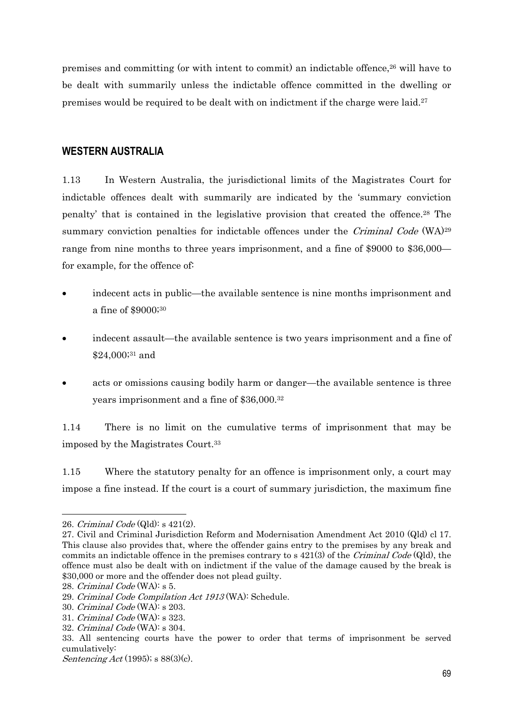premises and committing (or with intent to commit) an indictable offence,26 will have to be dealt with summarily unless the indictable offence committed in the dwelling or premises would be required to be dealt with on indictment if the charge were laid.27

#### **WESTERN AUSTRALIA**

1.13 In Western Australia, the jurisdictional limits of the Magistrates Court for indictable offences dealt with summarily are indicated by the 'summary conviction penalty' that is contained in the legislative provision that created the offence.28 The summary conviction penalties for indictable offences under the Criminal Code (WA)<sup>29</sup> range from nine months to three years imprisonment, and a fine of \$9000 to \$36,000 for example, for the offence of:

- indecent acts in public—the available sentence is nine months imprisonment and a fine of \$9000;30
- indecent assault—the available sentence is two years imprisonment and a fine of \$24,000;31 and
- acts or omissions causing bodily harm or danger—the available sentence is three years imprisonment and a fine of \$36,000.32

1.14 There is no limit on the cumulative terms of imprisonment that may be imposed by the Magistrates Court.33

1.15 Where the statutory penalty for an offence is imprisonment only, a court may impose a fine instead. If the court is a court of summary jurisdiction, the maximum fine

<sup>26.</sup> Criminal Code (Qld): s 421(2).

<sup>27.</sup> Civil and Criminal Jurisdiction Reform and Modernisation Amendment Act 2010 (Qld) cl 17. This clause also provides that, where the offender gains entry to the premises by any break and commits an indictable offence in the premises contrary to s  $421(3)$  of the Criminal Code (Qld), the offence must also be dealt with on indictment if the value of the damage caused by the break is \$30,000 or more and the offender does not plead guilty.

<sup>28.</sup> Criminal Code (WA): s 5.

<sup>29.</sup> Criminal Code Compilation Act 1913 (WA): Schedule.

<sup>30.</sup> Criminal Code (WA): s 203.

<sup>31.</sup> Criminal Code (WA): s 323.

<sup>32.</sup> Criminal Code (WA): s 304.

<sup>33.</sup> All sentencing courts have the power to order that terms of imprisonment be served cumulatively:

Sentencing Act (1995); s 88(3)(c).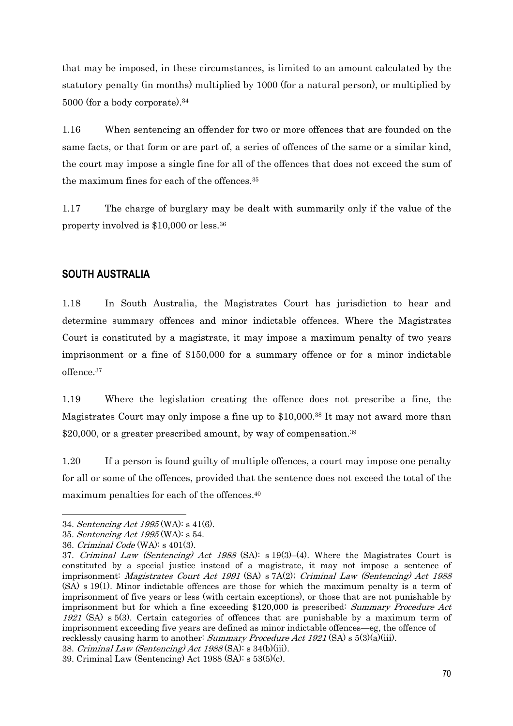that may be imposed, in these circumstances, is limited to an amount calculated by the statutory penalty (in months) multiplied by 1000 (for a natural person), or multiplied by 5000 (for a body corporate).<sup>34</sup>

1.16 When sentencing an offender for two or more offences that are founded on the same facts, or that form or are part of, a series of offences of the same or a similar kind, the court may impose a single fine for all of the offences that does not exceed the sum of the maximum fines for each of the offences.35

1.17 The charge of burglary may be dealt with summarily only if the value of the property involved is \$10,000 or less.36

### **SOUTH AUSTRALIA**

1.18 In South Australia, the Magistrates Court has jurisdiction to hear and determine summary offences and minor indictable offences. Where the Magistrates Court is constituted by a magistrate, it may impose a maximum penalty of two years imprisonment or a fine of \$150,000 for a summary offence or for a minor indictable offence.37

1.19 Where the legislation creating the offence does not prescribe a fine, the Magistrates Court may only impose a fine up to \$10,000.38 It may not award more than \$20,000, or a greater prescribed amount, by way of compensation.<sup>39</sup>

1.20 If a person is found guilty of multiple offences, a court may impose one penalty for all or some of the offences, provided that the sentence does not exceed the total of the maximum penalties for each of the offences.40

<sup>34.</sup> Sentencing Act 1995 (WA): s 41(6).

<sup>35.</sup> Sentencing Act 1995 (WA): s 54.

<sup>36.</sup> Criminal Code (WA): s 401(3).

<sup>37.</sup> Criminal Law (Sentencing) Act 1988 (SA): s 19(3)–(4). Where the Magistrates Court is constituted by a special justice instead of a magistrate, it may not impose a sentence of imprisonment: Magistrates Court Act 1991 (SA) s 7A(2); Criminal Law (Sentencing) Act 1988 (SA) s 19(1). Minor indictable offences are those for which the maximum penalty is a term of imprisonment of five years or less (with certain exceptions), or those that are not punishable by imprisonment but for which a fine exceeding \$120,000 is prescribed: Summary Procedure Act 1921 (SA) s 5(3). Certain categories of offences that are punishable by a maximum term of imprisonment exceeding five years are defined as minor indictable offences—eg, the offence of recklessly causing harm to another: Summary Procedure Act 1921 (SA) s  $5(3)(a)(iii)$ . 38. Criminal Law (Sentencing) Act 1988 (SA): s 34(b)(iii).

<sup>39.</sup> Criminal Law (Sentencing) Act 1988 (SA): s 53(5)(c).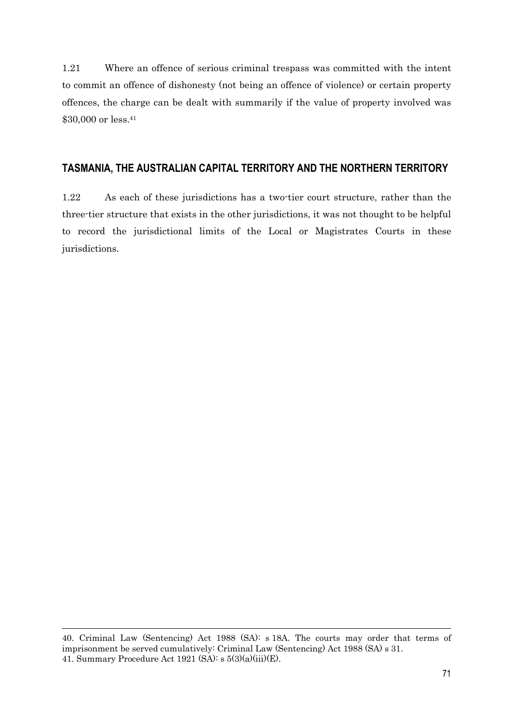1.21 Where an offence of serious criminal trespass was committed with the intent to commit an offence of dishonesty (not being an offence of violence) or certain property offences, the charge can be dealt with summarily if the value of property involved was \$30,000 or less.<sup>41</sup>

### **TASMANIA, THE AUSTRALIAN CAPITAL TERRITORY AND THE NORTHERN TERRITORY**

1.22 As each of these jurisdictions has a two-tier court structure, rather than the three-tier structure that exists in the other jurisdictions, it was not thought to be helpful to record the jurisdictional limits of the Local or Magistrates Courts in these jurisdictions.

 $\overline{a}$ 

<sup>40.</sup> Criminal Law (Sentencing) Act 1988 (SA): s 18A. The courts may order that terms of imprisonment be served cumulatively: Criminal Law (Sentencing) Act 1988 (SA) s 31. 41. Summary Procedure Act 1921 (SA):  $s$  5(3)(a)(iii)(E).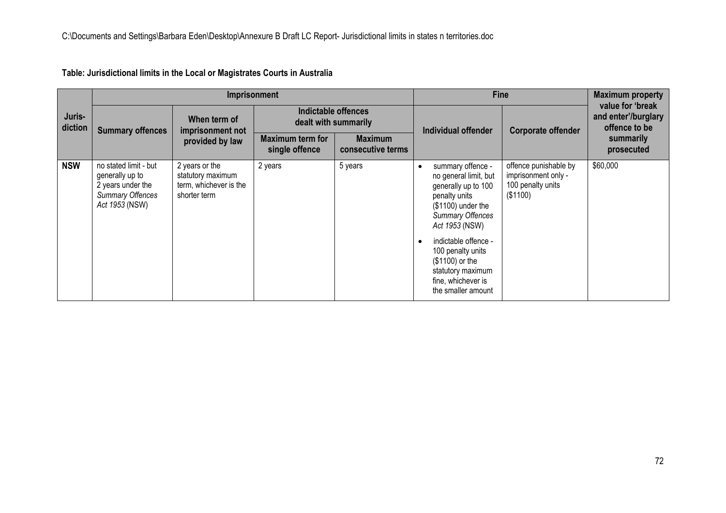|                   |                                                                                                            | Imprisonment                                                                  |                                           | <b>Fine</b>                         | <b>Maximum property</b>                                                                                                                                                                                                                                                                              |                                                                               |                                                          |
|-------------------|------------------------------------------------------------------------------------------------------------|-------------------------------------------------------------------------------|-------------------------------------------|-------------------------------------|------------------------------------------------------------------------------------------------------------------------------------------------------------------------------------------------------------------------------------------------------------------------------------------------------|-------------------------------------------------------------------------------|----------------------------------------------------------|
| Juris-<br>diction | <b>Summary offences</b>                                                                                    | When term of<br>imprisonment not                                              | dealt with summarily                      | Indictable offences                 | Individual offender                                                                                                                                                                                                                                                                                  | <b>Corporate offender</b>                                                     | value for 'break<br>and enter'/burglary<br>offence to be |
|                   |                                                                                                            | provided by law                                                               | <b>Maximum term for</b><br>single offence | <b>Maximum</b><br>consecutive terms |                                                                                                                                                                                                                                                                                                      |                                                                               | summarily<br>prosecuted                                  |
| <b>NSW</b>        | no stated limit - but<br>generally up to<br>2 years under the<br><b>Summary Offences</b><br>Act 1953 (NSW) | 2 years or the<br>statutory maximum<br>term, whichever is the<br>shorter term | 2 years                                   | 5 years                             | summary offence -<br>$\bullet$<br>no general limit, but<br>generally up to 100<br>penalty units<br>$($1100)$ under the<br><b>Summary Offences</b><br>Act 1953 (NSW)<br>indictable offence -<br>100 penalty units<br>(\$1100) or the<br>statutory maximum<br>fine, whichever is<br>the smaller amount | offence punishable by<br>imprisonment only -<br>100 penalty units<br>(\$1100) | \$60,000                                                 |

**Table: Jurisdictional limits in the Local or Magistrates Courts in Australia**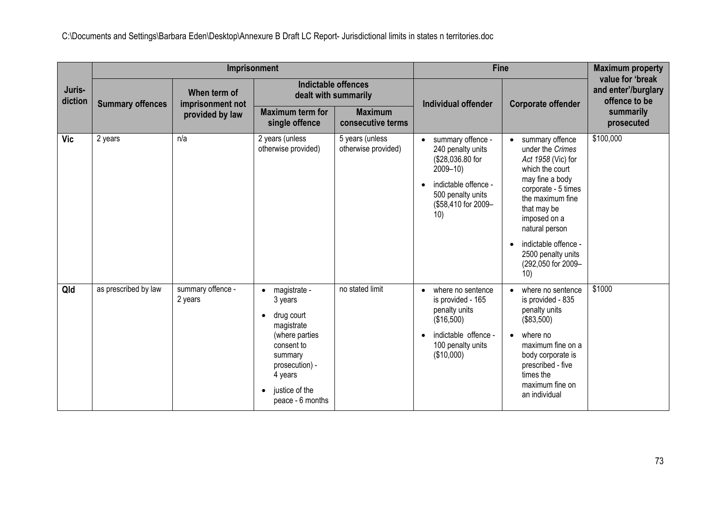|                   |                         |                                  | Imprisonment                                                                                                                                                                                             |                                        | <b>Fine</b>                                                                                                                                          | <b>Maximum property</b>                                                                                                                                                                                                                                                             |                                                          |
|-------------------|-------------------------|----------------------------------|----------------------------------------------------------------------------------------------------------------------------------------------------------------------------------------------------------|----------------------------------------|------------------------------------------------------------------------------------------------------------------------------------------------------|-------------------------------------------------------------------------------------------------------------------------------------------------------------------------------------------------------------------------------------------------------------------------------------|----------------------------------------------------------|
| Juris-<br>diction | <b>Summary offences</b> | When term of<br>imprisonment not | dealt with summarily                                                                                                                                                                                     | Indictable offences                    | Individual offender                                                                                                                                  | <b>Corporate offender</b>                                                                                                                                                                                                                                                           | value for 'break<br>and enter'/burglary<br>offence to be |
|                   |                         | provided by law                  | <b>Maximum term for</b><br>single offence                                                                                                                                                                | <b>Maximum</b><br>consecutive terms    |                                                                                                                                                      |                                                                                                                                                                                                                                                                                     | summarily<br>prosecuted                                  |
| <b>Vic</b>        | 2 years                 | n/a                              | 2 years (unless<br>otherwise provided)                                                                                                                                                                   | 5 years (unless<br>otherwise provided) | summary offence -<br>240 penalty units<br>(\$28,036.80 for<br>$2009 - 10$<br>indictable offence -<br>500 penalty units<br>(\$58,410 for 2009-<br>10) | summary offence<br>$\bullet$<br>under the Crimes<br>Act 1958 (Vic) for<br>which the court<br>may fine a body<br>corporate - 5 times<br>the maximum fine<br>that may be<br>imposed on a<br>natural person<br>indictable offence -<br>2500 penalty units<br>(292,050 for 2009-<br>10) | \$100,000                                                |
| Qld               | as prescribed by law    | summary offence -<br>2 years     | magistrate -<br>$\bullet$<br>3 years<br>drug court<br>$\bullet$<br>magistrate<br>(where parties<br>consent to<br>summary<br>prosecution) -<br>4 years<br>justice of the<br>$\bullet$<br>peace - 6 months | no stated limit                        | where no sentence<br>is provided - 165<br>penalty units<br>(\$16,500)<br>indictable offence -<br>100 penalty units<br>(\$10,000)                     | where no sentence<br>$\bullet$<br>is provided - 835<br>penalty units<br>(\$83,500)<br>where no<br>$\bullet$<br>maximum fine on a<br>body corporate is<br>prescribed - five<br>times the<br>maximum fine on<br>an individual                                                         | \$1000                                                   |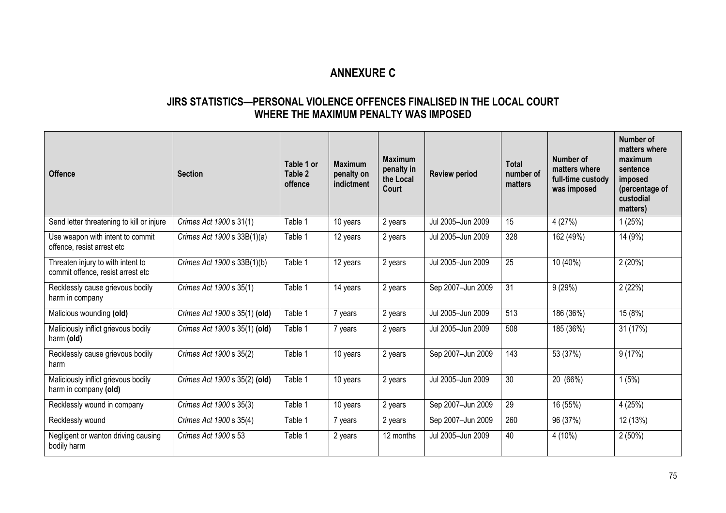# **ANNEXURE C**

### **JIRS STATISTICS—PERSONAL VIOLENCE OFFENCES FINALISED IN THE LOCAL COURT WHERE THE MAXIMUM PENALTY WAS IMPOSED**

| <b>Offence</b>                                                         | <b>Section</b>                | Table 1 or<br>Table 2<br>offence | <b>Maximum</b><br>penalty on<br>indictment | <b>Maximum</b><br>penalty in<br>the Local<br>Court | <b>Review period</b> | <b>Total</b><br>number of<br>matters | Number of<br>matters where<br>full-time custody<br>was imposed | <b>Number of</b><br>matters where<br>maximum<br>sentence<br>imposed<br>(percentage of<br>custodial<br>matters) |
|------------------------------------------------------------------------|-------------------------------|----------------------------------|--------------------------------------------|----------------------------------------------------|----------------------|--------------------------------------|----------------------------------------------------------------|----------------------------------------------------------------------------------------------------------------|
| Send letter threatening to kill or injure                              | Crimes Act 1900 s 31(1)       | Table 1                          | 10 years                                   | 2 years                                            | Jul 2005-Jun 2009    | 15                                   | 4(27%)                                                         | 1(25%)                                                                                                         |
| Use weapon with intent to commit<br>offence, resist arrest etc         | Crimes Act 1900 s 33B(1)(a)   | Table 1                          | 12 years                                   | 2 years                                            | Jul 2005-Jun 2009    | 328                                  | 162 (49%)                                                      | 14 (9%)                                                                                                        |
| Threaten injury to with intent to<br>commit offence, resist arrest etc | Crimes Act 1900 s 33B(1)(b)   | Table 1                          | 12 years                                   | 2 years                                            | Jul 2005-Jun 2009    | $\overline{25}$                      | 10(40%)                                                        | 2(20%)                                                                                                         |
| Recklessly cause grievous bodily<br>harm in company                    | Crimes Act 1900 s 35(1)       | Table 1                          | 14 years                                   | 2 years                                            | Sep 2007-Jun 2009    | 31                                   | 9(29%)                                                         | 2(22%)                                                                                                         |
| Malicious wounding (old)                                               | Crimes Act 1900 s 35(1) (old) | Table 1                          | 7 years                                    | 2 years                                            | Jul 2005-Jun 2009    | 513                                  | 186 (36%)                                                      | 15 (8%)                                                                                                        |
| Maliciously inflict grievous bodily<br>harm (old)                      | Crimes Act 1900 s 35(1) (old) | Table 1                          | 7 years                                    | 2 years                                            | Jul 2005-Jun 2009    | 508                                  | 185 (36%)                                                      | 31 (17%)                                                                                                       |
| Recklessly cause grievous bodily<br>harm                               | Crimes Act 1900 s 35(2)       | Table 1                          | 10 years                                   | 2 years                                            | Sep 2007-Jun 2009    | 143                                  | 53 (37%)                                                       | 9(17%)                                                                                                         |
| Maliciously inflict grievous bodily<br>harm in company (old)           | Crimes Act 1900 s 35(2) (old) | Table 1                          | 10 years                                   | 2 years                                            | Jul 2005-Jun 2009    | 30                                   | 20 (66%)                                                       | 1(5%)                                                                                                          |
| Recklessly wound in company                                            | Crimes Act 1900 s 35(3)       | Table 1                          | 10 years                                   | 2 years                                            | Sep 2007-Jun 2009    | 29                                   | 16 (55%)                                                       | 4(25%)                                                                                                         |
| Recklessly wound                                                       | Crimes Act 1900 s 35(4)       | Table 1                          | 7 years                                    | 2 years                                            | Sep 2007-Jun 2009    | 260                                  | 96 (37%)                                                       | 12 (13%)                                                                                                       |
| Negligent or wanton driving causing<br>bodily harm                     | Crimes Act 1900 s 53          | Table 1                          | 2 years                                    | 12 months                                          | Jul 2005-Jun 2009    | 40                                   | 4 (10%)                                                        | $2(50\%)$                                                                                                      |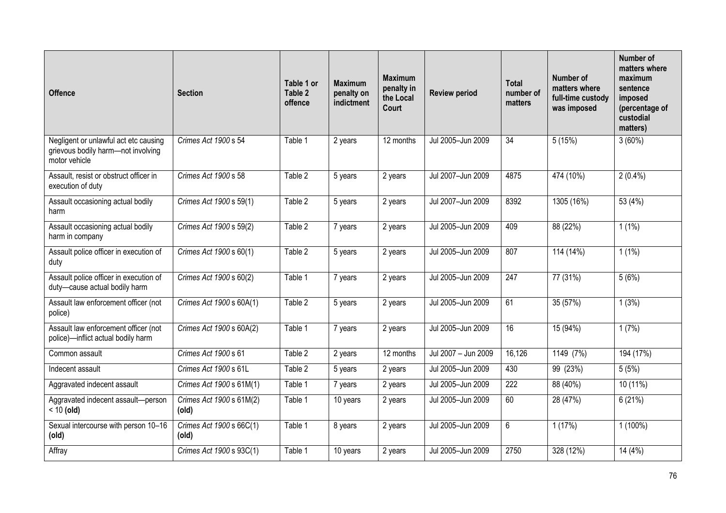| <b>Offence</b>                                                                               | <b>Section</b>                    | Table 1 or<br>Table 2<br>offence | <b>Maximum</b><br>penalty on<br>indictment | <b>Maximum</b><br>penalty in<br>the Local<br>Court | <b>Review period</b> | <b>Total</b><br>number of<br>matters | Number of<br>matters where<br>full-time custody<br>was imposed | <b>Number of</b><br>matters where<br>maximum<br>sentence<br>imposed<br>(percentage of<br>custodial<br>matters) |
|----------------------------------------------------------------------------------------------|-----------------------------------|----------------------------------|--------------------------------------------|----------------------------------------------------|----------------------|--------------------------------------|----------------------------------------------------------------|----------------------------------------------------------------------------------------------------------------|
| Negligent or unlawful act etc causing<br>grievous bodily harm-not involving<br>motor vehicle | Crimes Act 1900 s 54              | Table 1                          | 2 years                                    | 12 months                                          | Jul 2005-Jun 2009    | $\overline{34}$                      | 5(15%)                                                         | 3(60%)                                                                                                         |
| Assault, resist or obstruct officer in<br>execution of duty                                  | Crimes Act 1900 s 58              | Table 2                          | 5 years                                    | 2 years                                            | Jul 2007-Jun 2009    | 4875                                 | 474 (10%)                                                      | $2(0.4\%)$                                                                                                     |
| Assault occasioning actual bodily<br>harm                                                    | Crimes Act 1900 s 59(1)           | Table 2                          | 5 years                                    | 2 years                                            | Jul 2007-Jun 2009    | 8392                                 | 1305 (16%)                                                     | 53 (4%)                                                                                                        |
| Assault occasioning actual bodily<br>harm in company                                         | Crimes Act 1900 s 59(2)           | Table 2                          | 7 years                                    | 2 years                                            | Jul 2005-Jun 2009    | 409                                  | 88 (22%)                                                       | $1(1\%)$                                                                                                       |
| Assault police officer in execution of<br>duty                                               | Crimes Act 1900 s 60(1)           | Table 2                          | 5 years                                    | 2 years                                            | Jul 2005-Jun 2009    | 807                                  | 114 (14%)                                                      | $1(1\%)$                                                                                                       |
| Assault police officer in execution of<br>duty-cause actual bodily harm                      | Crimes Act 1900 s 60(2)           | Table 1                          | 7 years                                    | 2 years                                            | Jul 2005-Jun 2009    | 247                                  | 77 (31%)                                                       | 5(6%)                                                                                                          |
| Assault law enforcement officer (not<br>police)                                              | Crimes Act 1900 s 60A(1)          | Table 2                          | 5 years                                    | 2 years                                            | Jul 2005-Jun 2009    | 61                                   | 35(57%)                                                        | 1(3%)                                                                                                          |
| Assault law enforcement officer (not<br>police)-inflict actual bodily harm                   | Crimes Act 1900 s 60A(2)          | Table 1                          | 7 years                                    | 2 years                                            | Jul 2005-Jun 2009    | 16                                   | 15 (94%)                                                       | 1(7%)                                                                                                          |
| Common assault                                                                               | Crimes Act 1900 s 61              | Table 2                          | 2 years                                    | 12 months                                          | Jul 2007 - Jun 2009  | 16,126                               | 1149(7%)                                                       | 194 (17%)                                                                                                      |
| Indecent assault                                                                             | Crimes Act 1900 s 61L             | Table 2                          | 5 years                                    | 2 years                                            | Jul 2005-Jun 2009    | 430                                  | 99 (23%)                                                       | 5(5%)                                                                                                          |
| Aggravated indecent assault                                                                  | Crimes Act 1900 s 61M(1)          | Table 1                          | 7 years                                    | 2 years                                            | Jul 2005-Jun 2009    | 222                                  | 88 (40%)                                                       | $10(11\%)$                                                                                                     |
| Aggravated indecent assault-person<br>$< 10$ (old)                                           | Crimes Act 1900 s 61M(2)<br>(old) | Table 1                          | 10 years                                   | 2 years                                            | Jul 2005-Jun 2009    | 60                                   | 28 (47%)                                                       | 6(21%)                                                                                                         |
| Sexual intercourse with person 10-16<br>(old)                                                | Crimes Act 1900 s 66C(1)<br>(old) | Table 1                          | 8 years                                    | 2 years                                            | Jul 2005-Jun 2009    | $6\phantom{.}$                       | 1(17%)                                                         | $1(100\%)$                                                                                                     |
| Affray                                                                                       | Crimes Act 1900 s 93C(1)          | Table 1                          | 10 years                                   | 2 years                                            | Jul 2005-Jun 2009    | 2750                                 | 328 (12%)                                                      | 14(4%)                                                                                                         |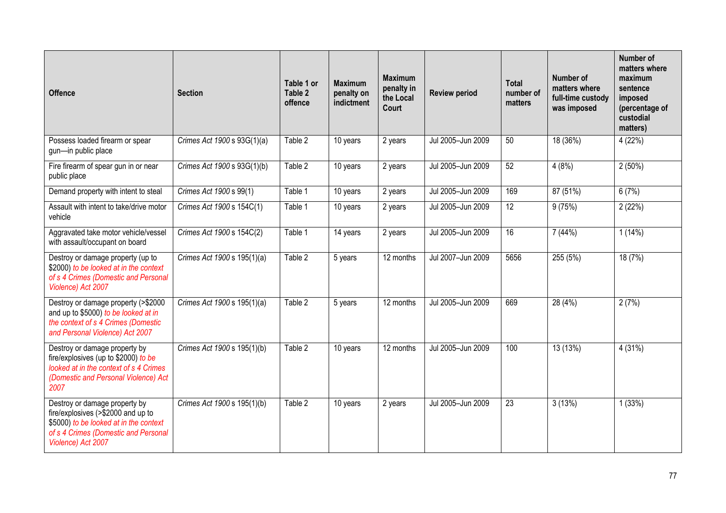| <b>Offence</b>                                                                                                                                                              | <b>Section</b>              | Table 1 or<br>Table 2<br>offence | <b>Maximum</b><br>penalty on<br>indictment | <b>Maximum</b><br>penalty in<br>the Local<br>Court | <b>Review period</b> | <b>Total</b><br>number of<br>matters | Number of<br>matters where<br>full-time custody<br>was imposed | Number of<br>matters where<br>maximum<br>sentence<br>imposed<br>(percentage of<br>custodial<br>matters) |
|-----------------------------------------------------------------------------------------------------------------------------------------------------------------------------|-----------------------------|----------------------------------|--------------------------------------------|----------------------------------------------------|----------------------|--------------------------------------|----------------------------------------------------------------|---------------------------------------------------------------------------------------------------------|
| Possess loaded firearm or spear<br>gun-in public place                                                                                                                      | Crimes Act 1900 s 93G(1)(a) | Table 2                          | 10 years                                   | 2 years                                            | Jul 2005-Jun 2009    | 50                                   | 18 (36%)                                                       | 4(22%)                                                                                                  |
| Fire firearm of spear gun in or near<br>public place                                                                                                                        | Crimes Act 1900 s 93G(1)(b) | Table 2                          | 10 years                                   | 2 years                                            | Jul 2005-Jun 2009    | 52                                   | 4(8%)                                                          | 2(50%)                                                                                                  |
| Demand property with intent to steal                                                                                                                                        | Crimes Act 1900 s 99(1)     | Table 1                          | 10 years                                   | 2 years                                            | Jul 2005-Jun 2009    | 169                                  | 87 (51%)                                                       | 6(7%)                                                                                                   |
| Assault with intent to take/drive motor<br>vehicle                                                                                                                          | Crimes Act 1900 s 154C(1)   | Table 1                          | 10 years                                   | 2 years                                            | Jul 2005-Jun 2009    | $\overline{12}$                      | 9(75%)                                                         | 2(22%)                                                                                                  |
| Aggravated take motor vehicle/vessel<br>with assault/occupant on board                                                                                                      | Crimes Act 1900 s 154C(2)   | Table 1                          | 14 years                                   | 2 years                                            | Jul 2005-Jun 2009    | 16                                   | 7(44%)                                                         | 1(14%)                                                                                                  |
| Destroy or damage property (up to<br>\$2000) to be looked at in the context<br>of s 4 Crimes (Domestic and Personal<br>Violence) Act 2007                                   | Crimes Act 1900 s 195(1)(a) | Table 2                          | 5 years                                    | 12 months                                          | Jul 2007-Jun 2009    | 5656                                 | 255 (5%)                                                       | 18(7%)                                                                                                  |
| Destroy or damage property (>\$2000<br>and up to \$5000) to be looked at in<br>the context of s 4 Crimes (Domestic<br>and Personal Violence) Act 2007                       | Crimes Act 1900 s 195(1)(a) | Table 2                          | 5 years                                    | 12 months                                          | Jul 2005-Jun 2009    | 669                                  | 28(4%)                                                         | 2(7%)                                                                                                   |
| Destroy or damage property by<br>fire/explosives (up to \$2000) to be<br>looked at in the context of s 4 Crimes<br>(Domestic and Personal Violence) Act<br>2007             | Crimes Act 1900 s 195(1)(b) | Table 2                          | 10 years                                   | 12 months                                          | Jul 2005-Jun 2009    | 100                                  | 13 (13%)                                                       | 4 (31%)                                                                                                 |
| Destroy or damage property by<br>fire/explosives (>\$2000 and up to<br>\$5000) to be looked at in the context<br>of s 4 Crimes (Domestic and Personal<br>Violence) Act 2007 | Crimes Act 1900 s 195(1)(b) | Table 2                          | 10 years                                   | 2 years                                            | Jul 2005-Jun 2009    | $\overline{23}$                      | 3(13%)                                                         | 1(33%)                                                                                                  |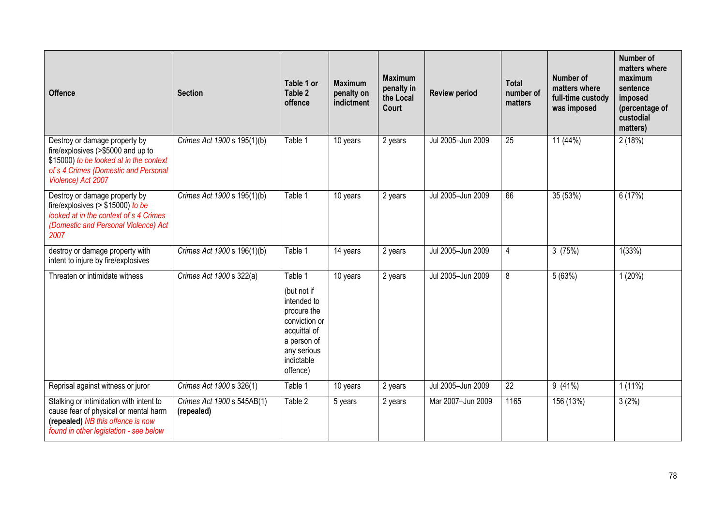| <b>Offence</b>                                                                                                                                                               | <b>Section</b>                           | Table 1 or<br>Table 2<br>offence                                                                                                              | <b>Maximum</b><br>penalty on<br>indictment | <b>Maximum</b><br>penalty in<br>the Local<br><b>Court</b> | <b>Review period</b> | <b>Total</b><br>number of<br>matters | Number of<br>matters where<br>full-time custody<br>was imposed | <b>Number of</b><br>matters where<br>maximum<br>sentence<br>imposed<br>(percentage of<br>custodial<br>matters) |
|------------------------------------------------------------------------------------------------------------------------------------------------------------------------------|------------------------------------------|-----------------------------------------------------------------------------------------------------------------------------------------------|--------------------------------------------|-----------------------------------------------------------|----------------------|--------------------------------------|----------------------------------------------------------------|----------------------------------------------------------------------------------------------------------------|
| Destroy or damage property by<br>fire/explosives (>\$5000 and up to<br>\$15000) to be looked at in the context<br>of s 4 Crimes (Domestic and Personal<br>Violence) Act 2007 | Crimes Act 1900 s 195(1)(b)              | Table 1                                                                                                                                       | 10 years                                   | $\overline{2}$ years                                      | Jul 2005-Jun 2009    | 25                                   | 11(44%)                                                        | 2(18%)                                                                                                         |
| Destroy or damage property by<br>fire/explosives ( $> $15000$ ) to be<br>looked at in the context of s 4 Crimes<br>(Domestic and Personal Violence) Act<br>2007              | Crimes Act 1900 s 195(1)(b)              | Table 1                                                                                                                                       | 10 years                                   | 2 years                                                   | Jul 2005-Jun 2009    | 66                                   | 35 (53%)                                                       | 6(17%)                                                                                                         |
| destroy or damage property with<br>intent to injure by fire/explosives                                                                                                       | Crimes Act 1900 s 196(1)(b)              | Table 1                                                                                                                                       | 14 years                                   | 2 years                                                   | Jul 2005-Jun 2009    | $\overline{4}$                       | 3(75%)                                                         | 1(33%)                                                                                                         |
| Threaten or intimidate witness                                                                                                                                               | Crimes Act 1900 s 322(a)                 | Table 1<br>(but not if<br>intended to<br>procure the<br>conviction or<br>acquittal of<br>a person of<br>any serious<br>indictable<br>offence) | 10 years                                   | 2 years                                                   | Jul 2005-Jun 2009    | 8                                    | 5(63%)                                                         | 1(20%)                                                                                                         |
| Reprisal against witness or juror                                                                                                                                            | Crimes Act 1900 s 326(1)                 | Table 1                                                                                                                                       | 10 years                                   | 2 years                                                   | Jul 2005-Jun 2009    | 22                                   | 9(41%)                                                         | $1(11\%)$                                                                                                      |
| Stalking or intimidation with intent to<br>cause fear of physical or mental harm<br>(repealed) NB this offence is now<br>found in other legislation - see below              | Crimes Act 1900 s 545AB(1)<br>(repealed) | Table 2                                                                                                                                       | 5 years                                    | 2 years                                                   | Mar 2007-Jun 2009    | 1165                                 | 156 (13%)                                                      | 3(2%)                                                                                                          |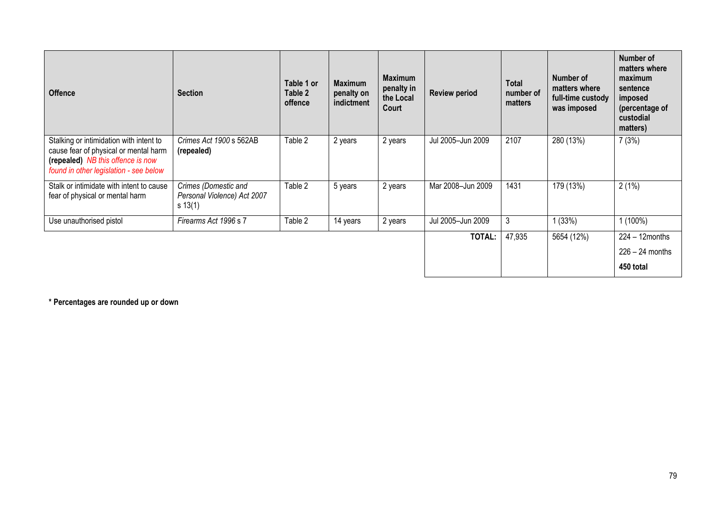| <b>Offence</b>                                                                                                                                                  | <b>Section</b>                                                      | Table 1 or<br>Table 2<br>offence | <b>Maximum</b><br>penalty on<br>indictment | <b>Maximum</b><br>penalty in<br>the Local<br>Court | <b>Review period</b> | Total<br>number of<br>matters | Number of<br>matters where<br>full-time custody<br>was imposed | Number of<br>matters where<br>maximum<br>sentence<br>imposed<br>(percentage of<br>custodial<br>matters) |
|-----------------------------------------------------------------------------------------------------------------------------------------------------------------|---------------------------------------------------------------------|----------------------------------|--------------------------------------------|----------------------------------------------------|----------------------|-------------------------------|----------------------------------------------------------------|---------------------------------------------------------------------------------------------------------|
| Stalking or intimidation with intent to<br>cause fear of physical or mental harm<br>(repealed) NB this offence is now<br>found in other legislation - see below | Crimes Act 1900 s 562AB<br>(repealed)                               | Table 2                          | 2 years                                    | 2 years                                            | Jul 2005-Jun 2009    | 2107                          | 280 (13%)                                                      | 7(3%)                                                                                                   |
| Stalk or intimidate with intent to cause<br>fear of physical or mental harm                                                                                     | Crimes (Domestic and<br>Personal Violence) Act 2007<br>$s \, 13(1)$ | Table 2                          | 5 years                                    | 2 years                                            | Mar 2008-Jun 2009    | 1431                          | 179 (13%)                                                      | 2(1%)                                                                                                   |
| Use unauthorised pistol                                                                                                                                         | Firearms Act 1996 s 7                                               | Table 2                          | 14 years                                   | 2 years                                            | Jul 2005-Jun 2009    | 3                             | (33%)                                                          | $1(100\%)$                                                                                              |
|                                                                                                                                                                 |                                                                     |                                  |                                            |                                                    | TOTAL:               | 47,935                        | 5654 (12%)                                                     | $224 - 12$ months<br>$226 - 24$ months                                                                  |
|                                                                                                                                                                 |                                                                     |                                  |                                            |                                                    |                      |                               |                                                                | 450 total                                                                                               |

**\* Percentages are rounded up or down**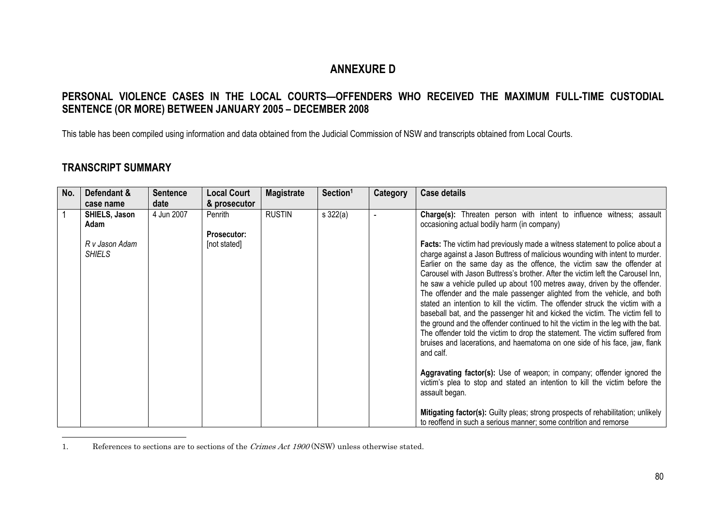## **ANNEXURE D**

## **PERSONAL VIOLENCE CASES IN THE LOCAL COURTS—OFFENDERS WHO RECEIVED THE MAXIMUM FULL-TIME CUSTODIAL SENTENCE (OR MORE) BETWEEN JANUARY 2005 – DECEMBER 2008**

This table has been compiled using information and data obtained from the Judicial Commission of NSW and transcripts obtained from Local Courts.

## **TRANSCRIPT SUMMARY**

| No. | Defendant &                     | <b>Sentence</b> | <b>Local Court</b>            | <b>Magistrate</b> | Section <sup>1</sup> | Category | <b>Case details</b>                                                                                                                                                                                                                                                                                                                                                                                                                                                                                                                                                                                                                                                                                                                                                                                                                                                                                                                                                                                                                                                                                                                                                                                                                                   |
|-----|---------------------------------|-----------------|-------------------------------|-------------------|----------------------|----------|-------------------------------------------------------------------------------------------------------------------------------------------------------------------------------------------------------------------------------------------------------------------------------------------------------------------------------------------------------------------------------------------------------------------------------------------------------------------------------------------------------------------------------------------------------------------------------------------------------------------------------------------------------------------------------------------------------------------------------------------------------------------------------------------------------------------------------------------------------------------------------------------------------------------------------------------------------------------------------------------------------------------------------------------------------------------------------------------------------------------------------------------------------------------------------------------------------------------------------------------------------|
|     | case name                       | date            | & prosecutor                  |                   |                      |          |                                                                                                                                                                                                                                                                                                                                                                                                                                                                                                                                                                                                                                                                                                                                                                                                                                                                                                                                                                                                                                                                                                                                                                                                                                                       |
|     | SHIELS, Jason<br>Adam           | 4 Jun 2007      | Penrith<br><b>Prosecutor:</b> | <b>RUSTIN</b>     | $s$ 322(a)           |          | Charge(s): Threaten person with intent to influence witness; assault<br>occasioning actual bodily harm (in company)                                                                                                                                                                                                                                                                                                                                                                                                                                                                                                                                                                                                                                                                                                                                                                                                                                                                                                                                                                                                                                                                                                                                   |
|     | R v Jason Adam<br><b>SHIELS</b> |                 | [not stated]                  |                   |                      |          | Facts: The victim had previously made a witness statement to police about a<br>charge against a Jason Buttress of malicious wounding with intent to murder.<br>Earlier on the same day as the offence, the victim saw the offender at<br>Carousel with Jason Buttress's brother. After the victim left the Carousel Inn,<br>he saw a vehicle pulled up about 100 metres away, driven by the offender.<br>The offender and the male passenger alighted from the vehicle, and both<br>stated an intention to kill the victim. The offender struck the victim with a<br>baseball bat, and the passenger hit and kicked the victim. The victim fell to<br>the ground and the offender continued to hit the victim in the leg with the bat.<br>The offender told the victim to drop the statement. The victim suffered from<br>bruises and lacerations, and haematoma on one side of his face, jaw, flank<br>and calf.<br>Aggravating factor(s): Use of weapon; in company; offender ignored the<br>victim's plea to stop and stated an intention to kill the victim before the<br>assault began.<br>Mitigating factor(s): Guilty pleas; strong prospects of rehabilitation; unlikely<br>to reoffend in such a serious manner; some contrition and remorse |

1. References to sections are to sections of the *Crimes Act 1900* (NSW) unless otherwise stated.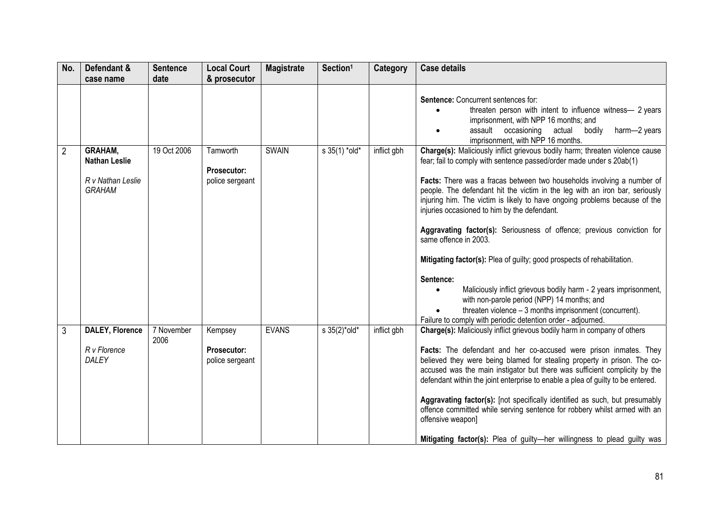| No. | Defendant &<br>case name                                              | <b>Sentence</b><br>date | <b>Local Court</b><br>& prosecutor               | <b>Magistrate</b> | Section <sup>1</sup> | <b>Category</b> | <b>Case details</b>                                                                                                                                                                                                                                                                                                                                                                                                                                                                                                                                                                                                                                     |
|-----|-----------------------------------------------------------------------|-------------------------|--------------------------------------------------|-------------------|----------------------|-----------------|---------------------------------------------------------------------------------------------------------------------------------------------------------------------------------------------------------------------------------------------------------------------------------------------------------------------------------------------------------------------------------------------------------------------------------------------------------------------------------------------------------------------------------------------------------------------------------------------------------------------------------------------------------|
|     |                                                                       |                         |                                                  |                   |                      |                 | Sentence: Concurrent sentences for:<br>threaten person with intent to influence witness- 2 years<br>imprisonment, with NPP 16 months; and<br>assault occasioning actual<br>bodily<br>harm-2 years<br>imprisonment, with NPP 16 months.                                                                                                                                                                                                                                                                                                                                                                                                                  |
| 2   | GRAHAM,<br><b>Nathan Leslie</b><br>R v Nathan Leslie<br><b>GRAHAM</b> | 19 Oct 2006             | Tamworth<br>Prosecutor:<br>police sergeant       | <b>SWAIN</b>      | s 35(1) *old*        | inflict gbh     | Charge(s): Maliciously inflict grievous bodily harm; threaten violence cause<br>fear; fail to comply with sentence passed/order made under s 20ab(1)<br>Facts: There was a fracas between two households involving a number of<br>people. The defendant hit the victim in the leg with an iron bar, seriously<br>injuring him. The victim is likely to have ongoing problems because of the<br>injuries occasioned to him by the defendant.<br>Aggravating factor(s): Seriousness of offence; previous conviction for<br>same offence in 2003.                                                                                                          |
|     |                                                                       |                         |                                                  |                   |                      |                 | Mitigating factor(s): Plea of guilty; good prospects of rehabilitation.<br>Sentence:<br>Maliciously inflict grievous bodily harm - 2 years imprisonment,<br>$\bullet$<br>with non-parole period (NPP) 14 months; and<br>threaten violence - 3 months imprisonment (concurrent).<br>Failure to comply with periodic detention order - adjourned.                                                                                                                                                                                                                                                                                                         |
| 3   | <b>DALEY, Florence</b><br>R v Florence<br>DALEY                       | 7 November<br>2006      | Kempsey<br><b>Prosecutor:</b><br>police sergeant | <b>EVANS</b>      | s 35(2)*old*         | inflict gbh     | Charge(s): Maliciously inflict grievous bodily harm in company of others<br>Facts: The defendant and her co-accused were prison inmates. They<br>believed they were being blamed for stealing property in prison. The co-<br>accused was the main instigator but there was sufficient complicity by the<br>defendant within the joint enterprise to enable a plea of guilty to be entered.<br>Aggravating factor(s): [not specifically identified as such, but presumably<br>offence committed while serving sentence for robbery whilst armed with an<br>offensive weapon]<br>Mitigating factor(s): Plea of guilty-her willingness to plead guilty was |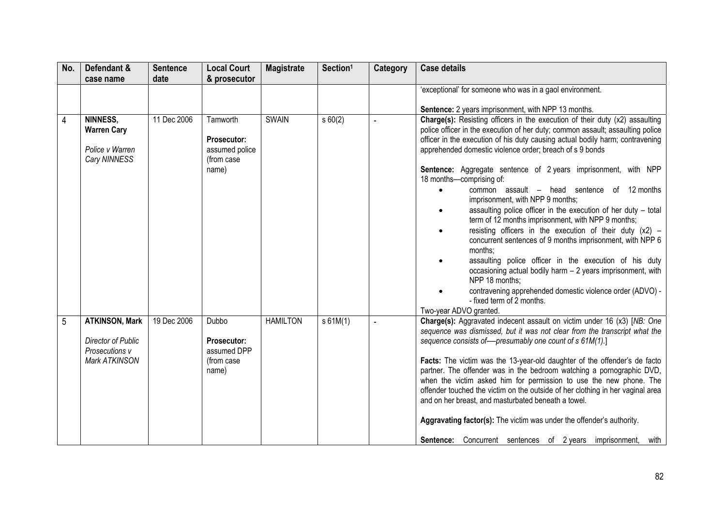| No. | Defendant &                                                                    | <b>Sentence</b> | <b>Local Court</b>                                                      | <b>Magistrate</b> | Section <sup>1</sup> | <b>Category</b> | <b>Case details</b>                                                                                                                                                                                                                                                                                                                                                                                                                                                                                                                                                                                                                                                                                                                                                                                                                                                                                                                                                                                                                           |
|-----|--------------------------------------------------------------------------------|-----------------|-------------------------------------------------------------------------|-------------------|----------------------|-----------------|-----------------------------------------------------------------------------------------------------------------------------------------------------------------------------------------------------------------------------------------------------------------------------------------------------------------------------------------------------------------------------------------------------------------------------------------------------------------------------------------------------------------------------------------------------------------------------------------------------------------------------------------------------------------------------------------------------------------------------------------------------------------------------------------------------------------------------------------------------------------------------------------------------------------------------------------------------------------------------------------------------------------------------------------------|
|     | case name                                                                      | date            | & prosecutor                                                            |                   |                      |                 |                                                                                                                                                                                                                                                                                                                                                                                                                                                                                                                                                                                                                                                                                                                                                                                                                                                                                                                                                                                                                                               |
|     |                                                                                |                 |                                                                         |                   |                      |                 | 'exceptional' for someone who was in a gaol environment.                                                                                                                                                                                                                                                                                                                                                                                                                                                                                                                                                                                                                                                                                                                                                                                                                                                                                                                                                                                      |
|     |                                                                                |                 |                                                                         |                   |                      |                 | Sentence: 2 years imprisonment, with NPP 13 months.                                                                                                                                                                                                                                                                                                                                                                                                                                                                                                                                                                                                                                                                                                                                                                                                                                                                                                                                                                                           |
| 4   | NINNESS,<br><b>Warren Cary</b><br>Police v Warren<br>Cary NINNESS              | 11 Dec 2006     | Tamworth<br><b>Prosecutor:</b><br>assumed police<br>(from case<br>name) | <b>SWAIN</b>      | s 60(2)              | $\overline{a}$  | Charge(s): Resisting officers in the execution of their duty (x2) assaulting<br>police officer in the execution of her duty; common assault; assaulting police<br>officer in the execution of his duty causing actual bodily harm; contravening<br>apprehended domestic violence order; breach of s 9 bonds<br><b>Sentence:</b> Aggregate sentence of 2 years imprisonment, with NPP<br>18 months-comprising of:<br>common assault – head sentence of 12 months<br>imprisonment, with NPP 9 months;<br>assaulting police officer in the execution of her duty - total<br>term of 12 months imprisonment, with NPP 9 months;<br>resisting officers in the execution of their duty $(x2)$ –<br>$\bullet$<br>concurrent sentences of 9 months imprisonment, with NPP 6<br>months;<br>assaulting police officer in the execution of his duty<br>occasioning actual bodily harm - 2 years imprisonment, with<br>NPP 18 months;<br>contravening apprehended domestic violence order (ADVO) -<br>- fixed term of 2 months.<br>Two-year ADVO granted. |
| 5   | <b>ATKINSON, Mark</b><br>Director of Public<br>Prosecutions v<br>Mark ATKINSON | 19 Dec 2006     | Dubbo<br><b>Prosecutor:</b><br>assumed DPP<br>(from case<br>name)       | <b>HAMILTON</b>   | s 61M(1)             |                 | Charge(s): Aggravated indecent assault on victim under 16 (x3) [NB: One<br>sequence was dismissed, but it was not clear from the transcript what the<br>sequence consists of-presumably one count of s 61M(1).]<br>Facts: The victim was the 13-year-old daughter of the offender's de facto<br>partner. The offender was in the bedroom watching a pornographic DVD,<br>when the victim asked him for permission to use the new phone. The<br>offender touched the victim on the outside of her clothing in her vaginal area<br>and on her breast, and masturbated beneath a towel.<br>Aggravating factor(s): The victim was under the offender's authority.<br><b>Sentence:</b> Concurrent sentences of 2 years imprisonment, with                                                                                                                                                                                                                                                                                                          |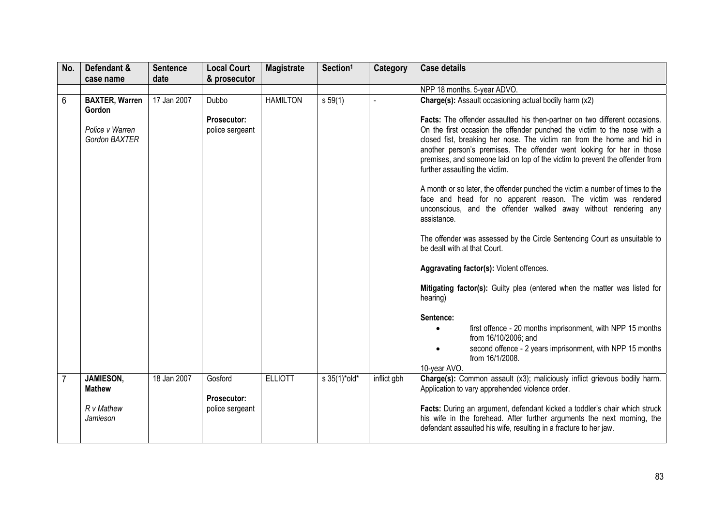| No. | Defendant &<br>case name         | <b>Sentence</b><br>date | <b>Local Court</b><br>& prosecutor    | <b>Magistrate</b> | Section <sup>1</sup> | Category    | <b>Case details</b>                                                                                                                                                                                                                                                                                                                                                                                                          |
|-----|----------------------------------|-------------------------|---------------------------------------|-------------------|----------------------|-------------|------------------------------------------------------------------------------------------------------------------------------------------------------------------------------------------------------------------------------------------------------------------------------------------------------------------------------------------------------------------------------------------------------------------------------|
|     |                                  |                         |                                       |                   |                      |             | NPP 18 months. 5-year ADVO.                                                                                                                                                                                                                                                                                                                                                                                                  |
| 6   | <b>BAXTER, Warren</b><br>Gordon  | 17 Jan 2007             | Dubbo                                 | <b>HAMILTON</b>   | $s\,59(1)$           |             | Charge(s): Assault occasioning actual bodily harm (x2)                                                                                                                                                                                                                                                                                                                                                                       |
|     | Police v Warren<br>Gordon BAXTER |                         | <b>Prosecutor:</b><br>police sergeant |                   |                      |             | Facts: The offender assaulted his then-partner on two different occasions.<br>On the first occasion the offender punched the victim to the nose with a<br>closed fist, breaking her nose. The victim ran from the home and hid in<br>another person's premises. The offender went looking for her in those<br>premises, and someone laid on top of the victim to prevent the offender from<br>further assaulting the victim. |
|     |                                  |                         |                                       |                   |                      |             | A month or so later, the offender punched the victim a number of times to the<br>face and head for no apparent reason. The victim was rendered<br>unconscious, and the offender walked away without rendering any<br>assistance.                                                                                                                                                                                             |
|     |                                  |                         |                                       |                   |                      |             | The offender was assessed by the Circle Sentencing Court as unsuitable to<br>be dealt with at that Court.                                                                                                                                                                                                                                                                                                                    |
|     |                                  |                         |                                       |                   |                      |             | Aggravating factor(s): Violent offences.                                                                                                                                                                                                                                                                                                                                                                                     |
|     |                                  |                         |                                       |                   |                      |             | Mitigating factor(s): Guilty plea (entered when the matter was listed for<br>hearing)                                                                                                                                                                                                                                                                                                                                        |
|     |                                  |                         |                                       |                   |                      |             | Sentence:                                                                                                                                                                                                                                                                                                                                                                                                                    |
|     |                                  |                         |                                       |                   |                      |             | first offence - 20 months imprisonment, with NPP 15 months<br>from 16/10/2006; and                                                                                                                                                                                                                                                                                                                                           |
|     |                                  |                         |                                       |                   |                      |             | second offence - 2 years imprisonment, with NPP 15 months<br>from 16/1/2008.<br>10-year AVO.                                                                                                                                                                                                                                                                                                                                 |
|     | JAMIESON,<br><b>Mathew</b>       | 18 Jan 2007             | Gosford<br><b>Prosecutor:</b>         | <b>ELLIOTT</b>    | s 35(1)*old*         | inflict gbh | Charge(s): Common assault (x3); maliciously inflict grievous bodily harm.<br>Application to vary apprehended violence order.                                                                                                                                                                                                                                                                                                 |
|     | R v Mathew<br>Jamieson           |                         | police sergeant                       |                   |                      |             | Facts: During an argument, defendant kicked a toddler's chair which struck<br>his wife in the forehead. After further arguments the next morning, the<br>defendant assaulted his wife, resulting in a fracture to her jaw.                                                                                                                                                                                                   |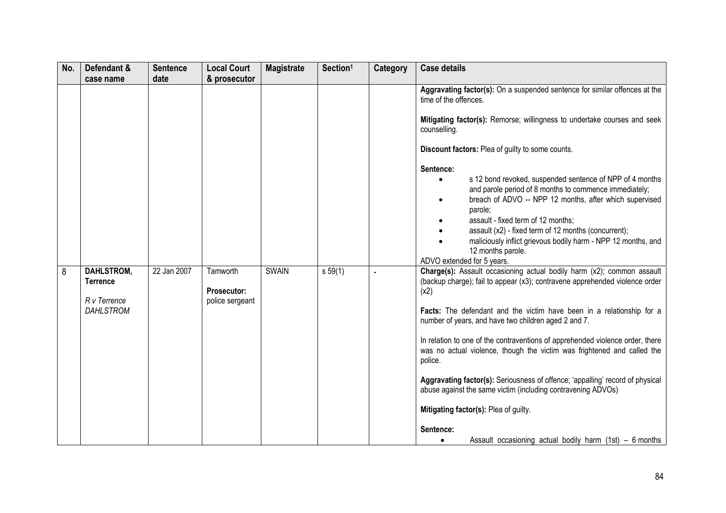| No. | Defendant &                                                              | <b>Sentence</b> | <b>Local Court</b>                         | <b>Magistrate</b> | Section <sup>1</sup> | <b>Category</b> | <b>Case details</b>                                                                                                                                                                                                                                                                                                                                                                                                                                                                                                                                                                                                                                                          |
|-----|--------------------------------------------------------------------------|-----------------|--------------------------------------------|-------------------|----------------------|-----------------|------------------------------------------------------------------------------------------------------------------------------------------------------------------------------------------------------------------------------------------------------------------------------------------------------------------------------------------------------------------------------------------------------------------------------------------------------------------------------------------------------------------------------------------------------------------------------------------------------------------------------------------------------------------------------|
|     | case name                                                                | date            | & prosecutor                               |                   |                      |                 |                                                                                                                                                                                                                                                                                                                                                                                                                                                                                                                                                                                                                                                                              |
|     |                                                                          |                 |                                            |                   |                      |                 | Aggravating factor(s): On a suspended sentence for similar offences at the<br>time of the offences.<br>Mitigating factor(s): Remorse; willingness to undertake courses and seek<br>counselling.                                                                                                                                                                                                                                                                                                                                                                                                                                                                              |
|     |                                                                          |                 |                                            |                   |                      |                 | Discount factors: Plea of guilty to some counts.                                                                                                                                                                                                                                                                                                                                                                                                                                                                                                                                                                                                                             |
|     |                                                                          |                 |                                            |                   |                      |                 | Sentence:<br>s 12 bond revoked, suspended sentence of NPP of 4 months<br>and parole period of 8 months to commence immediately;<br>breach of ADVO -- NPP 12 months, after which supervised<br>parole;<br>assault - fixed term of 12 months;<br>assault (x2) - fixed term of 12 months (concurrent);<br>maliciously inflict grievous bodily harm - NPP 12 months, and<br>12 months parole.<br>ADVO extended for 5 years.                                                                                                                                                                                                                                                      |
| 8   | <b>DAHLSTROM,</b><br><b>Terrence</b><br>R v Terrence<br><b>DAHLSTROM</b> | 22 Jan 2007     | Tamworth<br>Prosecutor:<br>police sergeant | <b>SWAIN</b>      | $s\,59(1)$           |                 | Charge(s): Assault occasioning actual bodily harm (x2); common assault<br>(backup charge); fail to appear (x3); contravene apprehended violence order<br>(x2)<br>Facts: The defendant and the victim have been in a relationship for a<br>number of years, and have two children aged 2 and 7.<br>In relation to one of the contraventions of apprehended violence order, there<br>was no actual violence, though the victim was frightened and called the<br>police.<br>Aggravating factor(s): Seriousness of offence; 'appalling' record of physical<br>abuse against the same victim (including contravening ADVOs)<br>Mitigating factor(s): Plea of guilty.<br>Sentence: |
|     |                                                                          |                 |                                            |                   |                      |                 | Assault occasioning actual bodily harm $(1st) - 6$ months<br>٠                                                                                                                                                                                                                                                                                                                                                                                                                                                                                                                                                                                                               |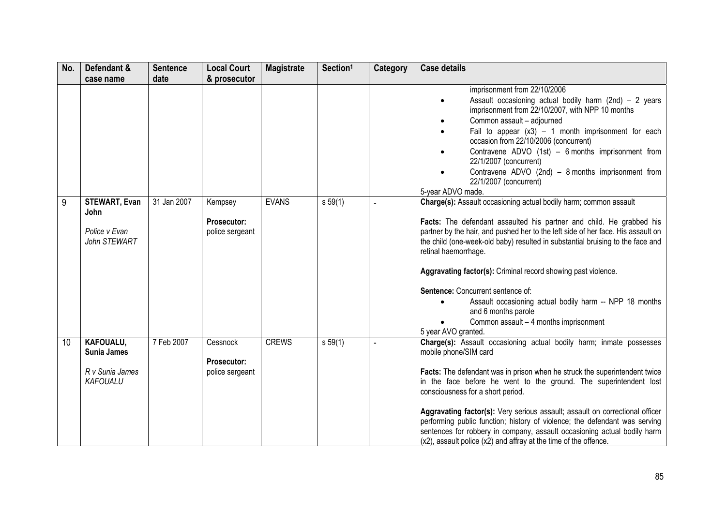| No. | Defendant &                                                           | <b>Sentence</b> | <b>Local Court</b>                                | <b>Magistrate</b> | Section <sup>1</sup> | <b>Category</b> | <b>Case details</b>                                                                                                                                                                                                                                                                                                                                                                                                                                                                                                                                                                                |
|-----|-----------------------------------------------------------------------|-----------------|---------------------------------------------------|-------------------|----------------------|-----------------|----------------------------------------------------------------------------------------------------------------------------------------------------------------------------------------------------------------------------------------------------------------------------------------------------------------------------------------------------------------------------------------------------------------------------------------------------------------------------------------------------------------------------------------------------------------------------------------------------|
|     | case name                                                             | date            | & prosecutor                                      |                   |                      |                 |                                                                                                                                                                                                                                                                                                                                                                                                                                                                                                                                                                                                    |
|     |                                                                       |                 |                                                   |                   |                      |                 | imprisonment from 22/10/2006<br>Assault occasioning actual bodily harm (2nd) - 2 years<br>$\bullet$<br>imprisonment from 22/10/2007, with NPP 10 months<br>Common assault - adjourned<br>Fail to appear $(x3) - 1$ month imprisonment for each<br>occasion from 22/10/2006 (concurrent)<br>Contravene ADVO (1st) - 6 months imprisonment from<br>$\bullet$<br>22/1/2007 (concurrent)<br>Contravene ADVO (2nd) - 8 months imprisonment from<br>22/1/2007 (concurrent)<br>5-year ADVO made.                                                                                                          |
| 9   | <b>STEWART, Evan</b><br>John<br>Police v Evan<br>John STEWART         | 31 Jan 2007     | Kempsey<br><b>Prosecutor:</b><br>police sergeant  | <b>EVANS</b>      | s 59(1)              |                 | Charge(s): Assault occasioning actual bodily harm; common assault<br>Facts: The defendant assaulted his partner and child. He grabbed his<br>partner by the hair, and pushed her to the left side of her face. His assault on<br>the child (one-week-old baby) resulted in substantial bruising to the face and<br>retinal haemorrhage.<br>Aggravating factor(s): Criminal record showing past violence.<br>Sentence: Concurrent sentence of:<br>Assault occasioning actual bodily harm -- NPP 18 months<br>and 6 months parole<br>Common assault - 4 months imprisonment<br>5 year AVO granted.   |
| 10  | KAFOUALU,<br><b>Sunia James</b><br>R v Sunia James<br><b>KAFOUALU</b> | 7 Feb 2007      | Cessnock<br><b>Prosecutor:</b><br>police sergeant | <b>CREWS</b>      | s 59(1)              |                 | Charge(s): Assault occasioning actual bodily harm; inmate possesses<br>mobile phone/SIM card<br>Facts: The defendant was in prison when he struck the superintendent twice<br>in the face before he went to the ground. The superintendent lost<br>consciousness for a short period.<br>Aggravating factor(s): Very serious assault; assault on correctional officer<br>performing public function; history of violence; the defendant was serving<br>sentences for robbery in company, assault occasioning actual bodily harm<br>(x2), assault police (x2) and affray at the time of the offence. |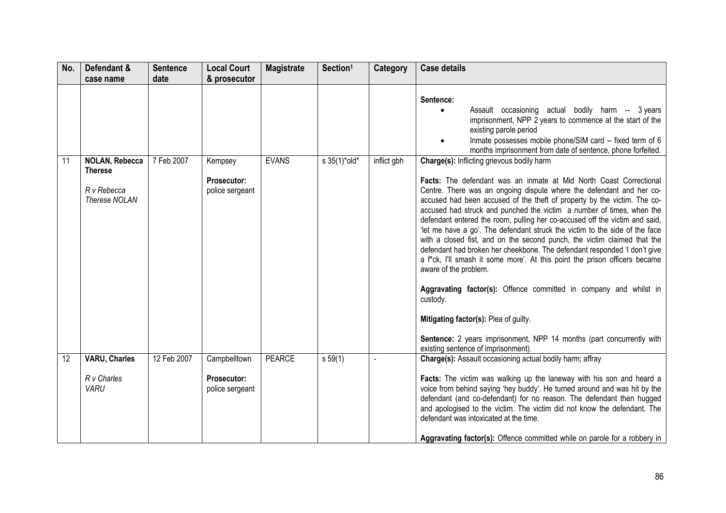| No. | Defendant &                                    | <b>Sentence</b> | <b>Local Court</b>                    | <b>Magistrate</b> | Section <sup>1</sup>            | <b>Category</b> | <b>Case details</b>                                                                                                                                                                                                                                                                                                                                                                                                                                                                                                                                                                                                                                                                                                                                                                                                                                                                                                                                                     |
|-----|------------------------------------------------|-----------------|---------------------------------------|-------------------|---------------------------------|-----------------|-------------------------------------------------------------------------------------------------------------------------------------------------------------------------------------------------------------------------------------------------------------------------------------------------------------------------------------------------------------------------------------------------------------------------------------------------------------------------------------------------------------------------------------------------------------------------------------------------------------------------------------------------------------------------------------------------------------------------------------------------------------------------------------------------------------------------------------------------------------------------------------------------------------------------------------------------------------------------|
|     | case name                                      | date            | & prosecutor                          |                   |                                 |                 |                                                                                                                                                                                                                                                                                                                                                                                                                                                                                                                                                                                                                                                                                                                                                                                                                                                                                                                                                                         |
|     |                                                |                 |                                       |                   |                                 |                 | Sentence:<br>Assault occasioning actual bodily harm -- 3 years<br>$\bullet$<br>imprisonment, NPP 2 years to commence at the start of the<br>existing parole period<br>Inmate possesses mobile phone/SIM card -- fixed term of 6<br>$\bullet$<br>months imprisonment from date of sentence, phone forfeited.                                                                                                                                                                                                                                                                                                                                                                                                                                                                                                                                                                                                                                                             |
| 11  | <b>NOLAN, Rebecca</b>                          | 7 Feb 2007      | Kempsey                               | <b>EVANS</b>      | $s \frac{35(1)^{*} old^{*}}{s}$ | inflict gbh     | Charge(s): Inflicting grievous bodily harm                                                                                                                                                                                                                                                                                                                                                                                                                                                                                                                                                                                                                                                                                                                                                                                                                                                                                                                              |
|     | <b>Therese</b><br>R v Rebecca<br>Therese NOLAN |                 | <b>Prosecutor:</b><br>police sergeant |                   |                                 |                 | Facts: The defendant was an inmate at Mid North Coast Correctional<br>Centre. There was an ongoing dispute where the defendant and her co-<br>accused had been accused of the theft of property by the victim. The co-<br>accused had struck and punched the victim a number of times, when the<br>defendant entered the room, pulling her co-accused off the victim and said,<br>'let me have a go'. The defendant struck the victim to the side of the face<br>with a closed fist, and on the second punch, the victim claimed that the<br>defendant had broken her cheekbone. The defendant responded 'I don't give<br>a f*ck, I'll smash it some more'. At this point the prison officers became<br>aware of the problem.<br>Aggravating factor(s): Offence committed in company and whilst in<br>custody.<br>Mitigating factor(s): Plea of guilty.<br>Sentence: 2 years imprisonment, NPP 14 months (part concurrently with<br>existing sentence of imprisonment). |
| 12  | <b>VARU, Charles</b>                           | 12 Feb 2007     | Campbelltown                          | <b>PEARCE</b>     | s 59(1)                         | $\sim$          | Charge(s): Assault occasioning actual bodily harm; affray                                                                                                                                                                                                                                                                                                                                                                                                                                                                                                                                                                                                                                                                                                                                                                                                                                                                                                               |
|     | R v Charles<br><b>VARU</b>                     |                 | <b>Prosecutor:</b><br>police sergeant |                   |                                 |                 | Facts: The victim was walking up the laneway with his son and heard a<br>voice from behind saying 'hey buddy'. He turned around and was hit by the<br>defendant (and co-defendant) for no reason. The defendant then hugged<br>and apologised to the victim. The victim did not know the defendant. The<br>defendant was intoxicated at the time.<br>Aggravating factor(s): Offence committed while on parole for a robbery in                                                                                                                                                                                                                                                                                                                                                                                                                                                                                                                                          |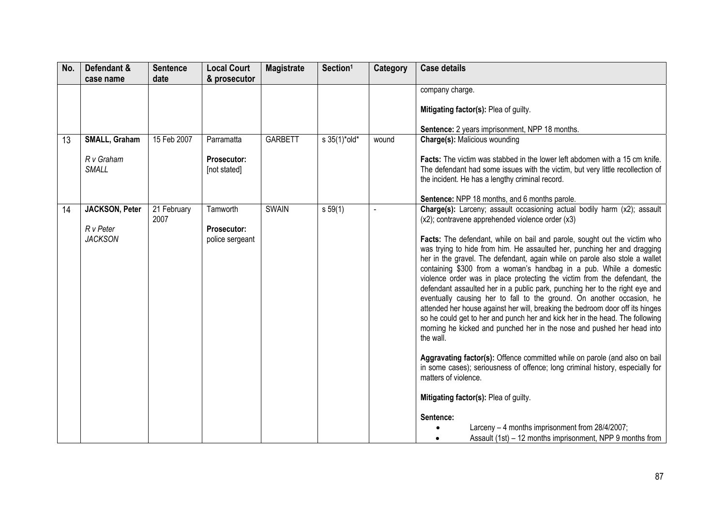| No. | Defendant &                | <b>Sentence</b>     | <b>Local Court</b>          | <b>Magistrate</b> | Section <sup>1</sup>            | Category | <b>Case details</b>                                                                                                                                                  |
|-----|----------------------------|---------------------|-----------------------------|-------------------|---------------------------------|----------|----------------------------------------------------------------------------------------------------------------------------------------------------------------------|
|     | case name                  | date                | & prosecutor                |                   |                                 |          |                                                                                                                                                                      |
|     |                            |                     |                             |                   |                                 |          | company charge.                                                                                                                                                      |
|     |                            |                     |                             |                   |                                 |          | Mitigating factor(s): Plea of guilty.                                                                                                                                |
|     |                            |                     |                             |                   |                                 |          | Sentence: 2 years imprisonment, NPP 18 months.                                                                                                                       |
| 13  | SMALL, Graham              | 15 Feb 2007         | Parramatta                  | <b>GARBETT</b>    | $s \frac{35(1)^{*} old^{*}}{s}$ | wound    | Charge(s): Malicious wounding                                                                                                                                        |
|     | R v Graham<br><b>SMALL</b> |                     | Prosecutor:<br>[not stated] |                   |                                 |          | <b>Facts:</b> The victim was stabbed in the lower left abdomen with a 15 cm knife.<br>The defendant had some issues with the victim, but very little recollection of |
|     |                            |                     |                             |                   |                                 |          | the incident. He has a lengthy criminal record.                                                                                                                      |
|     |                            |                     |                             |                   |                                 |          | Sentence: NPP 18 months, and 6 months parole.                                                                                                                        |
| 14  | <b>JACKSON, Peter</b>      | 21 February<br>2007 | Tamworth                    | <b>SWAIN</b>      | s 59(1)                         |          | <b>Charge(s):</b> Larceny; assault occasioning actual bodily harm $(x2)$ ; assault<br>(x2); contravene apprehended violence order (x3)                               |
|     | R v Peter                  |                     | <b>Prosecutor:</b>          |                   |                                 |          |                                                                                                                                                                      |
|     | <b>JACKSON</b>             |                     | police sergeant             |                   |                                 |          | Facts: The defendant, while on bail and parole, sought out the victim who<br>was trying to hide from him. He assaulted her, punching her and dragging                |
|     |                            |                     |                             |                   |                                 |          | her in the gravel. The defendant, again while on parole also stole a wallet                                                                                          |
|     |                            |                     |                             |                   |                                 |          | containing \$300 from a woman's handbag in a pub. While a domestic                                                                                                   |
|     |                            |                     |                             |                   |                                 |          | violence order was in place protecting the victim from the defendant, the<br>defendant assaulted her in a public park, punching her to the right eye and             |
|     |                            |                     |                             |                   |                                 |          | eventually causing her to fall to the ground. On another occasion, he                                                                                                |
|     |                            |                     |                             |                   |                                 |          | attended her house against her will, breaking the bedroom door off its hinges<br>so he could get to her and punch her and kick her in the head. The following        |
|     |                            |                     |                             |                   |                                 |          | morning he kicked and punched her in the nose and pushed her head into<br>the wall.                                                                                  |
|     |                            |                     |                             |                   |                                 |          |                                                                                                                                                                      |
|     |                            |                     |                             |                   |                                 |          | Aggravating factor(s): Offence committed while on parole (and also on bail<br>in some cases); seriousness of offence; long criminal history, especially for          |
|     |                            |                     |                             |                   |                                 |          | matters of violence.                                                                                                                                                 |
|     |                            |                     |                             |                   |                                 |          | Mitigating factor(s): Plea of guilty.                                                                                                                                |
|     |                            |                     |                             |                   |                                 |          | Sentence:                                                                                                                                                            |
|     |                            |                     |                             |                   |                                 |          | Larceny - 4 months imprisonment from 28/4/2007;<br>Assault (1st) - 12 months imprisonment, NPP 9 months from                                                         |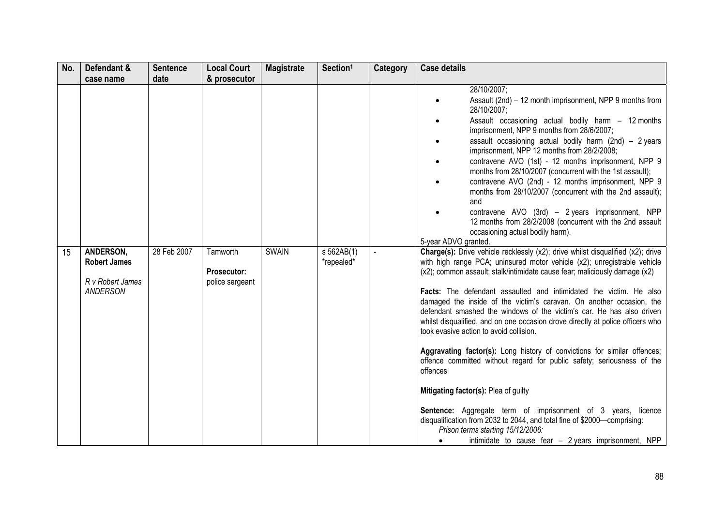| No. | Defendant &                                                                          | <b>Sentence</b>     | <b>Local Court</b>                                         | <b>Magistrate</b> | Section <sup>1</sup>     | Category                 | <b>Case details</b>                                                                                                                                                                                                                                                                                                                                                                                                                                                                                                                                                                                                                                                                                                                                                                                                                                                                                                                                                                                                                                                                                                                                                                                                                                                                                                                                                                                                                                                                                           |
|-----|--------------------------------------------------------------------------------------|---------------------|------------------------------------------------------------|-------------------|--------------------------|--------------------------|---------------------------------------------------------------------------------------------------------------------------------------------------------------------------------------------------------------------------------------------------------------------------------------------------------------------------------------------------------------------------------------------------------------------------------------------------------------------------------------------------------------------------------------------------------------------------------------------------------------------------------------------------------------------------------------------------------------------------------------------------------------------------------------------------------------------------------------------------------------------------------------------------------------------------------------------------------------------------------------------------------------------------------------------------------------------------------------------------------------------------------------------------------------------------------------------------------------------------------------------------------------------------------------------------------------------------------------------------------------------------------------------------------------------------------------------------------------------------------------------------------------|
| 15  | case name<br>ANDERSON,<br><b>Robert James</b><br>R v Robert James<br><b>ANDERSON</b> | date<br>28 Feb 2007 | & prosecutor<br>Tamworth<br>Prosecutor:<br>police sergeant | <b>SWAIN</b>      | s 562AB(1)<br>*repealed* | $\overline{\phantom{a}}$ | 28/10/2007;<br>Assault (2nd) - 12 month imprisonment, NPP 9 months from<br>28/10/2007;<br>Assault occasioning actual bodily harm - 12 months<br>imprisonment, NPP 9 months from 28/6/2007;<br>assault occasioning actual bodily harm (2nd) $-$ 2 years<br>imprisonment, NPP 12 months from 28/2/2008;<br>contravene AVO (1st) - 12 months imprisonment, NPP 9<br>months from 28/10/2007 (concurrent with the 1st assault);<br>contravene AVO (2nd) - 12 months imprisonment, NPP 9<br>months from 28/10/2007 (concurrent with the 2nd assault);<br>and<br>contravene AVO (3rd) - 2 years imprisonment, NPP<br>12 months from 28/2/2008 (concurrent with the 2nd assault<br>occasioning actual bodily harm).<br>5-year ADVO granted.<br><b>Charge(s):</b> Drive vehicle recklessly (x2); drive whilst disqualified (x2); drive<br>with high range PCA; uninsured motor vehicle (x2); unregistrable vehicle<br>(x2); common assault; stalk/intimidate cause fear; maliciously damage (x2)<br>Facts: The defendant assaulted and intimidated the victim. He also<br>damaged the inside of the victim's caravan. On another occasion, the<br>defendant smashed the windows of the victim's car. He has also driven<br>whilst disqualified, and on one occasion drove directly at police officers who<br>took evasive action to avoid collision.<br>Aggravating factor(s): Long history of convictions for similar offences;<br>offence committed without regard for public safety; seriousness of the<br>offences |
|     |                                                                                      |                     |                                                            |                   |                          |                          | Mitigating factor(s): Plea of guilty<br>Sentence: Aggregate term of imprisonment of 3 years, licence<br>disqualification from 2032 to 2044, and total fine of \$2000-comprising:<br>Prison terms starting 15/12/2006:<br>intimidate to cause fear - 2 years imprisonment, NPP                                                                                                                                                                                                                                                                                                                                                                                                                                                                                                                                                                                                                                                                                                                                                                                                                                                                                                                                                                                                                                                                                                                                                                                                                                 |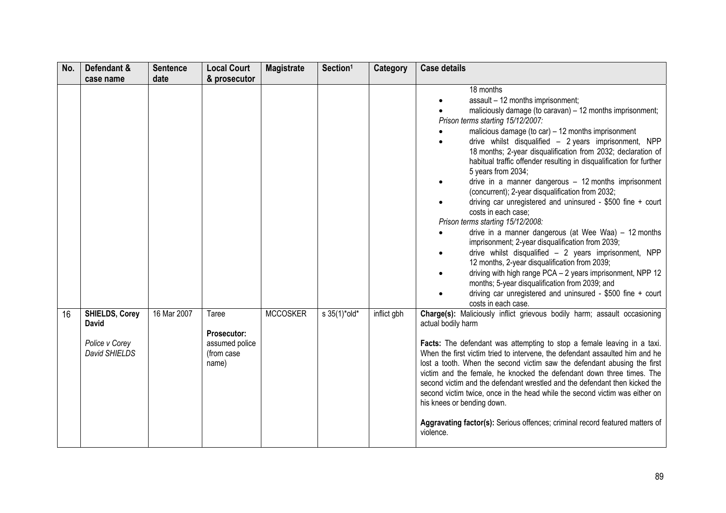| No. | Defendant &                                                       | <b>Sentence</b> | <b>Local Court</b>                                            | <b>Magistrate</b> | Section <sup>1</sup> | Category    | <b>Case details</b>                                                                                                                                                                                                                                                                                                                                                                                                                                                                                                                                                                                                                                                                                                                                                                                                                                                                                                                                                                                                                                                                                |
|-----|-------------------------------------------------------------------|-----------------|---------------------------------------------------------------|-------------------|----------------------|-------------|----------------------------------------------------------------------------------------------------------------------------------------------------------------------------------------------------------------------------------------------------------------------------------------------------------------------------------------------------------------------------------------------------------------------------------------------------------------------------------------------------------------------------------------------------------------------------------------------------------------------------------------------------------------------------------------------------------------------------------------------------------------------------------------------------------------------------------------------------------------------------------------------------------------------------------------------------------------------------------------------------------------------------------------------------------------------------------------------------|
|     | case name                                                         | date            | & prosecutor                                                  |                   |                      |             |                                                                                                                                                                                                                                                                                                                                                                                                                                                                                                                                                                                                                                                                                                                                                                                                                                                                                                                                                                                                                                                                                                    |
|     |                                                                   |                 |                                                               |                   |                      |             | 18 months<br>assault - 12 months imprisonment;<br>maliciously damage (to caravan) - 12 months imprisonment;<br>Prison terms starting 15/12/2007:<br>malicious damage (to car) - 12 months imprisonment<br>drive whilst disqualified - 2 years imprisonment, NPP<br>18 months; 2-year disqualification from 2032; declaration of<br>habitual traffic offender resulting in disqualification for further<br>5 years from 2034;<br>drive in a manner dangerous $-12$ months imprisonment<br>(concurrent); 2-year disqualification from 2032;<br>driving car unregistered and uninsured - \$500 fine + court<br>costs in each case:<br>Prison terms starting 15/12/2008:<br>drive in a manner dangerous (at Wee Waa) - 12 months<br>imprisonment; 2-year disqualification from 2039;<br>drive whilst disqualified $-2$ years imprisonment, NPP<br>12 months, 2-year disqualification from 2039;<br>driving with high range PCA - 2 years imprisonment, NPP 12<br>months; 5-year disqualification from 2039; and<br>driving car unregistered and uninsured - $$500$ fine + court<br>costs in each case. |
| 16  | <b>SHIELDS, Corey</b><br>David<br>Police v Corey<br>David SHIELDS | 16 Mar 2007     | Taree<br>Prosecutor:<br>assumed police<br>(from case<br>name) | <b>MCCOSKER</b>   | s 35(1)*old*         | inflict gbh | Charge(s): Maliciously inflict grievous bodily harm; assault occasioning<br>actual bodily harm<br>Facts: The defendant was attempting to stop a female leaving in a taxi.<br>When the first victim tried to intervene, the defendant assaulted him and he<br>lost a tooth. When the second victim saw the defendant abusing the first<br>victim and the female, he knocked the defendant down three times. The<br>second victim and the defendant wrestled and the defendant then kicked the<br>second victim twice, once in the head while the second victim was either on<br>his knees or bending down.<br>Aggravating factor(s): Serious offences; criminal record featured matters of<br>violence.                                                                                                                                                                                                                                                                                                                                                                                             |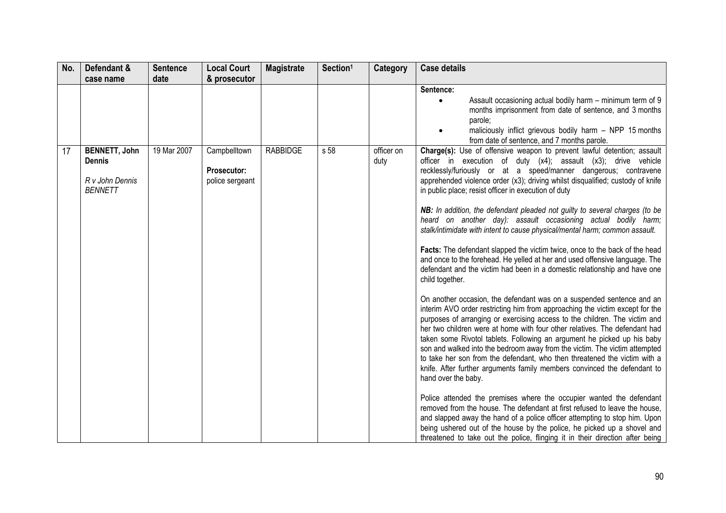| No. | Defendant &                                                                | <b>Sentence</b> | <b>Local Court</b>                             | <b>Magistrate</b> | Section <sup>1</sup> | Category           | <b>Case details</b>                                                                                                                                                                                                                                                                                                                                                                                                                                                                                                                                                                                                                                                                                                                                                                                                                                                                                                                                                                                                                                                                                                                                                                                                                                                                                                                                                                                                                                                                                                                                                                                                                                                                                                                                                                                                                                                                                                |
|-----|----------------------------------------------------------------------------|-----------------|------------------------------------------------|-------------------|----------------------|--------------------|--------------------------------------------------------------------------------------------------------------------------------------------------------------------------------------------------------------------------------------------------------------------------------------------------------------------------------------------------------------------------------------------------------------------------------------------------------------------------------------------------------------------------------------------------------------------------------------------------------------------------------------------------------------------------------------------------------------------------------------------------------------------------------------------------------------------------------------------------------------------------------------------------------------------------------------------------------------------------------------------------------------------------------------------------------------------------------------------------------------------------------------------------------------------------------------------------------------------------------------------------------------------------------------------------------------------------------------------------------------------------------------------------------------------------------------------------------------------------------------------------------------------------------------------------------------------------------------------------------------------------------------------------------------------------------------------------------------------------------------------------------------------------------------------------------------------------------------------------------------------------------------------------------------------|
|     | case name                                                                  | date            | & prosecutor                                   |                   |                      |                    |                                                                                                                                                                                                                                                                                                                                                                                                                                                                                                                                                                                                                                                                                                                                                                                                                                                                                                                                                                                                                                                                                                                                                                                                                                                                                                                                                                                                                                                                                                                                                                                                                                                                                                                                                                                                                                                                                                                    |
|     |                                                                            |                 |                                                |                   |                      |                    | Sentence:<br>Assault occasioning actual bodily harm – minimum term of 9<br>$\bullet$<br>months imprisonment from date of sentence, and 3 months<br>parole:<br>maliciously inflict grievous bodily harm - NPP 15 months<br>from date of sentence, and 7 months parole.                                                                                                                                                                                                                                                                                                                                                                                                                                                                                                                                                                                                                                                                                                                                                                                                                                                                                                                                                                                                                                                                                                                                                                                                                                                                                                                                                                                                                                                                                                                                                                                                                                              |
| 17  | <b>BENNETT, John</b><br><b>Dennis</b><br>R v John Dennis<br><b>BENNETT</b> | 19 Mar 2007     | Campbelltown<br>Prosecutor:<br>police sergeant | <b>RABBIDGE</b>   | s 58                 | officer on<br>duty | Charge(s): Use of offensive weapon to prevent lawful detention; assault<br>officer in execution of duty (x4); assault (x3); drive vehicle<br>recklessly/furiously or at a speed/manner dangerous; contravene<br>apprehended violence order (x3); driving whilst disqualified; custody of knife<br>in public place; resist officer in execution of duty<br>NB: In addition, the defendant pleaded not guilty to several charges (to be<br>heard on another day): assault occasioning actual bodily harm;<br>stalk/intimidate with intent to cause physical/mental harm; common assault.<br>Facts: The defendant slapped the victim twice, once to the back of the head<br>and once to the forehead. He yelled at her and used offensive language. The<br>defendant and the victim had been in a domestic relationship and have one<br>child together.<br>On another occasion, the defendant was on a suspended sentence and an<br>interim AVO order restricting him from approaching the victim except for the<br>purposes of arranging or exercising access to the children. The victim and<br>her two children were at home with four other relatives. The defendant had<br>taken some Rivotol tablets. Following an argument he picked up his baby<br>son and walked into the bedroom away from the victim. The victim attempted<br>to take her son from the defendant, who then threatened the victim with a<br>knife. After further arguments family members convinced the defendant to<br>hand over the baby.<br>Police attended the premises where the occupier wanted the defendant<br>removed from the house. The defendant at first refused to leave the house,<br>and slapped away the hand of a police officer attempting to stop him. Upon<br>being ushered out of the house by the police, he picked up a shovel and<br>threatened to take out the police, flinging it in their direction after being |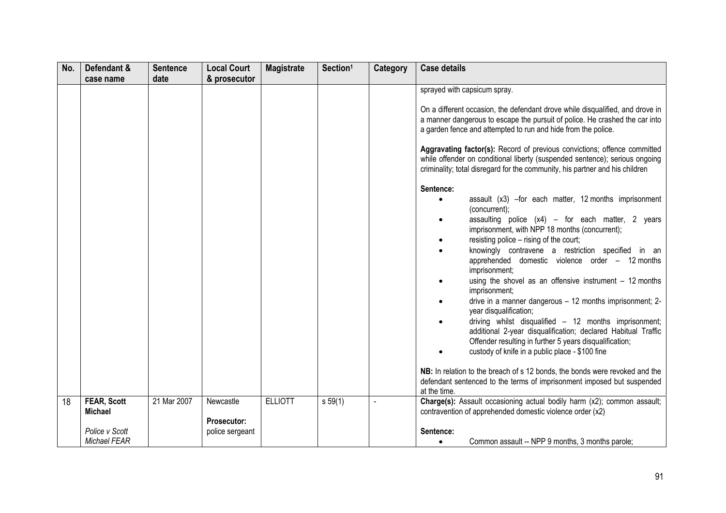| No. | Defendant &                    | <b>Sentence</b> | <b>Local Court</b>       | <b>Magistrate</b> | Section <sup>1</sup> | <b>Category</b> | <b>Case details</b>                                                                                                                                                                                                                                                                                                                                                                                                                                                                                                                                                                                                                                                                                                                                                                                                                                                                                                                                                                                                                                                                                                                                                                                  |
|-----|--------------------------------|-----------------|--------------------------|-------------------|----------------------|-----------------|------------------------------------------------------------------------------------------------------------------------------------------------------------------------------------------------------------------------------------------------------------------------------------------------------------------------------------------------------------------------------------------------------------------------------------------------------------------------------------------------------------------------------------------------------------------------------------------------------------------------------------------------------------------------------------------------------------------------------------------------------------------------------------------------------------------------------------------------------------------------------------------------------------------------------------------------------------------------------------------------------------------------------------------------------------------------------------------------------------------------------------------------------------------------------------------------------|
|     |                                |                 |                          |                   |                      |                 |                                                                                                                                                                                                                                                                                                                                                                                                                                                                                                                                                                                                                                                                                                                                                                                                                                                                                                                                                                                                                                                                                                                                                                                                      |
|     | case name                      | date            | & prosecutor             |                   |                      |                 | sprayed with capsicum spray.<br>On a different occasion, the defendant drove while disqualified, and drove in<br>a manner dangerous to escape the pursuit of police. He crashed the car into<br>a garden fence and attempted to run and hide from the police.<br>Aggravating factor(s): Record of previous convictions; offence committed<br>while offender on conditional liberty (suspended sentence); serious ongoing<br>criminality; total disregard for the community, his partner and his children<br>Sentence:<br>assault (x3) -for each matter, 12 months imprisonment<br>$\bullet$<br>(concurrent);<br>assaulting police $(x4)$ - for each matter, 2 years<br>$\bullet$<br>imprisonment, with NPP 18 months (concurrent);<br>resisting police - rising of the court;<br>knowingly contravene a restriction specified in an<br>apprehended domestic violence order - 12 months<br>imprisonment;<br>using the shovel as an offensive instrument $-12$ months<br>imprisonment;<br>drive in a manner dangerous - 12 months imprisonment; 2-<br>year disqualification;<br>driving whilst disqualified - 12 months imprisonment;<br>additional 2-year disqualification; declared Habitual Traffic |
|     |                                |                 |                          |                   |                      |                 | Offender resulting in further 5 years disqualification;<br>custody of knife in a public place - \$100 fine<br>NB: In relation to the breach of s 12 bonds, the bonds were revoked and the<br>defendant sentenced to the terms of imprisonment imposed but suspended<br>at the time.                                                                                                                                                                                                                                                                                                                                                                                                                                                                                                                                                                                                                                                                                                                                                                                                                                                                                                                  |
| 18  | <b>FEAR, Scott</b><br>Michael  | 21 Mar 2007     | Newcastle<br>Prosecutor: | <b>ELLIOTT</b>    | s 59(1)              |                 | Charge(s): Assault occasioning actual bodily harm (x2); common assault;<br>contravention of apprehended domestic violence order (x2)                                                                                                                                                                                                                                                                                                                                                                                                                                                                                                                                                                                                                                                                                                                                                                                                                                                                                                                                                                                                                                                                 |
|     | Police v Scott<br>Michael FEAR |                 | police sergeant          |                   |                      |                 | Sentence:<br>Common assault -- NPP 9 months, 3 months parole;<br>$\bullet$                                                                                                                                                                                                                                                                                                                                                                                                                                                                                                                                                                                                                                                                                                                                                                                                                                                                                                                                                                                                                                                                                                                           |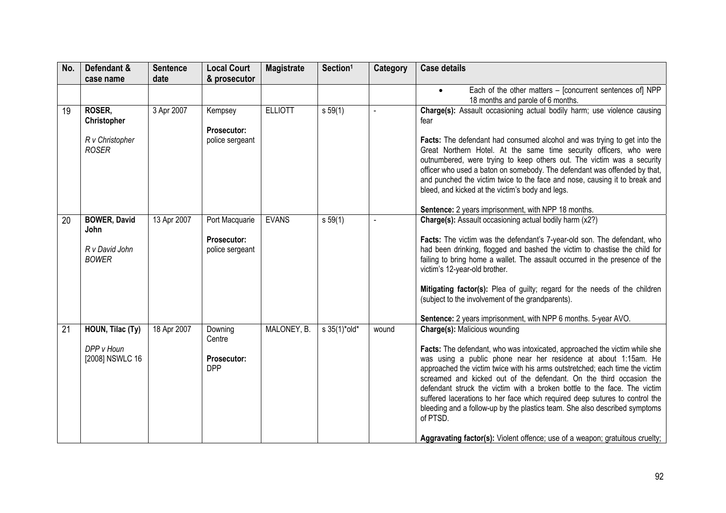| No. | Defendant &                                                   | <b>Sentence</b> | <b>Local Court</b>                                      | <b>Magistrate</b> | Section <sup>1</sup>    | <b>Category</b> | <b>Case details</b>                                                                                                                                                                                                                                                                                                                                                                                                                                                                                                                                                                                                                                                               |
|-----|---------------------------------------------------------------|-----------------|---------------------------------------------------------|-------------------|-------------------------|-----------------|-----------------------------------------------------------------------------------------------------------------------------------------------------------------------------------------------------------------------------------------------------------------------------------------------------------------------------------------------------------------------------------------------------------------------------------------------------------------------------------------------------------------------------------------------------------------------------------------------------------------------------------------------------------------------------------|
|     | case name                                                     | date            | & prosecutor                                            |                   |                         |                 |                                                                                                                                                                                                                                                                                                                                                                                                                                                                                                                                                                                                                                                                                   |
|     |                                                               |                 |                                                         |                   |                         |                 | Each of the other matters - [concurrent sentences of] NPP<br>$\bullet$<br>18 months and parole of 6 months.                                                                                                                                                                                                                                                                                                                                                                                                                                                                                                                                                                       |
| 19  | ROSER,<br>Christopher<br>R v Christopher<br><b>ROSER</b>      | 3 Apr 2007      | Kempsey<br><b>Prosecutor:</b><br>police sergeant        | <b>ELLIOTT</b>    | $s\,59(1)$              |                 | Charge(s): Assault occasioning actual bodily harm; use violence causing<br>fear<br>Facts: The defendant had consumed alcohol and was trying to get into the<br>Great Northern Hotel. At the same time security officers, who were<br>outnumbered, were trying to keep others out. The victim was a security<br>officer who used a baton on somebody. The defendant was offended by that,<br>and punched the victim twice to the face and nose, causing it to break and<br>bleed, and kicked at the victim's body and legs.                                                                                                                                                        |
|     |                                                               |                 |                                                         |                   |                         |                 | Sentence: 2 years imprisonment, with NPP 18 months.                                                                                                                                                                                                                                                                                                                                                                                                                                                                                                                                                                                                                               |
| 20  | <b>BOWER, David</b><br>John<br>R v David John<br><b>BOWER</b> | 13 Apr 2007     | Port Macquarie<br><b>Prosecutor:</b><br>police sergeant | <b>EVANS</b>      | s 59(1)                 |                 | Charge(s): Assault occasioning actual bodily harm (x2?)<br>Facts: The victim was the defendant's 7-year-old son. The defendant, who<br>had been drinking, flogged and bashed the victim to chastise the child for<br>failing to bring home a wallet. The assault occurred in the presence of the<br>victim's 12-year-old brother.<br>Mitigating factor(s): Plea of guilty; regard for the needs of the children<br>(subject to the involvement of the grandparents).<br>Sentence: 2 years imprisonment, with NPP 6 months. 5-year AVO.                                                                                                                                            |
| 21  | HOUN, Tilac (Ty)<br>DPP v Houn<br>[2008] NSWLC 16             | 18 Apr 2007     | Downing<br>Centre<br>Prosecutor:<br><b>DPP</b>          | MALONEY, B.       | $s \frac{35(1)^*}{10!}$ | wound           | <b>Charge(s): Malicious wounding</b><br>Facts: The defendant, who was intoxicated, approached the victim while she<br>was using a public phone near her residence at about 1:15am. He<br>approached the victim twice with his arms outstretched; each time the victim<br>screamed and kicked out of the defendant. On the third occasion the<br>defendant struck the victim with a broken bottle to the face. The victim<br>suffered lacerations to her face which required deep sutures to control the<br>bleeding and a follow-up by the plastics team. She also described symptoms<br>of PTSD.<br>Aggravating factor(s): Violent offence; use of a weapon; gratuitous cruelty; |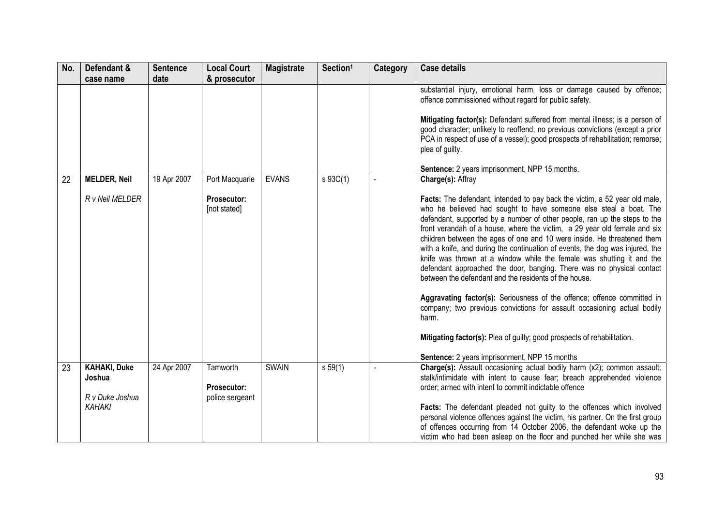| No. | Defendant &<br>case name                                          | <b>Sentence</b><br>date | <b>Local Court</b><br>& prosecutor            | <b>Magistrate</b> | Section <sup>1</sup> | Category | <b>Case details</b>                                                                                                                                                                                                                                                                                                                                                                                                                                                                                                                                                                                                                                                                                                                                                                                                                                                                                                                                                                                                                                |
|-----|-------------------------------------------------------------------|-------------------------|-----------------------------------------------|-------------------|----------------------|----------|----------------------------------------------------------------------------------------------------------------------------------------------------------------------------------------------------------------------------------------------------------------------------------------------------------------------------------------------------------------------------------------------------------------------------------------------------------------------------------------------------------------------------------------------------------------------------------------------------------------------------------------------------------------------------------------------------------------------------------------------------------------------------------------------------------------------------------------------------------------------------------------------------------------------------------------------------------------------------------------------------------------------------------------------------|
|     |                                                                   |                         |                                               |                   |                      |          | substantial injury, emotional harm, loss or damage caused by offence;<br>offence commissioned without regard for public safety.<br>Mitigating factor(s): Defendant suffered from mental illness; is a person of<br>good character; unlikely to reoffend; no previous convictions (except a prior<br>PCA in respect of use of a vessel); good prospects of rehabilitation; remorse;<br>plea of guilty.                                                                                                                                                                                                                                                                                                                                                                                                                                                                                                                                                                                                                                              |
| 22  | <b>MELDER, Neil</b><br>R v Neil MELDER                            | 19 Apr 2007             | Port Macquarie<br>Prosecutor:<br>[not stated] | <b>EVANS</b>      | s 93C(1)             |          | Sentence: 2 years imprisonment, NPP 15 months.<br>Charge(s): Affray<br>Facts: The defendant, intended to pay back the victim, a 52 year old male,<br>who he believed had sought to have someone else steal a boat. The<br>defendant, supported by a number of other people, ran up the steps to the<br>front verandah of a house, where the victim, a 29 year old female and six<br>children between the ages of one and 10 were inside. He threatened them<br>with a knife, and during the continuation of events, the dog was injured, the<br>knife was thrown at a window while the female was shutting it and the<br>defendant approached the door, banging. There was no physical contact<br>between the defendant and the residents of the house.<br>Aggravating factor(s): Seriousness of the offence; offence committed in<br>company; two previous convictions for assault occasioning actual bodily<br>harm.<br>Mitigating factor(s): Plea of guilty; good prospects of rehabilitation.<br>Sentence: 2 years imprisonment, NPP 15 months |
| 23  | <b>KAHAKI, Duke</b><br>Joshua<br>R v Duke Joshua<br><b>KAHAKI</b> | 24 Apr 2007             | Tamworth<br>Prosecutor:<br>police sergeant    | <b>SWAIN</b>      | s 59(1)              |          | Charge(s): Assault occasioning actual bodily harm (x2); common assault;<br>stalk/intimidate with intent to cause fear; breach apprehended violence<br>order; armed with intent to commit indictable offence<br>Facts: The defendant pleaded not guilty to the offences which involved<br>personal violence offences against the victim, his partner. On the first group<br>of offences occurring from 14 October 2006, the defendant woke up the<br>victim who had been asleep on the floor and punched her while she was                                                                                                                                                                                                                                                                                                                                                                                                                                                                                                                          |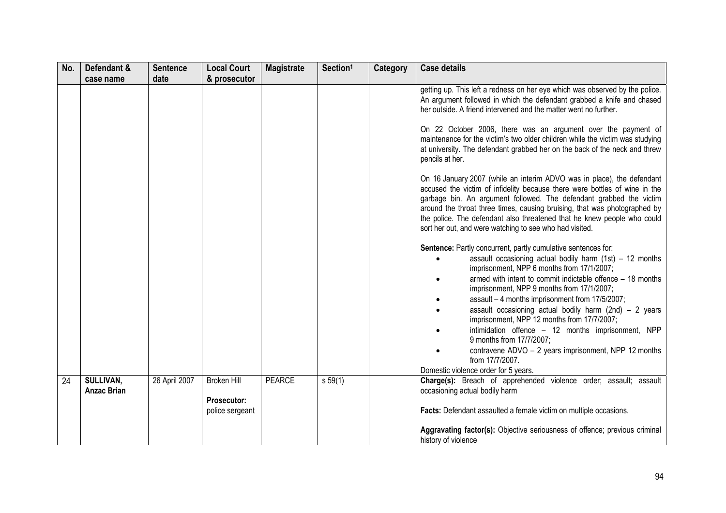| No. | Defendant &                     | <b>Sentence</b> | <b>Local Court</b>                                          | <b>Magistrate</b> | Section <sup>1</sup> | Category | <b>Case details</b>                                                                                                                                                                                                                                                                                                                                                                                                                                                                                                                                                                                                                                                                                                                                                                                                                                                                                                                                                                                                                                                                                                                                                                                                                                                                                                                                                                    |
|-----|---------------------------------|-----------------|-------------------------------------------------------------|-------------------|----------------------|----------|----------------------------------------------------------------------------------------------------------------------------------------------------------------------------------------------------------------------------------------------------------------------------------------------------------------------------------------------------------------------------------------------------------------------------------------------------------------------------------------------------------------------------------------------------------------------------------------------------------------------------------------------------------------------------------------------------------------------------------------------------------------------------------------------------------------------------------------------------------------------------------------------------------------------------------------------------------------------------------------------------------------------------------------------------------------------------------------------------------------------------------------------------------------------------------------------------------------------------------------------------------------------------------------------------------------------------------------------------------------------------------------|
|     | case name                       | date            | & prosecutor                                                |                   |                      |          | getting up. This left a redness on her eye which was observed by the police.<br>An argument followed in which the defendant grabbed a knife and chased<br>her outside. A friend intervened and the matter went no further.<br>On 22 October 2006, there was an argument over the payment of<br>maintenance for the victim's two older children while the victim was studying<br>at university. The defendant grabbed her on the back of the neck and threw<br>pencils at her.<br>On 16 January 2007 (while an interim ADVO was in place), the defendant<br>accused the victim of infidelity because there were bottles of wine in the<br>garbage bin. An argument followed. The defendant grabbed the victim<br>around the throat three times, causing bruising, that was photographed by<br>the police. The defendant also threatened that he knew people who could<br>sort her out, and were watching to see who had visited.<br>Sentence: Partly concurrent, partly cumulative sentences for:<br>assault occasioning actual bodily harm $(1st) - 12$ months<br>imprisonment, NPP 6 months from 17/1/2007;<br>armed with intent to commit indictable offence - 18 months<br>imprisonment, NPP 9 months from 17/1/2007;<br>assault - 4 months imprisonment from 17/5/2007;<br>assault occasioning actual bodily harm $(2nd) - 2$ years<br>imprisonment, NPP 12 months from 17/7/2007; |
|     |                                 |                 |                                                             |                   |                      |          | intimidation offence - 12 months imprisonment, NPP<br>9 months from 17/7/2007;<br>contravene ADVO - 2 years imprisonment, NPP 12 months                                                                                                                                                                                                                                                                                                                                                                                                                                                                                                                                                                                                                                                                                                                                                                                                                                                                                                                                                                                                                                                                                                                                                                                                                                                |
|     |                                 |                 |                                                             |                   |                      |          | from 17/7/2007.<br>Domestic violence order for 5 years.                                                                                                                                                                                                                                                                                                                                                                                                                                                                                                                                                                                                                                                                                                                                                                                                                                                                                                                                                                                                                                                                                                                                                                                                                                                                                                                                |
| 24  | SULLIVAN,<br><b>Anzac Brian</b> | 26 April 2007   | <b>Broken Hill</b><br><b>Prosecutor:</b><br>police sergeant | <b>PEARCE</b>     | s 59(1)              |          | Charge(s): Breach of apprehended violence order; assault; assault<br>occasioning actual bodily harm<br>Facts: Defendant assaulted a female victim on multiple occasions.                                                                                                                                                                                                                                                                                                                                                                                                                                                                                                                                                                                                                                                                                                                                                                                                                                                                                                                                                                                                                                                                                                                                                                                                               |
|     |                                 |                 |                                                             |                   |                      |          | Aggravating factor(s): Objective seriousness of offence; previous criminal<br>history of violence                                                                                                                                                                                                                                                                                                                                                                                                                                                                                                                                                                                                                                                                                                                                                                                                                                                                                                                                                                                                                                                                                                                                                                                                                                                                                      |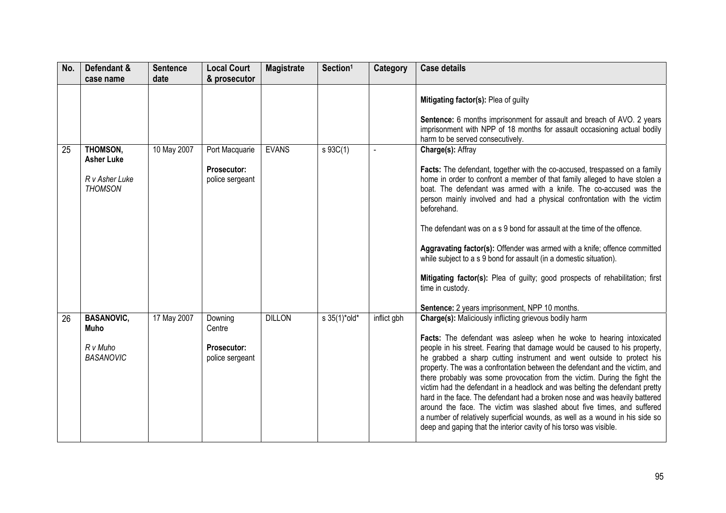| No. | Defendant &<br>case name                                          | <b>Sentence</b><br>date | <b>Local Court</b><br>& prosecutor                         | <b>Magistrate</b> | Section <sup>1</sup> | Category    | <b>Case details</b>                                                                                                                                                                                                                                                                                                                                                                                                                                                                                                                                                                                                                                                                                                                                                                                                                                  |
|-----|-------------------------------------------------------------------|-------------------------|------------------------------------------------------------|-------------------|----------------------|-------------|------------------------------------------------------------------------------------------------------------------------------------------------------------------------------------------------------------------------------------------------------------------------------------------------------------------------------------------------------------------------------------------------------------------------------------------------------------------------------------------------------------------------------------------------------------------------------------------------------------------------------------------------------------------------------------------------------------------------------------------------------------------------------------------------------------------------------------------------------|
|     |                                                                   |                         |                                                            |                   |                      |             | Mitigating factor(s): Plea of guilty<br>Sentence: 6 months imprisonment for assault and breach of AVO. 2 years<br>imprisonment with NPP of 18 months for assault occasioning actual bodily<br>harm to be served consecutively.                                                                                                                                                                                                                                                                                                                                                                                                                                                                                                                                                                                                                       |
| 25  | THOMSON,<br><b>Asher Luke</b><br>R v Asher Luke<br><b>THOMSON</b> | 10 May 2007             | Port Macquarie<br><b>Prosecutor:</b><br>police sergeant    | <b>EVANS</b>      | s 93C(1)             |             | Charge(s): Affray<br>Facts: The defendant, together with the co-accused, trespassed on a family<br>home in order to confront a member of that family alleged to have stolen a<br>boat. The defendant was armed with a knife. The co-accused was the<br>person mainly involved and had a physical confrontation with the victim<br>beforehand.<br>The defendant was on a s 9 bond for assault at the time of the offence.<br>Aggravating factor(s): Offender was armed with a knife; offence committed<br>while subject to a s 9 bond for assault (in a domestic situation).<br>Mitigating factor(s): Plea of guilty; good prospects of rehabilitation; first<br>time in custody.<br>Sentence: 2 years imprisonment, NPP 10 months.                                                                                                                   |
| 26  | <b>BASANOVIC,</b><br>Muho<br>R v Muho<br><b>BASANOVIC</b>         | 17 May 2007             | Downing<br>Centre<br><b>Prosecutor:</b><br>police sergeant | <b>DILLON</b>     | s 35(1)*old*         | inflict gbh | <b>Charge(s):</b> Maliciously inflicting grievous bodily harm<br>Facts: The defendant was asleep when he woke to hearing intoxicated<br>people in his street. Fearing that damage would be caused to his property,<br>he grabbed a sharp cutting instrument and went outside to protect his<br>property. The was a confrontation between the defendant and the victim, and<br>there probably was some provocation from the victim. During the fight the<br>victim had the defendant in a headlock and was belting the defendant pretty<br>hard in the face. The defendant had a broken nose and was heavily battered<br>around the face. The victim was slashed about five times, and suffered<br>a number of relatively superficial wounds, as well as a wound in his side so<br>deep and gaping that the interior cavity of his torso was visible. |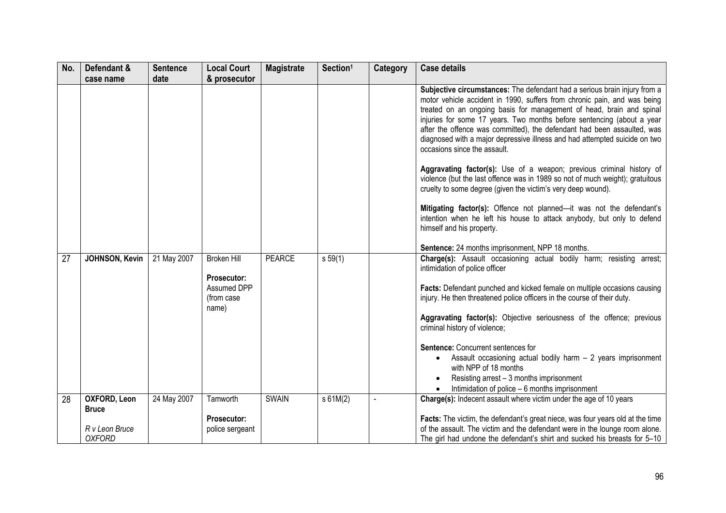| No. | Defendant &                     | <b>Sentence</b> | <b>Local Court</b>                       | <b>Magistrate</b> | Section <sup>1</sup> | Category | <b>Case details</b>                                                                                                                                                                                                                                                                                                                                                                                                                                                                              |
|-----|---------------------------------|-----------------|------------------------------------------|-------------------|----------------------|----------|--------------------------------------------------------------------------------------------------------------------------------------------------------------------------------------------------------------------------------------------------------------------------------------------------------------------------------------------------------------------------------------------------------------------------------------------------------------------------------------------------|
|     | case name                       | date            | & prosecutor                             |                   |                      |          |                                                                                                                                                                                                                                                                                                                                                                                                                                                                                                  |
|     |                                 |                 |                                          |                   |                      |          | Subjective circumstances: The defendant had a serious brain injury from a<br>motor vehicle accident in 1990, suffers from chronic pain, and was being<br>treated on an ongoing basis for management of head, brain and spinal<br>injuries for some 17 years. Two months before sentencing (about a year<br>after the offence was committed), the defendant had been assaulted, was<br>diagnosed with a major depressive illness and had attempted suicide on two<br>occasions since the assault. |
|     |                                 |                 |                                          |                   |                      |          | Aggravating factor(s): Use of a weapon; previous criminal history of<br>violence (but the last offence was in 1989 so not of much weight); gratuitous<br>cruelty to some degree (given the victim's very deep wound).                                                                                                                                                                                                                                                                            |
|     |                                 |                 |                                          |                   |                      |          | Mitigating factor(s): Offence not planned-it was not the defendant's<br>intention when he left his house to attack anybody, but only to defend<br>himself and his property.                                                                                                                                                                                                                                                                                                                      |
|     |                                 |                 |                                          |                   |                      |          | Sentence: 24 months imprisonment, NPP 18 months.                                                                                                                                                                                                                                                                                                                                                                                                                                                 |
| 27  | JOHNSON, Kevin                  | 21 May 2007     | <b>Broken Hill</b><br><b>Prosecutor:</b> | <b>PEARCE</b>     | s 59(1)              |          | Charge(s): Assault occasioning actual bodily harm; resisting arrest;<br>intimidation of police officer                                                                                                                                                                                                                                                                                                                                                                                           |
|     |                                 |                 | Assumed DPP<br>(from case<br>name)       |                   |                      |          | Facts: Defendant punched and kicked female on multiple occasions causing<br>injury. He then threatened police officers in the course of their duty.                                                                                                                                                                                                                                                                                                                                              |
|     |                                 |                 |                                          |                   |                      |          | Aggravating factor(s): Objective seriousness of the offence; previous<br>criminal history of violence;                                                                                                                                                                                                                                                                                                                                                                                           |
|     |                                 |                 |                                          |                   |                      |          | Sentence: Concurrent sentences for                                                                                                                                                                                                                                                                                                                                                                                                                                                               |
|     |                                 |                 |                                          |                   |                      |          | Assault occasioning actual bodily harm $-2$ years imprisonment<br>$\bullet$<br>with NPP of 18 months                                                                                                                                                                                                                                                                                                                                                                                             |
|     |                                 |                 |                                          |                   |                      |          | Resisting arrest - 3 months imprisonment                                                                                                                                                                                                                                                                                                                                                                                                                                                         |
| 28  | <b>OXFORD, Leon</b>             | 24 May 2007     | Tamworth                                 | <b>SWAIN</b>      | s 61M(2)             |          | Intimidation of police $-6$ months imprisonment<br>Charge(s): Indecent assault where victim under the age of 10 years                                                                                                                                                                                                                                                                                                                                                                            |
|     | <b>Bruce</b>                    |                 |                                          |                   |                      |          |                                                                                                                                                                                                                                                                                                                                                                                                                                                                                                  |
|     |                                 |                 | Prosecutor:                              |                   |                      |          | Facts: The victim, the defendant's great niece, was four years old at the time                                                                                                                                                                                                                                                                                                                                                                                                                   |
|     | R v Leon Bruce<br><b>OXFORD</b> |                 | police sergeant                          |                   |                      |          | of the assault. The victim and the defendant were in the lounge room alone.<br>The girl had undone the defendant's shirt and sucked his breasts for 5-10                                                                                                                                                                                                                                                                                                                                         |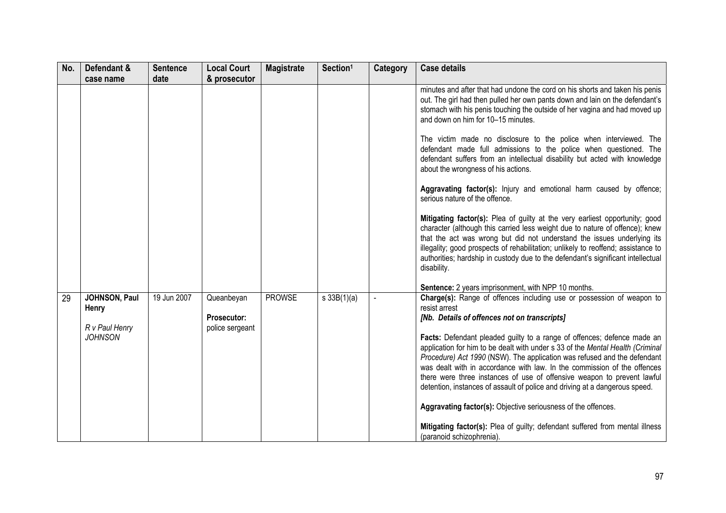| No. | Defendant &                                                | <b>Sentence</b> | <b>Local Court</b>                                  | <b>Magistrate</b> | Section <sup>1</sup> | Category       | <b>Case details</b>                                                                                                                                                                                                                                                                                                                                                                                                                                         |
|-----|------------------------------------------------------------|-----------------|-----------------------------------------------------|-------------------|----------------------|----------------|-------------------------------------------------------------------------------------------------------------------------------------------------------------------------------------------------------------------------------------------------------------------------------------------------------------------------------------------------------------------------------------------------------------------------------------------------------------|
|     | case name                                                  | date            | & prosecutor                                        |                   |                      |                |                                                                                                                                                                                                                                                                                                                                                                                                                                                             |
|     |                                                            |                 |                                                     |                   |                      |                | minutes and after that had undone the cord on his shorts and taken his penis<br>out. The girl had then pulled her own pants down and lain on the defendant's<br>stomach with his penis touching the outside of her vagina and had moved up<br>and down on him for 10-15 minutes.                                                                                                                                                                            |
|     |                                                            |                 |                                                     |                   |                      |                | The victim made no disclosure to the police when interviewed. The<br>defendant made full admissions to the police when questioned. The<br>defendant suffers from an intellectual disability but acted with knowledge<br>about the wrongness of his actions.                                                                                                                                                                                                 |
|     |                                                            |                 |                                                     |                   |                      |                | Aggravating factor(s): Injury and emotional harm caused by offence;<br>serious nature of the offence.                                                                                                                                                                                                                                                                                                                                                       |
|     |                                                            |                 |                                                     |                   |                      |                | Mitigating factor(s): Plea of guilty at the very earliest opportunity; good<br>character (although this carried less weight due to nature of offence); knew<br>that the act was wrong but did not understand the issues underlying its<br>illegality; good prospects of rehabilitation; unlikely to reoffend; assistance to<br>authorities; hardship in custody due to the defendant's significant intellectual<br>disability.                              |
|     |                                                            |                 |                                                     |                   |                      |                | Sentence: 2 years imprisonment, with NPP 10 months.                                                                                                                                                                                                                                                                                                                                                                                                         |
| 29  | JOHNSON, Paul<br>Henry<br>R v Paul Henry<br><b>JOHNSON</b> | 19 Jun 2007     | Queanbeyan<br><b>Prosecutor:</b><br>police sergeant | <b>PROWSE</b>     | s 33B(1)(a)          | $\overline{a}$ | Charge(s): Range of offences including use or possession of weapon to<br>resist arrest<br>[Nb. Details of offences not on transcripts]<br>Facts: Defendant pleaded guilty to a range of offences; defence made an<br>application for him to be dealt with under s 33 of the Mental Health (Criminal<br>Procedure) Act 1990 (NSW). The application was refused and the defendant<br>was dealt with in accordance with law. In the commission of the offences |
|     |                                                            |                 |                                                     |                   |                      |                | there were three instances of use of offensive weapon to prevent lawful<br>detention, instances of assault of police and driving at a dangerous speed.                                                                                                                                                                                                                                                                                                      |
|     |                                                            |                 |                                                     |                   |                      |                | Aggravating factor(s): Objective seriousness of the offences.                                                                                                                                                                                                                                                                                                                                                                                               |
|     |                                                            |                 |                                                     |                   |                      |                | Mitigating factor(s): Plea of guilty; defendant suffered from mental illness<br>(paranoid schizophrenia).                                                                                                                                                                                                                                                                                                                                                   |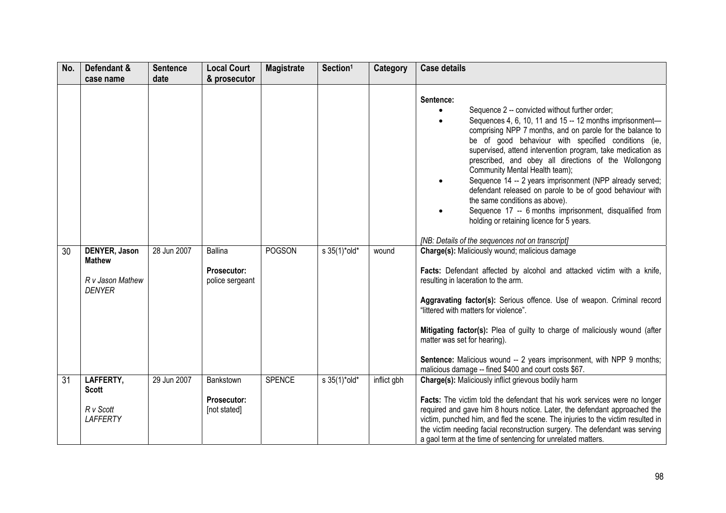| No. | Defendant &<br>case name                                            | <b>Sentence</b><br>date | <b>Local Court</b><br>& prosecutor                      | <b>Magistrate</b> | Section <sup>1</sup>            | Category    | <b>Case details</b>                                                                                                                                                                                                                                                                                                                                                                                                                                                                                                                                                                                                                                                                                                          |
|-----|---------------------------------------------------------------------|-------------------------|---------------------------------------------------------|-------------------|---------------------------------|-------------|------------------------------------------------------------------------------------------------------------------------------------------------------------------------------------------------------------------------------------------------------------------------------------------------------------------------------------------------------------------------------------------------------------------------------------------------------------------------------------------------------------------------------------------------------------------------------------------------------------------------------------------------------------------------------------------------------------------------------|
|     |                                                                     |                         |                                                         |                   |                                 |             | Sentence:<br>Sequence 2 -- convicted without further order;<br>Sequences 4, 6, 10, 11 and 15 -- 12 months imprisonment-<br>comprising NPP 7 months, and on parole for the balance to<br>be of good behaviour with specified conditions (ie,<br>supervised, attend intervention program, take medication as<br>prescribed, and obey all directions of the Wollongong<br>Community Mental Health team);<br>Sequence 14 -- 2 years imprisonment (NPP already served;<br>defendant released on parole to be of good behaviour with<br>the same conditions as above).<br>Sequence 17 -- 6 months imprisonment, disqualified from<br>holding or retaining licence for 5 years.<br>[NB: Details of the sequences not on transcript] |
| 30  | DENYER, Jason<br><b>Mathew</b><br>R v Jason Mathew<br><b>DENYER</b> | 28 Jun 2007             | <b>Ballina</b><br><b>Prosecutor:</b><br>police sergeant | <b>POGSON</b>     | $s \frac{35(1)^{*} old^{*}}{s}$ | wound       | Charge(s): Maliciously wound; malicious damage<br>Facts: Defendant affected by alcohol and attacked victim with a knife,<br>resulting in laceration to the arm.<br>Aggravating factor(s): Serious offence. Use of weapon. Criminal record<br>"littered with matters for violence".<br>Mitigating factor(s): Plea of guilty to charge of maliciously wound (after<br>matter was set for hearing).<br><b>Sentence:</b> Malicious wound -- 2 years imprisonment, with NPP 9 months;<br>malicious damage -- fined \$400 and court costs \$67.                                                                                                                                                                                    |
| 31  | LAFFERTY,<br><b>Scott</b><br>R v Scott<br><b>LAFFERTY</b>           | 29 Jun 2007             | Bankstown<br>Prosecutor:<br>[not stated]                | <b>SPENCE</b>     | s 35(1)*old*                    | inflict gbh | Charge(s): Maliciously inflict grievous bodily harm<br>Facts: The victim told the defendant that his work services were no longer<br>required and gave him 8 hours notice. Later, the defendant approached the<br>victim, punched him, and fled the scene. The injuries to the victim resulted in<br>the victim needing facial reconstruction surgery. The defendant was serving<br>a gaol term at the time of sentencing for unrelated matters.                                                                                                                                                                                                                                                                             |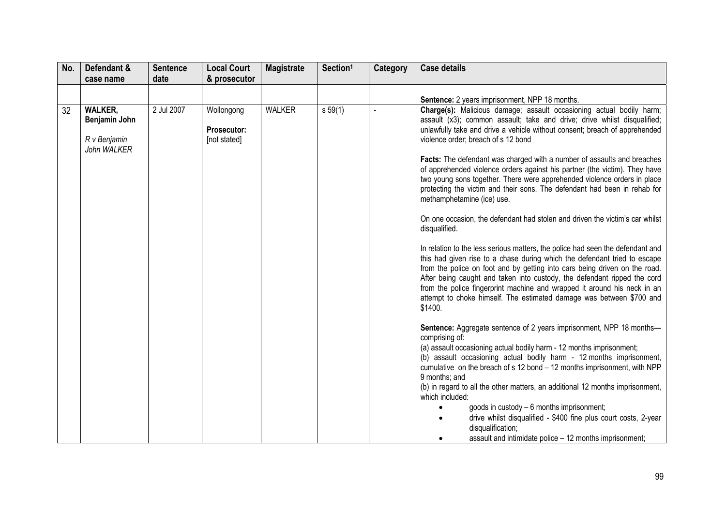| Sentence: 2 years imprisonment, NPP 18 months.<br>Charge(s): Malicious damage; assault occasioning actual bodily harm;                                                                                                                                                                                                                                                                                                                                                                                                                                                                                                                                                                                                                                                                                                                                                                                                                                                                                                                                                                                                                                                                                                                                                                                                                                                                                                                                                                                                                                                                                                                                                                                                                                                                                |
|-------------------------------------------------------------------------------------------------------------------------------------------------------------------------------------------------------------------------------------------------------------------------------------------------------------------------------------------------------------------------------------------------------------------------------------------------------------------------------------------------------------------------------------------------------------------------------------------------------------------------------------------------------------------------------------------------------------------------------------------------------------------------------------------------------------------------------------------------------------------------------------------------------------------------------------------------------------------------------------------------------------------------------------------------------------------------------------------------------------------------------------------------------------------------------------------------------------------------------------------------------------------------------------------------------------------------------------------------------------------------------------------------------------------------------------------------------------------------------------------------------------------------------------------------------------------------------------------------------------------------------------------------------------------------------------------------------------------------------------------------------------------------------------------------------|
|                                                                                                                                                                                                                                                                                                                                                                                                                                                                                                                                                                                                                                                                                                                                                                                                                                                                                                                                                                                                                                                                                                                                                                                                                                                                                                                                                                                                                                                                                                                                                                                                                                                                                                                                                                                                       |
|                                                                                                                                                                                                                                                                                                                                                                                                                                                                                                                                                                                                                                                                                                                                                                                                                                                                                                                                                                                                                                                                                                                                                                                                                                                                                                                                                                                                                                                                                                                                                                                                                                                                                                                                                                                                       |
| assault (x3); common assault; take and drive; drive whilst disqualified;<br>unlawfully take and drive a vehicle without consent; breach of apprehended<br>violence order; breach of s 12 bond<br>Facts: The defendant was charged with a number of assaults and breaches<br>of apprehended violence orders against his partner (the victim). They have<br>two young sons together. There were apprehended violence orders in place<br>protecting the victim and their sons. The defendant had been in rehab for<br>methamphetamine (ice) use.<br>On one occasion, the defendant had stolen and driven the victim's car whilst<br>disqualified.<br>In relation to the less serious matters, the police had seen the defendant and<br>this had given rise to a chase during which the defendant tried to escape<br>from the police on foot and by getting into cars being driven on the road.<br>After being caught and taken into custody, the defendant ripped the cord<br>from the police fingerprint machine and wrapped it around his neck in an<br>attempt to choke himself. The estimated damage was between \$700 and<br>\$1400.<br><b>Sentence:</b> Aggregate sentence of 2 years imprisonment, NPP 18 months-<br>comprising of:<br>(a) assault occasioning actual bodily harm - 12 months imprisonment;<br>(b) assault occasioning actual bodily harm - 12 months imprisonment,<br>cumulative on the breach of s 12 bond - 12 months imprisonment, with NPP<br>9 months; and<br>(b) in regard to all the other matters, an additional 12 months imprisonment,<br>which included:<br>goods in custody - 6 months imprisonment;<br>drive whilst disqualified - \$400 fine plus court costs, 2-year<br>$\bullet$<br>disqualification;<br>assault and intimidate police - 12 months imprisonment; |
|                                                                                                                                                                                                                                                                                                                                                                                                                                                                                                                                                                                                                                                                                                                                                                                                                                                                                                                                                                                                                                                                                                                                                                                                                                                                                                                                                                                                                                                                                                                                                                                                                                                                                                                                                                                                       |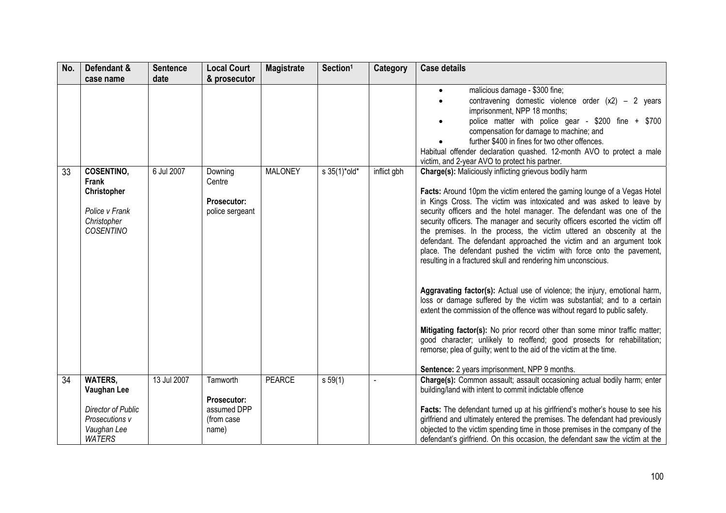| No. | Defendant &<br>case name                                                                              | <b>Sentence</b><br>date | <b>Local Court</b><br>& prosecutor                            | <b>Magistrate</b> | Section <sup>1</sup> | Category    | <b>Case details</b>                                                                                                                                                                                                                                                                                                                                                                                                                                                                                                                                                                                                                                                                                                                                                                                                                                                                                                                                                                                                                                                                                                                                                                                                                                                                                                                                                                                                                                                                                                                                                                                                     |
|-----|-------------------------------------------------------------------------------------------------------|-------------------------|---------------------------------------------------------------|-------------------|----------------------|-------------|-------------------------------------------------------------------------------------------------------------------------------------------------------------------------------------------------------------------------------------------------------------------------------------------------------------------------------------------------------------------------------------------------------------------------------------------------------------------------------------------------------------------------------------------------------------------------------------------------------------------------------------------------------------------------------------------------------------------------------------------------------------------------------------------------------------------------------------------------------------------------------------------------------------------------------------------------------------------------------------------------------------------------------------------------------------------------------------------------------------------------------------------------------------------------------------------------------------------------------------------------------------------------------------------------------------------------------------------------------------------------------------------------------------------------------------------------------------------------------------------------------------------------------------------------------------------------------------------------------------------------|
| 33  | <b>COSENTINO,</b><br>Frank<br>Christopher<br>Police v Frank<br>Christopher<br><b>COSENTINO</b>        | 6 Jul 2007              | Downing<br>Centre<br>Prosecutor:<br>police sergeant           | <b>MALONEY</b>    | s 35(1)*old*         | inflict gbh | malicious damage - \$300 fine;<br>$\bullet$<br>contravening domestic violence order $(x2) - 2$ years<br>$\bullet$<br>imprisonment, NPP 18 months;<br>police matter with police gear - \$200 fine + \$700<br>compensation for damage to machine; and<br>further \$400 in fines for two other offences.<br>Habitual offender declaration quashed. 12-month AVO to protect a male<br>victim, and 2-year AVO to protect his partner.<br>Charge(s): Maliciously inflicting grievous bodily harm<br>Facts: Around 10pm the victim entered the gaming lounge of a Vegas Hotel<br>in Kings Cross. The victim was intoxicated and was asked to leave by<br>security officers and the hotel manager. The defendant was one of the<br>security officers. The manager and security officers escorted the victim off<br>the premises. In the process, the victim uttered an obscenity at the<br>defendant. The defendant approached the victim and an argument took<br>place. The defendant pushed the victim with force onto the pavement,<br>resulting in a fractured skull and rendering him unconscious.<br>Aggravating factor(s): Actual use of violence; the injury, emotional harm,<br>loss or damage suffered by the victim was substantial; and to a certain<br>extent the commission of the offence was without regard to public safety.<br>Mitigating factor(s): No prior record other than some minor traffic matter;<br>good character; unlikely to reoffend; good prosects for rehabilitation;<br>remorse; plea of guilty; went to the aid of the victim at the time.<br>Sentence: 2 years imprisonment, NPP 9 months. |
| 34  | <b>WATERS,</b><br>Vaughan Lee<br>Director of Public<br>Prosecutions v<br>Vaughan Lee<br><b>WATERS</b> | 13 Jul 2007             | Tamworth<br>Prosecutor:<br>assumed DPP<br>(from case<br>name) | <b>PEARCE</b>     | s 59(1)              |             | Charge(s): Common assault; assault occasioning actual bodily harm; enter<br>building/land with intent to commit indictable offence<br>Facts: The defendant turned up at his girlfriend's mother's house to see his<br>girlfriend and ultimately entered the premises. The defendant had previously<br>objected to the victim spending time in those premises in the company of the<br>defendant's girlfriend. On this occasion, the defendant saw the victim at the                                                                                                                                                                                                                                                                                                                                                                                                                                                                                                                                                                                                                                                                                                                                                                                                                                                                                                                                                                                                                                                                                                                                                     |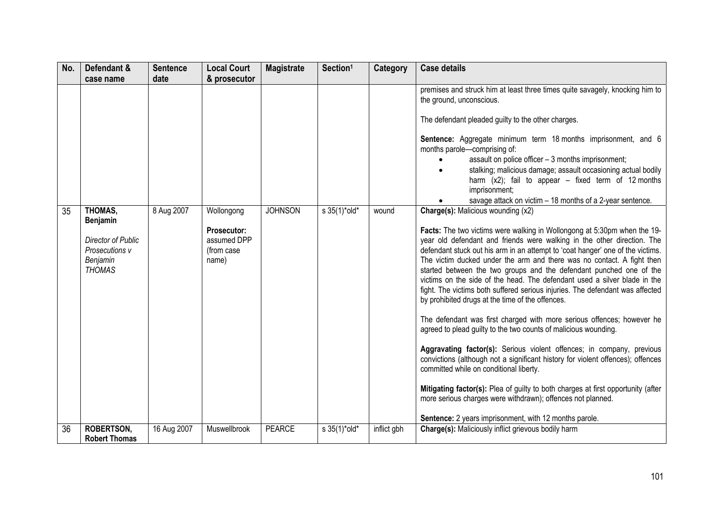| No. | Defendant &                                                                                           | <b>Sentence</b>    | <b>Local Court</b>                                                                     | <b>Magistrate</b> | Section <sup>1</sup> | Category    | <b>Case details</b>                                                                                                                                                                                                                                                                                                                                                                                                                                                                                                                                                                                                                                                                                                                                                                                                                                                                                                                                                                                                                                                                                                                                                                                                                                                                                                                                                                                                                                                                                                                                                                                                                                                                             |
|-----|-------------------------------------------------------------------------------------------------------|--------------------|----------------------------------------------------------------------------------------|-------------------|----------------------|-------------|-------------------------------------------------------------------------------------------------------------------------------------------------------------------------------------------------------------------------------------------------------------------------------------------------------------------------------------------------------------------------------------------------------------------------------------------------------------------------------------------------------------------------------------------------------------------------------------------------------------------------------------------------------------------------------------------------------------------------------------------------------------------------------------------------------------------------------------------------------------------------------------------------------------------------------------------------------------------------------------------------------------------------------------------------------------------------------------------------------------------------------------------------------------------------------------------------------------------------------------------------------------------------------------------------------------------------------------------------------------------------------------------------------------------------------------------------------------------------------------------------------------------------------------------------------------------------------------------------------------------------------------------------------------------------------------------------|
| 35  | case name<br>THOMAS,<br>Benjamin<br>Director of Public<br>Prosecutions v<br>Benjamin<br><b>THOMAS</b> | date<br>8 Aug 2007 | & prosecutor<br>Wollongong<br><b>Prosecutor:</b><br>assumed DPP<br>(from case<br>name) | <b>JOHNSON</b>    | s 35(1)*old*         | wound       | premises and struck him at least three times quite savagely, knocking him to<br>the ground, unconscious.<br>The defendant pleaded guilty to the other charges.<br>Sentence: Aggregate minimum term 18 months imprisonment, and 6<br>months parole-comprising of:<br>assault on police officer - 3 months imprisonment;<br>stalking; malicious damage; assault occasioning actual bodily<br>harm $(x2)$ ; fail to appear – fixed term of 12 months<br>imprisonment;<br>savage attack on victim - 18 months of a 2-year sentence.<br><b>Charge(s): Malicious wounding (x2)</b><br>Facts: The two victims were walking in Wollongong at 5:30pm when the 19-<br>year old defendant and friends were walking in the other direction. The<br>defendant stuck out his arm in an attempt to 'coat hanger' one of the victims.<br>The victim ducked under the arm and there was no contact. A fight then<br>started between the two groups and the defendant punched one of the<br>victims on the side of the head. The defendant used a silver blade in the<br>fight. The victims both suffered serious injuries. The defendant was affected<br>by prohibited drugs at the time of the offences.<br>The defendant was first charged with more serious offences; however he<br>agreed to plead guilty to the two counts of malicious wounding.<br>Aggravating factor(s): Serious violent offences; in company, previous<br>convictions (although not a significant history for violent offences); offences<br>committed while on conditional liberty.<br>Mitigating factor(s): Plea of guilty to both charges at first opportunity (after<br>more serious charges were withdrawn); offences not planned. |
| 36  | <b>ROBERTSON,</b><br><b>Robert Thomas</b>                                                             | 16 Aug 2007        | Muswellbrook                                                                           | <b>PEARCE</b>     | s 35(1)*old*         | inflict gbh | Sentence: 2 years imprisonment, with 12 months parole.<br>Charge(s): Maliciously inflict grievous bodily harm                                                                                                                                                                                                                                                                                                                                                                                                                                                                                                                                                                                                                                                                                                                                                                                                                                                                                                                                                                                                                                                                                                                                                                                                                                                                                                                                                                                                                                                                                                                                                                                   |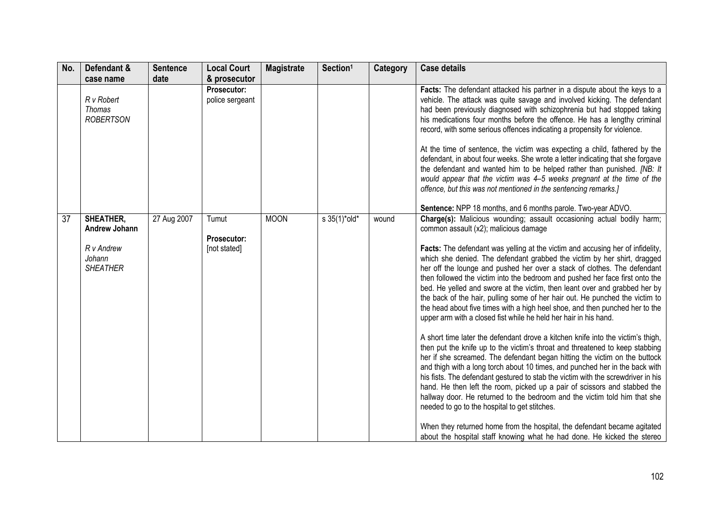| No. | Defendant &                                     | <b>Sentence</b> | <b>Local Court</b>             | <b>Magistrate</b> | Section <sup>1</sup>         | <b>Category</b> | <b>Case details</b>                                                                                                                                                                                                                                                                                                                                                                                                                                                                                                                                                                                                                      |
|-----|-------------------------------------------------|-----------------|--------------------------------|-------------------|------------------------------|-----------------|------------------------------------------------------------------------------------------------------------------------------------------------------------------------------------------------------------------------------------------------------------------------------------------------------------------------------------------------------------------------------------------------------------------------------------------------------------------------------------------------------------------------------------------------------------------------------------------------------------------------------------------|
|     | case name                                       | date            | & prosecutor                   |                   |                              |                 |                                                                                                                                                                                                                                                                                                                                                                                                                                                                                                                                                                                                                                          |
|     | R v Robert<br><b>Thomas</b><br><b>ROBERTSON</b> |                 | Prosecutor:<br>police sergeant |                   |                              |                 | Facts: The defendant attacked his partner in a dispute about the keys to a<br>vehicle. The attack was quite savage and involved kicking. The defendant<br>had been previously diagnosed with schizophrenia but had stopped taking<br>his medications four months before the offence. He has a lengthy criminal<br>record, with some serious offences indicating a propensity for violence.<br>At the time of sentence, the victim was expecting a child, fathered by the<br>defendant, in about four weeks. She wrote a letter indicating that she forgave<br>the defendant and wanted him to be helped rather than punished. [NB: It    |
|     |                                                 |                 |                                |                   |                              |                 | would appear that the victim was 4-5 weeks pregnant at the time of the<br>offence, but this was not mentioned in the sentencing remarks.]                                                                                                                                                                                                                                                                                                                                                                                                                                                                                                |
|     |                                                 |                 |                                |                   |                              |                 | Sentence: NPP 18 months, and 6 months parole. Two-year ADVO.                                                                                                                                                                                                                                                                                                                                                                                                                                                                                                                                                                             |
| 37  | SHEATHER,<br>Andrew Johann                      | 27 Aug 2007     | Tumut<br>Prosecutor:           | <b>MOON</b>       | $s \frac{35(1)^{*} old*}{s}$ | wound           | Charge(s): Malicious wounding; assault occasioning actual bodily harm;<br>common assault (x2); malicious damage                                                                                                                                                                                                                                                                                                                                                                                                                                                                                                                          |
|     | R v Andrew<br>Johann<br><b>SHEATHER</b>         |                 | [not stated]                   |                   |                              |                 | Facts: The defendant was yelling at the victim and accusing her of infidelity,<br>which she denied. The defendant grabbed the victim by her shirt, dragged<br>her off the lounge and pushed her over a stack of clothes. The defendant<br>then followed the victim into the bedroom and pushed her face first onto the<br>bed. He yelled and swore at the victim, then leant over and grabbed her by<br>the back of the hair, pulling some of her hair out. He punched the victim to<br>the head about five times with a high heel shoe, and then punched her to the<br>upper arm with a closed fist while he held her hair in his hand. |
|     |                                                 |                 |                                |                   |                              |                 | A short time later the defendant drove a kitchen knife into the victim's thigh,<br>then put the knife up to the victim's throat and threatened to keep stabbing<br>her if she screamed. The defendant began hitting the victim on the buttock<br>and thigh with a long torch about 10 times, and punched her in the back with<br>his fists. The defendant gestured to stab the victim with the screwdriver in his<br>hand. He then left the room, picked up a pair of scissors and stabbed the<br>hallway door. He returned to the bedroom and the victim told him that she<br>needed to go to the hospital to get stitches.             |
|     |                                                 |                 |                                |                   |                              |                 | When they returned home from the hospital, the defendant became agitated<br>about the hospital staff knowing what he had done. He kicked the stereo                                                                                                                                                                                                                                                                                                                                                                                                                                                                                      |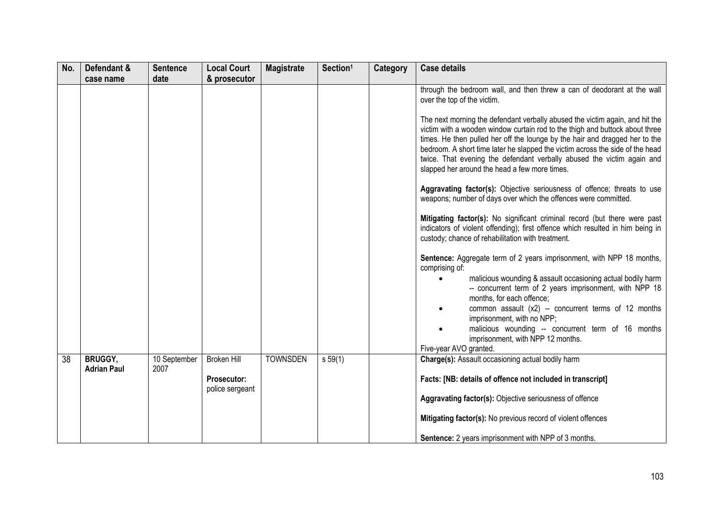| No. | Defendant &                          | <b>Sentence</b><br>date | <b>Local Court</b><br>& prosecutor                          | <b>Magistrate</b> | Section <sup>1</sup> | <b>Category</b> | <b>Case details</b>                                                                                                                                                                                                                                                                                                                                                                                                                                                                                                                                                                                                                                                                                                                                                                                                                                                                                                                                                                                                                                                                                                                                                                                                                                                                                                                                                    |
|-----|--------------------------------------|-------------------------|-------------------------------------------------------------|-------------------|----------------------|-----------------|------------------------------------------------------------------------------------------------------------------------------------------------------------------------------------------------------------------------------------------------------------------------------------------------------------------------------------------------------------------------------------------------------------------------------------------------------------------------------------------------------------------------------------------------------------------------------------------------------------------------------------------------------------------------------------------------------------------------------------------------------------------------------------------------------------------------------------------------------------------------------------------------------------------------------------------------------------------------------------------------------------------------------------------------------------------------------------------------------------------------------------------------------------------------------------------------------------------------------------------------------------------------------------------------------------------------------------------------------------------------|
|     | case name                            |                         |                                                             |                   |                      |                 | through the bedroom wall, and then threw a can of deodorant at the wall<br>over the top of the victim.<br>The next morning the defendant verbally abused the victim again, and hit the<br>victim with a wooden window curtain rod to the thigh and buttock about three<br>times. He then pulled her off the lounge by the hair and dragged her to the<br>bedroom. A short time later he slapped the victim across the side of the head<br>twice. That evening the defendant verbally abused the victim again and<br>slapped her around the head a few more times.<br>Aggravating factor(s): Objective seriousness of offence; threats to use<br>weapons; number of days over which the offences were committed.<br>Mitigating factor(s): No significant criminal record (but there were past<br>indicators of violent offending); first offence which resulted in him being in<br>custody; chance of rehabilitation with treatment.<br>Sentence: Aggregate term of 2 years imprisonment, with NPP 18 months,<br>comprising of:<br>malicious wounding & assault occasioning actual bodily harm<br>-- concurrent term of 2 years imprisonment, with NPP 18<br>months, for each offence;<br>common assault (x2) -- concurrent terms of 12 months<br>imprisonment, with no NPP;<br>malicious wounding -- concurrent term of 16 months<br>imprisonment, with NPP 12 months. |
| 38  | <b>BRUGGY,</b><br><b>Adrian Paul</b> | 10 September<br>2007    | <b>Broken Hill</b><br><b>Prosecutor:</b><br>police sergeant | <b>TOWNSDEN</b>   | s 59(1)              |                 | Five-year AVO granted.<br>Charge(s): Assault occasioning actual bodily harm<br>Facts: [NB: details of offence not included in transcript]<br>Aggravating factor(s): Objective seriousness of offence<br>Mitigating factor(s): No previous record of violent offences<br><b>Sentence:</b> 2 years imprisonment with NPP of 3 months.                                                                                                                                                                                                                                                                                                                                                                                                                                                                                                                                                                                                                                                                                                                                                                                                                                                                                                                                                                                                                                    |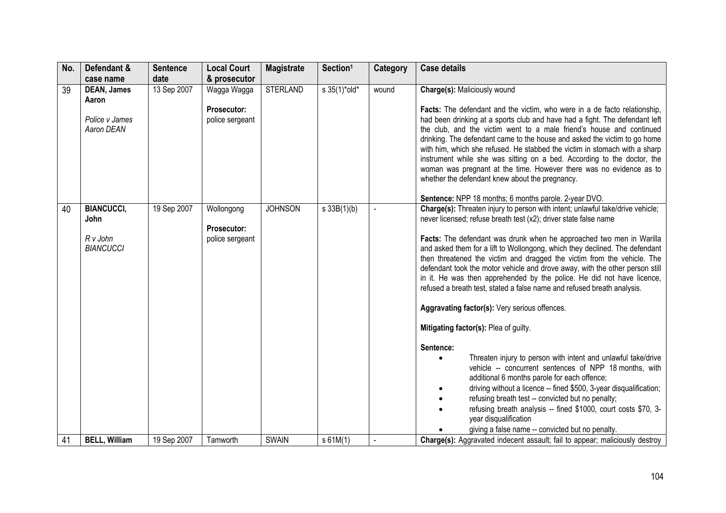| No. | Defendant &<br>case name                                    | <b>Sentence</b><br>date | <b>Local Court</b><br>& prosecutor                   | <b>Magistrate</b> | Section <sup>1</sup> | <b>Category</b> | <b>Case details</b>                                                                                                                                                                                                                                                                                                                                                                                                                                                                                                                                                                                                                                                                                                                                                                                                                                                                                                                                                                                                                                                                                                                                                                                                                                         |
|-----|-------------------------------------------------------------|-------------------------|------------------------------------------------------|-------------------|----------------------|-----------------|-------------------------------------------------------------------------------------------------------------------------------------------------------------------------------------------------------------------------------------------------------------------------------------------------------------------------------------------------------------------------------------------------------------------------------------------------------------------------------------------------------------------------------------------------------------------------------------------------------------------------------------------------------------------------------------------------------------------------------------------------------------------------------------------------------------------------------------------------------------------------------------------------------------------------------------------------------------------------------------------------------------------------------------------------------------------------------------------------------------------------------------------------------------------------------------------------------------------------------------------------------------|
| 39  | <b>DEAN, James</b><br>Aaron<br>Police v James<br>Aaron DEAN | 13 Sep 2007             | Wagga Wagga<br><b>Prosecutor:</b><br>police sergeant | <b>STERLAND</b>   | s 35(1)*old*         | wound           | Charge(s): Maliciously wound<br><b>Facts:</b> The defendant and the victim, who were in a de facto relationship,<br>had been drinking at a sports club and have had a fight. The defendant left<br>the club, and the victim went to a male friend's house and continued<br>drinking. The defendant came to the house and asked the victim to go home<br>with him, which she refused. He stabbed the victim in stomach with a sharp<br>instrument while she was sitting on a bed. According to the doctor, the<br>woman was pregnant at the time. However there was no evidence as to<br>whether the defendant knew about the pregnancy.                                                                                                                                                                                                                                                                                                                                                                                                                                                                                                                                                                                                                     |
| 40  | <b>BIANCUCCI,</b><br>John<br>R v John<br><b>BIANCUCCI</b>   | 19 Sep 2007             | Wollongong<br>Prosecutor:<br>police sergeant         | <b>JOHNSON</b>    | s 33B(1)(b)          |                 | Sentence: NPP 18 months; 6 months parole. 2-year DVO.<br>Charge(s): Threaten injury to person with intent; unlawful take/drive vehicle;<br>never licensed; refuse breath test (x2); driver state false name<br>Facts: The defendant was drunk when he approached two men in Warilla<br>and asked them for a lift to Wollongong, which they declined. The defendant<br>then threatened the victim and dragged the victim from the vehicle. The<br>defendant took the motor vehicle and drove away, with the other person still<br>in it. He was then apprehended by the police. He did not have licence,<br>refused a breath test, stated a false name and refused breath analysis.<br>Aggravating factor(s): Very serious offences.<br>Mitigating factor(s): Plea of guilty.<br>Sentence:<br>Threaten injury to person with intent and unlawful take/drive<br>$\bullet$<br>vehicle -- concurrent sentences of NPP 18 months, with<br>additional 6 months parole for each offence;<br>driving without a licence -- fined \$500, 3-year disqualification;<br>refusing breath test -- convicted but no penalty;<br>refusing breath analysis -- fined \$1000, court costs \$70, 3-<br>year disqualification<br>giving a false name -- convicted but no penalty. |
| 41  | <b>BELL, William</b>                                        | 19 Sep 2007             | Tamworth                                             | SWAIN             | s 61M(1)             |                 | Charge(s): Aggravated indecent assault; fail to appear; maliciously destroy                                                                                                                                                                                                                                                                                                                                                                                                                                                                                                                                                                                                                                                                                                                                                                                                                                                                                                                                                                                                                                                                                                                                                                                 |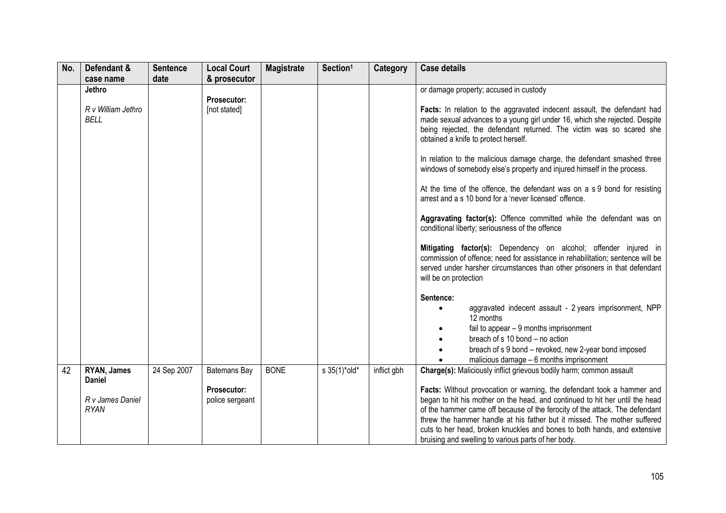| No. | Defendant &                                 | <b>Sentence</b> | <b>Local Court</b>                 | <b>Magistrate</b> | Section <sup>1</sup> | Category    | <b>Case details</b>                                                                                                                                                                                                                                                                                                                                                                                                                                                                                                                                                                                                                                                                                                                                                                                                                                                                                                                                                                                                                                                                                                                                                    |
|-----|---------------------------------------------|-----------------|------------------------------------|-------------------|----------------------|-------------|------------------------------------------------------------------------------------------------------------------------------------------------------------------------------------------------------------------------------------------------------------------------------------------------------------------------------------------------------------------------------------------------------------------------------------------------------------------------------------------------------------------------------------------------------------------------------------------------------------------------------------------------------------------------------------------------------------------------------------------------------------------------------------------------------------------------------------------------------------------------------------------------------------------------------------------------------------------------------------------------------------------------------------------------------------------------------------------------------------------------------------------------------------------------|
|     | case name                                   | date            | & prosecutor                       |                   |                      |             |                                                                                                                                                                                                                                                                                                                                                                                                                                                                                                                                                                                                                                                                                                                                                                                                                                                                                                                                                                                                                                                                                                                                                                        |
|     | Jethro<br>R v William Jethro<br><b>BELL</b> |                 | <b>Prosecutor:</b><br>[not stated] |                   |                      |             | or damage property; accused in custody<br>Facts: In relation to the aggravated indecent assault, the defendant had<br>made sexual advances to a young girl under 16, which she rejected. Despite<br>being rejected, the defendant returned. The victim was so scared she<br>obtained a knife to protect herself.<br>In relation to the malicious damage charge, the defendant smashed three<br>windows of somebody else's property and injured himself in the process.<br>At the time of the offence, the defendant was on a s 9 bond for resisting<br>arrest and a s 10 bond for a 'never licensed' offence.<br>Aggravating factor(s): Offence committed while the defendant was on<br>conditional liberty; seriousness of the offence<br>Mitigating factor(s): Dependency on alcohol; offender injured in<br>commission of offence; need for assistance in rehabilitation; sentence will be<br>served under harsher circumstances than other prisoners in that defendant<br>will be on protection<br>Sentence:<br>aggravated indecent assault - 2 years imprisonment, NPP<br>12 months<br>fail to appear $-9$ months imprisonment<br>breach of s 10 bond - no action |
|     |                                             |                 |                                    |                   |                      |             | breach of s 9 bond - revoked, new 2-year bond imposed<br>malicious damage - 6 months imprisonment                                                                                                                                                                                                                                                                                                                                                                                                                                                                                                                                                                                                                                                                                                                                                                                                                                                                                                                                                                                                                                                                      |
| 42  | RYAN, James<br><b>Daniel</b>                | 24 Sep 2007     | Batemans Bay                       | <b>BONE</b>       | s 35(1)*old*         | inflict gbh | <b>Charge(s):</b> Maliciously inflict grievous bodily harm; common assault                                                                                                                                                                                                                                                                                                                                                                                                                                                                                                                                                                                                                                                                                                                                                                                                                                                                                                                                                                                                                                                                                             |
|     | R v James Daniel<br><b>RYAN</b>             |                 | Prosecutor:<br>police sergeant     |                   |                      |             | Facts: Without provocation or warning, the defendant took a hammer and<br>began to hit his mother on the head, and continued to hit her until the head<br>of the hammer came off because of the ferocity of the attack. The defendant<br>threw the hammer handle at his father but it missed. The mother suffered<br>cuts to her head, broken knuckles and bones to both hands, and extensive<br>bruising and swelling to various parts of her body.                                                                                                                                                                                                                                                                                                                                                                                                                                                                                                                                                                                                                                                                                                                   |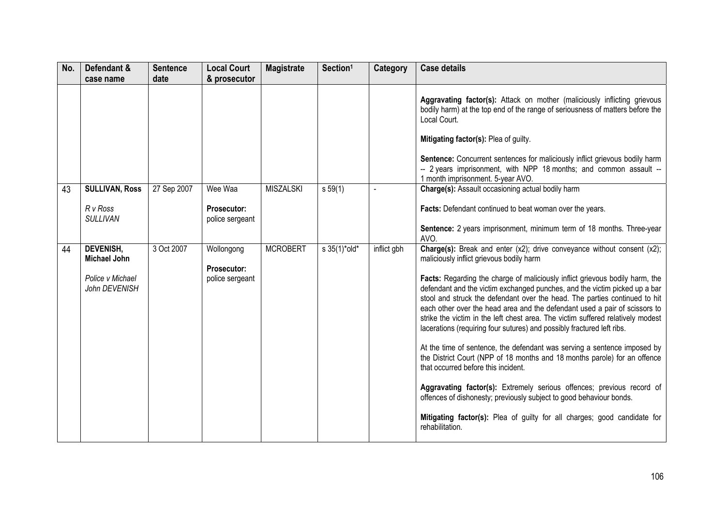| No. | Defendant &<br>case name                                                     | <b>Sentence</b><br>date | <b>Local Court</b><br>& prosecutor               | <b>Magistrate</b> | Section <sup>1</sup>            | Category    | <b>Case details</b>                                                                                                                                                                                                                                                                                                                                                                                                                                                                                                                                                                                                                                                                                                                                                                                                                                                                                                                                                                                                                                              |
|-----|------------------------------------------------------------------------------|-------------------------|--------------------------------------------------|-------------------|---------------------------------|-------------|------------------------------------------------------------------------------------------------------------------------------------------------------------------------------------------------------------------------------------------------------------------------------------------------------------------------------------------------------------------------------------------------------------------------------------------------------------------------------------------------------------------------------------------------------------------------------------------------------------------------------------------------------------------------------------------------------------------------------------------------------------------------------------------------------------------------------------------------------------------------------------------------------------------------------------------------------------------------------------------------------------------------------------------------------------------|
|     |                                                                              |                         |                                                  |                   |                                 |             | Aggravating factor(s): Attack on mother (maliciously inflicting grievous<br>bodily harm) at the top end of the range of seriousness of matters before the<br>Local Court.<br>Mitigating factor(s): Plea of guilty.<br>Sentence: Concurrent sentences for maliciously inflict grievous bodily harm<br>-- 2 years imprisonment, with NPP 18 months; and common assault --<br>1 month imprisonment. 5-year AVO.                                                                                                                                                                                                                                                                                                                                                                                                                                                                                                                                                                                                                                                     |
| 43  | <b>SULLIVAN, Ross</b><br>R v Ross<br><b>SULLIVAN</b>                         | 27 Sep 2007             | Wee Waa<br><b>Prosecutor:</b><br>police sergeant | <b>MISZALSKI</b>  | $s\,59(1)$                      |             | Charge(s): Assault occasioning actual bodily harm<br>Facts: Defendant continued to beat woman over the years.<br>Sentence: 2 years imprisonment, minimum term of 18 months. Three-year<br>AVO.                                                                                                                                                                                                                                                                                                                                                                                                                                                                                                                                                                                                                                                                                                                                                                                                                                                                   |
| 44  | <b>DEVENISH,</b><br><b>Michael John</b><br>Police v Michael<br>John DEVENISH | 3 Oct 2007              | Wollongong<br>Prosecutor:<br>police sergeant     | <b>MCROBERT</b>   | $s \frac{35(1)^{*} old^{*}}{s}$ | inflict gbh | <b>Charge(s):</b> Break and enter (x2); drive conveyance without consent (x2);<br>maliciously inflict grievous bodily harm<br>Facts: Regarding the charge of maliciously inflict grievous bodily harm, the<br>defendant and the victim exchanged punches, and the victim picked up a bar<br>stool and struck the defendant over the head. The parties continued to hit<br>each other over the head area and the defendant used a pair of scissors to<br>strike the victim in the left chest area. The victim suffered relatively modest<br>lacerations (requiring four sutures) and possibly fractured left ribs.<br>At the time of sentence, the defendant was serving a sentence imposed by<br>the District Court (NPP of 18 months and 18 months parole) for an offence<br>that occurred before this incident.<br>Aggravating factor(s): Extremely serious offences; previous record of<br>offences of dishonesty; previously subject to good behaviour bonds.<br>Mitigating factor(s): Plea of guilty for all charges; good candidate for<br>rehabilitation. |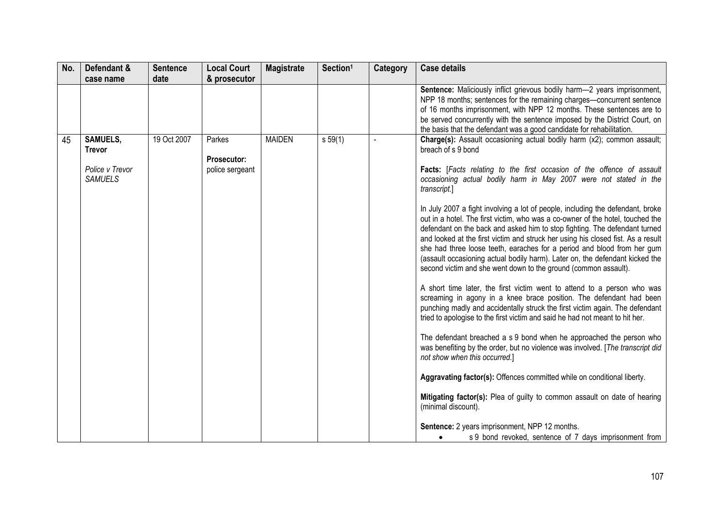| No. | Defendant &                                                           | <b>Sentence</b> | <b>Local Court</b>                              | <b>Magistrate</b> | Section <sup>1</sup> | Category | <b>Case details</b>                                                                                                                                                                                                                                                                                                                                                                                                                                                                                                                                                                                                                                                                                                                                                                                                                                                                                                                                                                                                                                                                                                                                                                                                                                                                                                                                                                                                                                                                                                                                                                                                                     |
|-----|-----------------------------------------------------------------------|-----------------|-------------------------------------------------|-------------------|----------------------|----------|-----------------------------------------------------------------------------------------------------------------------------------------------------------------------------------------------------------------------------------------------------------------------------------------------------------------------------------------------------------------------------------------------------------------------------------------------------------------------------------------------------------------------------------------------------------------------------------------------------------------------------------------------------------------------------------------------------------------------------------------------------------------------------------------------------------------------------------------------------------------------------------------------------------------------------------------------------------------------------------------------------------------------------------------------------------------------------------------------------------------------------------------------------------------------------------------------------------------------------------------------------------------------------------------------------------------------------------------------------------------------------------------------------------------------------------------------------------------------------------------------------------------------------------------------------------------------------------------------------------------------------------------|
|     | case name                                                             | date            | & prosecutor                                    |                   |                      |          |                                                                                                                                                                                                                                                                                                                                                                                                                                                                                                                                                                                                                                                                                                                                                                                                                                                                                                                                                                                                                                                                                                                                                                                                                                                                                                                                                                                                                                                                                                                                                                                                                                         |
|     |                                                                       |                 |                                                 |                   |                      |          | Sentence: Maliciously inflict grievous bodily harm-2 years imprisonment,<br>NPP 18 months; sentences for the remaining charges-concurrent sentence<br>of 16 months imprisonment, with NPP 12 months. These sentences are to<br>be served concurrently with the sentence imposed by the District Court, on<br>the basis that the defendant was a good candidate for rehabilitation.                                                                                                                                                                                                                                                                                                                                                                                                                                                                                                                                                                                                                                                                                                                                                                                                                                                                                                                                                                                                                                                                                                                                                                                                                                                      |
| 45  | <b>SAMUELS,</b><br><b>Trevor</b><br>Police v Trevor<br><b>SAMUELS</b> | 19 Oct 2007     | Parkes<br><b>Prosecutor:</b><br>police sergeant | <b>MAIDEN</b>     | s 59(1)              |          | Charge(s): Assault occasioning actual bodily harm (x2); common assault;<br>breach of s 9 bond<br>Facts: [Facts relating to the first occasion of the offence of assault<br>occasioning actual bodily harm in May 2007 were not stated in the<br>transcript.]<br>In July 2007 a fight involving a lot of people, including the defendant, broke<br>out in a hotel. The first victim, who was a co-owner of the hotel, touched the<br>defendant on the back and asked him to stop fighting. The defendant turned<br>and looked at the first victim and struck her using his closed fist. As a result<br>she had three loose teeth, earaches for a period and blood from her gum<br>(assault occasioning actual bodily harm). Later on, the defendant kicked the<br>second victim and she went down to the ground (common assault).<br>A short time later, the first victim went to attend to a person who was<br>screaming in agony in a knee brace position. The defendant had been<br>punching madly and accidentally struck the first victim again. The defendant<br>tried to apologise to the first victim and said he had not meant to hit her.<br>The defendant breached a s 9 bond when he approached the person who<br>was benefiting by the order, but no violence was involved. [The transcript did<br>not show when this occurred.]<br>Aggravating factor(s): Offences committed while on conditional liberty.<br>Mitigating factor(s): Plea of guilty to common assault on date of hearing<br>(minimal discount).<br>Sentence: 2 years imprisonment, NPP 12 months.<br>s 9 bond revoked, sentence of 7 days imprisonment from |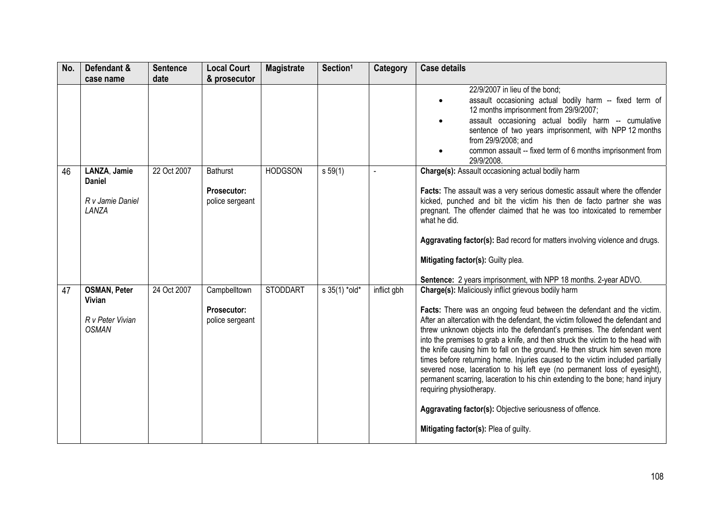| No. | Defendant &<br>case name                                                 | <b>Sentence</b><br>date | <b>Local Court</b><br>& prosecutor                | <b>Magistrate</b> | Section <sup>1</sup> | <b>Category</b> | <b>Case details</b>                                                                                                                                                                                                                                                                                                                                                                                                                                                                                                                                                                                                                                                                                                                                                                                                                               |
|-----|--------------------------------------------------------------------------|-------------------------|---------------------------------------------------|-------------------|----------------------|-----------------|---------------------------------------------------------------------------------------------------------------------------------------------------------------------------------------------------------------------------------------------------------------------------------------------------------------------------------------------------------------------------------------------------------------------------------------------------------------------------------------------------------------------------------------------------------------------------------------------------------------------------------------------------------------------------------------------------------------------------------------------------------------------------------------------------------------------------------------------------|
|     |                                                                          |                         |                                                   |                   |                      |                 | 22/9/2007 in lieu of the bond;<br>assault occasioning actual bodily harm -- fixed term of<br>$\bullet$<br>12 months imprisonment from 29/9/2007;<br>assault occasioning actual bodily harm -- cumulative<br>$\bullet$<br>sentence of two years imprisonment, with NPP 12 months<br>from 29/9/2008; and<br>common assault -- fixed term of 6 months imprisonment from<br>29/9/2008.                                                                                                                                                                                                                                                                                                                                                                                                                                                                |
| 46  | LANZA, Jamie<br><b>Daniel</b><br>R v Jamie Daniel<br>LANZA               | 22 Oct 2007             | <b>Bathurst</b><br>Prosecutor:<br>police sergeant | <b>HODGSON</b>    | s 59(1)              |                 | Charge(s): Assault occasioning actual bodily harm<br>Facts: The assault was a very serious domestic assault where the offender<br>kicked, punched and bit the victim his then de facto partner she was<br>pregnant. The offender claimed that he was too intoxicated to remember<br>what he did.<br>Aggravating factor(s): Bad record for matters involving violence and drugs.<br>Mitigating factor(s): Guilty plea.<br>Sentence: 2 years imprisonment, with NPP 18 months. 2-year ADVO.                                                                                                                                                                                                                                                                                                                                                         |
| 47  | <b>OSMAN, Peter</b><br><b>Vivian</b><br>R v Peter Vivian<br><b>OSMAN</b> | 24 Oct 2007             | Campbelltown<br>Prosecutor:<br>police sergeant    | <b>STODDART</b>   | s 35(1) *old*        | inflict gbh     | <b>Charge(s): Maliciously inflict grievous bodily harm</b><br>Facts: There was an ongoing feud between the defendant and the victim.<br>After an altercation with the defendant, the victim followed the defendant and<br>threw unknown objects into the defendant's premises. The defendant went<br>into the premises to grab a knife, and then struck the victim to the head with<br>the knife causing him to fall on the ground. He then struck him seven more<br>times before returning home. Injuries caused to the victim included partially<br>severed nose, laceration to his left eye (no permanent loss of eyesight),<br>permanent scarring, laceration to his chin extending to the bone; hand injury<br>requiring physiotherapy.<br>Aggravating factor(s): Objective seriousness of offence.<br>Mitigating factor(s): Plea of guilty. |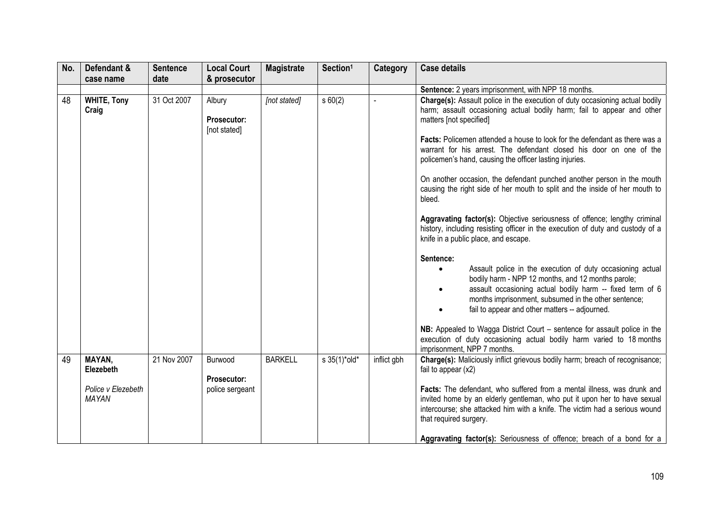| No. | Defendant &                                                      | <b>Sentence</b> | <b>Local Court</b>                        | <b>Magistrate</b> | Section <sup>1</sup> | <b>Category</b> | <b>Case details</b>                                                                                                                                                                                                                                                                                                                                                                                                                                                                                                                                                                                                                                                                                                                                                                                                                                           |
|-----|------------------------------------------------------------------|-----------------|-------------------------------------------|-------------------|----------------------|-----------------|---------------------------------------------------------------------------------------------------------------------------------------------------------------------------------------------------------------------------------------------------------------------------------------------------------------------------------------------------------------------------------------------------------------------------------------------------------------------------------------------------------------------------------------------------------------------------------------------------------------------------------------------------------------------------------------------------------------------------------------------------------------------------------------------------------------------------------------------------------------|
|     | case name                                                        | date            | & prosecutor                              |                   |                      |                 |                                                                                                                                                                                                                                                                                                                                                                                                                                                                                                                                                                                                                                                                                                                                                                                                                                                               |
|     |                                                                  |                 |                                           |                   |                      |                 | Sentence: 2 years imprisonment, with NPP 18 months.                                                                                                                                                                                                                                                                                                                                                                                                                                                                                                                                                                                                                                                                                                                                                                                                           |
| 48  | <b>WHITE, Tony</b><br>Craig                                      | 31 Oct 2007     | Albury<br>Prosecutor:<br>[not stated]     | [not stated]      | s60(2)               |                 | Charge(s): Assault police in the execution of duty occasioning actual bodily<br>harm; assault occasioning actual bodily harm; fail to appear and other<br>matters [not specified]<br><b>Facts:</b> Policemen attended a house to look for the defendant as there was a<br>warrant for his arrest. The defendant closed his door on one of the<br>policemen's hand, causing the officer lasting injuries.<br>On another occasion, the defendant punched another person in the mouth<br>causing the right side of her mouth to split and the inside of her mouth to<br>bleed.<br>Aggravating factor(s): Objective seriousness of offence; lengthy criminal<br>history, including resisting officer in the execution of duty and custody of a<br>knife in a public place, and escape.<br>Sentence:<br>Assault police in the execution of duty occasioning actual |
|     |                                                                  |                 |                                           |                   |                      |                 | bodily harm - NPP 12 months, and 12 months parole;<br>assault occasioning actual bodily harm -- fixed term of 6<br>months imprisonment, subsumed in the other sentence;<br>fail to appear and other matters -- adjourned.<br>NB: Appealed to Wagga District Court – sentence for assault police in the<br>execution of duty occasioning actual bodily harm varied to 18 months<br>imprisonment, NPP 7 months.                                                                                                                                                                                                                                                                                                                                                                                                                                                 |
| 49  | MAYAN,<br><b>Elezebeth</b><br>Police v Elezebeth<br><b>MAYAN</b> | 21 Nov 2007     | Burwood<br>Prosecutor:<br>police sergeant | <b>BARKELL</b>    | s 35(1)*old*         | inflict gbh     | Charge(s): Maliciously inflict grievous bodily harm; breach of recognisance;<br>fail to appear $(x2)$<br>Facts: The defendant, who suffered from a mental illness, was drunk and<br>invited home by an elderly gentleman, who put it upon her to have sexual<br>intercourse; she attacked him with a knife. The victim had a serious wound<br>that required surgery.<br>Aggravating factor(s): Seriousness of offence; breach of a bond for a                                                                                                                                                                                                                                                                                                                                                                                                                 |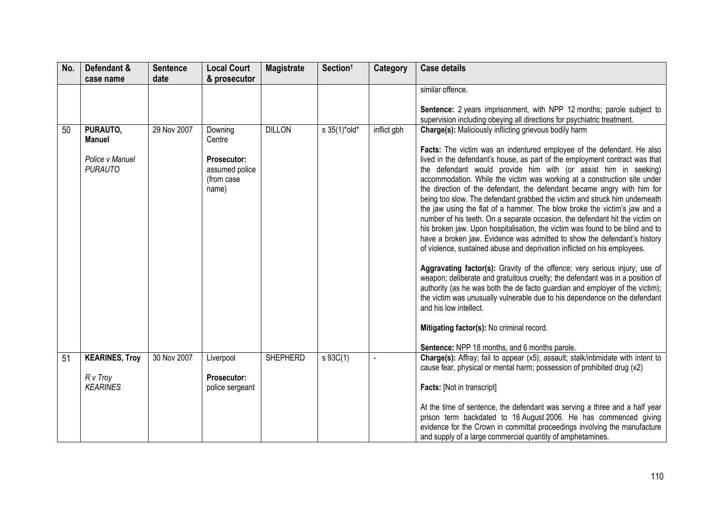| No. | Defendant &                                                    | <b>Sentence</b> | <b>Local Court</b>                                                        | <b>Magistrate</b> | Section <sup>1</sup>            | Category    | <b>Case details</b>                                                                                                                                                                                                                                                                                                                                                                                                                                                                                                                                                                                                                                                                                                                                                                                                                                                                                                                                                                                                                                                                                                                                                                                                                                                                                                                                                                       |
|-----|----------------------------------------------------------------|-----------------|---------------------------------------------------------------------------|-------------------|---------------------------------|-------------|-------------------------------------------------------------------------------------------------------------------------------------------------------------------------------------------------------------------------------------------------------------------------------------------------------------------------------------------------------------------------------------------------------------------------------------------------------------------------------------------------------------------------------------------------------------------------------------------------------------------------------------------------------------------------------------------------------------------------------------------------------------------------------------------------------------------------------------------------------------------------------------------------------------------------------------------------------------------------------------------------------------------------------------------------------------------------------------------------------------------------------------------------------------------------------------------------------------------------------------------------------------------------------------------------------------------------------------------------------------------------------------------|
|     | case name                                                      | date            | & prosecutor                                                              |                   |                                 |             |                                                                                                                                                                                                                                                                                                                                                                                                                                                                                                                                                                                                                                                                                                                                                                                                                                                                                                                                                                                                                                                                                                                                                                                                                                                                                                                                                                                           |
|     |                                                                |                 |                                                                           |                   |                                 |             | similar offence.<br>Sentence: 2 years imprisonment, with NPP 12 months; parole subject to<br>supervision including obeying all directions for psychiatric treatment.                                                                                                                                                                                                                                                                                                                                                                                                                                                                                                                                                                                                                                                                                                                                                                                                                                                                                                                                                                                                                                                                                                                                                                                                                      |
| 50  | PURAUTO,<br><b>Manuel</b><br>Police v Manuel<br><b>PURAUTO</b> | 29 Nov 2007     | Downing<br>Centre<br>Prosecutor:<br>assumed police<br>(from case<br>name) | <b>DILLON</b>     | $s \frac{35(1)^{*} old^{*}}{s}$ | inflict gbh | <b>Charge(s):</b> Maliciously inflicting grievous bodily harm<br>Facts: The victim was an indentured employee of the defendant. He also<br>lived in the defendant's house, as part of the employment contract was that<br>the defendant would provide him with (or assist him in seeking)<br>accommodation. While the victim was working at a construction site under<br>the direction of the defendant, the defendant became angry with him for<br>being too slow. The defendant grabbed the victim and struck him underneath<br>the jaw using the flat of a hammer. The blow broke the victim's jaw and a<br>number of his teeth. On a separate occasion, the defendant hit the victim on<br>his broken jaw. Upon hospitalisation, the victim was found to be blind and to<br>have a broken jaw. Evidence was admitted to show the defendant's history<br>of violence, sustained abuse and deprivation inflicted on his employees.<br>Aggravating factor(s): Gravity of the offence; very serious injury; use of<br>weapon; deliberate and gratuitous cruelty; the defendant was in a position of<br>authority (as he was both the de facto guardian and employer of the victim);<br>the victim was unusually vulnerable due to his dependence on the defendant<br>and his low intellect.<br>Mitigating factor(s): No criminal record.<br>Sentence: NPP 18 months, and 6 months parole. |
| 51  | <b>KEARINES, Troy</b><br>R v Troy<br><b>KEARINES</b>           | 30 Nov 2007     | Liverpool<br>Prosecutor:<br>police sergeant                               | <b>SHEPHERD</b>   | s 93C(1)                        |             | Charge(s): Affray; fail to appear (x5); assault; stalk/intimidate with intent to<br>cause fear, physical or mental harm; possession of prohibited drug (x2)<br><b>Facts:</b> [Not in transcript]                                                                                                                                                                                                                                                                                                                                                                                                                                                                                                                                                                                                                                                                                                                                                                                                                                                                                                                                                                                                                                                                                                                                                                                          |
|     |                                                                |                 |                                                                           |                   |                                 |             | At the time of sentence, the defendant was serving a three and a half year<br>prison term backdated to 16 August 2006. He has commenced giving<br>evidence for the Crown in committal proceedings involving the manufacture<br>and supply of a large commercial quantity of amphetamines.                                                                                                                                                                                                                                                                                                                                                                                                                                                                                                                                                                                                                                                                                                                                                                                                                                                                                                                                                                                                                                                                                                 |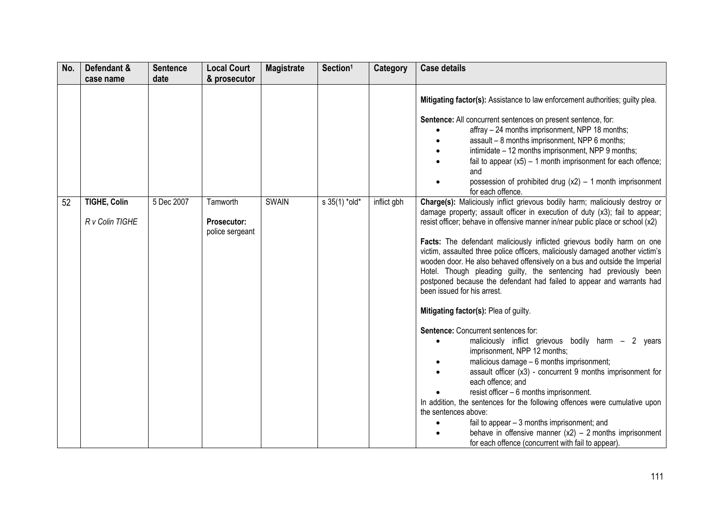| No. | Defendant &                            | <b>Sentence</b> | <b>Local Court</b>                                | <b>Magistrate</b> | Section <sup>1</sup> | <b>Category</b> | <b>Case details</b>                                                                                                                                                                                                                                                                                                                                                                                                                                                                                                                                                                                                                                                                                                                                                                                                                                                                                                                                                                                                                                                                                                                                                                                                                                                                            |
|-----|----------------------------------------|-----------------|---------------------------------------------------|-------------------|----------------------|-----------------|------------------------------------------------------------------------------------------------------------------------------------------------------------------------------------------------------------------------------------------------------------------------------------------------------------------------------------------------------------------------------------------------------------------------------------------------------------------------------------------------------------------------------------------------------------------------------------------------------------------------------------------------------------------------------------------------------------------------------------------------------------------------------------------------------------------------------------------------------------------------------------------------------------------------------------------------------------------------------------------------------------------------------------------------------------------------------------------------------------------------------------------------------------------------------------------------------------------------------------------------------------------------------------------------|
|     | case name                              | date            | & prosecutor                                      |                   |                      |                 |                                                                                                                                                                                                                                                                                                                                                                                                                                                                                                                                                                                                                                                                                                                                                                                                                                                                                                                                                                                                                                                                                                                                                                                                                                                                                                |
|     |                                        |                 |                                                   |                   |                      |                 | Mitigating factor(s): Assistance to law enforcement authorities; guilty plea.<br>Sentence: All concurrent sentences on present sentence, for:<br>affray - 24 months imprisonment, NPP 18 months;<br>assault - 8 months imprisonment, NPP 6 months;<br>intimidate - 12 months imprisonment, NPP 9 months;<br>fail to appear $(x5) - 1$ month imprisonment for each offence;<br>and<br>possession of prohibited drug $(x2) - 1$ month imprisonment<br>for each offence.                                                                                                                                                                                                                                                                                                                                                                                                                                                                                                                                                                                                                                                                                                                                                                                                                          |
| 52  | <b>TIGHE, Colin</b><br>R v Colin TIGHE | 5 Dec 2007      | Tamworth<br><b>Prosecutor:</b><br>police sergeant | <b>SWAIN</b>      | s 35(1) *old*        | inflict gbh     | Charge(s): Maliciously inflict grievous bodily harm; maliciously destroy or<br>damage property; assault officer in execution of duty (x3); fail to appear;<br>resist officer; behave in offensive manner in/near public place or school (x2)<br>Facts: The defendant maliciously inflicted grievous bodily harm on one<br>victim, assaulted three police officers, maliciously damaged another victim's<br>wooden door. He also behaved offensively on a bus and outside the Imperial<br>Hotel. Though pleading guilty, the sentencing had previously been<br>postponed because the defendant had failed to appear and warrants had<br>been issued for his arrest.<br>Mitigating factor(s): Plea of guilty.<br>Sentence: Concurrent sentences for:<br>maliciously inflict grievous bodily harm - 2 years<br>imprisonment, NPP 12 months;<br>malicious damage - 6 months imprisonment;<br>assault officer $(x3)$ - concurrent 9 months imprisonment for<br>each offence; and<br>resist officer - 6 months imprisonment.<br>In addition, the sentences for the following offences were cumulative upon<br>the sentences above:<br>fail to appear - 3 months imprisonment; and<br>behave in offensive manner $(x2) - 2$ months imprisonment<br>for each offence (concurrent with fail to appear). |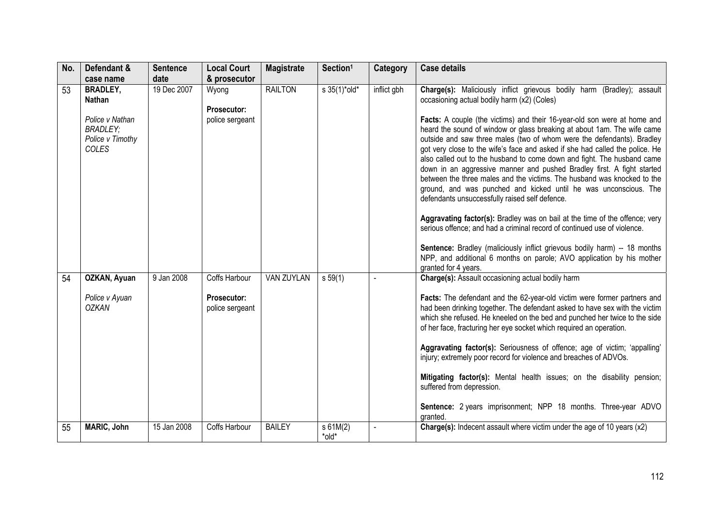| No. | Defendant &                                                     | <b>Sentence</b>     | <b>Local Court</b>                    | <b>Magistrate</b> | Section <sup>1</sup>            | Category    | <b>Case details</b>                                                                                                                                                                                                                                                                                                                                                                                                                                                                                                                                                                                                                                                                                                                                                                                                                                                                                                                                                                  |
|-----|-----------------------------------------------------------------|---------------------|---------------------------------------|-------------------|---------------------------------|-------------|--------------------------------------------------------------------------------------------------------------------------------------------------------------------------------------------------------------------------------------------------------------------------------------------------------------------------------------------------------------------------------------------------------------------------------------------------------------------------------------------------------------------------------------------------------------------------------------------------------------------------------------------------------------------------------------------------------------------------------------------------------------------------------------------------------------------------------------------------------------------------------------------------------------------------------------------------------------------------------------|
| 53  | case name<br><b>BRADLEY,</b><br><b>Nathan</b>                   | date<br>19 Dec 2007 | & prosecutor<br>Wyong                 | <b>RAILTON</b>    | $s \frac{35(1)^{*} old^{*}}{s}$ | inflict gbh | Charge(s): Maliciously inflict grievous bodily harm (Bradley); assault<br>occasioning actual bodily harm (x2) (Coles)                                                                                                                                                                                                                                                                                                                                                                                                                                                                                                                                                                                                                                                                                                                                                                                                                                                                |
|     | Police v Nathan<br><b>BRADLEY;</b><br>Police v Timothy<br>COLES |                     | <b>Prosecutor:</b><br>police sergeant |                   |                                 |             | Facts: A couple (the victims) and their 16-year-old son were at home and<br>heard the sound of window or glass breaking at about 1am. The wife came<br>outside and saw three males (two of whom were the defendants). Bradley<br>got very close to the wife's face and asked if she had called the police. He<br>also called out to the husband to come down and fight. The husband came<br>down in an aggressive manner and pushed Bradley first. A fight started<br>between the three males and the victims. The husband was knocked to the<br>ground, and was punched and kicked until he was unconscious. The<br>defendants unsuccessfully raised self defence.<br>Aggravating factor(s): Bradley was on bail at the time of the offence; very<br>serious offence; and had a criminal record of continued use of violence.<br>Sentence: Bradley (maliciously inflict grievous bodily harm) -- 18 months<br>NPP, and additional 6 months on parole; AVO application by his mother |
| 54  | OZKAN, Ayuan                                                    | 9 Jan 2008          | Coffs Harbour                         | VAN ZUYLAN        | s 59(1)                         |             | granted for 4 years.<br>Charge(s): Assault occasioning actual bodily harm                                                                                                                                                                                                                                                                                                                                                                                                                                                                                                                                                                                                                                                                                                                                                                                                                                                                                                            |
|     | Police v Ayuan<br><b>OZKAN</b>                                  |                     | <b>Prosecutor:</b><br>police sergeant |                   |                                 |             | Facts: The defendant and the 62-year-old victim were former partners and<br>had been drinking together. The defendant asked to have sex with the victim<br>which she refused. He kneeled on the bed and punched her twice to the side<br>of her face, fracturing her eye socket which required an operation.                                                                                                                                                                                                                                                                                                                                                                                                                                                                                                                                                                                                                                                                         |
|     |                                                                 |                     |                                       |                   |                                 |             | Aggravating factor(s): Seriousness of offence; age of victim; 'appalling'<br>injury; extremely poor record for violence and breaches of ADVOs.                                                                                                                                                                                                                                                                                                                                                                                                                                                                                                                                                                                                                                                                                                                                                                                                                                       |
|     |                                                                 |                     |                                       |                   |                                 |             | Mitigating factor(s): Mental health issues; on the disability pension;<br>suffered from depression.                                                                                                                                                                                                                                                                                                                                                                                                                                                                                                                                                                                                                                                                                                                                                                                                                                                                                  |
|     |                                                                 |                     |                                       |                   |                                 |             | Sentence: 2 years imprisonment; NPP 18 months. Three-year ADVO<br>granted.                                                                                                                                                                                                                                                                                                                                                                                                                                                                                                                                                                                                                                                                                                                                                                                                                                                                                                           |
| 55  | MARIC, John                                                     | 15 Jan 2008         | Coffs Harbour                         | <b>BAILEY</b>     | s 61M(2)<br>*old*               |             | Charge(s): Indecent assault where victim under the age of 10 years (x2)                                                                                                                                                                                                                                                                                                                                                                                                                                                                                                                                                                                                                                                                                                                                                                                                                                                                                                              |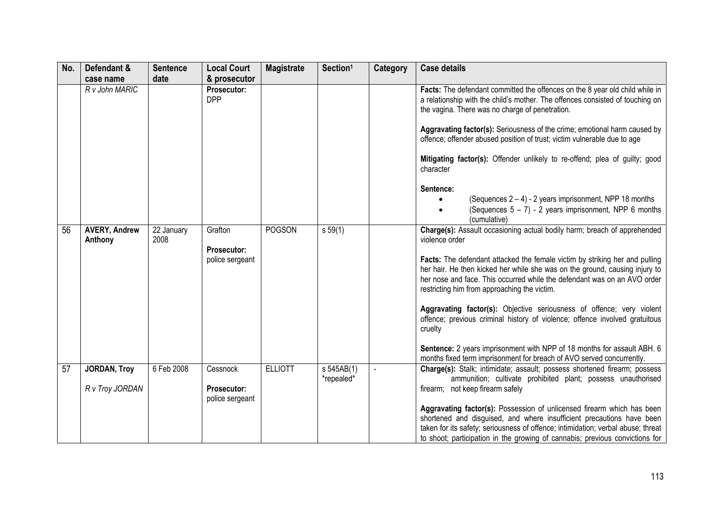| No. | Defendant &                            | <b>Sentence</b>    | <b>Local Court</b>                         | <b>Magistrate</b> | Section <sup>1</sup>     | Category | <b>Case details</b>                                                                                                                                                                                                                                                                                                                                                                                                                                                                                                                                                                                                                                |
|-----|----------------------------------------|--------------------|--------------------------------------------|-------------------|--------------------------|----------|----------------------------------------------------------------------------------------------------------------------------------------------------------------------------------------------------------------------------------------------------------------------------------------------------------------------------------------------------------------------------------------------------------------------------------------------------------------------------------------------------------------------------------------------------------------------------------------------------------------------------------------------------|
|     | case name<br>R v John MARIC            | date               | & prosecutor<br>Prosecutor:<br><b>DPP</b>  |                   |                          |          | Facts: The defendant committed the offences on the 8 year old child while in<br>a relationship with the child's mother. The offences consisted of touching on<br>the vagina. There was no charge of penetration.<br>Aggravating factor(s): Seriousness of the crime; emotional harm caused by<br>offence; offender abused position of trust; victim vulnerable due to age<br>Mitigating factor(s): Offender unlikely to re-offend; plea of guilty; good<br>character<br>Sentence:<br>(Sequences $2 - 4$ ) - 2 years imprisonment, NPP 18 months<br>(Sequences $5 - 7$ ) - 2 years imprisonment, NPP 6 months                                       |
| 56  | <b>AVERY, Andrew</b><br>Anthony        | 22 January<br>2008 | Grafton<br>Prosecutor:<br>police sergeant  | <b>POGSON</b>     | s 59(1)                  |          | (cumulative)<br>Charge(s): Assault occasioning actual bodily harm; breach of apprehended<br>violence order<br>Facts: The defendant attacked the female victim by striking her and pulling<br>her hair. He then kicked her while she was on the ground, causing injury to<br>her nose and face. This occurred while the defendant was on an AVO order<br>restricting him from approaching the victim.<br>Aggravating factor(s): Objective seriousness of offence; very violent<br>offence; previous criminal history of violence; offence involved gratuitous<br>cruelty<br>Sentence: 2 years imprisonment with NPP of 18 months for assault ABH. 6 |
| 57  | <b>JORDAN, Troy</b><br>R v Troy JORDAN | 6 Feb 2008         | Cessnock<br>Prosecutor:<br>police sergeant | <b>ELLIOTT</b>    | s 545AB(1)<br>*repealed* |          | months fixed term imprisonment for breach of AVO served concurrently.<br>Charge(s): Stalk; intimidate; assault; possess shortened firearm; possess<br>ammunition; cultivate prohibited plant; possess unauthorised<br>firearm; not keep firearm safely<br>Aggravating factor(s): Possession of unlicensed firearm which has been<br>shortened and disguised, and where insufficient precautions have been<br>taken for its safety; seriousness of offence; intimidation; verbal abuse; threat<br>to shoot; participation in the growing of cannabis; previous convictions for                                                                      |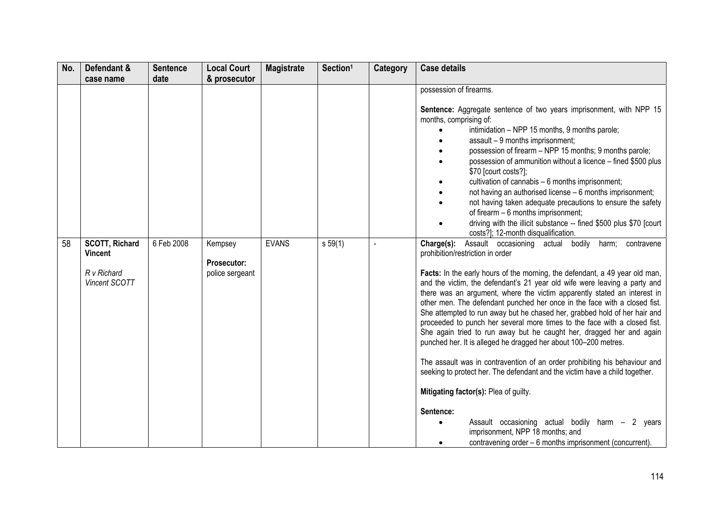| No. | Defendant &                                                             | <b>Sentence</b> | <b>Local Court</b>                               | <b>Magistrate</b> | Section <sup>1</sup> | <b>Category</b> | <b>Case details</b>                                                                                                                                                                                                                                                                                                                                                                                                                                                                                                                                                                                                                                                                                                                                                                                                                                                                                                                                                                                                                                                                                                |
|-----|-------------------------------------------------------------------------|-----------------|--------------------------------------------------|-------------------|----------------------|-----------------|--------------------------------------------------------------------------------------------------------------------------------------------------------------------------------------------------------------------------------------------------------------------------------------------------------------------------------------------------------------------------------------------------------------------------------------------------------------------------------------------------------------------------------------------------------------------------------------------------------------------------------------------------------------------------------------------------------------------------------------------------------------------------------------------------------------------------------------------------------------------------------------------------------------------------------------------------------------------------------------------------------------------------------------------------------------------------------------------------------------------|
|     | case name                                                               | date            | & prosecutor                                     |                   |                      |                 |                                                                                                                                                                                                                                                                                                                                                                                                                                                                                                                                                                                                                                                                                                                                                                                                                                                                                                                                                                                                                                                                                                                    |
|     |                                                                         |                 |                                                  |                   |                      |                 | possession of firearms.<br>Sentence: Aggregate sentence of two years imprisonment, with NPP 15<br>months, comprising of:<br>intimidation - NPP 15 months, 9 months parole;<br>assault - 9 months imprisonment;<br>possession of firearm - NPP 15 months; 9 months parole;<br>possession of ammunition without a licence - fined \$500 plus<br>\$70 [court costs?];<br>cultivation of cannabis - 6 months imprisonment;<br>not having an authorised license - 6 months imprisonment;<br>not having taken adequate precautions to ensure the safety<br>of firearm - 6 months imprisonment;<br>driving with the illicit substance -- fined \$500 plus \$70 [court<br>costs?]; 12-month disqualification.                                                                                                                                                                                                                                                                                                                                                                                                              |
| 58  | <b>SCOTT, Richard</b><br><b>Vincent</b><br>R v Richard<br>Vincent SCOTT | 6 Feb 2008      | Kempsey<br><b>Prosecutor:</b><br>police sergeant | <b>EVANS</b>      | s 59(1)              |                 | Assault occasioning actual bodily harm; contravene<br>Charge(s):<br>prohibition/restriction in order<br>Facts: In the early hours of the morning, the defendant, a 49 year old man,<br>and the victim, the defendant's 21 year old wife were leaving a party and<br>there was an argument, where the victim apparently stated an interest in<br>other men. The defendant punched her once in the face with a closed fist.<br>She attempted to run away but he chased her, grabbed hold of her hair and<br>proceeded to punch her several more times to the face with a closed fist.<br>She again tried to run away but he caught her, dragged her and again<br>punched her. It is alleged he dragged her about 100-200 metres.<br>The assault was in contravention of an order prohibiting his behaviour and<br>seeking to protect her. The defendant and the victim have a child together.<br>Mitigating factor(s): Plea of guilty.<br>Sentence:<br>Assault occasioning actual bodily harm - 2 years<br>$\bullet$<br>imprisonment, NPP 18 months; and<br>contravening order - 6 months imprisonment (concurrent). |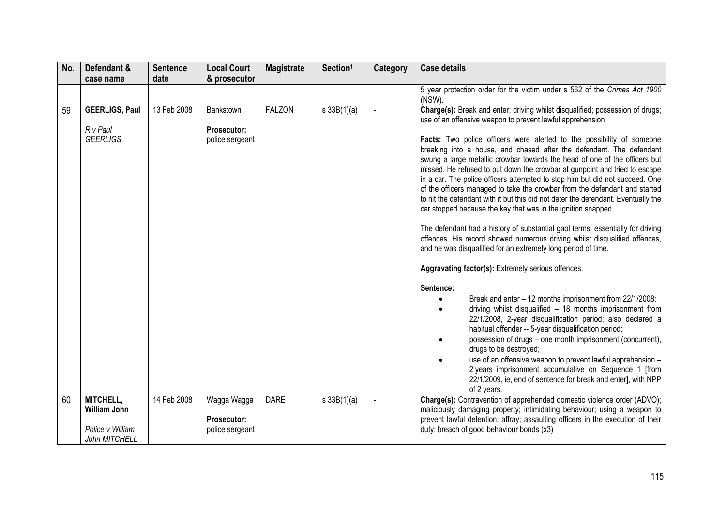| No. | Defendant &                                                           | <b>Sentence</b> | <b>Local Court</b>                            | <b>Magistrate</b> | Section <sup>1</sup> | Category | <b>Case details</b>                                                                                                                                                                                                                                                                                                                                                                                                                                                                                                                                                                                                                                                                                                                                                                                                                                            |
|-----|-----------------------------------------------------------------------|-----------------|-----------------------------------------------|-------------------|----------------------|----------|----------------------------------------------------------------------------------------------------------------------------------------------------------------------------------------------------------------------------------------------------------------------------------------------------------------------------------------------------------------------------------------------------------------------------------------------------------------------------------------------------------------------------------------------------------------------------------------------------------------------------------------------------------------------------------------------------------------------------------------------------------------------------------------------------------------------------------------------------------------|
|     | case name                                                             | date            | & prosecutor                                  |                   |                      |          |                                                                                                                                                                                                                                                                                                                                                                                                                                                                                                                                                                                                                                                                                                                                                                                                                                                                |
|     |                                                                       |                 |                                               |                   |                      |          | 5 year protection order for the victim under s 562 of the Crimes Act 1900<br>(NSW).                                                                                                                                                                                                                                                                                                                                                                                                                                                                                                                                                                                                                                                                                                                                                                            |
| 59  | <b>GEERLIGS, Paul</b>                                                 | 13 Feb 2008     | Bankstown                                     | <b>FALZON</b>     | $s \, 33B(1)(a)$     |          | Charge(s): Break and enter; driving whilst disqualified; possession of drugs;<br>use of an offensive weapon to prevent lawful apprehension                                                                                                                                                                                                                                                                                                                                                                                                                                                                                                                                                                                                                                                                                                                     |
|     | R v Paul<br><b>GEERLIGS</b>                                           |                 | Prosecutor:<br>police sergeant                |                   |                      |          | Facts: Two police officers were alerted to the possibility of someone<br>breaking into a house, and chased after the defendant. The defendant<br>swung a large metallic crowbar towards the head of one of the officers but<br>missed. He refused to put down the crowbar at gunpoint and tried to escape<br>in a car. The police officers attempted to stop him but did not succeed. One<br>of the officers managed to take the crowbar from the defendant and started<br>to hit the defendant with it but this did not deter the defendant. Eventually the<br>car stopped because the key that was in the ignition snapped.<br>The defendant had a history of substantial gaol terms, essentially for driving<br>offences. His record showed numerous driving whilst disqualified offences,<br>and he was disqualified for an extremely long period of time. |
|     |                                                                       |                 |                                               |                   |                      |          | Aggravating factor(s): Extremely serious offences.                                                                                                                                                                                                                                                                                                                                                                                                                                                                                                                                                                                                                                                                                                                                                                                                             |
|     |                                                                       |                 |                                               |                   |                      |          | Sentence:<br>Break and enter - 12 months imprisonment from 22/1/2008;<br>driving whilst disqualified - 18 months imprisonment from<br>22/1/2008, 2-year disqualification period; also declared a<br>habitual offender -- 5-year disqualification period;<br>possession of drugs - one month imprisonment (concurrent),<br>drugs to be destroyed;<br>use of an offensive weapon to prevent lawful apprehension -<br>2 years imprisonment accumulative on Sequence 1 [from<br>22/1/2009, ie, end of sentence for break and enter], with NPP<br>of 2 years.                                                                                                                                                                                                                                                                                                       |
| 60  | MITCHELL,<br><b>William John</b><br>Police v William<br>John MITCHELL | 14 Feb 2008     | Wagga Wagga<br>Prosecutor:<br>police sergeant | <b>DARE</b>       | s 33B(1)(a)          |          | Charge(s): Contravention of apprehended domestic violence order (ADVO);<br>maliciously damaging property; intimidating behaviour; using a weapon to<br>prevent lawful detention; affray; assaulting officers in the execution of their<br>duty; breach of good behaviour bonds (x3)                                                                                                                                                                                                                                                                                                                                                                                                                                                                                                                                                                            |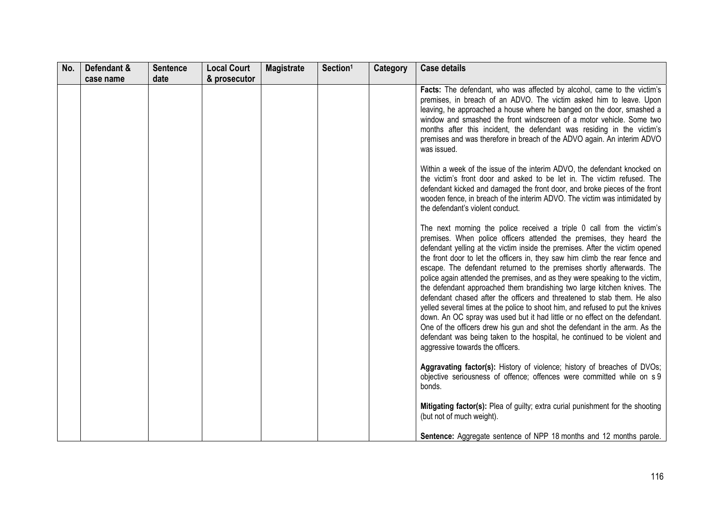| No. | Defendant & | <b>Sentence</b> | <b>Local Court</b> | <b>Magistrate</b> | Section <sup>1</sup> | Category | <b>Case details</b>                                                                                                                                                                                                                                                                                                                                                                                                                                                                                                                                                                                                                                                                                                                                           |
|-----|-------------|-----------------|--------------------|-------------------|----------------------|----------|---------------------------------------------------------------------------------------------------------------------------------------------------------------------------------------------------------------------------------------------------------------------------------------------------------------------------------------------------------------------------------------------------------------------------------------------------------------------------------------------------------------------------------------------------------------------------------------------------------------------------------------------------------------------------------------------------------------------------------------------------------------|
|     | case name   | date            | & prosecutor       |                   |                      |          |                                                                                                                                                                                                                                                                                                                                                                                                                                                                                                                                                                                                                                                                                                                                                               |
|     |             |                 |                    |                   |                      |          | Facts: The defendant, who was affected by alcohol, came to the victim's<br>premises, in breach of an ADVO. The victim asked him to leave. Upon<br>leaving, he approached a house where he banged on the door, smashed a<br>window and smashed the front windscreen of a motor vehicle. Some two<br>months after this incident, the defendant was residing in the victim's<br>premises and was therefore in breach of the ADVO again. An interim ADVO<br>was issued.<br>Within a week of the issue of the interim ADVO, the defendant knocked on<br>the victim's front door and asked to be let in. The victim refused. The<br>defendant kicked and damaged the front door, and broke pieces of the front                                                      |
|     |             |                 |                    |                   |                      |          | wooden fence, in breach of the interim ADVO. The victim was intimidated by<br>the defendant's violent conduct.<br>The next morning the police received a triple 0 call from the victim's<br>premises. When police officers attended the premises, they heard the<br>defendant yelling at the victim inside the premises. After the victim opened                                                                                                                                                                                                                                                                                                                                                                                                              |
|     |             |                 |                    |                   |                      |          | the front door to let the officers in, they saw him climb the rear fence and<br>escape. The defendant returned to the premises shortly afterwards. The<br>police again attended the premises, and as they were speaking to the victim,<br>the defendant approached them brandishing two large kitchen knives. The<br>defendant chased after the officers and threatened to stab them. He also<br>yelled several times at the police to shoot him, and refused to put the knives<br>down. An OC spray was used but it had little or no effect on the defendant.<br>One of the officers drew his gun and shot the defendant in the arm. As the<br>defendant was being taken to the hospital, he continued to be violent and<br>aggressive towards the officers. |
|     |             |                 |                    |                   |                      |          | Aggravating factor(s): History of violence; history of breaches of DVOs;<br>objective seriousness of offence; offences were committed while on s 9<br>bonds.                                                                                                                                                                                                                                                                                                                                                                                                                                                                                                                                                                                                  |
|     |             |                 |                    |                   |                      |          | Mitigating factor(s): Plea of guilty; extra curial punishment for the shooting<br>(but not of much weight).                                                                                                                                                                                                                                                                                                                                                                                                                                                                                                                                                                                                                                                   |
|     |             |                 |                    |                   |                      |          | <b>Sentence:</b> Aggregate sentence of NPP 18 months and 12 months parole.                                                                                                                                                                                                                                                                                                                                                                                                                                                                                                                                                                                                                                                                                    |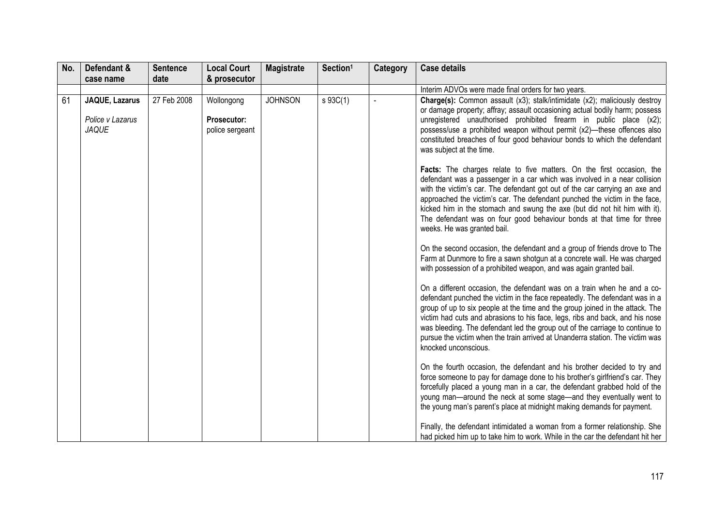| No. | Defendant &                                               | <b>Sentence</b> | <b>Local Court</b>                                  | <b>Magistrate</b> | Section <sup>1</sup>  | Category | <b>Case details</b>                                                                                                                                                                                                                                                                                                                                                                                                                                                                                              |
|-----|-----------------------------------------------------------|-----------------|-----------------------------------------------------|-------------------|-----------------------|----------|------------------------------------------------------------------------------------------------------------------------------------------------------------------------------------------------------------------------------------------------------------------------------------------------------------------------------------------------------------------------------------------------------------------------------------------------------------------------------------------------------------------|
|     | case name                                                 | date            | & prosecutor                                        |                   |                       |          |                                                                                                                                                                                                                                                                                                                                                                                                                                                                                                                  |
|     |                                                           |                 |                                                     |                   |                       |          | Interim ADVOs were made final orders for two years.                                                                                                                                                                                                                                                                                                                                                                                                                                                              |
| 61  | <b>JAQUE, Lazarus</b><br>Police v Lazarus<br><b>JAQUE</b> | 27 Feb 2008     | Wollongong<br><b>Prosecutor:</b><br>police sergeant | <b>JOHNSON</b>    | $s \overline{93C(1)}$ |          | Charge(s): Common assault (x3); stalk/intimidate (x2); maliciously destroy<br>or damage property; affray; assault occasioning actual bodily harm; possess<br>unregistered unauthorised prohibited firearm in public place (x2);<br>possess/use a prohibited weapon without permit (x2)-these offences also<br>constituted breaches of four good behaviour bonds to which the defendant<br>was subject at the time.                                                                                               |
|     |                                                           |                 |                                                     |                   |                       |          | Facts: The charges relate to five matters. On the first occasion, the<br>defendant was a passenger in a car which was involved in a near collision<br>with the victim's car. The defendant got out of the car carrying an axe and<br>approached the victim's car. The defendant punched the victim in the face,<br>kicked him in the stomach and swung the axe (but did not hit him with it).<br>The defendant was on four good behaviour bonds at that time for three<br>weeks. He was granted bail.            |
|     |                                                           |                 |                                                     |                   |                       |          | On the second occasion, the defendant and a group of friends drove to The<br>Farm at Dunmore to fire a sawn shotgun at a concrete wall. He was charged<br>with possession of a prohibited weapon, and was again granted bail.                                                                                                                                                                                                                                                                                    |
|     |                                                           |                 |                                                     |                   |                       |          | On a different occasion, the defendant was on a train when he and a co-<br>defendant punched the victim in the face repeatedly. The defendant was in a<br>group of up to six people at the time and the group joined in the attack. The<br>victim had cuts and abrasions to his face, legs, ribs and back, and his nose<br>was bleeding. The defendant led the group out of the carriage to continue to<br>pursue the victim when the train arrived at Unanderra station. The victim was<br>knocked unconscious. |
|     |                                                           |                 |                                                     |                   |                       |          | On the fourth occasion, the defendant and his brother decided to try and<br>force someone to pay for damage done to his brother's girlfriend's car. They<br>forcefully placed a young man in a car, the defendant grabbed hold of the<br>young man-around the neck at some stage-and they eventually went to<br>the young man's parent's place at midnight making demands for payment.                                                                                                                           |
|     |                                                           |                 |                                                     |                   |                       |          | Finally, the defendant intimidated a woman from a former relationship. She<br>had picked him up to take him to work. While in the car the defendant hit her                                                                                                                                                                                                                                                                                                                                                      |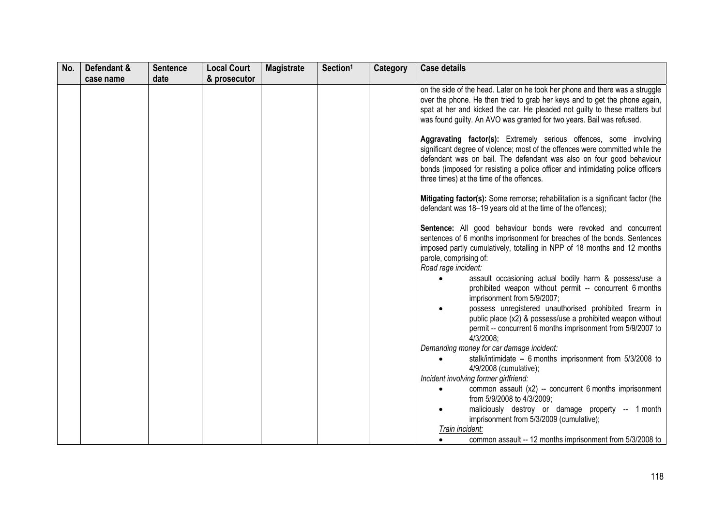| No. | Defendant & | <b>Sentence</b> | <b>Local Court</b> | <b>Magistrate</b> | Section <sup>1</sup> | Category | <b>Case details</b>                                                                                                                                                                                                                                                                                                                                       |
|-----|-------------|-----------------|--------------------|-------------------|----------------------|----------|-----------------------------------------------------------------------------------------------------------------------------------------------------------------------------------------------------------------------------------------------------------------------------------------------------------------------------------------------------------|
|     | case name   | date            | & prosecutor       |                   |                      |          |                                                                                                                                                                                                                                                                                                                                                           |
|     |             |                 |                    |                   |                      |          | on the side of the head. Later on he took her phone and there was a struggle<br>over the phone. He then tried to grab her keys and to get the phone again,<br>spat at her and kicked the car. He pleaded not guilty to these matters but<br>was found guilty. An AVO was granted for two years. Bail was refused.                                         |
|     |             |                 |                    |                   |                      |          | Aggravating factor(s): Extremely serious offences, some involving<br>significant degree of violence; most of the offences were committed while the<br>defendant was on bail. The defendant was also on four good behaviour<br>bonds (imposed for resisting a police officer and intimidating police officers<br>three times) at the time of the offences. |
|     |             |                 |                    |                   |                      |          | Mitigating factor(s): Some remorse; rehabilitation is a significant factor (the<br>defendant was 18-19 years old at the time of the offences);                                                                                                                                                                                                            |
|     |             |                 |                    |                   |                      |          | Sentence: All good behaviour bonds were revoked and concurrent<br>sentences of 6 months imprisonment for breaches of the bonds. Sentences<br>imposed partly cumulatively, totalling in NPP of 18 months and 12 months<br>parole, comprising of:<br>Road rage incident:                                                                                    |
|     |             |                 |                    |                   |                      |          | assault occasioning actual bodily harm & possess/use a<br>$\bullet$<br>prohibited weapon without permit -- concurrent 6 months<br>imprisonment from 5/9/2007;                                                                                                                                                                                             |
|     |             |                 |                    |                   |                      |          | possess unregistered unauthorised prohibited firearm in<br>public place (x2) & possess/use a prohibited weapon without<br>permit -- concurrent 6 months imprisonment from 5/9/2007 to<br>4/3/2008;                                                                                                                                                        |
|     |             |                 |                    |                   |                      |          | Demanding money for car damage incident:                                                                                                                                                                                                                                                                                                                  |
|     |             |                 |                    |                   |                      |          | stalk/intimidate -- 6 months imprisonment from 5/3/2008 to<br>$\bullet$<br>4/9/2008 (cumulative);                                                                                                                                                                                                                                                         |
|     |             |                 |                    |                   |                      |          | Incident involving former girlfriend:                                                                                                                                                                                                                                                                                                                     |
|     |             |                 |                    |                   |                      |          | common assault (x2) -- concurrent 6 months imprisonment<br>$\bullet$<br>from 5/9/2008 to 4/3/2009;                                                                                                                                                                                                                                                        |
|     |             |                 |                    |                   |                      |          | maliciously destroy or damage property -- 1 month<br>imprisonment from 5/3/2009 (cumulative);                                                                                                                                                                                                                                                             |
|     |             |                 |                    |                   |                      |          | Train incident:                                                                                                                                                                                                                                                                                                                                           |
|     |             |                 |                    |                   |                      |          | common assault -- 12 months imprisonment from 5/3/2008 to                                                                                                                                                                                                                                                                                                 |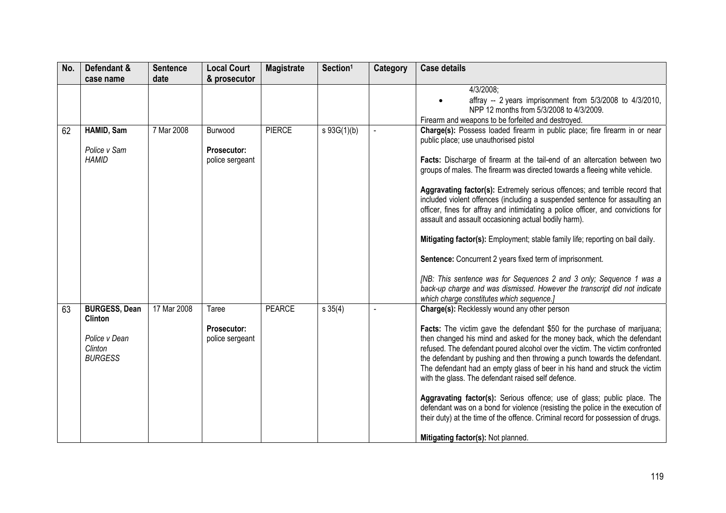| No. | Defendant &                                                                          | <b>Sentence</b> | <b>Local Court</b>                               | <b>Magistrate</b> | Section <sup>1</sup> | Category | <b>Case details</b>                                                                                                                                                                                                                                                                                                                                                                                                                                                                                                                                                                                                                                                                                                                                                                                                                                                                                                                     |
|-----|--------------------------------------------------------------------------------------|-----------------|--------------------------------------------------|-------------------|----------------------|----------|-----------------------------------------------------------------------------------------------------------------------------------------------------------------------------------------------------------------------------------------------------------------------------------------------------------------------------------------------------------------------------------------------------------------------------------------------------------------------------------------------------------------------------------------------------------------------------------------------------------------------------------------------------------------------------------------------------------------------------------------------------------------------------------------------------------------------------------------------------------------------------------------------------------------------------------------|
|     | case name                                                                            | date            | & prosecutor                                     |                   |                      |          |                                                                                                                                                                                                                                                                                                                                                                                                                                                                                                                                                                                                                                                                                                                                                                                                                                                                                                                                         |
|     |                                                                                      |                 |                                                  |                   |                      |          | 4/3/2008;<br>affray -- 2 years imprisonment from 5/3/2008 to 4/3/2010,<br>NPP 12 months from 5/3/2008 to 4/3/2009.<br>Firearm and weapons to be forfeited and destroyed.                                                                                                                                                                                                                                                                                                                                                                                                                                                                                                                                                                                                                                                                                                                                                                |
| 62  | HAMID, Sam<br>Police v Sam<br><b>HAMID</b>                                           | 7 Mar 2008      | Burwood<br><b>Prosecutor:</b><br>police sergeant | <b>PIERCE</b>     | $s\ 93G(1)(b)$       |          | Charge(s): Possess loaded firearm in public place; fire firearm in or near<br>public place; use unauthorised pistol<br>Facts: Discharge of firearm at the tail-end of an altercation between two<br>groups of males. The firearm was directed towards a fleeing white vehicle.<br>Aggravating factor(s): Extremely serious offences; and terrible record that<br>included violent offences (including a suspended sentence for assaulting an<br>officer, fines for affray and intimidating a police officer, and convictions for<br>assault and assault occasioning actual bodily harm).<br>Mitigating factor(s): Employment; stable family life; reporting on bail daily.<br>Sentence: Concurrent 2 years fixed term of imprisonment.<br>[NB: This sentence was for Sequences 2 and 3 only; Sequence 1 was a<br>back-up charge and was dismissed. However the transcript did not indicate<br>which charge constitutes which sequence.] |
| 63  | <b>BURGESS, Dean</b><br><b>Clinton</b><br>Police v Dean<br>Clinton<br><b>BURGESS</b> | 17 Mar 2008     | Taree<br><b>Prosecutor:</b><br>police sergeant   | <b>PEARCE</b>     | $s \, 35(4)$         | $\sim$   | Charge(s): Recklessly wound any other person<br>Facts: The victim gave the defendant \$50 for the purchase of marijuana;<br>then changed his mind and asked for the money back, which the defendant<br>refused. The defendant poured alcohol over the victim. The victim confronted<br>the defendant by pushing and then throwing a punch towards the defendant.<br>The defendant had an empty glass of beer in his hand and struck the victim<br>with the glass. The defendant raised self defence.<br>Aggravating factor(s): Serious offence; use of glass; public place. The<br>defendant was on a bond for violence (resisting the police in the execution of<br>their duty) at the time of the offence. Criminal record for possession of drugs.<br>Mitigating factor(s): Not planned.                                                                                                                                             |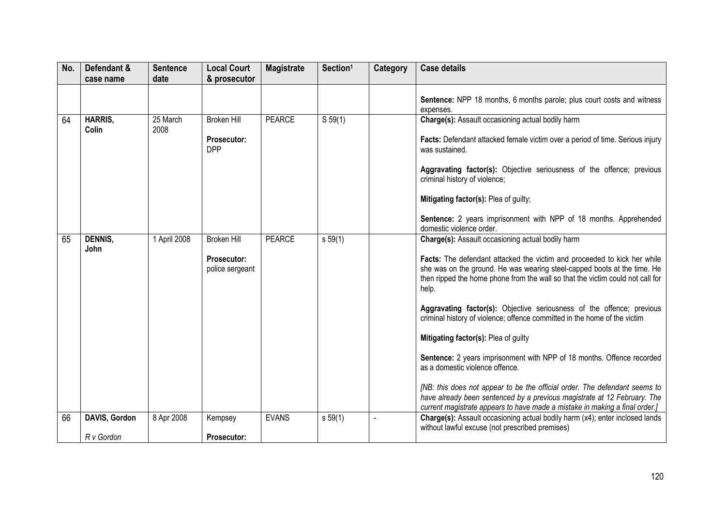| No. | Defendant &             | <b>Sentence</b>  | <b>Local Court</b>             | <b>Magistrate</b> | Section <sup>1</sup> | Category | <b>Case details</b>                                                                                                                                                                                                                             |
|-----|-------------------------|------------------|--------------------------------|-------------------|----------------------|----------|-------------------------------------------------------------------------------------------------------------------------------------------------------------------------------------------------------------------------------------------------|
|     | case name               | date             | & prosecutor                   |                   |                      |          |                                                                                                                                                                                                                                                 |
|     |                         |                  |                                |                   |                      |          | Sentence: NPP 18 months, 6 months parole; plus court costs and witness<br>expenses.                                                                                                                                                             |
| 64  | <b>HARRIS,</b><br>Colin | 25 March<br>2008 | <b>Broken Hill</b>             | <b>PEARCE</b>     | S 59(1)              |          | Charge(s): Assault occasioning actual bodily harm                                                                                                                                                                                               |
|     |                         |                  | Prosecutor:<br><b>DPP</b>      |                   |                      |          | Facts: Defendant attacked female victim over a period of time. Serious injury<br>was sustained.                                                                                                                                                 |
|     |                         |                  |                                |                   |                      |          | Aggravating factor(s): Objective seriousness of the offence; previous<br>criminal history of violence;                                                                                                                                          |
|     |                         |                  |                                |                   |                      |          | Mitigating factor(s): Plea of guilty;                                                                                                                                                                                                           |
|     |                         |                  |                                |                   |                      |          | Sentence: 2 years imprisonment with NPP of 18 months. Apprehended<br>domestic violence order.                                                                                                                                                   |
| 65  | <b>DENNIS,</b><br>John  | 1 April 2008     | <b>Broken Hill</b>             | <b>PEARCE</b>     | s 59(1)              |          | Charge(s): Assault occasioning actual bodily harm                                                                                                                                                                                               |
|     |                         |                  | Prosecutor:<br>police sergeant |                   |                      |          | Facts: The defendant attacked the victim and proceeded to kick her while<br>she was on the ground. He was wearing steel-capped boots at the time. He<br>then ripped the home phone from the wall so that the victim could not call for<br>help. |
|     |                         |                  |                                |                   |                      |          | Aggravating factor(s): Objective seriousness of the offence; previous<br>criminal history of violence; offence committed in the home of the victim                                                                                              |
|     |                         |                  |                                |                   |                      |          | Mitigating factor(s): Plea of guilty                                                                                                                                                                                                            |
|     |                         |                  |                                |                   |                      |          | Sentence: 2 years imprisonment with NPP of 18 months. Offence recorded<br>as a domestic violence offence.                                                                                                                                       |
|     |                         |                  |                                |                   |                      |          | [NB: this does not appear to be the official order. The defendant seems to<br>have already been sentenced by a previous magistrate at 12 February. The<br>current magistrate appears to have made a mistake in making a final order.]           |
| 66  | DAVIS, Gordon           | 8 Apr 2008       | Kempsey                        | <b>EVANS</b>      | s 59(1)              |          | Charge(s): Assault occasioning actual bodily harm (x4); enter inclosed lands<br>without lawful excuse (not prescribed premises)                                                                                                                 |
|     | R v Gordon              |                  | Prosecutor:                    |                   |                      |          |                                                                                                                                                                                                                                                 |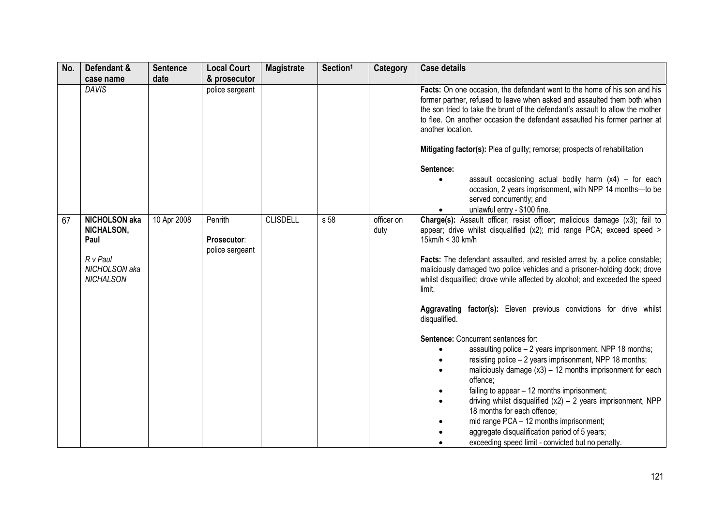| No. | Defendant &                                                                                 | <b>Sentence</b> | <b>Local Court</b>                        | <b>Magistrate</b> | Section <sup>1</sup> | <b>Category</b>    | <b>Case details</b>                                                                                                                                                                                                                                                                                                                                                                                                                                                                                                                                                                       |
|-----|---------------------------------------------------------------------------------------------|-----------------|-------------------------------------------|-------------------|----------------------|--------------------|-------------------------------------------------------------------------------------------------------------------------------------------------------------------------------------------------------------------------------------------------------------------------------------------------------------------------------------------------------------------------------------------------------------------------------------------------------------------------------------------------------------------------------------------------------------------------------------------|
|     | case name                                                                                   | date            | & prosecutor                              |                   |                      |                    |                                                                                                                                                                                                                                                                                                                                                                                                                                                                                                                                                                                           |
|     | <b>DAVIS</b>                                                                                |                 | police sergeant                           |                   |                      |                    | Facts: On one occasion, the defendant went to the home of his son and his<br>former partner, refused to leave when asked and assaulted them both when<br>the son tried to take the brunt of the defendant's assault to allow the mother<br>to flee. On another occasion the defendant assaulted his former partner at<br>another location.<br>Mitigating factor(s): Plea of guilty; remorse; prospects of rehabilitation<br>Sentence:<br>assault occasioning actual bodily harm $(x4)$ – for each<br>occasion, 2 years imprisonment, with NPP 14 months-to be<br>served concurrently; and |
|     |                                                                                             |                 |                                           |                   |                      |                    | unlawful entry - \$100 fine.                                                                                                                                                                                                                                                                                                                                                                                                                                                                                                                                                              |
| 67  | <b>NICHOLSON aka</b><br>NICHALSON,<br>Paul<br>R v Paul<br>NICHOLSON aka<br><b>NICHALSON</b> | 10 Apr 2008     | Penrith<br>Prosecutor:<br>police sergeant | <b>CLISDELL</b>   | s 58                 | officer on<br>duty | Charge(s): Assault officer; resist officer; malicious damage (x3); fail to<br>appear; drive whilst disqualified (x2); mid range PCA; exceed speed ><br>15km/h < 30 km/h<br>Facts: The defendant assaulted, and resisted arrest by, a police constable;<br>maliciously damaged two police vehicles and a prisoner-holding dock; drove<br>whilst disqualified; drove while affected by alcohol; and exceeded the speed<br>limit.<br>Aggravating factor(s): Eleven previous convictions for drive whilst<br>disqualified.<br>Sentence: Concurrent sentences for:                             |
|     |                                                                                             |                 |                                           |                   |                      |                    | assaulting police - 2 years imprisonment, NPP 18 months;                                                                                                                                                                                                                                                                                                                                                                                                                                                                                                                                  |
|     |                                                                                             |                 |                                           |                   |                      |                    | resisting police - 2 years imprisonment, NPP 18 months;                                                                                                                                                                                                                                                                                                                                                                                                                                                                                                                                   |
|     |                                                                                             |                 |                                           |                   |                      |                    | maliciously damage $(x3) - 12$ months imprisonment for each<br>$\bullet$<br>offence;                                                                                                                                                                                                                                                                                                                                                                                                                                                                                                      |
|     |                                                                                             |                 |                                           |                   |                      |                    | failing to appear - 12 months imprisonment;                                                                                                                                                                                                                                                                                                                                                                                                                                                                                                                                               |
|     |                                                                                             |                 |                                           |                   |                      |                    | driving whilst disqualified $(x2) - 2$ years imprisonment, NPP<br>18 months for each offence;                                                                                                                                                                                                                                                                                                                                                                                                                                                                                             |
|     |                                                                                             |                 |                                           |                   |                      |                    | mid range PCA - 12 months imprisonment;                                                                                                                                                                                                                                                                                                                                                                                                                                                                                                                                                   |
|     |                                                                                             |                 |                                           |                   |                      |                    | aggregate disqualification period of 5 years;                                                                                                                                                                                                                                                                                                                                                                                                                                                                                                                                             |
|     |                                                                                             |                 |                                           |                   |                      |                    | exceeding speed limit - convicted but no penalty.                                                                                                                                                                                                                                                                                                                                                                                                                                                                                                                                         |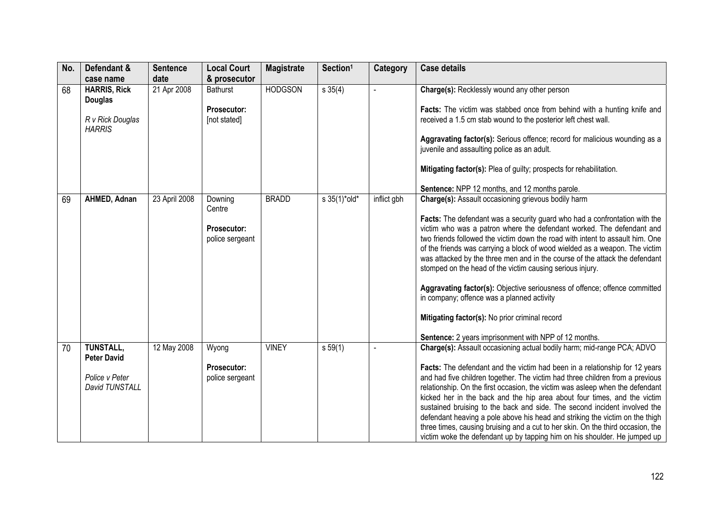| No. | Defendant &<br>case name              | <b>Sentence</b><br>date | <b>Local Court</b><br>& prosecutor | <b>Magistrate</b> | Section <sup>1</sup> | <b>Category</b> | <b>Case details</b>                                                                                                                       |
|-----|---------------------------------------|-------------------------|------------------------------------|-------------------|----------------------|-----------------|-------------------------------------------------------------------------------------------------------------------------------------------|
| 68  | <b>HARRIS, Rick</b><br><b>Douglas</b> | 21 Apr 2008             | <b>Bathurst</b>                    | <b>HODGSON</b>    | s 35(4)              |                 | Charge(s): Recklessly wound any other person                                                                                              |
|     | R v Rick Douglas<br><b>HARRIS</b>     |                         | Prosecutor:<br>[not stated]        |                   |                      |                 | Facts: The victim was stabbed once from behind with a hunting knife and<br>received a 1.5 cm stab wound to the posterior left chest wall. |
|     |                                       |                         |                                    |                   |                      |                 | Aggravating factor(s): Serious offence; record for malicious wounding as a<br>juvenile and assaulting police as an adult.                 |
|     |                                       |                         |                                    |                   |                      |                 | Mitigating factor(s): Plea of guilty; prospects for rehabilitation.                                                                       |
|     |                                       |                         |                                    |                   |                      |                 | Sentence: NPP 12 months, and 12 months parole.                                                                                            |
| 69  | AHMED, Adnan                          | 23 April 2008           | Downing<br>Centre                  | <b>BRADD</b>      | s 35(1)*old*         | inflict gbh     | Charge(s): Assault occasioning grievous bodily harm                                                                                       |
|     |                                       |                         |                                    |                   |                      |                 | Facts: The defendant was a security guard who had a confrontation with the                                                                |
|     |                                       |                         | <b>Prosecutor:</b>                 |                   |                      |                 | victim who was a patron where the defendant worked. The defendant and                                                                     |
|     |                                       |                         | police sergeant                    |                   |                      |                 | two friends followed the victim down the road with intent to assault him. One                                                             |
|     |                                       |                         |                                    |                   |                      |                 | of the friends was carrying a block of wood wielded as a weapon. The victim                                                               |
|     |                                       |                         |                                    |                   |                      |                 | was attacked by the three men and in the course of the attack the defendant                                                               |
|     |                                       |                         |                                    |                   |                      |                 | stomped on the head of the victim causing serious injury.                                                                                 |
|     |                                       |                         |                                    |                   |                      |                 | Aggravating factor(s): Objective seriousness of offence; offence committed                                                                |
|     |                                       |                         |                                    |                   |                      |                 | in company; offence was a planned activity                                                                                                |
|     |                                       |                         |                                    |                   |                      |                 | Mitigating factor(s): No prior criminal record                                                                                            |
|     |                                       |                         |                                    |                   |                      |                 | Sentence: 2 years imprisonment with NPP of 12 months.                                                                                     |
| 70  | TUNSTALL,<br><b>Peter David</b>       | 12 May 2008             | Wyong                              | <b>VINEY</b>      | s 59(1)              |                 | Charge(s): Assault occasioning actual bodily harm; mid-range PCA; ADVO                                                                    |
|     |                                       |                         | <b>Prosecutor:</b>                 |                   |                      |                 | Facts: The defendant and the victim had been in a relationship for 12 years                                                               |
|     | Police v Peter                        |                         | police sergeant                    |                   |                      |                 | and had five children together. The victim had three children from a previous                                                             |
|     | David TUNSTALL                        |                         |                                    |                   |                      |                 | relationship. On the first occasion, the victim was asleep when the defendant                                                             |
|     |                                       |                         |                                    |                   |                      |                 | kicked her in the back and the hip area about four times, and the victim                                                                  |
|     |                                       |                         |                                    |                   |                      |                 | sustained bruising to the back and side. The second incident involved the                                                                 |
|     |                                       |                         |                                    |                   |                      |                 | defendant heaving a pole above his head and striking the victim on the thigh                                                              |
|     |                                       |                         |                                    |                   |                      |                 | three times, causing bruising and a cut to her skin. On the third occasion, the                                                           |
|     |                                       |                         |                                    |                   |                      |                 |                                                                                                                                           |
|     |                                       |                         |                                    |                   |                      |                 | victim woke the defendant up by tapping him on his shoulder. He jumped up                                                                 |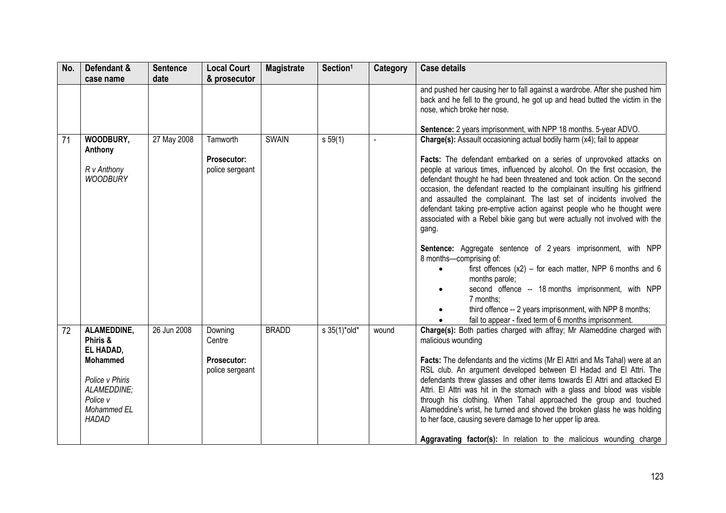| No. | Defendant &                                                                                                                   | <b>Sentence</b> | <b>Local Court</b>                                         | <b>Magistrate</b> | Section <sup>1</sup>         | Category | <b>Case details</b>                                                                                                                                                                                                                                                                                                                                                                                                                                                                                                                                                                                                                                                                                                                                                                                                                                                                                                                                                                                   |
|-----|-------------------------------------------------------------------------------------------------------------------------------|-----------------|------------------------------------------------------------|-------------------|------------------------------|----------|-------------------------------------------------------------------------------------------------------------------------------------------------------------------------------------------------------------------------------------------------------------------------------------------------------------------------------------------------------------------------------------------------------------------------------------------------------------------------------------------------------------------------------------------------------------------------------------------------------------------------------------------------------------------------------------------------------------------------------------------------------------------------------------------------------------------------------------------------------------------------------------------------------------------------------------------------------------------------------------------------------|
|     | case name                                                                                                                     | date            | & prosecutor                                               |                   |                              |          |                                                                                                                                                                                                                                                                                                                                                                                                                                                                                                                                                                                                                                                                                                                                                                                                                                                                                                                                                                                                       |
|     |                                                                                                                               |                 |                                                            |                   |                              |          | and pushed her causing her to fall against a wardrobe. After she pushed him<br>back and he fell to the ground, he got up and head butted the victim in the<br>nose, which broke her nose.<br>Sentence: 2 years imprisonment, with NPP 18 months. 5-year ADVO.                                                                                                                                                                                                                                                                                                                                                                                                                                                                                                                                                                                                                                                                                                                                         |
| 71  | WOODBURY,<br>Anthony<br>R v Anthony<br><b>WOODBURY</b>                                                                        | 27 May 2008     | Tamworth<br>Prosecutor:<br>police sergeant                 | <b>SWAIN</b>      | s 59(1)                      |          | Charge(s): Assault occasioning actual bodily harm (x4); fail to appear<br>Facts: The defendant embarked on a series of unprovoked attacks on<br>people at various times, influenced by alcohol. On the first occasion, the<br>defendant thought he had been threatened and took action. On the second<br>occasion, the defendant reacted to the complainant insulting his girlfriend<br>and assaulted the complainant. The last set of incidents involved the<br>defendant taking pre-emptive action against people who he thought were<br>associated with a Rebel bikie gang but were actually not involved with the<br>gang.<br>Sentence: Aggregate sentence of 2 years imprisonment, with NPP<br>8 months-comprising of:<br>first offences $(x2)$ – for each matter, NPP 6 months and 6<br>months parole;<br>second offence -- 18 months imprisonment, with NPP<br>7 months:<br>third offence -- 2 years imprisonment, with NPP 8 months;<br>fail to appear - fixed term of 6 months imprisonment. |
| 72  | ALAMEDDINE,<br>Phiris &<br>EL HADAD,<br>Mohammed<br>Police v Phiris<br>ALAMEDDINE;<br>Police v<br>Mohammed EL<br><b>HADAD</b> | 26 Jun 2008     | Downing<br>Centre<br><b>Prosecutor:</b><br>police sergeant | <b>BRADD</b>      | $s \frac{35(1)^{*} old*}{ }$ | wound    | Charge(s): Both parties charged with affray; Mr Alameddine charged with<br>malicious wounding<br>Facts: The defendants and the victims (Mr El Attri and Ms Tahal) were at an<br>RSL club. An argument developed between El Hadad and El Attri. The<br>defendants threw glasses and other items towards El Attri and attacked El<br>Attri. El Attri was hit in the stomach with a glass and blood was visible<br>through his clothing. When Tahal approached the group and touched<br>Alameddine's wrist, he turned and shoved the broken glass he was holding<br>to her face, causing severe damage to her upper lip area.<br>Aggravating factor(s): In relation to the malicious wounding charge                                                                                                                                                                                                                                                                                                     |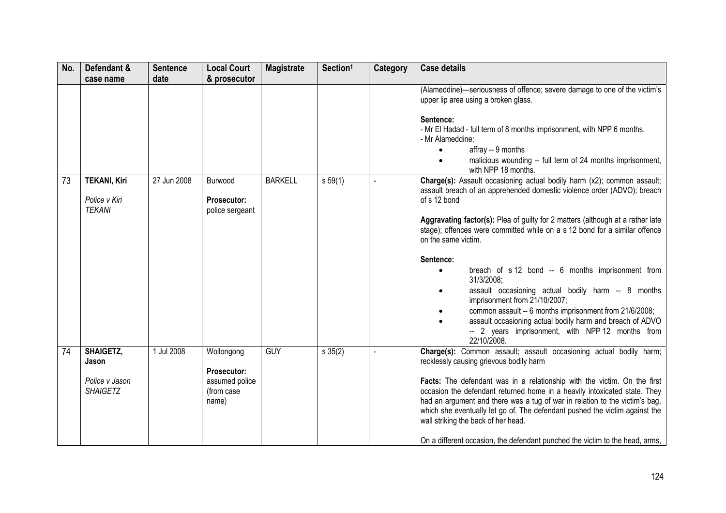| No. | Defendant &<br>case name                                       | <b>Sentence</b><br>date | <b>Local Court</b><br>& prosecutor                                        | <b>Magistrate</b> | Section <sup>1</sup> | Category | <b>Case details</b>                                                                                                                                                                                                                                                                                                                                                                                                                                                                                                                                                                                                                                                                                                                                             |
|-----|----------------------------------------------------------------|-------------------------|---------------------------------------------------------------------------|-------------------|----------------------|----------|-----------------------------------------------------------------------------------------------------------------------------------------------------------------------------------------------------------------------------------------------------------------------------------------------------------------------------------------------------------------------------------------------------------------------------------------------------------------------------------------------------------------------------------------------------------------------------------------------------------------------------------------------------------------------------------------------------------------------------------------------------------------|
|     |                                                                |                         |                                                                           |                   |                      |          | (Alameddine)-seriousness of offence; severe damage to one of the victim's<br>upper lip area using a broken glass.<br>Sentence:<br>- Mr El Hadad - full term of 8 months imprisonment, with NPP 6 months.<br>- Mr Alameddine:<br>affray -- 9 months<br>malicious wounding -- full term of 24 months imprisonment,                                                                                                                                                                                                                                                                                                                                                                                                                                                |
| 73  | <b>TEKANI, Kiri</b><br>Police v Kiri<br><b>TEKANI</b>          | 27 Jun 2008             | Burwood<br>Prosecutor:<br>police sergeant                                 | <b>BARKELL</b>    | s 59(1)              |          | with NPP 18 months.<br>Charge(s): Assault occasioning actual bodily harm (x2); common assault;<br>assault breach of an apprehended domestic violence order (ADVO); breach<br>of s 12 bond<br>Aggravating factor(s): Plea of guilty for 2 matters (although at a rather late<br>stage); offences were committed while on a s 12 bond for a similar offence<br>on the same victim.<br>Sentence:<br>breach of s 12 bond -- 6 months imprisonment from<br>$\bullet$<br>31/3/2008;<br>assault occasioning actual bodily harm -- 8 months<br>imprisonment from 21/10/2007;<br>common assault -- 6 months imprisonment from 21/6/2008;<br>assault occasioning actual bodily harm and breach of ADVO<br>-- 2 years imprisonment, with NPP 12 months from<br>22/10/2008. |
| 74  | <b>SHAIGETZ,</b><br>Jason<br>Police v Jason<br><b>SHAIGETZ</b> | 1 Jul 2008              | Wollongong<br><b>Prosecutor:</b><br>assumed police<br>(from case<br>name) | <b>GUY</b>        | $s \, 35(2)$         | $\sim$   | Charge(s): Common assault; assault occasioning actual bodily harm;<br>recklessly causing grievous bodily harm<br>Facts: The defendant was in a relationship with the victim. On the first<br>occasion the defendant returned home in a heavily intoxicated state. They<br>had an argument and there was a tug of war in relation to the victim's bag,<br>which she eventually let go of. The defendant pushed the victim against the<br>wall striking the back of her head.<br>On a different occasion, the defendant punched the victim to the head, arms,                                                                                                                                                                                                     |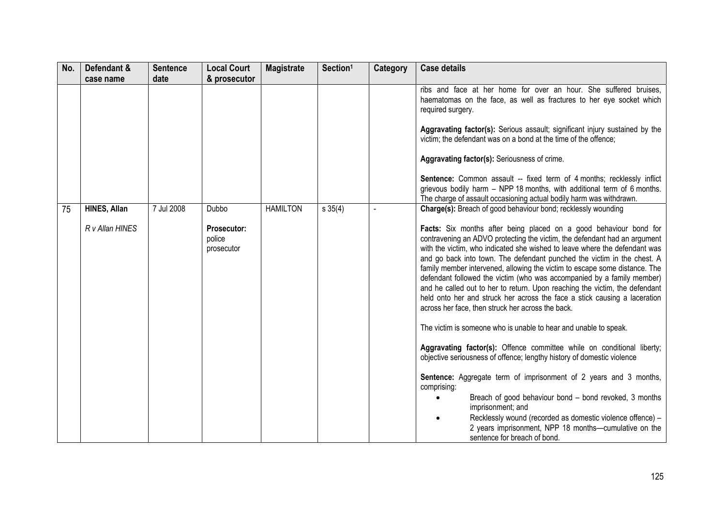| No. | Defendant &<br>case name        | <b>Sentence</b><br>date | <b>Local Court</b><br>& prosecutor                  | <b>Magistrate</b> | Section <sup>1</sup> | <b>Category</b> | <b>Case details</b>                                                                                                                                                                                                                                                                                                                                                                                                                                                                                                                                                                                                                                                                                                                                                                                                                                                                                                                                                                                                                                                                                                                                                                                                                                                                                 |
|-----|---------------------------------|-------------------------|-----------------------------------------------------|-------------------|----------------------|-----------------|-----------------------------------------------------------------------------------------------------------------------------------------------------------------------------------------------------------------------------------------------------------------------------------------------------------------------------------------------------------------------------------------------------------------------------------------------------------------------------------------------------------------------------------------------------------------------------------------------------------------------------------------------------------------------------------------------------------------------------------------------------------------------------------------------------------------------------------------------------------------------------------------------------------------------------------------------------------------------------------------------------------------------------------------------------------------------------------------------------------------------------------------------------------------------------------------------------------------------------------------------------------------------------------------------------|
|     |                                 |                         |                                                     |                   |                      |                 | ribs and face at her home for over an hour. She suffered bruises,<br>haematomas on the face, as well as fractures to her eye socket which<br>required surgery.<br>Aggravating factor(s): Serious assault; significant injury sustained by the<br>victim; the defendant was on a bond at the time of the offence;<br>Aggravating factor(s): Seriousness of crime.                                                                                                                                                                                                                                                                                                                                                                                                                                                                                                                                                                                                                                                                                                                                                                                                                                                                                                                                    |
|     |                                 |                         |                                                     |                   |                      |                 | <b>Sentence:</b> Common assault -- fixed term of 4 months; recklessly inflict<br>grievous bodily harm - NPP 18 months, with additional term of 6 months.<br>The charge of assault occasioning actual bodily harm was withdrawn.                                                                                                                                                                                                                                                                                                                                                                                                                                                                                                                                                                                                                                                                                                                                                                                                                                                                                                                                                                                                                                                                     |
| 75  | HINES, Allan<br>R v Allan HINES | 7 Jul 2008              | Dubbo<br><b>Prosecutor:</b><br>police<br>prosecutor | <b>HAMILTON</b>   | s 35(4)              |                 | Charge(s): Breach of good behaviour bond; recklessly wounding<br>Facts: Six months after being placed on a good behaviour bond for<br>contravening an ADVO protecting the victim, the defendant had an argument<br>with the victim, who indicated she wished to leave where the defendant was<br>and go back into town. The defendant punched the victim in the chest. A<br>family member intervened, allowing the victim to escape some distance. The<br>defendant followed the victim (who was accompanied by a family member)<br>and he called out to her to return. Upon reaching the victim, the defendant<br>held onto her and struck her across the face a stick causing a laceration<br>across her face, then struck her across the back.<br>The victim is someone who is unable to hear and unable to speak.<br>Aggravating factor(s): Offence committee while on conditional liberty;<br>objective seriousness of offence; lengthy history of domestic violence<br>Sentence: Aggregate term of imprisonment of 2 years and 3 months,<br>comprising:<br>Breach of good behaviour bond - bond revoked, 3 months<br>imprisonment; and<br>Recklessly wound (recorded as domestic violence offence) -<br>2 years imprisonment, NPP 18 months-cumulative on the<br>sentence for breach of bond. |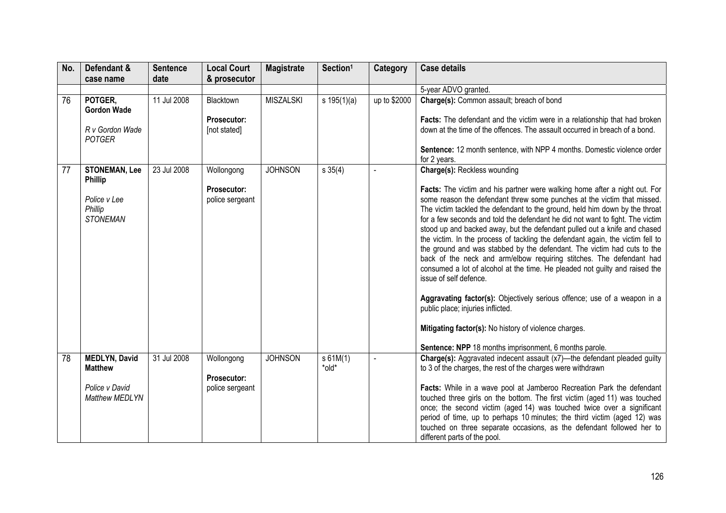| No. | Defendant &                                | <b>Sentence</b> | <b>Local Court</b>                    | <b>Magistrate</b> | Section <sup>1</sup> | Category       | <b>Case details</b>                                                                                                                                                                                                                                                                                                                                                                                                                                                                                                                                                                                                                                                                                                                                                                                                                                                                                                                                                                  |
|-----|--------------------------------------------|-----------------|---------------------------------------|-------------------|----------------------|----------------|--------------------------------------------------------------------------------------------------------------------------------------------------------------------------------------------------------------------------------------------------------------------------------------------------------------------------------------------------------------------------------------------------------------------------------------------------------------------------------------------------------------------------------------------------------------------------------------------------------------------------------------------------------------------------------------------------------------------------------------------------------------------------------------------------------------------------------------------------------------------------------------------------------------------------------------------------------------------------------------|
|     | case name                                  | date            | & prosecutor                          |                   |                      |                |                                                                                                                                                                                                                                                                                                                                                                                                                                                                                                                                                                                                                                                                                                                                                                                                                                                                                                                                                                                      |
|     |                                            |                 |                                       |                   |                      |                | 5-year ADVO granted.                                                                                                                                                                                                                                                                                                                                                                                                                                                                                                                                                                                                                                                                                                                                                                                                                                                                                                                                                                 |
| 76  | POTGER.<br><b>Gordon Wade</b>              | 11 Jul 2008     | Blacktown                             | <b>MISZALSKI</b>  | s $195(1)(a)$        | up to \$2000   | Charge(s): Common assault; breach of bond                                                                                                                                                                                                                                                                                                                                                                                                                                                                                                                                                                                                                                                                                                                                                                                                                                                                                                                                            |
|     |                                            |                 | Prosecutor:                           |                   |                      |                | Facts: The defendant and the victim were in a relationship that had broken                                                                                                                                                                                                                                                                                                                                                                                                                                                                                                                                                                                                                                                                                                                                                                                                                                                                                                           |
|     | R v Gordon Wade<br><b>POTGER</b>           |                 | [not stated]                          |                   |                      |                | down at the time of the offences. The assault occurred in breach of a bond.                                                                                                                                                                                                                                                                                                                                                                                                                                                                                                                                                                                                                                                                                                                                                                                                                                                                                                          |
|     |                                            |                 |                                       |                   |                      |                | Sentence: 12 month sentence, with NPP 4 months. Domestic violence order<br>for 2 years.                                                                                                                                                                                                                                                                                                                                                                                                                                                                                                                                                                                                                                                                                                                                                                                                                                                                                              |
| 77  | <b>STONEMAN, Lee</b><br><b>Phillip</b>     | 23 Jul 2008     | Wollongong                            | <b>JOHNSON</b>    | $s \, 35(4)$         |                | <b>Charge(s): Reckless wounding</b>                                                                                                                                                                                                                                                                                                                                                                                                                                                                                                                                                                                                                                                                                                                                                                                                                                                                                                                                                  |
|     | Police v Lee<br>Phillip<br><b>STONEMAN</b> |                 | <b>Prosecutor:</b><br>police sergeant |                   |                      |                | Facts: The victim and his partner were walking home after a night out. For<br>some reason the defendant threw some punches at the victim that missed.<br>The victim tackled the defendant to the ground, held him down by the throat<br>for a few seconds and told the defendant he did not want to fight. The victim<br>stood up and backed away, but the defendant pulled out a knife and chased<br>the victim. In the process of tackling the defendant again, the victim fell to<br>the ground and was stabbed by the defendant. The victim had cuts to the<br>back of the neck and arm/elbow requiring stitches. The defendant had<br>consumed a lot of alcohol at the time. He pleaded not guilty and raised the<br>issue of self defence.<br>Aggravating factor(s): Objectively serious offence; use of a weapon in a<br>public place; injuries inflicted.<br>Mitigating factor(s): No history of violence charges.<br>Sentence: NPP 18 months imprisonment, 6 months parole. |
| 78  | <b>MEDLYN, David</b><br><b>Matthew</b>     | 31 Jul 2008     | Wollongong                            | <b>JOHNSON</b>    | s 61M(1)<br>*old*    | $\blacksquare$ | Charge(s): Aggravated indecent assault (x7)—the defendant pleaded guilty<br>to 3 of the charges, the rest of the charges were withdrawn                                                                                                                                                                                                                                                                                                                                                                                                                                                                                                                                                                                                                                                                                                                                                                                                                                              |
|     | Police v David<br><b>Matthew MEDLYN</b>    |                 | <b>Prosecutor:</b><br>police sergeant |                   |                      |                | Facts: While in a wave pool at Jamberoo Recreation Park the defendant<br>touched three girls on the bottom. The first victim (aged 11) was touched<br>once; the second victim (aged 14) was touched twice over a significant<br>period of time, up to perhaps 10 minutes; the third victim (aged 12) was<br>touched on three separate occasions, as the defendant followed her to<br>different parts of the pool.                                                                                                                                                                                                                                                                                                                                                                                                                                                                                                                                                                    |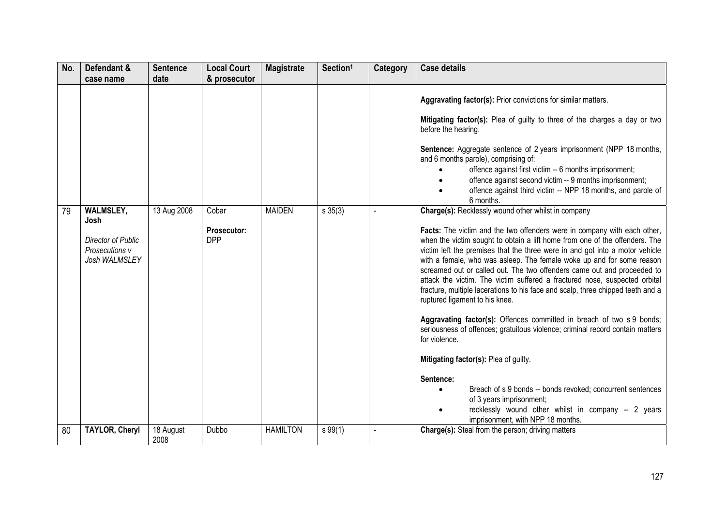| No. | Defendant &<br>case name                                      | <b>Sentence</b><br>date | <b>Local Court</b><br>& prosecutor | <b>Magistrate</b> | Section <sup>1</sup> | Category | <b>Case details</b>                                                                                                                                                                                                                                                                                                                                                                                                                                                                                                                                                                                                                                                                                                                                                                                                                                                                                                                                                                                                   |
|-----|---------------------------------------------------------------|-------------------------|------------------------------------|-------------------|----------------------|----------|-----------------------------------------------------------------------------------------------------------------------------------------------------------------------------------------------------------------------------------------------------------------------------------------------------------------------------------------------------------------------------------------------------------------------------------------------------------------------------------------------------------------------------------------------------------------------------------------------------------------------------------------------------------------------------------------------------------------------------------------------------------------------------------------------------------------------------------------------------------------------------------------------------------------------------------------------------------------------------------------------------------------------|
| 79  | <b>WALMSLEY,</b>                                              | 13 Aug 2008             | Cobar                              | <b>MAIDEN</b>     | $s \, 35(3)$         |          | Aggravating factor(s): Prior convictions for similar matters.<br>Mitigating factor(s): Plea of guilty to three of the charges a day or two<br>before the hearing.<br>Sentence: Aggregate sentence of 2 years imprisonment (NPP 18 months,<br>and 6 months parole), comprising of:<br>offence against first victim -- 6 months imprisonment;<br>offence against second victim -- 9 months imprisonment;<br>offence against third victim -- NPP 18 months, and parole of<br>6 months.<br>Charge(s): Recklessly wound other whilst in company                                                                                                                                                                                                                                                                                                                                                                                                                                                                            |
|     | Josh<br>Director of Public<br>Prosecutions v<br>Josh WALMSLEY |                         | Prosecutor:<br><b>DPP</b>          |                   |                      |          | Facts: The victim and the two offenders were in company with each other,<br>when the victim sought to obtain a lift home from one of the offenders. The<br>victim left the premises that the three were in and got into a motor vehicle<br>with a female, who was asleep. The female woke up and for some reason<br>screamed out or called out. The two offenders came out and proceeded to<br>attack the victim. The victim suffered a fractured nose, suspected orbital<br>fracture, multiple lacerations to his face and scalp, three chipped teeth and a<br>ruptured ligament to his knee.<br>Aggravating factor(s): Offences committed in breach of two s 9 bonds;<br>seriousness of offences; gratuitous violence; criminal record contain matters<br>for violence.<br>Mitigating factor(s): Plea of guilty.<br>Sentence:<br>Breach of s 9 bonds -- bonds revoked; concurrent sentences<br>of 3 years imprisonment;<br>recklessly wound other whilst in company -- 2 years<br>imprisonment, with NPP 18 months. |
| 80  | <b>TAYLOR, Cheryl</b>                                         | 18 August<br>2008       | Dubbo                              | <b>HAMILTON</b>   | s 99(1)              |          | Charge(s): Steal from the person; driving matters                                                                                                                                                                                                                                                                                                                                                                                                                                                                                                                                                                                                                                                                                                                                                                                                                                                                                                                                                                     |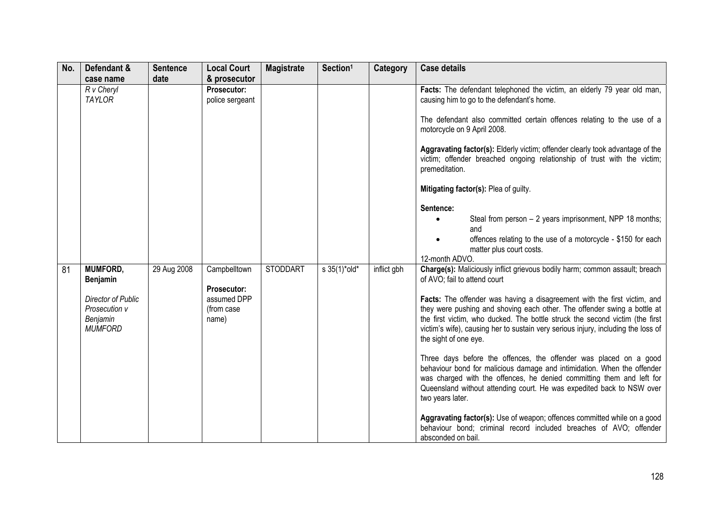| No. | Defendant &                 | <b>Sentence</b> | <b>Local Court</b>             | <b>Magistrate</b> | Section <sup>1</sup> | <b>Category</b> | <b>Case details</b>                                                                                                                                                                                                                                                                            |
|-----|-----------------------------|-----------------|--------------------------------|-------------------|----------------------|-----------------|------------------------------------------------------------------------------------------------------------------------------------------------------------------------------------------------------------------------------------------------------------------------------------------------|
|     | case name                   | date            | & prosecutor                   |                   |                      |                 |                                                                                                                                                                                                                                                                                                |
|     | R v Cheryl<br><b>TAYLOR</b> |                 | Prosecutor:<br>police sergeant |                   |                      |                 | Facts: The defendant telephoned the victim, an elderly 79 year old man,<br>causing him to go to the defendant's home.                                                                                                                                                                          |
|     |                             |                 |                                |                   |                      |                 | The defendant also committed certain offences relating to the use of a<br>motorcycle on 9 April 2008.                                                                                                                                                                                          |
|     |                             |                 |                                |                   |                      |                 | Aggravating factor(s): Elderly victim; offender clearly took advantage of the<br>victim; offender breached ongoing relationship of trust with the victim;<br>premeditation.                                                                                                                    |
|     |                             |                 |                                |                   |                      |                 | Mitigating factor(s): Plea of guilty.                                                                                                                                                                                                                                                          |
|     |                             |                 |                                |                   |                      |                 | Sentence:                                                                                                                                                                                                                                                                                      |
|     |                             |                 |                                |                   |                      |                 | Steal from person - 2 years imprisonment, NPP 18 months;<br>and                                                                                                                                                                                                                                |
|     |                             |                 |                                |                   |                      |                 | offences relating to the use of a motorcycle - \$150 for each                                                                                                                                                                                                                                  |
|     |                             |                 |                                |                   |                      |                 | matter plus court costs.<br>12-month ADVO.                                                                                                                                                                                                                                                     |
| 81  | <b>MUMFORD,</b><br>Benjamin | 29 Aug 2008     | Campbelltown                   | <b>STODDART</b>   | s 35(1)*old*         | inflict gbh     | Charge(s): Maliciously inflict grievous bodily harm; common assault; breach<br>of AVO; fail to attend court                                                                                                                                                                                    |
|     |                             |                 | Prosecutor:                    |                   |                      |                 |                                                                                                                                                                                                                                                                                                |
|     | Director of Public          |                 | assumed DPP                    |                   |                      |                 | Facts: The offender was having a disagreement with the first victim, and                                                                                                                                                                                                                       |
|     | Prosecution v               |                 | (from case                     |                   |                      |                 | they were pushing and shoving each other. The offender swing a bottle at                                                                                                                                                                                                                       |
|     | Benjamin<br><b>MUMFORD</b>  |                 | name)                          |                   |                      |                 | the first victim, who ducked. The bottle struck the second victim (the first<br>victim's wife), causing her to sustain very serious injury, including the loss of                                                                                                                              |
|     |                             |                 |                                |                   |                      |                 | the sight of one eye.                                                                                                                                                                                                                                                                          |
|     |                             |                 |                                |                   |                      |                 | Three days before the offences, the offender was placed on a good<br>behaviour bond for malicious damage and intimidation. When the offender<br>was charged with the offences, he denied committing them and left for<br>Queensland without attending court. He was expedited back to NSW over |
|     |                             |                 |                                |                   |                      |                 | two years later.                                                                                                                                                                                                                                                                               |
|     |                             |                 |                                |                   |                      |                 | Aggravating factor(s): Use of weapon; offences committed while on a good<br>behaviour bond; criminal record included breaches of AVO; offender<br>absconded on bail.                                                                                                                           |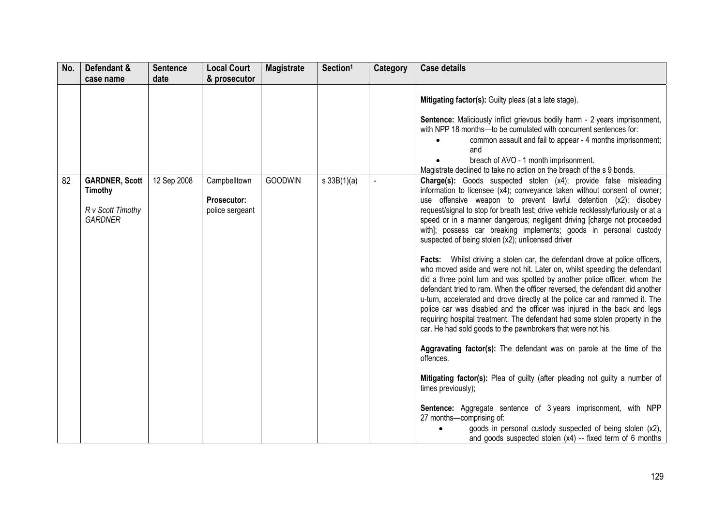| No. | Defendant &                                                                    | <b>Sentence</b> | <b>Local Court</b>                                    | <b>Magistrate</b> | Section <sup>1</sup> | Category | <b>Case details</b>                                                                                                                                                                                                                                                                                                                                                                                                                                                                                                                                                                                                                                                                                                                                                                                                                                                                                                                                                                                                                                                                                                                                                                                                                                                                                                                                                                                                                                                                                                                                                       |
|-----|--------------------------------------------------------------------------------|-----------------|-------------------------------------------------------|-------------------|----------------------|----------|---------------------------------------------------------------------------------------------------------------------------------------------------------------------------------------------------------------------------------------------------------------------------------------------------------------------------------------------------------------------------------------------------------------------------------------------------------------------------------------------------------------------------------------------------------------------------------------------------------------------------------------------------------------------------------------------------------------------------------------------------------------------------------------------------------------------------------------------------------------------------------------------------------------------------------------------------------------------------------------------------------------------------------------------------------------------------------------------------------------------------------------------------------------------------------------------------------------------------------------------------------------------------------------------------------------------------------------------------------------------------------------------------------------------------------------------------------------------------------------------------------------------------------------------------------------------------|
|     | case name                                                                      | date            | & prosecutor                                          |                   |                      |          |                                                                                                                                                                                                                                                                                                                                                                                                                                                                                                                                                                                                                                                                                                                                                                                                                                                                                                                                                                                                                                                                                                                                                                                                                                                                                                                                                                                                                                                                                                                                                                           |
|     |                                                                                |                 |                                                       |                   |                      |          | Mitigating factor(s): Guilty pleas (at a late stage).<br>Sentence: Maliciously inflict grievous bodily harm - 2 years imprisonment,<br>with NPP 18 months-to be cumulated with concurrent sentences for:<br>common assault and fail to appear - 4 months imprisonment;<br>and<br>breach of AVO - 1 month imprisonment.<br>Magistrate declined to take no action on the breach of the s 9 bonds.                                                                                                                                                                                                                                                                                                                                                                                                                                                                                                                                                                                                                                                                                                                                                                                                                                                                                                                                                                                                                                                                                                                                                                           |
| 82  | <b>GARDNER, Scott</b><br><b>Timothy</b><br>R v Scott Timothy<br><b>GARDNER</b> | 12 Sep 2008     | Campbelltown<br><b>Prosecutor:</b><br>police sergeant | <b>GOODWIN</b>    | $s \, 33B(1)(a)$     |          | Charge(s): Goods suspected stolen (x4); provide false misleading<br>information to licensee (x4); conveyance taken without consent of owner;<br>use offensive weapon to prevent lawful detention (x2); disobey<br>request/signal to stop for breath test; drive vehicle recklessly/furiously or at a<br>speed or in a manner dangerous; negligent driving [charge not proceeded<br>with]; possess car breaking implements; goods in personal custody<br>suspected of being stolen (x2); unlicensed driver<br>Facts: Whilst driving a stolen car, the defendant drove at police officers,<br>who moved aside and were not hit. Later on, whilst speeding the defendant<br>did a three point turn and was spotted by another police officer, whom the<br>defendant tried to ram. When the officer reversed, the defendant did another<br>u-turn, accelerated and drove directly at the police car and rammed it. The<br>police car was disabled and the officer was injured in the back and legs<br>requiring hospital treatment. The defendant had some stolen property in the<br>car. He had sold goods to the pawnbrokers that were not his.<br>Aggravating factor(s): The defendant was on parole at the time of the<br>offences.<br>Mitigating factor(s): Plea of guilty (after pleading not guilty a number of<br>times previously);<br><b>Sentence:</b> Aggregate sentence of 3 years imprisonment, with NPP<br>27 months-comprising of:<br>goods in personal custody suspected of being stolen (x2),<br>and goods suspected stolen $(x4)$ -- fixed term of 6 months |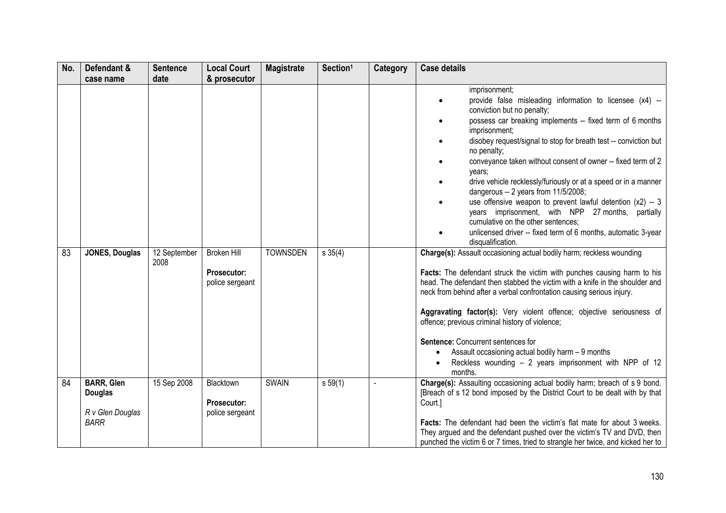| No. | Defendant &                                                            | <b>Sentence</b>      | <b>Local Court</b>                                   | <b>Magistrate</b> | Section <sup>1</sup> | Category       | <b>Case details</b>                                                                                                                                                                                                                                                                                                                                                                                                                                                                                                                                                                                                                                                                                                        |
|-----|------------------------------------------------------------------------|----------------------|------------------------------------------------------|-------------------|----------------------|----------------|----------------------------------------------------------------------------------------------------------------------------------------------------------------------------------------------------------------------------------------------------------------------------------------------------------------------------------------------------------------------------------------------------------------------------------------------------------------------------------------------------------------------------------------------------------------------------------------------------------------------------------------------------------------------------------------------------------------------------|
|     | case name                                                              | date                 | & prosecutor                                         |                   |                      |                |                                                                                                                                                                                                                                                                                                                                                                                                                                                                                                                                                                                                                                                                                                                            |
|     |                                                                        |                      |                                                      |                   |                      |                | imprisonment;<br>provide false misleading information to licensee (x4) --<br>conviction but no penalty;<br>possess car breaking implements -- fixed term of 6 months<br>imprisonment;<br>disobey request/signal to stop for breath test -- conviction but<br>$\bullet$<br>no penalty;<br>conveyance taken without consent of owner -- fixed term of 2<br>years;<br>drive vehicle recklessly/furiously or at a speed or in a manner<br>dangerous -- 2 years from 11/5/2008;<br>use offensive weapon to prevent lawful detention $(x2) - 3$<br>years imprisonment, with NPP 27 months, partially<br>cumulative on the other sentences;<br>unlicensed driver -- fixed term of 6 months, automatic 3-year<br>disqualification. |
| 83  | <b>JONES, Douglas</b>                                                  | 12 September<br>2008 | <b>Broken Hill</b><br>Prosecutor:<br>police sergeant | <b>TOWNSDEN</b>   | s 35(4)              |                | Charge(s): Assault occasioning actual bodily harm; reckless wounding<br>Facts: The defendant struck the victim with punches causing harm to his<br>head. The defendant then stabbed the victim with a knife in the shoulder and<br>neck from behind after a verbal confrontation causing serious injury.<br>Aggravating factor(s): Very violent offence; objective seriousness of<br>offence; previous criminal history of violence;<br>Sentence: Concurrent sentences for<br>Assault occasioning actual bodily harm - 9 months<br>$\bullet$<br>Reckless wounding - 2 years imprisonment with NPP of 12<br>months.                                                                                                         |
| 84  | <b>BARR, Glen</b><br><b>Douglas</b><br>R v Glen Douglas<br><b>BARR</b> | 15 Sep 2008          | Blacktown<br>Prosecutor:<br>police sergeant          | <b>SWAIN</b>      | s 59(1)              | $\blacksquare$ | Charge(s): Assaulting occasioning actual bodily harm; breach of s 9 bond.<br>[Breach of s 12 bond imposed by the District Court to be dealt with by that<br>Court.]<br><b>Facts:</b> The defendant had been the victim's flat mate for about 3 weeks.<br>They argued and the defendant pushed over the victim's TV and DVD, then<br>punched the victim 6 or 7 times, tried to strangle her twice, and kicked her to                                                                                                                                                                                                                                                                                                        |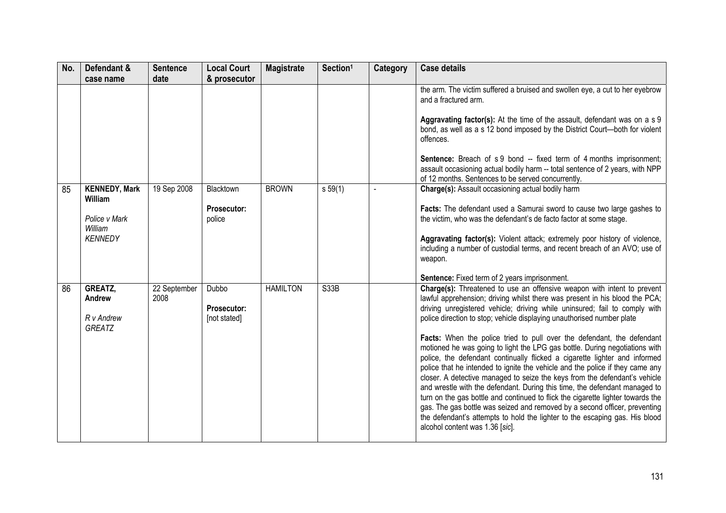| No. | Defendant &                               | <b>Sentence</b>      | <b>Local Court</b>                          | <b>Magistrate</b> | Section <sup>1</sup> | Category | <b>Case details</b>                                                                                                                                                                                                                                                                                                                                                                                                                                                                                                                                                                                                                                                                                                                                                 |
|-----|-------------------------------------------|----------------------|---------------------------------------------|-------------------|----------------------|----------|---------------------------------------------------------------------------------------------------------------------------------------------------------------------------------------------------------------------------------------------------------------------------------------------------------------------------------------------------------------------------------------------------------------------------------------------------------------------------------------------------------------------------------------------------------------------------------------------------------------------------------------------------------------------------------------------------------------------------------------------------------------------|
|     | case name                                 | date                 | & prosecutor                                |                   |                      |          |                                                                                                                                                                                                                                                                                                                                                                                                                                                                                                                                                                                                                                                                                                                                                                     |
|     |                                           |                      |                                             |                   |                      |          | the arm. The victim suffered a bruised and swollen eye, a cut to her eyebrow<br>and a fractured arm.                                                                                                                                                                                                                                                                                                                                                                                                                                                                                                                                                                                                                                                                |
|     |                                           |                      |                                             |                   |                      |          | Aggravating factor(s): At the time of the assault, defendant was on a s 9<br>bond, as well as a s 12 bond imposed by the District Court-both for violent<br>offences.                                                                                                                                                                                                                                                                                                                                                                                                                                                                                                                                                                                               |
|     |                                           |                      |                                             |                   |                      |          | <b>Sentence:</b> Breach of s 9 bond -- fixed term of 4 months imprisonment;<br>assault occasioning actual bodily harm -- total sentence of 2 years, with NPP<br>of 12 months. Sentences to be served concurrently.                                                                                                                                                                                                                                                                                                                                                                                                                                                                                                                                                  |
| 85  | <b>KENNEDY, Mark</b><br><b>William</b>    | 19 Sep 2008          | Blacktown                                   | <b>BROWN</b>      | s 59(1)              |          | Charge(s): Assault occasioning actual bodily harm                                                                                                                                                                                                                                                                                                                                                                                                                                                                                                                                                                                                                                                                                                                   |
|     | Police v Mark<br>William                  |                      | Prosecutor:<br>police                       |                   |                      |          | Facts: The defendant used a Samurai sword to cause two large gashes to<br>the victim, who was the defendant's de facto factor at some stage.                                                                                                                                                                                                                                                                                                                                                                                                                                                                                                                                                                                                                        |
|     | <b>KENNEDY</b>                            |                      |                                             |                   |                      |          | Aggravating factor(s): Violent attack; extremely poor history of violence,<br>including a number of custodial terms, and recent breach of an AVO; use of<br>weapon.                                                                                                                                                                                                                                                                                                                                                                                                                                                                                                                                                                                                 |
|     |                                           |                      |                                             |                   |                      |          | Sentence: Fixed term of 2 years imprisonment.                                                                                                                                                                                                                                                                                                                                                                                                                                                                                                                                                                                                                                                                                                                       |
| 86  | GREATZ,<br>Andrew<br>R v Andrew<br>GREATZ | 22 September<br>2008 | Dubbo<br><b>Prosecutor:</b><br>[not stated] | <b>HAMILTON</b>   | S33B                 |          | Charge(s): Threatened to use an offensive weapon with intent to prevent<br>lawful apprehension; driving whilst there was present in his blood the PCA;<br>driving unregistered vehicle; driving while uninsured; fail to comply with<br>police direction to stop; vehicle displaying unauthorised number plate                                                                                                                                                                                                                                                                                                                                                                                                                                                      |
|     |                                           |                      |                                             |                   |                      |          | Facts: When the police tried to pull over the defendant, the defendant<br>motioned he was going to light the LPG gas bottle. During negotiations with<br>police, the defendant continually flicked a cigarette lighter and informed<br>police that he intended to ignite the vehicle and the police if they came any<br>closer. A detective managed to seize the keys from the defendant's vehicle<br>and wrestle with the defendant. During this time, the defendant managed to<br>turn on the gas bottle and continued to flick the cigarette lighter towards the<br>gas. The gas bottle was seized and removed by a second officer, preventing<br>the defendant's attempts to hold the lighter to the escaping gas. His blood<br>alcohol content was 1.36 [sic]. |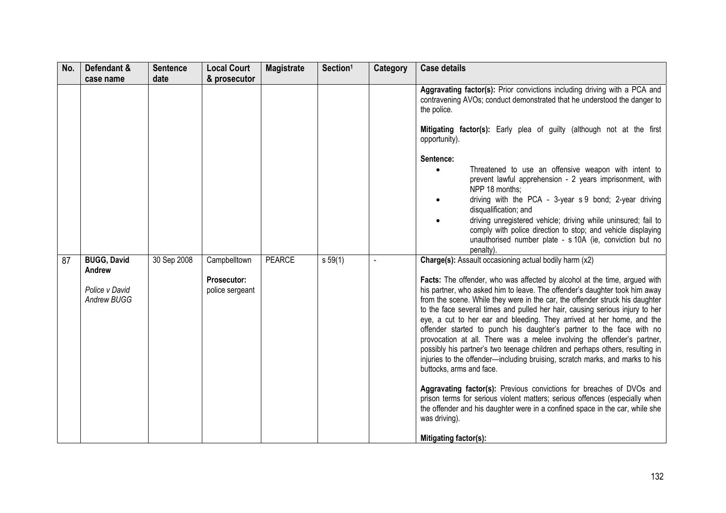| No. | Defendant &<br>case name                                      | <b>Sentence</b><br>date | <b>Local Court</b><br>& prosecutor             | <b>Magistrate</b> | Section <sup>1</sup> | Category | <b>Case details</b>                                                                                                                                                                                                                                                                                                                                                                                                                                                                                                                                                                                                                                                                                                                                                                                                                                                                                                                                                                                                                                                                                     |
|-----|---------------------------------------------------------------|-------------------------|------------------------------------------------|-------------------|----------------------|----------|---------------------------------------------------------------------------------------------------------------------------------------------------------------------------------------------------------------------------------------------------------------------------------------------------------------------------------------------------------------------------------------------------------------------------------------------------------------------------------------------------------------------------------------------------------------------------------------------------------------------------------------------------------------------------------------------------------------------------------------------------------------------------------------------------------------------------------------------------------------------------------------------------------------------------------------------------------------------------------------------------------------------------------------------------------------------------------------------------------|
|     |                                                               |                         |                                                |                   |                      |          | Aggravating factor(s): Prior convictions including driving with a PCA and<br>contravening AVOs; conduct demonstrated that he understood the danger to<br>the police.<br>Mitigating factor(s): Early plea of guilty (although not at the first<br>opportunity).<br>Sentence:<br>Threatened to use an offensive weapon with intent to<br>prevent lawful apprehension - 2 years imprisonment, with<br>NPP 18 months:<br>driving with the PCA - 3-year s 9 bond; 2-year driving<br>disqualification; and<br>driving unregistered vehicle; driving while uninsured; fail to<br>comply with police direction to stop; and vehicle displaying<br>unauthorised number plate - s 10A (ie, conviction but no                                                                                                                                                                                                                                                                                                                                                                                                      |
| 87  | <b>BUGG, David</b><br>Andrew<br>Police v David<br>Andrew BUGG | 30 Sep 2008             | Campbelltown<br>Prosecutor:<br>police sergeant | <b>PEARCE</b>     | s 59(1)              |          | penalty).<br>Charge(s): Assault occasioning actual bodily harm (x2)<br>Facts: The offender, who was affected by alcohol at the time, argued with<br>his partner, who asked him to leave. The offender's daughter took him away<br>from the scene. While they were in the car, the offender struck his daughter<br>to the face several times and pulled her hair, causing serious injury to her<br>eye, a cut to her ear and bleeding. They arrived at her home, and the<br>offender started to punch his daughter's partner to the face with no<br>provocation at all. There was a melee involving the offender's partner,<br>possibly his partner's two teenage children and perhaps others, resulting in<br>injuries to the offender-including bruising, scratch marks, and marks to his<br>buttocks, arms and face.<br>Aggravating factor(s): Previous convictions for breaches of DVOs and<br>prison terms for serious violent matters; serious offences (especially when<br>the offender and his daughter were in a confined space in the car, while she<br>was driving).<br>Mitigating factor(s): |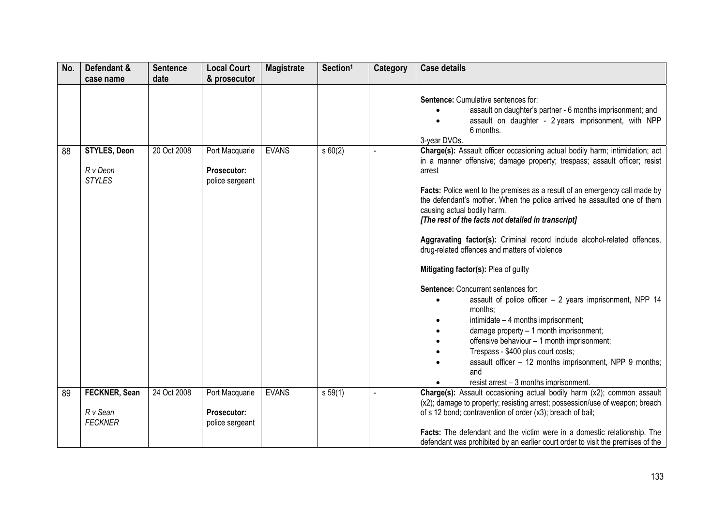| No. | Defendant &                                      | <b>Sentence</b> | <b>Local Court</b>                                      | <b>Magistrate</b> | Section <sup>1</sup> | <b>Category</b> | <b>Case details</b>                                                                                                                                                                                                                                                                                                                                                                                                                                                                                                                                                                                                                                                                                                                                                                                                                                                                                                                             |
|-----|--------------------------------------------------|-----------------|---------------------------------------------------------|-------------------|----------------------|-----------------|-------------------------------------------------------------------------------------------------------------------------------------------------------------------------------------------------------------------------------------------------------------------------------------------------------------------------------------------------------------------------------------------------------------------------------------------------------------------------------------------------------------------------------------------------------------------------------------------------------------------------------------------------------------------------------------------------------------------------------------------------------------------------------------------------------------------------------------------------------------------------------------------------------------------------------------------------|
|     | case name                                        | date            | & prosecutor                                            |                   |                      |                 |                                                                                                                                                                                                                                                                                                                                                                                                                                                                                                                                                                                                                                                                                                                                                                                                                                                                                                                                                 |
|     |                                                  |                 |                                                         |                   |                      |                 | Sentence: Cumulative sentences for:<br>assault on daughter's partner - 6 months imprisonment; and<br>assault on daughter - 2 years imprisonment, with NPP<br>6 months.<br>3-year DVOs.                                                                                                                                                                                                                                                                                                                                                                                                                                                                                                                                                                                                                                                                                                                                                          |
| 88  | <b>STYLES, Deon</b><br>R v Deon<br><b>STYLES</b> | 20 Oct 2008     | Port Macquarie<br><b>Prosecutor:</b><br>police sergeant | <b>EVANS</b>      | s 60(2)              |                 | Charge(s): Assault officer occasioning actual bodily harm; intimidation; act<br>in a manner offensive; damage property; trespass; assault officer; resist<br>arrest<br>Facts: Police went to the premises as a result of an emergency call made by<br>the defendant's mother. When the police arrived he assaulted one of them<br>causing actual bodily harm.<br>[The rest of the facts not detailed in transcript]<br>Aggravating factor(s): Criminal record include alcohol-related offences,<br>drug-related offences and matters of violence<br>Mitigating factor(s): Plea of guilty<br>Sentence: Concurrent sentences for:<br>assault of police officer - 2 years imprisonment, NPP 14<br>months;<br>intimidate - 4 months imprisonment;<br>damage property - 1 month imprisonment;<br>offensive behaviour - 1 month imprisonment;<br>Trespass - \$400 plus court costs;<br>assault officer - 12 months imprisonment, NPP 9 months;<br>and |
| 89  | FECKNER, Sean<br>R v Sean<br><b>FECKNER</b>      | 24 Oct 2008     | Port Macquarie<br>Prosecutor:<br>police sergeant        | <b>EVANS</b>      | s 59(1)              |                 | resist arrest - 3 months imprisonment.<br>Charge(s): Assault occasioning actual bodily harm (x2); common assault<br>(x2); damage to property; resisting arrest; possession/use of weapon; breach<br>of s 12 bond; contravention of order (x3); breach of bail;                                                                                                                                                                                                                                                                                                                                                                                                                                                                                                                                                                                                                                                                                  |
|     |                                                  |                 |                                                         |                   |                      |                 | Facts: The defendant and the victim were in a domestic relationship. The<br>defendant was prohibited by an earlier court order to visit the premises of the                                                                                                                                                                                                                                                                                                                                                                                                                                                                                                                                                                                                                                                                                                                                                                                     |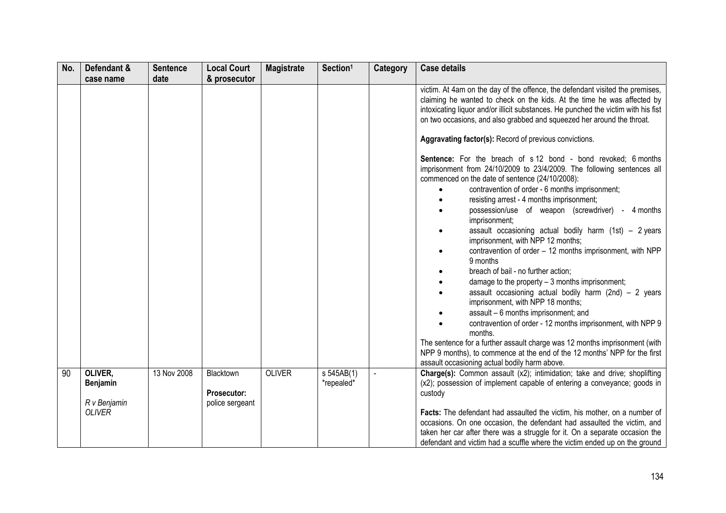| No. | Defendant &                                          | <b>Sentence</b> | <b>Local Court</b>                          | <b>Magistrate</b> | Section <sup>1</sup>                  | Category | <b>Case details</b>                                                                                                                                                                                                                                                                                                                                                                                                                                                                                                                                                                                                                                                                                                                                                                                                                                   |
|-----|------------------------------------------------------|-----------------|---------------------------------------------|-------------------|---------------------------------------|----------|-------------------------------------------------------------------------------------------------------------------------------------------------------------------------------------------------------------------------------------------------------------------------------------------------------------------------------------------------------------------------------------------------------------------------------------------------------------------------------------------------------------------------------------------------------------------------------------------------------------------------------------------------------------------------------------------------------------------------------------------------------------------------------------------------------------------------------------------------------|
|     | case name                                            | date            | & prosecutor                                |                   |                                       |          |                                                                                                                                                                                                                                                                                                                                                                                                                                                                                                                                                                                                                                                                                                                                                                                                                                                       |
|     |                                                      |                 |                                             |                   |                                       |          | victim. At 4am on the day of the offence, the defendant visited the premises,<br>claiming he wanted to check on the kids. At the time he was affected by<br>intoxicating liquor and/or illicit substances. He punched the victim with his fist<br>on two occasions, and also grabbed and squeezed her around the throat.                                                                                                                                                                                                                                                                                                                                                                                                                                                                                                                              |
|     |                                                      |                 |                                             |                   |                                       |          | Aggravating factor(s): Record of previous convictions.                                                                                                                                                                                                                                                                                                                                                                                                                                                                                                                                                                                                                                                                                                                                                                                                |
|     |                                                      |                 |                                             |                   |                                       |          | <b>Sentence:</b> For the breach of s 12 bond - bond revoked; 6 months<br>imprisonment from 24/10/2009 to 23/4/2009. The following sentences all<br>commenced on the date of sentence (24/10/2008):<br>contravention of order - 6 months imprisonment;<br>resisting arrest - 4 months imprisonment;<br>possession/use of weapon (screwdriver) - 4 months<br>imprisonment;<br>assault occasioning actual bodily harm $(1st) - 2 years$<br>imprisonment, with NPP 12 months;<br>contravention of order - 12 months imprisonment, with NPP<br>9 months<br>breach of bail - no further action;<br>damage to the property $-3$ months imprisonment;<br>assault occasioning actual bodily harm (2nd) $-$ 2 years<br>imprisonment, with NPP 18 months;<br>assault - 6 months imprisonment; and<br>contravention of order - 12 months imprisonment, with NPP 9 |
|     |                                                      |                 |                                             |                   |                                       |          | months.<br>The sentence for a further assault charge was 12 months imprisonment (with<br>NPP 9 months), to commence at the end of the 12 months' NPP for the first<br>assault occasioning actual bodily harm above.                                                                                                                                                                                                                                                                                                                                                                                                                                                                                                                                                                                                                                   |
| 90  | OLIVER,<br>Benjamin<br>R v Benjamin<br><b>OLIVER</b> | 13 Nov 2008     | Blacktown<br>Prosecutor:<br>police sergeant | <b>OLIVER</b>     | $\overline{s}$ 545AB(1)<br>*repealed* |          | Charge(s): Common assault (x2); intimidation; take and drive; shoplifting<br>(x2); possession of implement capable of entering a conveyance; goods in<br>custody<br>Facts: The defendant had assaulted the victim, his mother, on a number of<br>occasions. On one occasion, the defendant had assaulted the victim, and<br>taken her car after there was a struggle for it. On a separate occasion the<br>defendant and victim had a scuffle where the victim ended up on the ground                                                                                                                                                                                                                                                                                                                                                                 |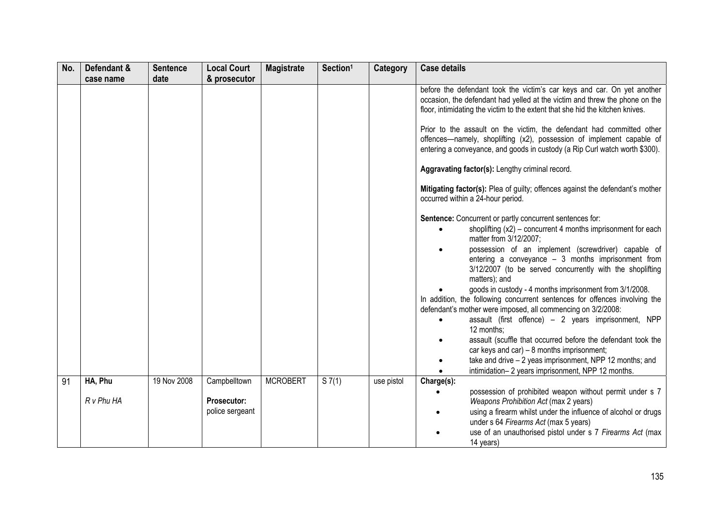| No. | Defendant & | <b>Sentence</b> | <b>Local Court</b>             | <b>Magistrate</b> | Section <sup>1</sup> | Category   | <b>Case details</b>                                                                                                                                                                                                                                                                                                                                                                                                                                                                                                                                                                                                                                                                                                                                                                                                                                                         |
|-----|-------------|-----------------|--------------------------------|-------------------|----------------------|------------|-----------------------------------------------------------------------------------------------------------------------------------------------------------------------------------------------------------------------------------------------------------------------------------------------------------------------------------------------------------------------------------------------------------------------------------------------------------------------------------------------------------------------------------------------------------------------------------------------------------------------------------------------------------------------------------------------------------------------------------------------------------------------------------------------------------------------------------------------------------------------------|
|     | case name   | date            | & prosecutor                   |                   |                      |            |                                                                                                                                                                                                                                                                                                                                                                                                                                                                                                                                                                                                                                                                                                                                                                                                                                                                             |
|     |             |                 |                                |                   |                      |            | before the defendant took the victim's car keys and car. On yet another<br>occasion, the defendant had yelled at the victim and threw the phone on the<br>floor, intimidating the victim to the extent that she hid the kitchen knives.<br>Prior to the assault on the victim, the defendant had committed other<br>offences-namely, shoplifting (x2), possession of implement capable of<br>entering a conveyance, and goods in custody (a Rip Curl watch worth \$300).                                                                                                                                                                                                                                                                                                                                                                                                    |
|     |             |                 |                                |                   |                      |            | Aggravating factor(s): Lengthy criminal record.                                                                                                                                                                                                                                                                                                                                                                                                                                                                                                                                                                                                                                                                                                                                                                                                                             |
|     |             |                 |                                |                   |                      |            | Mitigating factor(s): Plea of guilty; offences against the defendant's mother<br>occurred within a 24-hour period.                                                                                                                                                                                                                                                                                                                                                                                                                                                                                                                                                                                                                                                                                                                                                          |
|     |             |                 |                                |                   |                      |            | Sentence: Concurrent or partly concurrent sentences for:<br>shoplifting (x2) – concurrent 4 months imprisonment for each<br>matter from 3/12/2007;<br>possession of an implement (screwdriver) capable of<br>entering a conveyance $-3$ months imprisonment from<br>3/12/2007 (to be served concurrently with the shoplifting<br>matters); and<br>goods in custody - 4 months imprisonment from 3/1/2008.<br>In addition, the following concurrent sentences for offences involving the<br>defendant's mother were imposed, all commencing on 3/2/2008:<br>assault (first offence) - 2 years imprisonment, NPP<br>$\bullet$<br>12 months:<br>assault (scuffle that occurred before the defendant took the<br>car keys and $car$ ) – 8 months imprisonment;<br>take and drive - 2 yeas imprisonment, NPP 12 months; and<br>intimidation-2 years imprisonment, NPP 12 months. |
| 91  | HA, Phu     | 19 Nov 2008     | Campbelltown                   | <b>MCROBERT</b>   | S7(1)                | use pistol | Charge(s):                                                                                                                                                                                                                                                                                                                                                                                                                                                                                                                                                                                                                                                                                                                                                                                                                                                                  |
|     | R v Phu HA  |                 | Prosecutor:<br>police sergeant |                   |                      |            | possession of prohibited weapon without permit under s 7<br>Weapons Prohibition Act (max 2 years)<br>using a firearm whilst under the influence of alcohol or drugs<br>under s 64 Firearms Act (max 5 years)<br>use of an unauthorised pistol under s 7 Firearms Act (max<br>14 years)                                                                                                                                                                                                                                                                                                                                                                                                                                                                                                                                                                                      |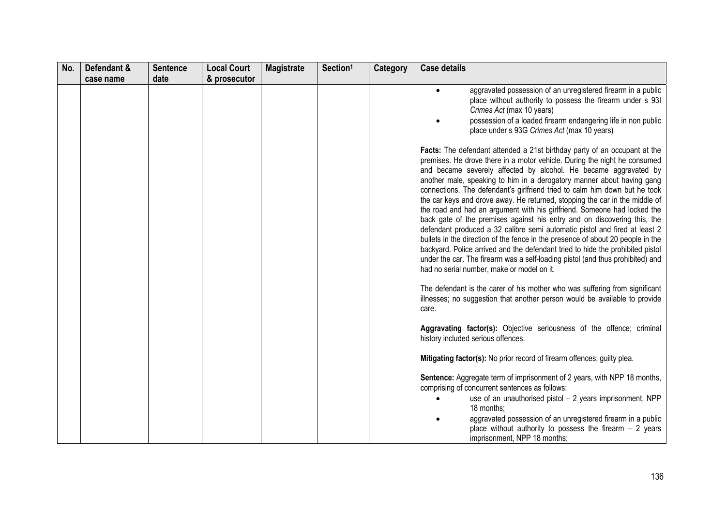| No. | Defendant &<br>case name | <b>Sentence</b><br>date | <b>Local Court</b><br>& prosecutor | <b>Magistrate</b> | Section <sup>1</sup> | Category | <b>Case details</b>                                                                                                                                                                                                                                                                                                                                                                                                                                                                                                                                                                                                                                                                                                                                                                                                                                                                                                                                                                                          |
|-----|--------------------------|-------------------------|------------------------------------|-------------------|----------------------|----------|--------------------------------------------------------------------------------------------------------------------------------------------------------------------------------------------------------------------------------------------------------------------------------------------------------------------------------------------------------------------------------------------------------------------------------------------------------------------------------------------------------------------------------------------------------------------------------------------------------------------------------------------------------------------------------------------------------------------------------------------------------------------------------------------------------------------------------------------------------------------------------------------------------------------------------------------------------------------------------------------------------------|
|     |                          |                         |                                    |                   |                      |          | aggravated possession of an unregistered firearm in a public<br>place without authority to possess the firearm under s 93I<br>Crimes Act (max 10 years)<br>possession of a loaded firearm endangering life in non public<br>place under s 93G Crimes Act (max 10 years)                                                                                                                                                                                                                                                                                                                                                                                                                                                                                                                                                                                                                                                                                                                                      |
|     |                          |                         |                                    |                   |                      |          | Facts: The defendant attended a 21st birthday party of an occupant at the<br>premises. He drove there in a motor vehicle. During the night he consumed<br>and became severely affected by alcohol. He became aggravated by<br>another male, speaking to him in a derogatory manner about having gang<br>connections. The defendant's girlfriend tried to calm him down but he took<br>the car keys and drove away. He returned, stopping the car in the middle of<br>the road and had an argument with his girlfriend. Someone had locked the<br>back gate of the premises against his entry and on discovering this, the<br>defendant produced a 32 calibre semi automatic pistol and fired at least 2<br>bullets in the direction of the fence in the presence of about 20 people in the<br>backyard. Police arrived and the defendant tried to hide the prohibited pistol<br>under the car. The firearm was a self-loading pistol (and thus prohibited) and<br>had no serial number, make or model on it. |
|     |                          |                         |                                    |                   |                      |          | The defendant is the carer of his mother who was suffering from significant<br>illnesses; no suggestion that another person would be available to provide<br>care.                                                                                                                                                                                                                                                                                                                                                                                                                                                                                                                                                                                                                                                                                                                                                                                                                                           |
|     |                          |                         |                                    |                   |                      |          | Aggravating factor(s): Objective seriousness of the offence; criminal<br>history included serious offences.                                                                                                                                                                                                                                                                                                                                                                                                                                                                                                                                                                                                                                                                                                                                                                                                                                                                                                  |
|     |                          |                         |                                    |                   |                      |          | Mitigating factor(s): No prior record of firearm offences; guilty plea.                                                                                                                                                                                                                                                                                                                                                                                                                                                                                                                                                                                                                                                                                                                                                                                                                                                                                                                                      |
|     |                          |                         |                                    |                   |                      |          | Sentence: Aggregate term of imprisonment of 2 years, with NPP 18 months,<br>comprising of concurrent sentences as follows:<br>use of an unauthorised pistol - 2 years imprisonment, NPP<br>18 months:<br>aggravated possession of an unregistered firearm in a public<br>place without authority to possess the firearm $-2$ years<br>imprisonment, NPP 18 months;                                                                                                                                                                                                                                                                                                                                                                                                                                                                                                                                                                                                                                           |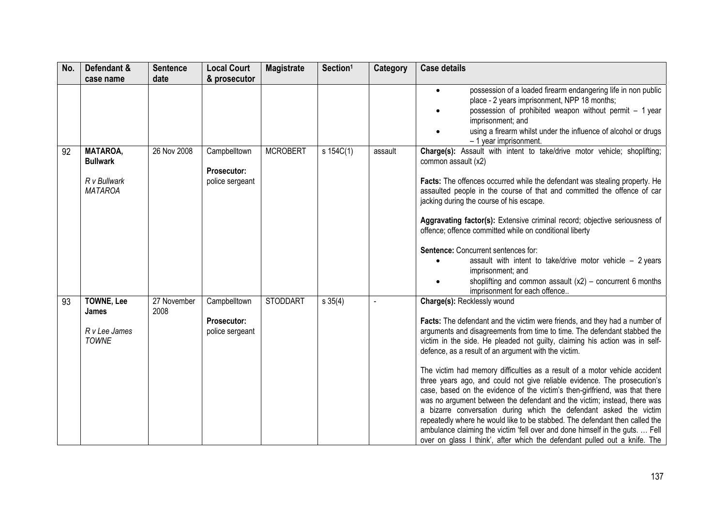| No. | Defendant &<br>case name                                             | <b>Sentence</b><br>date | <b>Local Court</b><br>& prosecutor                    | <b>Magistrate</b> | Section <sup>1</sup> | Category | <b>Case details</b>                                                                                                                                                                                                                                                                                                                                                                                                                                                                                                                                                                                                                                                                                                                                                                                                                                                                                                                                                 |
|-----|----------------------------------------------------------------------|-------------------------|-------------------------------------------------------|-------------------|----------------------|----------|---------------------------------------------------------------------------------------------------------------------------------------------------------------------------------------------------------------------------------------------------------------------------------------------------------------------------------------------------------------------------------------------------------------------------------------------------------------------------------------------------------------------------------------------------------------------------------------------------------------------------------------------------------------------------------------------------------------------------------------------------------------------------------------------------------------------------------------------------------------------------------------------------------------------------------------------------------------------|
|     |                                                                      |                         |                                                       |                   |                      |          | possession of a loaded firearm endangering life in non public<br>place - 2 years imprisonment, NPP 18 months;<br>possession of prohibited weapon without permit - 1 year<br>imprisonment; and<br>using a firearm whilst under the influence of alcohol or drugs<br>- 1 year imprisonment.                                                                                                                                                                                                                                                                                                                                                                                                                                                                                                                                                                                                                                                                           |
| 92  | <b>MATAROA,</b><br><b>Bullwark</b><br>R v Bullwark<br><b>MATAROA</b> | 26 Nov 2008             | Campbelltown<br><b>Prosecutor:</b><br>police sergeant | <b>MCROBERT</b>   | s 154C(1)            | assault  | Charge(s): Assault with intent to take/drive motor vehicle; shoplifting;<br>common assault (x2)<br>Facts: The offences occurred while the defendant was stealing property. He<br>assaulted people in the course of that and committed the offence of car<br>jacking during the course of his escape.<br>Aggravating factor(s): Extensive criminal record; objective seriousness of<br>offence; offence committed while on conditional liberty<br>Sentence: Concurrent sentences for:<br>assault with intent to take/drive motor vehicle $-2$ years<br>imprisonment; and<br>shoplifting and common assault $(x2)$ – concurrent 6 months<br>imprisonment for each offence                                                                                                                                                                                                                                                                                             |
| 93  | <b>TOWNE, Lee</b><br>James<br>R v Lee James<br><b>TOWNE</b>          | 27 November<br>2008     | Campbelltown<br>Prosecutor:<br>police sergeant        | <b>STODDART</b>   | s 35(4)              |          | Charge(s): Recklessly wound<br>Facts: The defendant and the victim were friends, and they had a number of<br>arguments and disagreements from time to time. The defendant stabbed the<br>victim in the side. He pleaded not guilty, claiming his action was in self-<br>defence, as a result of an argument with the victim.<br>The victim had memory difficulties as a result of a motor vehicle accident<br>three years ago, and could not give reliable evidence. The prosecution's<br>case, based on the evidence of the victim's then-girlfriend, was that there<br>was no argument between the defendant and the victim; instead, there was<br>a bizarre conversation during which the defendant asked the victim<br>repeatedly where he would like to be stabbed. The defendant then called the<br>ambulance claiming the victim 'fell over and done himself in the guts.  Fell<br>over on glass I think', after which the defendant pulled out a knife. The |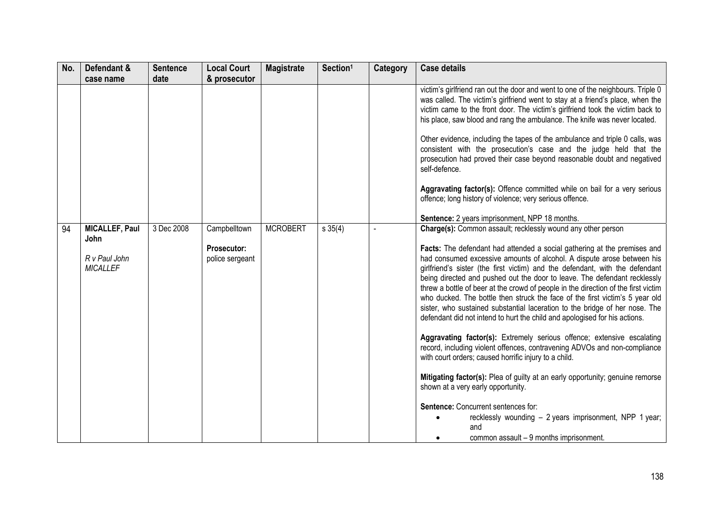| No. | Defendant &                      | <b>Sentence</b> | <b>Local Court</b>             | <b>Magistrate</b> | Section <sup>1</sup> | <b>Category</b> | <b>Case details</b>                                                                                                                                                                                                                                                                                                                                                                                                                                                                                                                                                                                                                                                                                                                                                                                                                                                                                                                                                                       |
|-----|----------------------------------|-----------------|--------------------------------|-------------------|----------------------|-----------------|-------------------------------------------------------------------------------------------------------------------------------------------------------------------------------------------------------------------------------------------------------------------------------------------------------------------------------------------------------------------------------------------------------------------------------------------------------------------------------------------------------------------------------------------------------------------------------------------------------------------------------------------------------------------------------------------------------------------------------------------------------------------------------------------------------------------------------------------------------------------------------------------------------------------------------------------------------------------------------------------|
|     | case name                        | date            | & prosecutor                   |                   |                      |                 |                                                                                                                                                                                                                                                                                                                                                                                                                                                                                                                                                                                                                                                                                                                                                                                                                                                                                                                                                                                           |
|     |                                  |                 |                                |                   |                      |                 | victim's girlfriend ran out the door and went to one of the neighbours. Triple 0<br>was called. The victim's girlfriend went to stay at a friend's place, when the<br>victim came to the front door. The victim's girlfriend took the victim back to<br>his place, saw blood and rang the ambulance. The knife was never located.<br>Other evidence, including the tapes of the ambulance and triple 0 calls, was<br>consistent with the prosecution's case and the judge held that the<br>prosecution had proved their case beyond reasonable doubt and negatived<br>self-defence.                                                                                                                                                                                                                                                                                                                                                                                                       |
|     |                                  |                 |                                |                   |                      |                 | Aggravating factor(s): Offence committed while on bail for a very serious<br>offence; long history of violence; very serious offence.                                                                                                                                                                                                                                                                                                                                                                                                                                                                                                                                                                                                                                                                                                                                                                                                                                                     |
|     |                                  |                 |                                |                   |                      |                 | Sentence: 2 years imprisonment, NPP 18 months.                                                                                                                                                                                                                                                                                                                                                                                                                                                                                                                                                                                                                                                                                                                                                                                                                                                                                                                                            |
| 94  | <b>MICALLEF, Paul</b><br>John    | 3 Dec 2008      | Campbelltown                   | <b>MCROBERT</b>   | $s \, 35(4)$         |                 | Charge(s): Common assault; recklessly wound any other person                                                                                                                                                                                                                                                                                                                                                                                                                                                                                                                                                                                                                                                                                                                                                                                                                                                                                                                              |
|     | R v Paul John<br><b>MICALLEF</b> |                 | Prosecutor:<br>police sergeant |                   |                      |                 | Facts: The defendant had attended a social gathering at the premises and<br>had consumed excessive amounts of alcohol. A dispute arose between his<br>girlfriend's sister (the first victim) and the defendant, with the defendant<br>being directed and pushed out the door to leave. The defendant recklessly<br>threw a bottle of beer at the crowd of people in the direction of the first victim<br>who ducked. The bottle then struck the face of the first victim's 5 year old<br>sister, who sustained substantial laceration to the bridge of her nose. The<br>defendant did not intend to hurt the child and apologised for his actions.<br>Aggravating factor(s): Extremely serious offence; extensive escalating<br>record, including violent offences, contravening ADVOs and non-compliance<br>with court orders; caused horrific injury to a child.<br>Mitigating factor(s): Plea of guilty at an early opportunity; genuine remorse<br>shown at a very early opportunity. |
|     |                                  |                 |                                |                   |                      |                 | Sentence: Concurrent sentences for:<br>recklessly wounding - 2 years imprisonment, NPP 1 year;<br>and<br>common assault - 9 months imprisonment.                                                                                                                                                                                                                                                                                                                                                                                                                                                                                                                                                                                                                                                                                                                                                                                                                                          |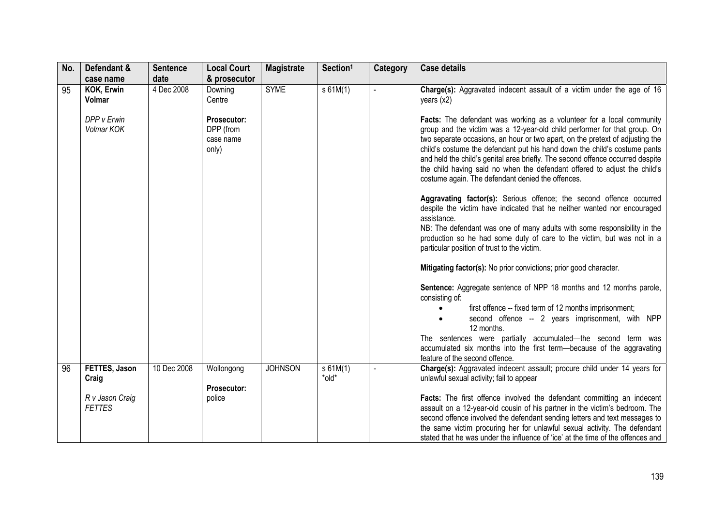| No. | Defendant &<br>case name         | <b>Sentence</b><br>date | <b>Local Court</b><br>& prosecutor             | <b>Magistrate</b> | Section <sup>1</sup> | Category              | <b>Case details</b>                                                                                                                                                                                                                                                                                                                                                                                                                                                                                                                  |
|-----|----------------------------------|-------------------------|------------------------------------------------|-------------------|----------------------|-----------------------|--------------------------------------------------------------------------------------------------------------------------------------------------------------------------------------------------------------------------------------------------------------------------------------------------------------------------------------------------------------------------------------------------------------------------------------------------------------------------------------------------------------------------------------|
| 95  | <b>KOK, Erwin</b><br>Volmar      | 4 Dec 2008              | Downing<br>Centre                              | <b>SYME</b>       | $s$ 61M(1)           |                       | Charge(s): Aggravated indecent assault of a victim under the age of 16<br>years (x2)                                                                                                                                                                                                                                                                                                                                                                                                                                                 |
|     | DPP v Erwin<br>Volmar KOK        |                         | Prosecutor:<br>DPP (from<br>case name<br>only) |                   |                      |                       | Facts: The defendant was working as a volunteer for a local community<br>group and the victim was a 12-year-old child performer for that group. On<br>two separate occasions, an hour or two apart, on the pretext of adjusting the<br>child's costume the defendant put his hand down the child's costume pants<br>and held the child's genital area briefly. The second offence occurred despite<br>the child having said no when the defendant offered to adjust the child's<br>costume again. The defendant denied the offences. |
|     |                                  |                         |                                                |                   |                      |                       | Aggravating factor(s): Serious offence; the second offence occurred<br>despite the victim have indicated that he neither wanted nor encouraged<br>assistance.<br>NB: The defendant was one of many adults with some responsibility in the<br>production so he had some duty of care to the victim, but was not in a<br>particular position of trust to the victim.                                                                                                                                                                   |
|     |                                  |                         |                                                |                   |                      |                       | Mitigating factor(s): No prior convictions; prior good character.                                                                                                                                                                                                                                                                                                                                                                                                                                                                    |
|     |                                  |                         |                                                |                   |                      |                       | Sentence: Aggregate sentence of NPP 18 months and 12 months parole,<br>consisting of:                                                                                                                                                                                                                                                                                                                                                                                                                                                |
|     |                                  |                         |                                                |                   |                      |                       | first offence -- fixed term of 12 months imprisonment;<br>second offence -- 2 years imprisonment, with NPP<br>12 months.                                                                                                                                                                                                                                                                                                                                                                                                             |
|     |                                  |                         |                                                |                   |                      |                       | The sentences were partially accumulated-the second term was<br>accumulated six months into the first term—because of the aggravating<br>feature of the second offence.                                                                                                                                                                                                                                                                                                                                                              |
| 96  | FETTES, Jason<br>Craig           | 10 Dec 2008             | Wollongong                                     | <b>JOHNSON</b>    | s 61M(1)<br>*old*    | $\tilde{\phantom{a}}$ | Charge(s): Aggravated indecent assault; procure child under 14 years for<br>unlawful sexual activity; fail to appear                                                                                                                                                                                                                                                                                                                                                                                                                 |
|     | R v Jason Craig<br><b>FETTES</b> |                         | Prosecutor:<br>police                          |                   |                      |                       | <b>Facts:</b> The first offence involved the defendant committing an indecent<br>assault on a 12-year-old cousin of his partner in the victim's bedroom. The<br>second offence involved the defendant sending letters and text messages to<br>the same victim procuring her for unlawful sexual activity. The defendant<br>stated that he was under the influence of 'ice' at the time of the offences and                                                                                                                           |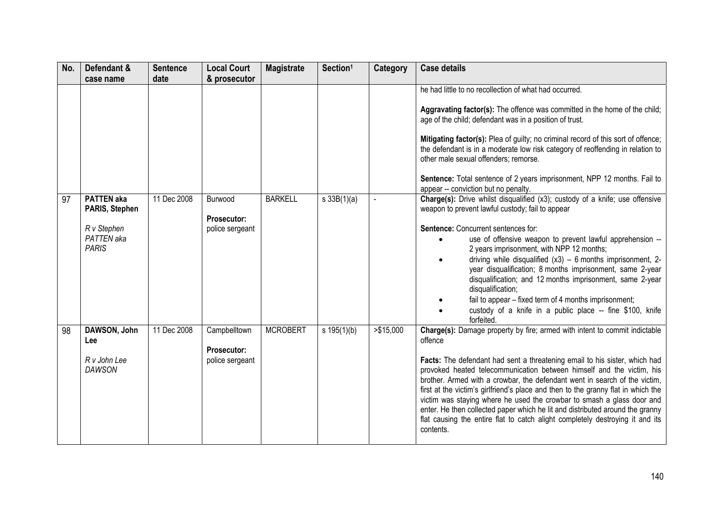| No. | Defendant &<br>case name                                                         | <b>Sentence</b><br>date | <b>Local Court</b><br>& prosecutor             | <b>Magistrate</b> | Section <sup>1</sup> | Category   | <b>Case details</b>                                                                                                                                                                                                                                                                                                                                                                                                                                                                                                                                                                                                                                                      |
|-----|----------------------------------------------------------------------------------|-------------------------|------------------------------------------------|-------------------|----------------------|------------|--------------------------------------------------------------------------------------------------------------------------------------------------------------------------------------------------------------------------------------------------------------------------------------------------------------------------------------------------------------------------------------------------------------------------------------------------------------------------------------------------------------------------------------------------------------------------------------------------------------------------------------------------------------------------|
|     |                                                                                  |                         |                                                |                   |                      |            | he had little to no recollection of what had occurred.<br>Aggravating factor(s): The offence was committed in the home of the child;<br>age of the child; defendant was in a position of trust.<br>Mitigating factor(s): Plea of guilty; no criminal record of this sort of offence;<br>the defendant is in a moderate low risk category of reoffending in relation to<br>other male sexual offenders; remorse.<br>Sentence: Total sentence of 2 years imprisonment, NPP 12 months. Fail to<br>appear -- conviction but no penalty.                                                                                                                                      |
| 97  | <b>PATTEN</b> aka<br>PARIS, Stephen<br>R v Stephen<br>PATTEN aka<br><b>PARIS</b> | 11 Dec 2008             | Burwood<br>Prosecutor:<br>police sergeant      | <b>BARKELL</b>    | $s \, 33B(1)(a)$     |            | Charge(s): Drive whilst disqualified (x3); custody of a knife; use offensive<br>weapon to prevent lawful custody; fail to appear<br>Sentence: Concurrent sentences for:<br>use of offensive weapon to prevent lawful apprehension --<br>2 years imprisonment, with NPP 12 months;<br>driving while disqualified $(x3) - 6$ months imprisonment, 2-<br>year disqualification; 8 months imprisonment, same 2-year<br>disqualification; and 12 months imprisonment, same 2-year<br>disqualification;<br>fail to appear – fixed term of 4 months imprisonment;<br>custody of a knife in a public place -- fine \$100, knife<br>forfeited.                                    |
| 98  | DAWSON, John<br>Lee<br>R v John Lee<br><b>DAWSON</b>                             | 11 Dec 2008             | Campbelltown<br>Prosecutor:<br>police sergeant | <b>MCROBERT</b>   | s $195(1)(b)$        | > \$15,000 | Charge(s): Damage property by fire; armed with intent to commit indictable<br>offence<br>Facts: The defendant had sent a threatening email to his sister, which had<br>provoked heated telecommunication between himself and the victim, his<br>brother. Armed with a crowbar, the defendant went in search of the victim,<br>first at the victim's girlfriend's place and then to the granny flat in which the<br>victim was staying where he used the crowbar to smash a glass door and<br>enter. He then collected paper which he lit and distributed around the granny<br>flat causing the entire flat to catch alight completely destroying it and its<br>contents. |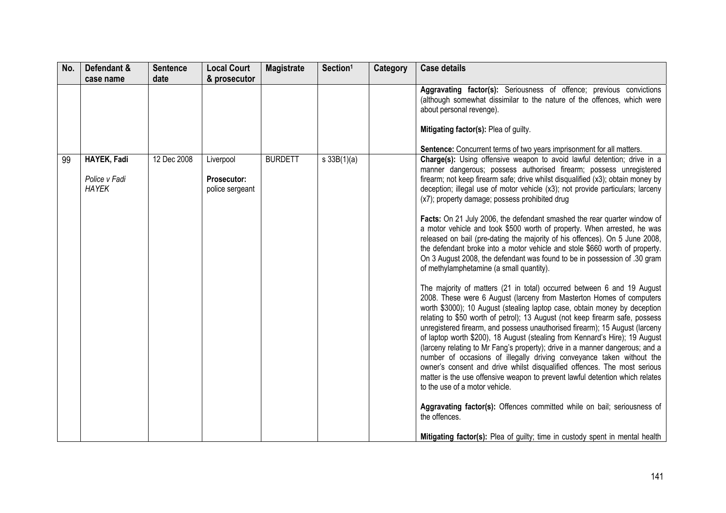| No. | Defendant &<br>case name                     | <b>Sentence</b><br>date | <b>Local Court</b><br>& prosecutor                 | <b>Magistrate</b> | Section <sup>1</sup> | Category | <b>Case details</b>                                                                                                                                                                                                                                                                                                                                                                                                                                                                                                                                                                                                                                                                                                                                                                                                                                                                                                                                                                                                                                                                                                                                                                                                                                                                                                                                                                                                                                                                                                                                                                                                                                                                                                                                                                                                         |
|-----|----------------------------------------------|-------------------------|----------------------------------------------------|-------------------|----------------------|----------|-----------------------------------------------------------------------------------------------------------------------------------------------------------------------------------------------------------------------------------------------------------------------------------------------------------------------------------------------------------------------------------------------------------------------------------------------------------------------------------------------------------------------------------------------------------------------------------------------------------------------------------------------------------------------------------------------------------------------------------------------------------------------------------------------------------------------------------------------------------------------------------------------------------------------------------------------------------------------------------------------------------------------------------------------------------------------------------------------------------------------------------------------------------------------------------------------------------------------------------------------------------------------------------------------------------------------------------------------------------------------------------------------------------------------------------------------------------------------------------------------------------------------------------------------------------------------------------------------------------------------------------------------------------------------------------------------------------------------------------------------------------------------------------------------------------------------------|
|     |                                              |                         |                                                    |                   |                      |          | Aggravating factor(s): Seriousness of offence; previous convictions<br>(although somewhat dissimilar to the nature of the offences, which were<br>about personal revenge).<br>Mitigating factor(s): Plea of guilty.                                                                                                                                                                                                                                                                                                                                                                                                                                                                                                                                                                                                                                                                                                                                                                                                                                                                                                                                                                                                                                                                                                                                                                                                                                                                                                                                                                                                                                                                                                                                                                                                         |
| 99  | HAYEK, Fadi<br>Police v Fadi<br><b>HAYEK</b> | 12 Dec 2008             | Liverpool<br><b>Prosecutor:</b><br>police sergeant | <b>BURDETT</b>    | s 33B(1)(a)          |          | Sentence: Concurrent terms of two years imprisonment for all matters.<br>Charge(s): Using offensive weapon to avoid lawful detention; drive in a<br>manner dangerous; possess authorised firearm; possess unregistered<br>firearm; not keep firearm safe; drive whilst disqualified (x3); obtain money by<br>deception; illegal use of motor vehicle (x3); not provide particulars; larceny<br>(x7); property damage; possess prohibited drug<br>Facts: On 21 July 2006, the defendant smashed the rear quarter window of<br>a motor vehicle and took \$500 worth of property. When arrested, he was<br>released on bail (pre-dating the majority of his offences). On 5 June 2008,<br>the defendant broke into a motor vehicle and stole \$660 worth of property.<br>On 3 August 2008, the defendant was found to be in possession of .30 gram<br>of methylamphetamine (a small quantity).<br>The majority of matters (21 in total) occurred between 6 and 19 August<br>2008. These were 6 August (larceny from Masterton Homes of computers<br>worth \$3000); 10 August (stealing laptop case, obtain money by deception<br>relating to \$50 worth of petrol); 13 August (not keep firearm safe, possess<br>unregistered firearm, and possess unauthorised firearm); 15 August (larceny<br>of laptop worth \$200), 18 August (stealing from Kennard's Hire); 19 August<br>(larceny relating to Mr Fang's property); drive in a manner dangerous; and a<br>number of occasions of illegally driving conveyance taken without the<br>owner's consent and drive whilst disqualified offences. The most serious<br>matter is the use offensive weapon to prevent lawful detention which relates<br>to the use of a motor vehicle.<br>Aggravating factor(s): Offences committed while on bail; seriousness of<br>the offences. |
|     |                                              |                         |                                                    |                   |                      |          | Mitigating factor(s): Plea of guilty; time in custody spent in mental health                                                                                                                                                                                                                                                                                                                                                                                                                                                                                                                                                                                                                                                                                                                                                                                                                                                                                                                                                                                                                                                                                                                                                                                                                                                                                                                                                                                                                                                                                                                                                                                                                                                                                                                                                |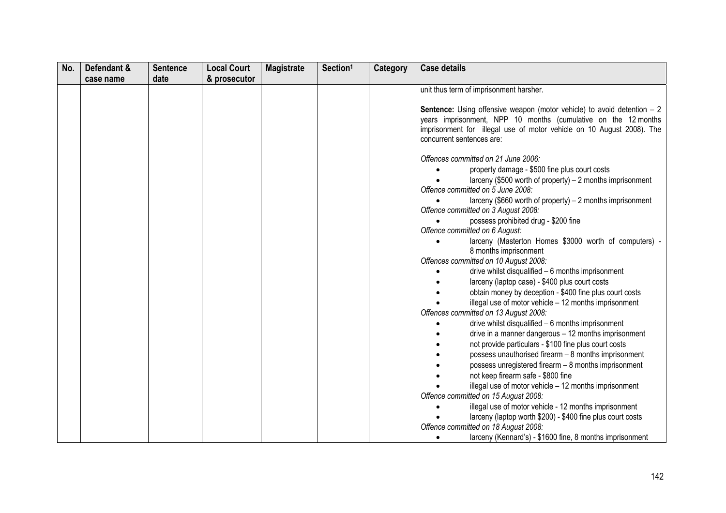| No. | Defendant & | <b>Sentence</b> | <b>Local Court</b> | <b>Magistrate</b> | Section <sup>1</sup> | Category | <b>Case details</b>                                                                                                                                                                                                                                                                                                                                                                                                                                                                                                                                                                                                                                                        |
|-----|-------------|-----------------|--------------------|-------------------|----------------------|----------|----------------------------------------------------------------------------------------------------------------------------------------------------------------------------------------------------------------------------------------------------------------------------------------------------------------------------------------------------------------------------------------------------------------------------------------------------------------------------------------------------------------------------------------------------------------------------------------------------------------------------------------------------------------------------|
|     |             |                 |                    |                   |                      |          |                                                                                                                                                                                                                                                                                                                                                                                                                                                                                                                                                                                                                                                                            |
|     | case name   | date            | & prosecutor       |                   |                      |          | unit thus term of imprisonment harsher.<br><b>Sentence:</b> Using offensive weapon (motor vehicle) to avoid detention $-2$<br>years imprisonment, NPP 10 months (cumulative on the 12 months<br>imprisonment for illegal use of motor vehicle on 10 August 2008). The<br>concurrent sentences are:<br>Offences committed on 21 June 2006:<br>property damage - \$500 fine plus court costs<br>larceny (\$500 worth of property) - 2 months imprisonment<br>Offence committed on 5 June 2008:<br>larceny (\$660 worth of property) - 2 months imprisonment<br>Offence committed on 3 August 2008:<br>possess prohibited drug - \$200 fine<br>Offence committed on 6 August: |
|     |             |                 |                    |                   |                      |          | larceny (Masterton Homes \$3000 worth of computers) -<br>8 months imprisonment<br>Offences committed on 10 August 2008:<br>drive whilst disqualified - 6 months imprisonment<br>larceny (laptop case) - \$400 plus court costs<br>obtain money by deception - \$400 fine plus court costs<br>illegal use of motor vehicle - 12 months imprisonment                                                                                                                                                                                                                                                                                                                         |
|     |             |                 |                    |                   |                      |          | Offences committed on 13 August 2008:<br>drive whilst disqualified - 6 months imprisonment<br>drive in a manner dangerous - 12 months imprisonment<br>not provide particulars - \$100 fine plus court costs<br>possess unauthorised firearm - 8 months imprisonment<br>possess unregistered firearm - 8 months imprisonment<br>not keep firearm safe - \$800 fine<br>illegal use of motor vehicle - 12 months imprisonment                                                                                                                                                                                                                                                 |
|     |             |                 |                    |                   |                      |          | Offence committed on 15 August 2008:<br>illegal use of motor vehicle - 12 months imprisonment<br>larceny (laptop worth \$200) - \$400 fine plus court costs<br>Offence committed on 18 August 2008:<br>larceny (Kennard's) - \$1600 fine, 8 months imprisonment                                                                                                                                                                                                                                                                                                                                                                                                            |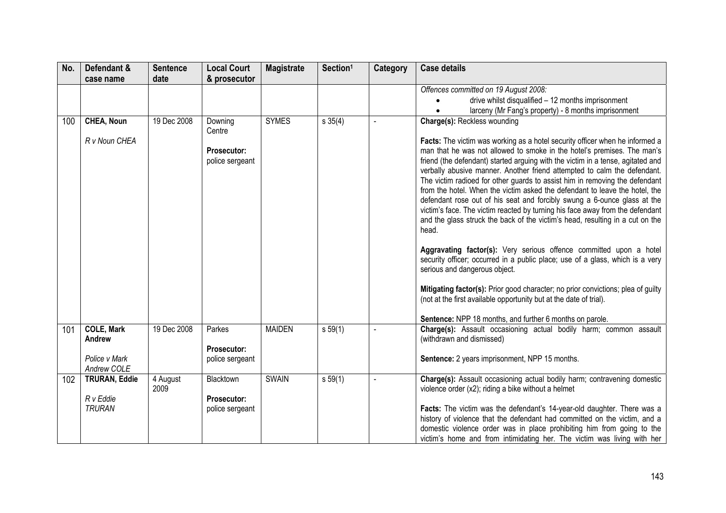| No. | Defendant &<br>case name                                    | <b>Sentence</b><br>date | <b>Local Court</b><br>& prosecutor                         | <b>Magistrate</b> | Section <sup>1</sup> | <b>Category</b> | <b>Case details</b>                                                                                                                                                                                                                                                                                                                                                                                                                                                                                                                                                                                                                                                                                                                                                                                                                                                                                                                                                                                                                                                                                                                                                                       |
|-----|-------------------------------------------------------------|-------------------------|------------------------------------------------------------|-------------------|----------------------|-----------------|-------------------------------------------------------------------------------------------------------------------------------------------------------------------------------------------------------------------------------------------------------------------------------------------------------------------------------------------------------------------------------------------------------------------------------------------------------------------------------------------------------------------------------------------------------------------------------------------------------------------------------------------------------------------------------------------------------------------------------------------------------------------------------------------------------------------------------------------------------------------------------------------------------------------------------------------------------------------------------------------------------------------------------------------------------------------------------------------------------------------------------------------------------------------------------------------|
|     |                                                             |                         |                                                            |                   |                      |                 | Offences committed on 19 August 2008:<br>drive whilst disqualified - 12 months imprisonment<br>larceny (Mr Fang's property) - 8 months imprisonment                                                                                                                                                                                                                                                                                                                                                                                                                                                                                                                                                                                                                                                                                                                                                                                                                                                                                                                                                                                                                                       |
| 100 | CHEA, Noun<br>R v Noun CHEA                                 | 19 Dec 2008             | Downing<br>Centre<br><b>Prosecutor:</b><br>police sergeant | <b>SYMES</b>      | s 35(4)              |                 | Charge(s): Reckless wounding<br>Facts: The victim was working as a hotel security officer when he informed a<br>man that he was not allowed to smoke in the hotel's premises. The man's<br>friend (the defendant) started arguing with the victim in a tense, agitated and<br>verbally abusive manner. Another friend attempted to calm the defendant.<br>The victim radioed for other guards to assist him in removing the defendant<br>from the hotel. When the victim asked the defendant to leave the hotel, the<br>defendant rose out of his seat and forcibly swung a 6-ounce glass at the<br>victim's face. The victim reacted by turning his face away from the defendant<br>and the glass struck the back of the victim's head, resulting in a cut on the<br>head.<br>Aggravating factor(s): Very serious offence committed upon a hotel<br>security officer; occurred in a public place; use of a glass, which is a very<br>serious and dangerous object.<br>Mitigating factor(s): Prior good character; no prior convictions; plea of guilty<br>(not at the first available opportunity but at the date of trial).<br>Sentence: NPP 18 months, and further 6 months on parole. |
| 101 | <b>COLE, Mark</b><br>Andrew<br>Police v Mark<br>Andrew COLE | 19 Dec 2008             | Parkes<br>Prosecutor:<br>police sergeant                   | <b>MAIDEN</b>     | s 59(1)              |                 | Charge(s): Assault occasioning actual bodily harm; common assault<br>(withdrawn and dismissed)<br>Sentence: 2 years imprisonment, NPP 15 months.                                                                                                                                                                                                                                                                                                                                                                                                                                                                                                                                                                                                                                                                                                                                                                                                                                                                                                                                                                                                                                          |
| 102 | <b>TRURAN, Eddie</b><br>R v Eddie<br><b>TRURAN</b>          | 4 August<br>2009        | Blacktown<br>Prosecutor:<br>police sergeant                | <b>SWAIN</b>      | s 59(1)              |                 | Charge(s): Assault occasioning actual bodily harm; contravening domestic<br>violence order (x2); riding a bike without a helmet<br>Facts: The victim was the defendant's 14-year-old daughter. There was a<br>history of violence that the defendant had committed on the victim, and a<br>domestic violence order was in place prohibiting him from going to the<br>victim's home and from intimidating her. The victim was living with her                                                                                                                                                                                                                                                                                                                                                                                                                                                                                                                                                                                                                                                                                                                                              |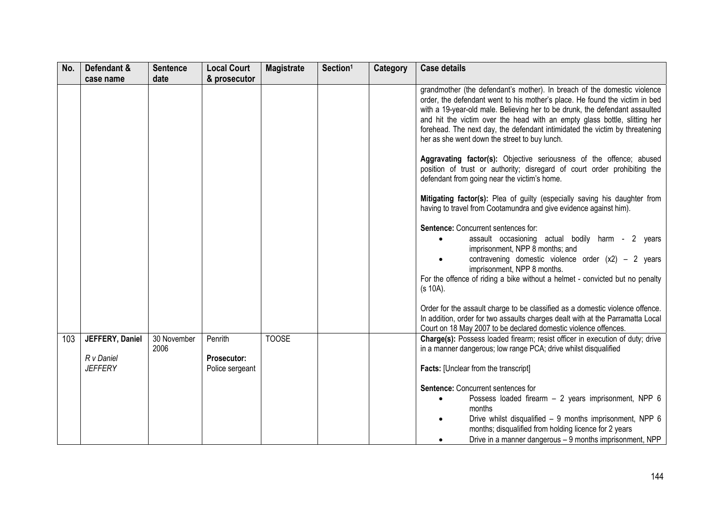| No. | Defendant &                                     | <b>Sentence</b>     | <b>Local Court</b>                        | <b>Magistrate</b> | Section <sup>1</sup> | Category | <b>Case details</b>                                                                                                                                                                                                                                                                                                                                                                                                                                 |
|-----|-------------------------------------------------|---------------------|-------------------------------------------|-------------------|----------------------|----------|-----------------------------------------------------------------------------------------------------------------------------------------------------------------------------------------------------------------------------------------------------------------------------------------------------------------------------------------------------------------------------------------------------------------------------------------------------|
|     | case name                                       | date                | & prosecutor                              |                   |                      |          |                                                                                                                                                                                                                                                                                                                                                                                                                                                     |
|     |                                                 |                     |                                           |                   |                      |          | grandmother (the defendant's mother). In breach of the domestic violence<br>order, the defendant went to his mother's place. He found the victim in bed<br>with a 19-year-old male. Believing her to be drunk, the defendant assaulted<br>and hit the victim over the head with an empty glass bottle, slitting her<br>forehead. The next day, the defendant intimidated the victim by threatening<br>her as she went down the street to buy lunch. |
|     |                                                 |                     |                                           |                   |                      |          | Aggravating factor(s): Objective seriousness of the offence; abused<br>position of trust or authority; disregard of court order prohibiting the<br>defendant from going near the victim's home.                                                                                                                                                                                                                                                     |
|     |                                                 |                     |                                           |                   |                      |          | Mitigating factor(s): Plea of guilty (especially saving his daughter from<br>having to travel from Cootamundra and give evidence against him).                                                                                                                                                                                                                                                                                                      |
|     |                                                 |                     |                                           |                   |                      |          | Sentence: Concurrent sentences for:<br>assault occasioning actual bodily harm - 2 years<br>imprisonment, NPP 8 months; and<br>contravening domestic violence order $(x2)$ – 2 years<br>imprisonment, NPP 8 months.<br>For the offence of riding a bike without a helmet - convicted but no penalty<br>(s 10A).                                                                                                                                      |
|     |                                                 |                     |                                           |                   |                      |          | Order for the assault charge to be classified as a domestic violence offence.<br>In addition, order for two assaults charges dealt with at the Parramatta Local<br>Court on 18 May 2007 to be declared domestic violence offences.                                                                                                                                                                                                                  |
| 103 | JEFFERY, Daniel<br>R v Daniel<br><b>JEFFERY</b> | 30 November<br>2006 | Penrith<br>Prosecutor:<br>Police sergeant | <b>TOOSE</b>      |                      |          | Charge(s): Possess loaded firearm; resist officer in execution of duty; drive<br>in a manner dangerous; low range PCA; drive whilst disqualified<br><b>Facts:</b> [Unclear from the transcript]                                                                                                                                                                                                                                                     |
|     |                                                 |                     |                                           |                   |                      |          | Sentence: Concurrent sentences for<br>Possess loaded firearm - 2 years imprisonment, NPP 6<br>$\bullet$<br>months<br>Drive whilst disqualified - 9 months imprisonment, NPP 6<br>months; disqualified from holding licence for 2 years<br>Drive in a manner dangerous - 9 months imprisonment, NPP                                                                                                                                                  |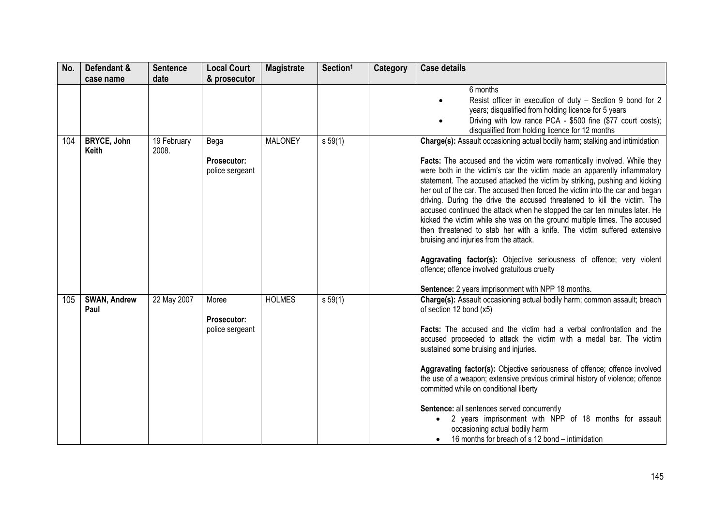| No. | Defendant &                        | <b>Sentence</b>      | <b>Local Court</b>                             | <b>Magistrate</b> | Section <sup>1</sup> | Category | <b>Case details</b>                                                                                                                                                                                                                                                                                                                                                                                                                                                                                                                                                                                                                                                                                                                                                                                                                                                                                                                             |
|-----|------------------------------------|----------------------|------------------------------------------------|-------------------|----------------------|----------|-------------------------------------------------------------------------------------------------------------------------------------------------------------------------------------------------------------------------------------------------------------------------------------------------------------------------------------------------------------------------------------------------------------------------------------------------------------------------------------------------------------------------------------------------------------------------------------------------------------------------------------------------------------------------------------------------------------------------------------------------------------------------------------------------------------------------------------------------------------------------------------------------------------------------------------------------|
|     | case name                          | date                 | & prosecutor                                   |                   |                      |          |                                                                                                                                                                                                                                                                                                                                                                                                                                                                                                                                                                                                                                                                                                                                                                                                                                                                                                                                                 |
|     |                                    |                      |                                                |                   |                      |          | 6 months<br>Resist officer in execution of duty - Section 9 bond for 2<br>years; disqualified from holding licence for 5 years<br>Driving with low rance PCA - \$500 fine (\$77 court costs);<br>disqualified from holding licence for 12 months                                                                                                                                                                                                                                                                                                                                                                                                                                                                                                                                                                                                                                                                                                |
| 104 | <b>BRYCE, John</b><br><b>Keith</b> | 19 February<br>2008. | Bega<br>Prosecutor:<br>police sergeant         | <b>MALONEY</b>    | s 59(1)              |          | Charge(s): Assault occasioning actual bodily harm; stalking and intimidation<br>Facts: The accused and the victim were romantically involved. While they<br>were both in the victim's car the victim made an apparently inflammatory<br>statement. The accused attacked the victim by striking, pushing and kicking<br>her out of the car. The accused then forced the victim into the car and began<br>driving. During the drive the accused threatened to kill the victim. The<br>accused continued the attack when he stopped the car ten minutes later. He<br>kicked the victim while she was on the ground multiple times. The accused<br>then threatened to stab her with a knife. The victim suffered extensive<br>bruising and injuries from the attack.<br>Aggravating factor(s): Objective seriousness of offence; very violent<br>offence; offence involved gratuitous cruelty<br>Sentence: 2 years imprisonment with NPP 18 months. |
| 105 | <b>SWAN, Andrew</b><br>Paul        | 22 May 2007          | Moree<br><b>Prosecutor:</b><br>police sergeant | <b>HOLMES</b>     | s 59(1)              |          | Charge(s): Assault occasioning actual bodily harm; common assault; breach<br>of section 12 bond (x5)<br>Facts: The accused and the victim had a verbal confrontation and the<br>accused proceeded to attack the victim with a medal bar. The victim<br>sustained some bruising and injuries.<br>Aggravating factor(s): Objective seriousness of offence; offence involved<br>the use of a weapon; extensive previous criminal history of violence; offence<br>committed while on conditional liberty<br>Sentence: all sentences served concurrently<br>2 years imprisonment with NPP of 18 months for assault<br>$\bullet$<br>occasioning actual bodily harm<br>16 months for breach of s 12 bond – intimidation                                                                                                                                                                                                                                |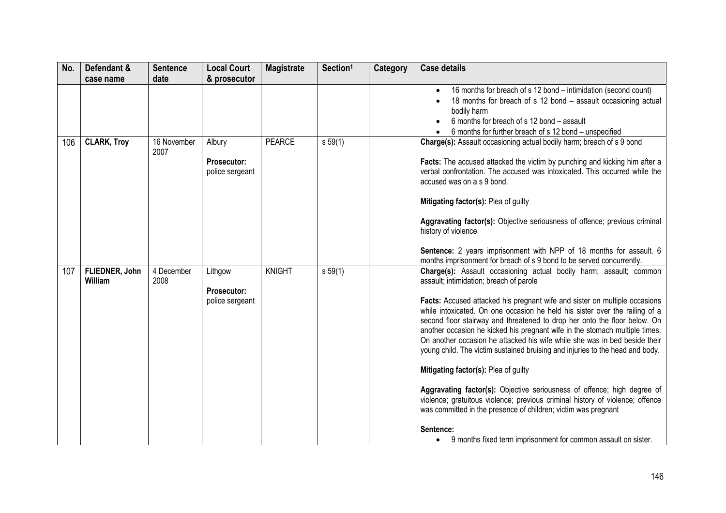| No. | Defendant &               | <b>Sentence</b>     | <b>Local Court</b>                               | <b>Magistrate</b> | Section <sup>1</sup> | <b>Category</b> | <b>Case details</b>                                                                                                                                                                                                                                                                                                                                                                                                                                                                                                                                                                                                                                                                                                                                                                                                                                                                                                                                                     |
|-----|---------------------------|---------------------|--------------------------------------------------|-------------------|----------------------|-----------------|-------------------------------------------------------------------------------------------------------------------------------------------------------------------------------------------------------------------------------------------------------------------------------------------------------------------------------------------------------------------------------------------------------------------------------------------------------------------------------------------------------------------------------------------------------------------------------------------------------------------------------------------------------------------------------------------------------------------------------------------------------------------------------------------------------------------------------------------------------------------------------------------------------------------------------------------------------------------------|
|     | case name                 | date                | & prosecutor                                     |                   |                      |                 | 16 months for breach of s 12 bond – intimidation (second count)<br>18 months for breach of s 12 bond - assault occasioning actual<br>bodily harm<br>6 months for breach of s 12 bond - assault                                                                                                                                                                                                                                                                                                                                                                                                                                                                                                                                                                                                                                                                                                                                                                          |
| 106 | <b>CLARK, Troy</b>        | 16 November<br>2007 | Albury<br>Prosecutor:<br>police sergeant         | <b>PEARCE</b>     | s 59(1)              |                 | 6 months for further breach of s 12 bond - unspecified<br>Charge(s): Assault occasioning actual bodily harm; breach of s 9 bond<br>Facts: The accused attacked the victim by punching and kicking him after a<br>verbal confrontation. The accused was intoxicated. This occurred while the<br>accused was on a s 9 bond.<br>Mitigating factor(s): Plea of guilty<br>Aggravating factor(s): Objective seriousness of offence; previous criminal<br>history of violence<br>Sentence: 2 years imprisonment with NPP of 18 months for assault. 6<br>months imprisonment for breach of s 9 bond to be served concurrently.                                                                                                                                                                                                                                                                                                                                                  |
| 107 | FLIEDNER, John<br>William | 4 December<br>2008  | Lithgow<br><b>Prosecutor:</b><br>police sergeant | <b>KNIGHT</b>     | s 59(1)              |                 | Charge(s): Assault occasioning actual bodily harm; assault; common<br>assault; intimidation; breach of parole<br>Facts: Accused attacked his pregnant wife and sister on multiple occasions<br>while intoxicated. On one occasion he held his sister over the railing of a<br>second floor stairway and threatened to drop her onto the floor below. On<br>another occasion he kicked his pregnant wife in the stomach multiple times.<br>On another occasion he attacked his wife while she was in bed beside their<br>young child. The victim sustained bruising and injuries to the head and body.<br>Mitigating factor(s): Plea of guilty<br>Aggravating factor(s): Objective seriousness of offence; high degree of<br>violence; gratuitous violence; previous criminal history of violence; offence<br>was committed in the presence of children; victim was pregnant<br>Sentence:<br>9 months fixed term imprisonment for common assault on sister.<br>$\bullet$ |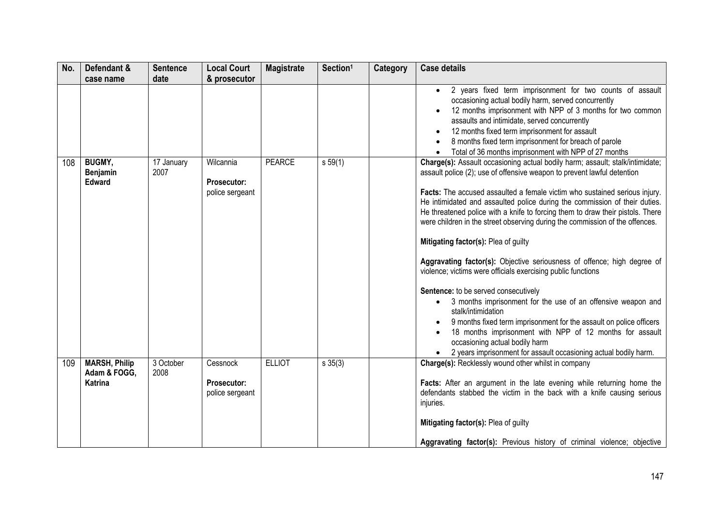| No. | Defendant &<br>case name                               | <b>Sentence</b><br>date | <b>Local Court</b><br>& prosecutor                 | <b>Magistrate</b> | Section <sup>1</sup> | Category | <b>Case details</b>                                                                                                                                                                                                                                                                                                                                                                                                                                                                                                                                                                                                                                                                                                                                                                                                                                                                                                                                                                                                                              |
|-----|--------------------------------------------------------|-------------------------|----------------------------------------------------|-------------------|----------------------|----------|--------------------------------------------------------------------------------------------------------------------------------------------------------------------------------------------------------------------------------------------------------------------------------------------------------------------------------------------------------------------------------------------------------------------------------------------------------------------------------------------------------------------------------------------------------------------------------------------------------------------------------------------------------------------------------------------------------------------------------------------------------------------------------------------------------------------------------------------------------------------------------------------------------------------------------------------------------------------------------------------------------------------------------------------------|
|     |                                                        |                         |                                                    |                   |                      |          | 2 years fixed term imprisonment for two counts of assault<br>$\bullet$<br>occasioning actual bodily harm, served concurrently<br>12 months imprisonment with NPP of 3 months for two common<br>assaults and intimidate, served concurrently<br>12 months fixed term imprisonment for assault<br>8 months fixed term imprisonment for breach of parole<br>Total of 36 months imprisonment with NPP of 27 months                                                                                                                                                                                                                                                                                                                                                                                                                                                                                                                                                                                                                                   |
| 108 | <b>BUGMY,</b><br>Benjamin<br><b>Edward</b>             | 17 January<br>2007      | Wilcannia<br><b>Prosecutor:</b><br>police sergeant | <b>PEARCE</b>     | s 59(1)              |          | Charge(s): Assault occasioning actual bodily harm; assault; stalk/intimidate;<br>assault police (2); use of offensive weapon to prevent lawful detention<br>Facts: The accused assaulted a female victim who sustained serious injury.<br>He intimidated and assaulted police during the commission of their duties.<br>He threatened police with a knife to forcing them to draw their pistols. There<br>were children in the street observing during the commission of the offences.<br>Mitigating factor(s): Plea of guilty<br>Aggravating factor(s): Objective seriousness of offence; high degree of<br>violence; victims were officials exercising public functions<br>Sentence: to be served consecutively<br>3 months imprisonment for the use of an offensive weapon and<br>stalk/intimidation<br>9 months fixed term imprisonment for the assault on police officers<br>18 months imprisonment with NPP of 12 months for assault<br>occasioning actual bodily harm<br>2 years imprisonment for assault occasioning actual bodily harm. |
| 109 | <b>MARSH, Philip</b><br>Adam & FOGG,<br><b>Katrina</b> | 3 October<br>2008       | Cessnock<br><b>Prosecutor:</b><br>police sergeant  | <b>ELLIOT</b>     | $s \; 35(3)$         |          | Charge(s): Recklessly wound other whilst in company<br>Facts: After an argument in the late evening while returning home the<br>defendants stabbed the victim in the back with a knife causing serious<br>injuries.<br>Mitigating factor(s): Plea of guilty<br>Aggravating factor(s): Previous history of criminal violence; objective                                                                                                                                                                                                                                                                                                                                                                                                                                                                                                                                                                                                                                                                                                           |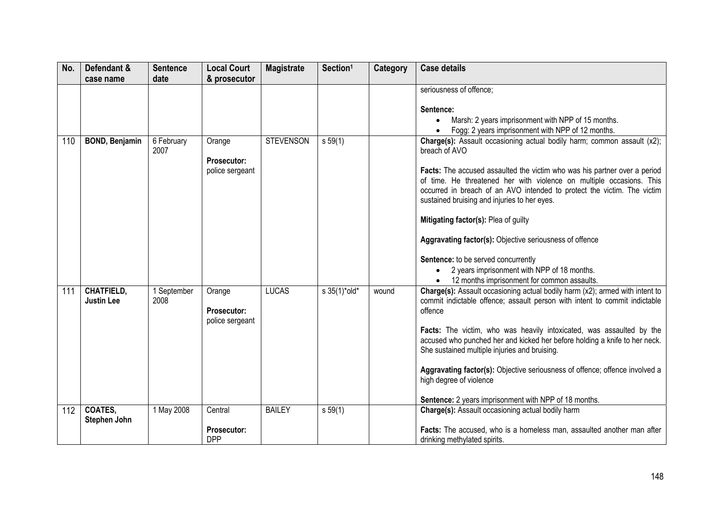| No. | Defendant &                            | <b>Sentence</b>     | <b>Local Court</b>                              | <b>Magistrate</b> | Section <sup>1</sup> | Category | <b>Case details</b>                                                                                                                                                                                                                                                                                                                                                                                                                                                                                                                                                                                              |
|-----|----------------------------------------|---------------------|-------------------------------------------------|-------------------|----------------------|----------|------------------------------------------------------------------------------------------------------------------------------------------------------------------------------------------------------------------------------------------------------------------------------------------------------------------------------------------------------------------------------------------------------------------------------------------------------------------------------------------------------------------------------------------------------------------------------------------------------------------|
|     | case name                              | date                | & prosecutor                                    |                   |                      |          |                                                                                                                                                                                                                                                                                                                                                                                                                                                                                                                                                                                                                  |
|     |                                        |                     |                                                 |                   |                      |          | seriousness of offence;<br>Sentence:<br>Marsh: 2 years imprisonment with NPP of 15 months.<br>Fogg: 2 years imprisonment with NPP of 12 months.                                                                                                                                                                                                                                                                                                                                                                                                                                                                  |
| 110 | <b>BOND, Benjamin</b>                  | 6 February<br>2007  | Orange<br><b>Prosecutor:</b><br>police sergeant | <b>STEVENSON</b>  | s 59(1)              |          | Charge(s): Assault occasioning actual bodily harm; common assault (x2);<br>breach of AVO<br>Facts: The accused assaulted the victim who was his partner over a period<br>of time. He threatened her with violence on multiple occasions. This<br>occurred in breach of an AVO intended to protect the victim. The victim<br>sustained bruising and injuries to her eyes.<br>Mitigating factor(s): Plea of guilty<br>Aggravating factor(s): Objective seriousness of offence<br>Sentence: to be served concurrently<br>2 years imprisonment with NPP of 18 months.<br>12 months imprisonment for common assaults. |
| 111 | <b>CHATFIELD,</b><br><b>Justin Lee</b> | 1 September<br>2008 | Orange<br>Prosecutor:<br>police sergeant        | <b>LUCAS</b>      | s 35(1)*old*         | wound    | Charge(s): Assault occasioning actual bodily harm (x2); armed with intent to<br>commit indictable offence; assault person with intent to commit indictable<br>offence<br>Facts: The victim, who was heavily intoxicated, was assaulted by the<br>accused who punched her and kicked her before holding a knife to her neck.<br>She sustained multiple injuries and bruising.<br>Aggravating factor(s): Objective seriousness of offence; offence involved a<br>high degree of violence<br>Sentence: 2 years imprisonment with NPP of 18 months.                                                                  |
| 112 | <b>COATES,</b><br>Stephen John         | 1 May 2008          | Central                                         | <b>BAILEY</b>     | s 59(1)              |          | Charge(s): Assault occasioning actual bodily harm                                                                                                                                                                                                                                                                                                                                                                                                                                                                                                                                                                |
|     |                                        |                     | Prosecutor:<br><b>DPP</b>                       |                   |                      |          | Facts: The accused, who is a homeless man, assaulted another man after<br>drinking methylated spirits.                                                                                                                                                                                                                                                                                                                                                                                                                                                                                                           |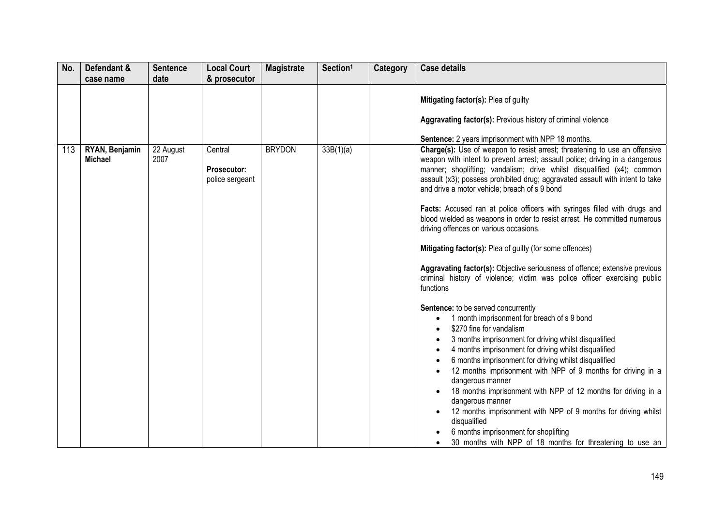| No. | Defendant &                      | <b>Sentence</b>   | <b>Local Court</b>                               | <b>Magistrate</b> | Section <sup>1</sup> | <b>Category</b> | <b>Case details</b>                                                                                                                                                                                                                                                                                                                                                                                                                                                                                                                                                                                                                                                                                                                                                                                                                                                                                                                                                                                                                                                                                                                                                                                                                                                                                                                                     |
|-----|----------------------------------|-------------------|--------------------------------------------------|-------------------|----------------------|-----------------|---------------------------------------------------------------------------------------------------------------------------------------------------------------------------------------------------------------------------------------------------------------------------------------------------------------------------------------------------------------------------------------------------------------------------------------------------------------------------------------------------------------------------------------------------------------------------------------------------------------------------------------------------------------------------------------------------------------------------------------------------------------------------------------------------------------------------------------------------------------------------------------------------------------------------------------------------------------------------------------------------------------------------------------------------------------------------------------------------------------------------------------------------------------------------------------------------------------------------------------------------------------------------------------------------------------------------------------------------------|
|     | case name                        | date              | & prosecutor                                     |                   |                      |                 |                                                                                                                                                                                                                                                                                                                                                                                                                                                                                                                                                                                                                                                                                                                                                                                                                                                                                                                                                                                                                                                                                                                                                                                                                                                                                                                                                         |
|     |                                  |                   |                                                  |                   |                      |                 | Mitigating factor(s): Plea of guilty                                                                                                                                                                                                                                                                                                                                                                                                                                                                                                                                                                                                                                                                                                                                                                                                                                                                                                                                                                                                                                                                                                                                                                                                                                                                                                                    |
|     |                                  |                   |                                                  |                   |                      |                 | Aggravating factor(s): Previous history of criminal violence                                                                                                                                                                                                                                                                                                                                                                                                                                                                                                                                                                                                                                                                                                                                                                                                                                                                                                                                                                                                                                                                                                                                                                                                                                                                                            |
|     |                                  |                   |                                                  |                   |                      |                 | <b>Sentence:</b> 2 years imprisonment with NPP 18 months.                                                                                                                                                                                                                                                                                                                                                                                                                                                                                                                                                                                                                                                                                                                                                                                                                                                                                                                                                                                                                                                                                                                                                                                                                                                                                               |
| 113 | RYAN, Benjamin<br><b>Michael</b> | 22 August<br>2007 | Central<br><b>Prosecutor:</b><br>police sergeant | <b>BRYDON</b>     | 33B(1)(a)            |                 | Charge(s): Use of weapon to resist arrest; threatening to use an offensive<br>weapon with intent to prevent arrest; assault police; driving in a dangerous<br>manner; shoplifting; vandalism; drive whilst disqualified (x4); common<br>assault (x3); possess prohibited drug; aggravated assault with intent to take<br>and drive a motor vehicle; breach of s 9 bond<br>Facts: Accused ran at police officers with syringes filled with drugs and<br>blood wielded as weapons in order to resist arrest. He committed numerous<br>driving offences on various occasions.<br>Mitigating factor(s): Plea of guilty (for some offences)<br>Aggravating factor(s): Objective seriousness of offence; extensive previous<br>criminal history of violence; victim was police officer exercising public<br>functions<br>Sentence: to be served concurrently<br>1 month imprisonment for breach of s 9 bond<br>\$270 fine for vandalism<br>3 months imprisonment for driving whilst disqualified<br>4 months imprisonment for driving whilst disqualified<br>6 months imprisonment for driving whilst disqualified<br>12 months imprisonment with NPP of 9 months for driving in a<br>dangerous manner<br>18 months imprisonment with NPP of 12 months for driving in a<br>dangerous manner<br>12 months imprisonment with NPP of 9 months for driving whilst |
|     |                                  |                   |                                                  |                   |                      |                 | disqualified<br>6 months imprisonment for shoplifting                                                                                                                                                                                                                                                                                                                                                                                                                                                                                                                                                                                                                                                                                                                                                                                                                                                                                                                                                                                                                                                                                                                                                                                                                                                                                                   |
|     |                                  |                   |                                                  |                   |                      |                 | 30 months with NPP of 18 months for threatening to use an                                                                                                                                                                                                                                                                                                                                                                                                                                                                                                                                                                                                                                                                                                                                                                                                                                                                                                                                                                                                                                                                                                                                                                                                                                                                                               |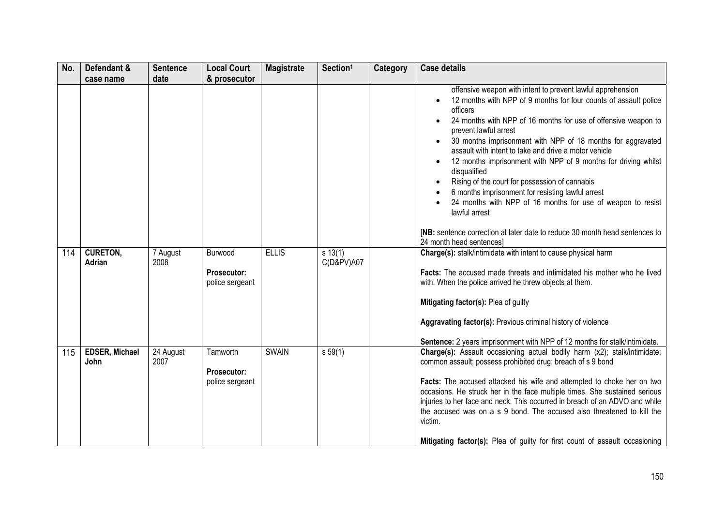| No. | Defendant &<br>case name      | <b>Sentence</b><br>date        | <b>Local Court</b><br>& prosecutor                | <b>Magistrate</b> | Section <sup>1</sup>  | Category | <b>Case details</b>                                                                                                                                                                                                                                                                                                                                                                                                                                                                                                                                                                                                                                                                                                                                |
|-----|-------------------------------|--------------------------------|---------------------------------------------------|-------------------|-----------------------|----------|----------------------------------------------------------------------------------------------------------------------------------------------------------------------------------------------------------------------------------------------------------------------------------------------------------------------------------------------------------------------------------------------------------------------------------------------------------------------------------------------------------------------------------------------------------------------------------------------------------------------------------------------------------------------------------------------------------------------------------------------------|
|     |                               |                                |                                                   |                   |                       |          | offensive weapon with intent to prevent lawful apprehension<br>12 months with NPP of 9 months for four counts of assault police<br>officers<br>24 months with NPP of 16 months for use of offensive weapon to<br>prevent lawful arrest<br>30 months imprisonment with NPP of 18 months for aggravated<br>assault with intent to take and drive a motor vehicle<br>12 months imprisonment with NPP of 9 months for driving whilst<br>disqualified<br>Rising of the court for possession of cannabis<br>6 months imprisonment for resisting lawful arrest<br>24 months with NPP of 16 months for use of weapon to resist<br>lawful arrest<br>[NB: sentence correction at later date to reduce 30 month head sentences to<br>24 month head sentences] |
| 114 | <b>CURETON,</b><br>Adrian     | 7 August<br>2008               | Burwood<br>Prosecutor:<br>police sergeant         | <b>ELLIS</b>      | s 13(1)<br>C(D&PV)AO7 |          | Charge(s): stalk/intimidate with intent to cause physical harm<br>Facts: The accused made threats and intimidated his mother who he lived<br>with. When the police arrived he threw objects at them.<br>Mitigating factor(s): Plea of guilty<br>Aggravating factor(s): Previous criminal history of violence<br>Sentence: 2 years imprisonment with NPP of 12 months for stalk/intimidate.                                                                                                                                                                                                                                                                                                                                                         |
| 115 | <b>EDSER, Michael</b><br>John | $\overline{24}$ August<br>2007 | Tamworth<br><b>Prosecutor:</b><br>police sergeant | <b>SWAIN</b>      | s 59(1)               |          | Charge(s): Assault occasioning actual bodily harm (x2); stalk/intimidate;<br>common assault; possess prohibited drug; breach of s 9 bond<br>Facts: The accused attacked his wife and attempted to choke her on two<br>occasions. He struck her in the face multiple times. She sustained serious<br>injuries to her face and neck. This occurred in breach of an ADVO and while<br>the accused was on a s 9 bond. The accused also threatened to kill the<br>victim.<br>Mitigating factor(s): Plea of guilty for first count of assault occasioning                                                                                                                                                                                                |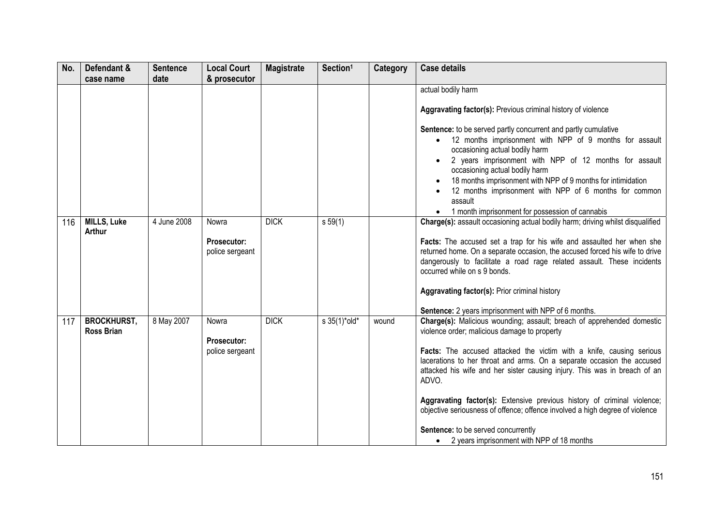| No. | Defendant &                             | <b>Sentence</b> | <b>Local Court</b>                             | <b>Magistrate</b> | Section <sup>1</sup> | Category | <b>Case details</b>                                                                                                                                                                                                                                                                                                                                                                                                                                                                                                                                                                                                         |
|-----|-----------------------------------------|-----------------|------------------------------------------------|-------------------|----------------------|----------|-----------------------------------------------------------------------------------------------------------------------------------------------------------------------------------------------------------------------------------------------------------------------------------------------------------------------------------------------------------------------------------------------------------------------------------------------------------------------------------------------------------------------------------------------------------------------------------------------------------------------------|
|     | case name                               | date            | & prosecutor                                   |                   |                      |          |                                                                                                                                                                                                                                                                                                                                                                                                                                                                                                                                                                                                                             |
|     |                                         |                 |                                                |                   |                      |          | actual bodily harm<br>Aggravating factor(s): Previous criminal history of violence<br>Sentence: to be served partly concurrent and partly cumulative<br>12 months imprisonment with NPP of 9 months for assault<br>occasioning actual bodily harm<br>2 years imprisonment with NPP of 12 months for assault<br>occasioning actual bodily harm<br>18 months imprisonment with NPP of 9 months for intimidation<br>12 months imprisonment with NPP of 6 months for common<br>assault                                                                                                                                          |
| 116 | <b>MILLS, Luke</b><br>Arthur            | 4 June 2008     | Nowra<br><b>Prosecutor:</b><br>police sergeant | <b>DICK</b>       | s 59(1)              |          | 1 month imprisonment for possession of cannabis<br>Charge(s): assault occasioning actual bodily harm; driving whilst disqualified<br>Facts: The accused set a trap for his wife and assaulted her when she<br>returned home. On a separate occasion, the accused forced his wife to drive<br>dangerously to facilitate a road rage related assault. These incidents<br>occurred while on s 9 bonds.<br>Aggravating factor(s): Prior criminal history<br>Sentence: 2 years imprisonment with NPP of 6 months.                                                                                                                |
| 117 | <b>BROCKHURST,</b><br><b>Ross Brian</b> | 8 May 2007      | Nowra<br><b>Prosecutor:</b><br>police sergeant | <b>DICK</b>       | s 35(1)*old*         | wound    | Charge(s): Malicious wounding; assault; breach of apprehended domestic<br>violence order; malicious damage to property<br>Facts: The accused attacked the victim with a knife, causing serious<br>lacerations to her throat and arms. On a separate occasion the accused<br>attacked his wife and her sister causing injury. This was in breach of an<br>ADVO.<br>Aggravating factor(s): Extensive previous history of criminal violence;<br>objective seriousness of offence; offence involved a high degree of violence<br>Sentence: to be served concurrently<br>2 years imprisonment with NPP of 18 months<br>$\bullet$ |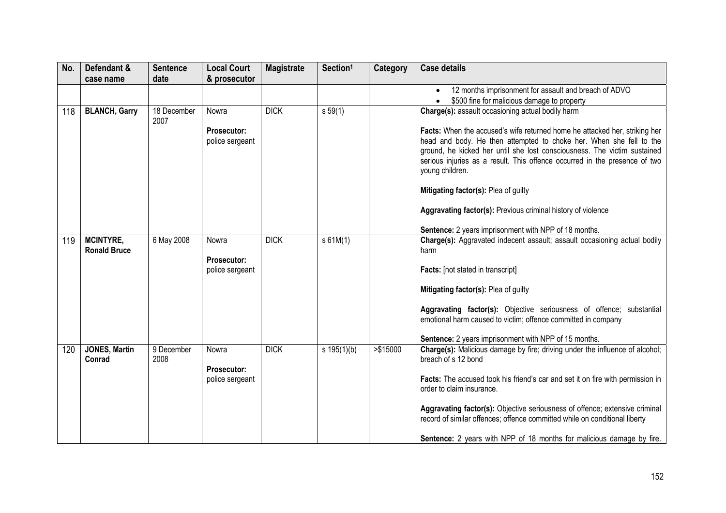| No. | Defendant &                             | <b>Sentence</b>     | <b>Local Court</b>                             | <b>Magistrate</b> | Section <sup>1</sup> | Category  | <b>Case details</b>                                                                                                                                                                                                                                                                                                                                                                                                                                      |
|-----|-----------------------------------------|---------------------|------------------------------------------------|-------------------|----------------------|-----------|----------------------------------------------------------------------------------------------------------------------------------------------------------------------------------------------------------------------------------------------------------------------------------------------------------------------------------------------------------------------------------------------------------------------------------------------------------|
|     | case name                               | date                | & prosecutor                                   |                   |                      |           |                                                                                                                                                                                                                                                                                                                                                                                                                                                          |
|     |                                         |                     |                                                |                   |                      |           | 12 months imprisonment for assault and breach of ADVO                                                                                                                                                                                                                                                                                                                                                                                                    |
|     |                                         |                     |                                                |                   |                      |           | \$500 fine for malicious damage to property                                                                                                                                                                                                                                                                                                                                                                                                              |
| 118 | <b>BLANCH, Garry</b>                    | 18 December<br>2007 | Nowra<br>Prosecutor:<br>police sergeant        | <b>DICK</b>       | $s\,59(1)$           |           | Charge(s): assault occasioning actual bodily harm<br>Facts: When the accused's wife returned home he attacked her, striking her<br>head and body. He then attempted to choke her. When she fell to the<br>ground, he kicked her until she lost consciousness. The victim sustained<br>serious injuries as a result. This offence occurred in the presence of two<br>young children.<br>Mitigating factor(s): Plea of guilty                              |
|     |                                         |                     |                                                |                   |                      |           | Aggravating factor(s): Previous criminal history of violence<br>Sentence: 2 years imprisonment with NPP of 18 months.                                                                                                                                                                                                                                                                                                                                    |
| 119 | <b>MCINTYRE,</b><br><b>Ronald Bruce</b> | 6 May 2008          | Nowra<br>Prosecutor:<br>police sergeant        | <b>DICK</b>       | s61M(1)              |           | Charge(s): Aggravated indecent assault; assault occasioning actual bodily<br>harm<br>Facts: [not stated in transcript]<br>Mitigating factor(s): Plea of guilty<br>Aggravating factor(s): Objective seriousness of offence; substantial<br>emotional harm caused to victim; offence committed in company<br>Sentence: 2 years imprisonment with NPP of 15 months.                                                                                         |
| 120 | <b>JONES, Martin</b><br>Conrad          | 9 December<br>2008  | Nowra<br><b>Prosecutor:</b><br>police sergeant | <b>DICK</b>       | $s \ 195(1)(b)$      | > \$15000 | Charge(s): Malicious damage by fire; driving under the influence of alcohol;<br>breach of s 12 bond<br>Facts: The accused took his friend's car and set it on fire with permission in<br>order to claim insurance.<br>Aggravating factor(s): Objective seriousness of offence; extensive criminal<br>record of similar offences; offence committed while on conditional liberty<br>Sentence: 2 years with NPP of 18 months for malicious damage by fire. |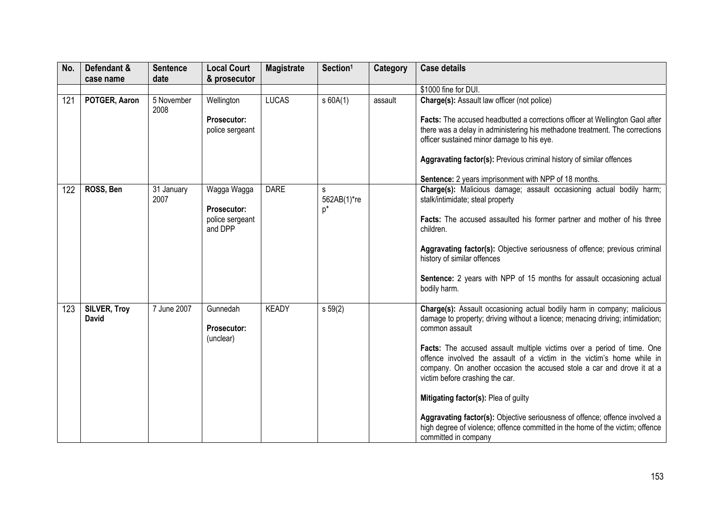| No. | Defendant &         | <b>Sentence</b>    | <b>Local Court</b>                | <b>Magistrate</b> | Section <sup>1</sup>      | Category | <b>Case details</b>                                                                                       |
|-----|---------------------|--------------------|-----------------------------------|-------------------|---------------------------|----------|-----------------------------------------------------------------------------------------------------------|
|     | case name           | date               | & prosecutor                      |                   |                           |          |                                                                                                           |
|     |                     |                    |                                   |                   |                           |          | \$1000 fine for DUI.                                                                                      |
| 121 | POTGER, Aaron       | 5 November<br>2008 | Wellington                        | <b>LUCAS</b>      | s60A(1)                   | assault  | Charge(s): Assault law officer (not police)                                                               |
|     |                     |                    | <b>Prosecutor:</b>                |                   |                           |          | Facts: The accused headbutted a corrections officer at Wellington Gaol after                              |
|     |                     |                    | police sergeant                   |                   |                           |          | there was a delay in administering his methadone treatment. The corrections                               |
|     |                     |                    |                                   |                   |                           |          | officer sustained minor damage to his eye.                                                                |
|     |                     |                    |                                   |                   |                           |          | Aggravating factor(s): Previous criminal history of similar offences                                      |
|     |                     |                    |                                   |                   |                           |          | Sentence: 2 years imprisonment with NPP of 18 months.                                                     |
| 122 | ROSS, Ben           | 31 January<br>2007 | Wagga Wagga<br><b>Prosecutor:</b> | <b>DARE</b>       | s<br>562AB(1)*re<br>$p^*$ |          | Charge(s): Malicious damage; assault occasioning actual bodily harm;<br>stalk/intimidate; steal property  |
|     |                     |                    | police sergeant<br>and DPP        |                   |                           |          | Facts: The accused assaulted his former partner and mother of his three<br>children.                      |
|     |                     |                    |                                   |                   |                           |          | Aggravating factor(s): Objective seriousness of offence; previous criminal<br>history of similar offences |
|     |                     |                    |                                   |                   |                           |          | Sentence: 2 years with NPP of 15 months for assault occasioning actual<br>bodily harm.                    |
|     | <b>SILVER, Troy</b> | 7 June 2007        | Gunnedah                          | <b>KEADY</b>      | $s\,59(2)$                |          | Charge(s): Assault occasioning actual bodily harm in company; malicious                                   |
| 123 | <b>David</b>        |                    | Prosecutor:                       |                   |                           |          | damage to property; driving without a licence; menacing driving; intimidation;<br>common assault          |
|     |                     |                    | (unclear)                         |                   |                           |          |                                                                                                           |
|     |                     |                    |                                   |                   |                           |          | Facts: The accused assault multiple victims over a period of time. One                                    |
|     |                     |                    |                                   |                   |                           |          | offence involved the assault of a victim in the victim's home while in                                    |
|     |                     |                    |                                   |                   |                           |          | company. On another occasion the accused stole a car and drove it at a<br>victim before crashing the car. |
|     |                     |                    |                                   |                   |                           |          | Mitigating factor(s): Plea of guilty                                                                      |
|     |                     |                    |                                   |                   |                           |          | Aggravating factor(s): Objective seriousness of offence; offence involved a                               |
|     |                     |                    |                                   |                   |                           |          | high degree of violence; offence committed in the home of the victim; offence                             |
|     |                     |                    |                                   |                   |                           |          | committed in company                                                                                      |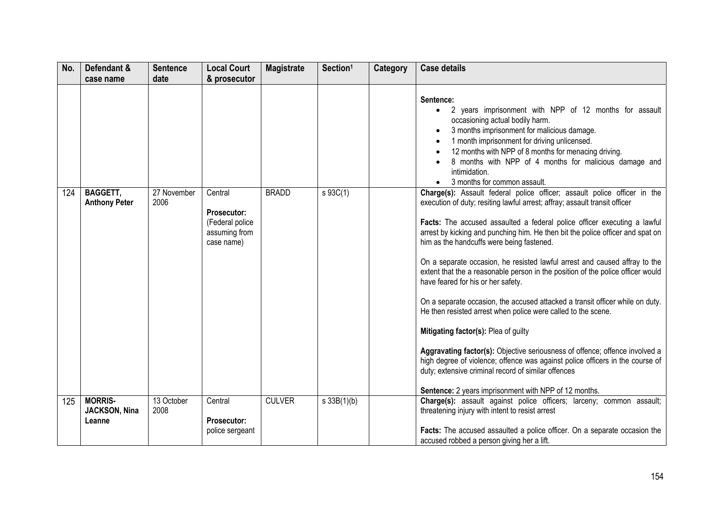| No. | Defendant &                               | <b>Sentence</b><br>date | <b>Local Court</b>                                                              | <b>Magistrate</b> | Section <sup>1</sup> | Category | <b>Case details</b>                                                                                                                                                                                                                                                                                                                                                                                                                                                                                                                                                                                                                                                                                                                                                                                                                                                                                                                                                                                                                                |
|-----|-------------------------------------------|-------------------------|---------------------------------------------------------------------------------|-------------------|----------------------|----------|----------------------------------------------------------------------------------------------------------------------------------------------------------------------------------------------------------------------------------------------------------------------------------------------------------------------------------------------------------------------------------------------------------------------------------------------------------------------------------------------------------------------------------------------------------------------------------------------------------------------------------------------------------------------------------------------------------------------------------------------------------------------------------------------------------------------------------------------------------------------------------------------------------------------------------------------------------------------------------------------------------------------------------------------------|
|     | case name                                 |                         | & prosecutor                                                                    |                   |                      |          |                                                                                                                                                                                                                                                                                                                                                                                                                                                                                                                                                                                                                                                                                                                                                                                                                                                                                                                                                                                                                                                    |
|     |                                           |                         |                                                                                 |                   |                      |          | Sentence:<br>2 years imprisonment with NPP of 12 months for assault<br>$\bullet$<br>occasioning actual bodily harm.<br>3 months imprisonment for malicious damage.<br>1 month imprisonment for driving unlicensed.<br>12 months with NPP of 8 months for menacing driving.<br>8 months with NPP of 4 months for malicious damage and<br>intimidation.<br>3 months for common assault.                                                                                                                                                                                                                                                                                                                                                                                                                                                                                                                                                                                                                                                              |
| 124 | <b>BAGGETT,</b><br><b>Anthony Peter</b>   | 27 November<br>2006     | Central<br><b>Prosecutor:</b><br>(Federal police<br>assuming from<br>case name) | <b>BRADD</b>      | $s \, 93C(1)$        |          | Charge(s): Assault federal police officer; assault police officer in the<br>execution of duty; resiting lawful arrest; affray; assault transit officer<br>Facts: The accused assaulted a federal police officer executing a lawful<br>arrest by kicking and punching him. He then bit the police officer and spat on<br>him as the handcuffs were being fastened.<br>On a separate occasion, he resisted lawful arrest and caused affray to the<br>extent that the a reasonable person in the position of the police officer would<br>have feared for his or her safety.<br>On a separate occasion, the accused attacked a transit officer while on duty.<br>He then resisted arrest when police were called to the scene.<br>Mitigating factor(s): Plea of guilty<br>Aggravating factor(s): Objective seriousness of offence; offence involved a<br>high degree of violence; offence was against police officers in the course of<br>duty; extensive criminal record of similar offences<br>Sentence: 2 years imprisonment with NPP of 12 months. |
| 125 | <b>MORRIS-</b><br>JACKSON, Nina<br>Leanne | 13 October<br>2008      | Central<br>Prosecutor:<br>police sergeant                                       | <b>CULVER</b>     | $s \, 33B(1)(b)$     |          | Charge(s): assault against police officers; larceny; common assault;<br>threatening injury with intent to resist arrest<br>Facts: The accused assaulted a police officer. On a separate occasion the<br>accused robbed a person giving her a lift.                                                                                                                                                                                                                                                                                                                                                                                                                                                                                                                                                                                                                                                                                                                                                                                                 |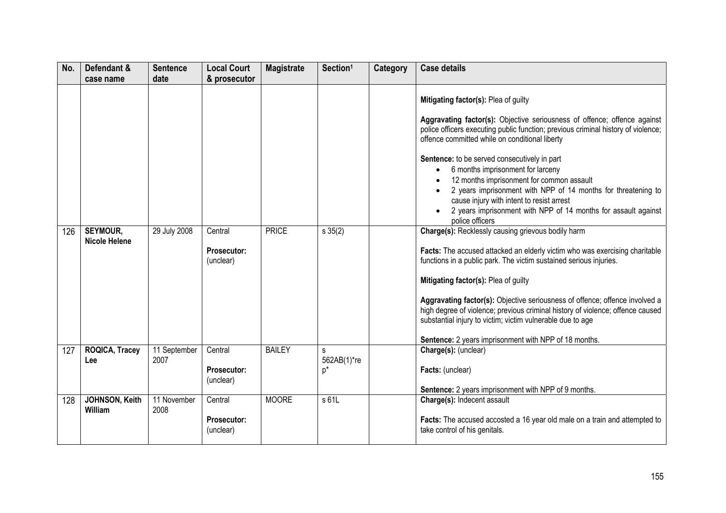| No. | Defendant &<br>case name                | <b>Sentence</b><br>date | <b>Local Court</b><br>& prosecutor | <b>Magistrate</b> | Section <sup>1</sup> | Category | <b>Case details</b>                                                                                                                                                                                                                                                                                                               |
|-----|-----------------------------------------|-------------------------|------------------------------------|-------------------|----------------------|----------|-----------------------------------------------------------------------------------------------------------------------------------------------------------------------------------------------------------------------------------------------------------------------------------------------------------------------------------|
|     |                                         |                         |                                    |                   |                      |          |                                                                                                                                                                                                                                                                                                                                   |
|     |                                         |                         |                                    |                   |                      |          | Mitigating factor(s): Plea of guilty                                                                                                                                                                                                                                                                                              |
|     |                                         |                         |                                    |                   |                      |          | Aggravating factor(s): Objective seriousness of offence; offence against<br>police officers executing public function; previous criminal history of violence;<br>offence committed while on conditional liberty                                                                                                                   |
|     |                                         |                         |                                    |                   |                      |          | Sentence: to be served consecutively in part<br>6 months imprisonment for larceny<br>12 months imprisonment for common assault<br>2 years imprisonment with NPP of 14 months for threatening to<br>cause injury with intent to resist arrest<br>2 years imprisonment with NPP of 14 months for assault against<br>police officers |
| 126 | <b>SEYMOUR,</b><br><b>Nicole Helene</b> | 29 July 2008            | Central                            | <b>PRICE</b>      | $s \, 35(2)$         |          | Charge(s): Recklessly causing grievous bodily harm                                                                                                                                                                                                                                                                                |
|     |                                         |                         | <b>Prosecutor:</b><br>(unclear)    |                   |                      |          | Facts: The accused attacked an elderly victim who was exercising charitable<br>functions in a public park. The victim sustained serious injuries.                                                                                                                                                                                 |
|     |                                         |                         |                                    |                   |                      |          | Mitigating factor(s): Plea of guilty                                                                                                                                                                                                                                                                                              |
|     |                                         |                         |                                    |                   |                      |          | Aggravating factor(s): Objective seriousness of offence; offence involved a<br>high degree of violence; previous criminal history of violence; offence caused<br>substantial injury to victim; victim vulnerable due to age                                                                                                       |
|     |                                         |                         |                                    |                   |                      |          | Sentence: 2 years imprisonment with NPP of 18 months.                                                                                                                                                                                                                                                                             |
| 127 | <b>ROQICA, Tracey</b><br>Lee            | 11 September<br>2007    | Central                            | <b>BAILEY</b>     | s<br>562AB(1)*re     |          | Charge(s): (unclear)                                                                                                                                                                                                                                                                                                              |
|     |                                         |                         | <b>Prosecutor:</b><br>(unclear)    |                   | p*                   |          | Facts: (unclear)                                                                                                                                                                                                                                                                                                                  |
|     |                                         |                         |                                    |                   |                      |          | Sentence: 2 years imprisonment with NPP of 9 months.                                                                                                                                                                                                                                                                              |
| 128 | JOHNSON, Keith<br>William               | 11 November<br>2008     | Central                            | <b>MOORE</b>      | s 61L                |          | Charge(s): Indecent assault                                                                                                                                                                                                                                                                                                       |
|     |                                         |                         | Prosecutor:<br>(unclear)           |                   |                      |          | Facts: The accused accosted a 16 year old male on a train and attempted to<br>take control of his genitals.                                                                                                                                                                                                                       |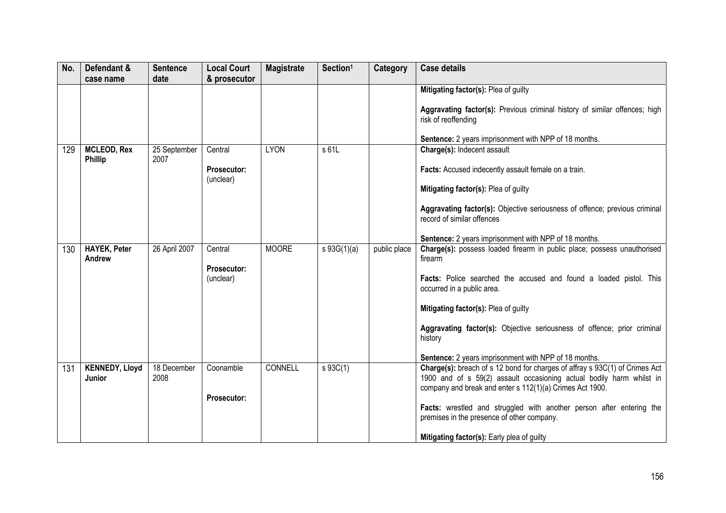| No. | Defendant &                          | <b>Sentence</b>      | <b>Local Court</b>              | <b>Magistrate</b> | Section <sup>1</sup> | Category     | <b>Case details</b>                                                                                                                                 |
|-----|--------------------------------------|----------------------|---------------------------------|-------------------|----------------------|--------------|-----------------------------------------------------------------------------------------------------------------------------------------------------|
|     | case name                            | date                 | & prosecutor                    |                   |                      |              |                                                                                                                                                     |
|     |                                      |                      |                                 |                   |                      |              | Mitigating factor(s): Plea of guilty                                                                                                                |
|     |                                      |                      |                                 |                   |                      |              | Aggravating factor(s): Previous criminal history of similar offences; high<br>risk of reoffending                                                   |
|     |                                      |                      |                                 |                   |                      |              | <b>Sentence:</b> 2 years imprisonment with NPP of 18 months.                                                                                        |
| 129 | <b>MCLEOD, Rex</b><br><b>Phillip</b> | 25 September<br>2007 | Central                         | <b>LYON</b>       | s 61L                |              | Charge(s): Indecent assault                                                                                                                         |
|     |                                      |                      | <b>Prosecutor:</b><br>(unclear) |                   |                      |              | Facts: Accused indecently assault female on a train.                                                                                                |
|     |                                      |                      |                                 |                   |                      |              | Mitigating factor(s): Plea of guilty                                                                                                                |
|     |                                      |                      |                                 |                   |                      |              | Aggravating factor(s): Objective seriousness of offence; previous criminal<br>record of similar offences                                            |
|     |                                      |                      |                                 |                   |                      |              | Sentence: 2 years imprisonment with NPP of 18 months.                                                                                               |
| 130 | <b>HAYEK, Peter</b><br>Andrew        | 26 April 2007        | Central                         | <b>MOORE</b>      | $s\ 93G(1)(a)$       | public place | Charge(s): possess loaded firearm in public place; possess unauthorised<br>firearm                                                                  |
|     |                                      |                      | Prosecutor:<br>(unclear)        |                   |                      |              | Facts: Police searched the accused and found a loaded pistol. This<br>occurred in a public area.                                                    |
|     |                                      |                      |                                 |                   |                      |              | Mitigating factor(s): Plea of guilty                                                                                                                |
|     |                                      |                      |                                 |                   |                      |              | Aggravating factor(s): Objective seriousness of offence; prior criminal<br>history                                                                  |
|     |                                      |                      |                                 |                   |                      |              | Sentence: 2 years imprisonment with NPP of 18 months.                                                                                               |
| 131 | <b>KENNEDY, Lloyd</b><br>Junior      | 18 December<br>2008  | Coonamble                       | CONNELL           | $s \, 93C(1)$        |              | Charge(s): breach of s 12 bond for charges of affray s 93C(1) of Crimes Act<br>1900 and of s 59(2) assault occasioning actual bodily harm whilst in |
|     |                                      |                      | Prosecutor:                     |                   |                      |              | company and break and enter s 112(1)(a) Crimes Act 1900.                                                                                            |
|     |                                      |                      |                                 |                   |                      |              | Facts: wrestled and struggled with another person after entering the<br>premises in the presence of other company.                                  |
|     |                                      |                      |                                 |                   |                      |              | Mitigating factor(s): Early plea of guilty                                                                                                          |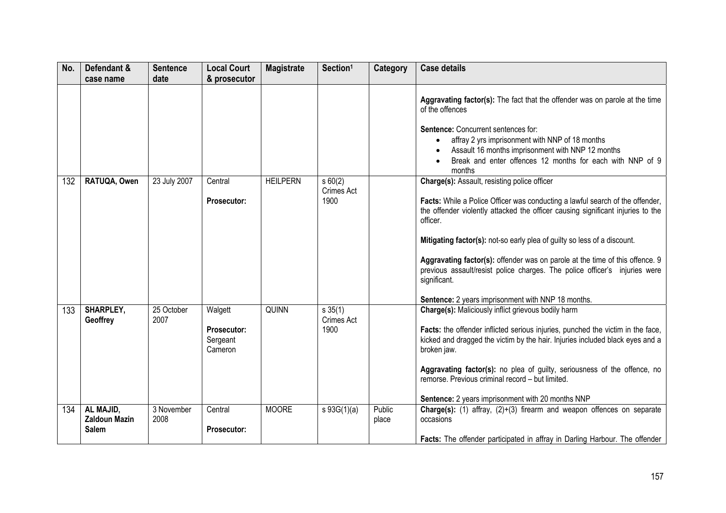| No. | Defendant &                                       | <b>Sentence</b>    | <b>Local Court</b>                            | <b>Magistrate</b> | Section <sup>1</sup>                 | Category        | <b>Case details</b>                                                                                                                                                                                                                                                                                                                                                                                                                                                                                                                                 |
|-----|---------------------------------------------------|--------------------|-----------------------------------------------|-------------------|--------------------------------------|-----------------|-----------------------------------------------------------------------------------------------------------------------------------------------------------------------------------------------------------------------------------------------------------------------------------------------------------------------------------------------------------------------------------------------------------------------------------------------------------------------------------------------------------------------------------------------------|
|     | case name                                         | date               | & prosecutor                                  |                   |                                      |                 |                                                                                                                                                                                                                                                                                                                                                                                                                                                                                                                                                     |
|     |                                                   |                    |                                               |                   |                                      |                 | Aggravating factor(s): The fact that the offender was on parole at the time<br>of the offences<br><b>Sentence: Concurrent sentences for:</b><br>affray 2 yrs imprisonment with NNP of 18 months<br>Assault 16 months imprisonment with NNP 12 months<br>Break and enter offences 12 months for each with NNP of 9<br>months                                                                                                                                                                                                                         |
| 132 | RATUQA, Owen                                      | 23 July 2007       | Central<br><b>Prosecutor:</b>                 | <b>HEILPERN</b>   | s60(2)<br><b>Crimes Act</b><br>1900  |                 | <b>Charge(s): Assault, resisting police officer</b><br>Facts: While a Police Officer was conducting a lawful search of the offender,<br>the offender violently attacked the officer causing significant injuries to the<br>officer.<br>Mitigating factor(s): not-so early plea of guilty so less of a discount.<br>Aggravating factor(s): offender was on parole at the time of this offence. 9<br>previous assault/resist police charges. The police officer's injuries were<br>significant.<br>Sentence: 2 years imprisonment with NNP 18 months. |
| 133 | <b>SHARPLEY,</b><br>Geoffrey                      | 25 October<br>2007 | Walgett<br>Prosecutor:<br>Sergeant<br>Cameron | <b>QUINN</b>      | s 35(1)<br><b>Crimes Act</b><br>1900 |                 | Charge(s): Maliciously inflict grievous bodily harm<br>Facts: the offender inflicted serious injuries, punched the victim in the face,<br>kicked and dragged the victim by the hair. Injuries included black eyes and a<br>broken jaw.<br>Aggravating factor(s): no plea of guilty, seriousness of the offence, no<br>remorse. Previous criminal record - but limited.<br>Sentence: 2 years imprisonment with 20 months NNP                                                                                                                         |
| 134 | AL MAJID,<br><b>Zaldoun Mazin</b><br><b>Salem</b> | 3 November<br>2008 | Central<br>Prosecutor:                        | <b>MOORE</b>      | $s\ 93G(1)(a)$                       | Public<br>place | Charge(s): (1) affray, (2)+(3) firearm and weapon offences on separate<br>occasions<br>Facts: The offender participated in affray in Darling Harbour. The offender                                                                                                                                                                                                                                                                                                                                                                                  |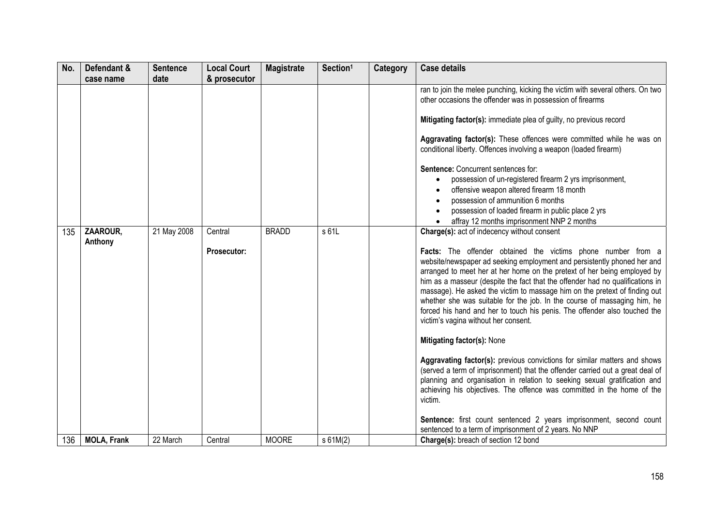| No. | Defendant &         | <b>Sentence</b> | <b>Local Court</b>     | <b>Magistrate</b> | Section <sup>1</sup> | Category | <b>Case details</b>                                                                                                                                                                                                                                                                                                                                                                                                                                                                                                                                                                                                                                                                                                                                                                                                                                                                                                                                                                              |
|-----|---------------------|-----------------|------------------------|-------------------|----------------------|----------|--------------------------------------------------------------------------------------------------------------------------------------------------------------------------------------------------------------------------------------------------------------------------------------------------------------------------------------------------------------------------------------------------------------------------------------------------------------------------------------------------------------------------------------------------------------------------------------------------------------------------------------------------------------------------------------------------------------------------------------------------------------------------------------------------------------------------------------------------------------------------------------------------------------------------------------------------------------------------------------------------|
|     | case name           | date            | & prosecutor           |                   |                      |          |                                                                                                                                                                                                                                                                                                                                                                                                                                                                                                                                                                                                                                                                                                                                                                                                                                                                                                                                                                                                  |
|     |                     |                 |                        |                   |                      |          | ran to join the melee punching, kicking the victim with several others. On two<br>other occasions the offender was in possession of firearms<br>Mitigating factor(s): immediate plea of guilty, no previous record                                                                                                                                                                                                                                                                                                                                                                                                                                                                                                                                                                                                                                                                                                                                                                               |
|     |                     |                 |                        |                   |                      |          | Aggravating factor(s): These offences were committed while he was on<br>conditional liberty. Offences involving a weapon (loaded firearm)                                                                                                                                                                                                                                                                                                                                                                                                                                                                                                                                                                                                                                                                                                                                                                                                                                                        |
|     |                     |                 |                        |                   |                      |          | <b>Sentence: Concurrent sentences for:</b><br>possession of un-registered firearm 2 yrs imprisonment,<br>offensive weapon altered firearm 18 month<br>possession of ammunition 6 months<br>possession of loaded firearm in public place 2 yrs<br>affray 12 months imprisonment NNP 2 months                                                                                                                                                                                                                                                                                                                                                                                                                                                                                                                                                                                                                                                                                                      |
| 135 | ZAAROUR,<br>Anthony | 21 May 2008     | Central<br>Prosecutor: | <b>BRADD</b>      | s 61L                |          | Charge(s): act of indecency without consent<br>Facts: The offender obtained the victims phone number from a<br>website/newspaper ad seeking employment and persistently phoned her and<br>arranged to meet her at her home on the pretext of her being employed by<br>him as a masseur (despite the fact that the offender had no qualifications in<br>massage). He asked the victim to massage him on the pretext of finding out<br>whether she was suitable for the job. In the course of massaging him, he<br>forced his hand and her to touch his penis. The offender also touched the<br>victim's vagina without her consent.<br>Mitigating factor(s): None<br>Aggravating factor(s): previous convictions for similar matters and shows<br>(served a term of imprisonment) that the offender carried out a great deal of<br>planning and organisation in relation to seeking sexual gratification and<br>achieving his objectives. The offence was committed in the home of the<br>victim. |
| 136 | <b>MOLA, Frank</b>  | 22 March        | Central                | <b>MOORE</b>      | $s$ 61M(2)           |          | Sentence: first count sentenced 2 years imprisonment, second count<br>sentenced to a term of imprisonment of 2 years. No NNP<br>Charge(s): breach of section 12 bond                                                                                                                                                                                                                                                                                                                                                                                                                                                                                                                                                                                                                                                                                                                                                                                                                             |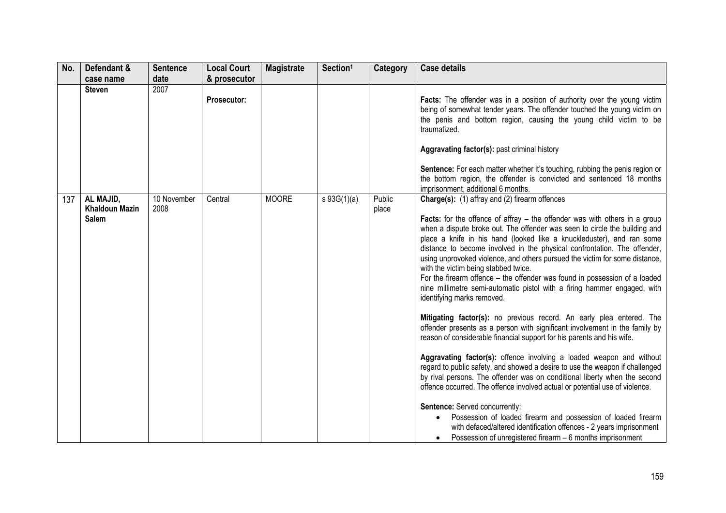| No. | Defendant &                                        | <b>Sentence</b>     | <b>Local Court</b> | <b>Magistrate</b> | Section <sup>1</sup> | Category        | <b>Case details</b>                                                                                                                                                                                                                                                                                                                                                                                                                                                                                                                                                                                                                                                                                                                                                                                                                                                                                                                                                                                                                                                                                                                                                                                                                                                                                                                                                                                                                                                                  |
|-----|----------------------------------------------------|---------------------|--------------------|-------------------|----------------------|-----------------|--------------------------------------------------------------------------------------------------------------------------------------------------------------------------------------------------------------------------------------------------------------------------------------------------------------------------------------------------------------------------------------------------------------------------------------------------------------------------------------------------------------------------------------------------------------------------------------------------------------------------------------------------------------------------------------------------------------------------------------------------------------------------------------------------------------------------------------------------------------------------------------------------------------------------------------------------------------------------------------------------------------------------------------------------------------------------------------------------------------------------------------------------------------------------------------------------------------------------------------------------------------------------------------------------------------------------------------------------------------------------------------------------------------------------------------------------------------------------------------|
|     | case name                                          | date                | & prosecutor       |                   |                      |                 |                                                                                                                                                                                                                                                                                                                                                                                                                                                                                                                                                                                                                                                                                                                                                                                                                                                                                                                                                                                                                                                                                                                                                                                                                                                                                                                                                                                                                                                                                      |
|     | <b>Steven</b>                                      | 2007                | <b>Prosecutor:</b> |                   |                      |                 | Facts: The offender was in a position of authority over the young victim<br>being of somewhat tender years. The offender touched the young victim on<br>the penis and bottom region, causing the young child victim to be<br>traumatized.<br>Aggravating factor(s): past criminal history<br>Sentence: For each matter whether it's touching, rubbing the penis region or<br>the bottom region, the offender is convicted and sentenced 18 months<br>imprisonment, additional 6 months.                                                                                                                                                                                                                                                                                                                                                                                                                                                                                                                                                                                                                                                                                                                                                                                                                                                                                                                                                                                              |
| 137 | AL MAJID,<br><b>Khaldoun Mazin</b><br><b>Salem</b> | 10 November<br>2008 | Central            | <b>MOORE</b>      | $s\ 93G(1)(a)$       | Public<br>place | Charge(s): (1) affray and (2) firearm offences<br><b>Facts:</b> for the offence of affray $-$ the offender was with others in a group<br>when a dispute broke out. The offender was seen to circle the building and<br>place a knife in his hand (looked like a knuckleduster), and ran some<br>distance to become involved in the physical confrontation. The offender,<br>using unprovoked violence, and others pursued the victim for some distance,<br>with the victim being stabbed twice.<br>For the firearm offence - the offender was found in possession of a loaded<br>nine millimetre semi-automatic pistol with a firing hammer engaged, with<br>identifying marks removed.<br>Mitigating factor(s): no previous record. An early plea entered. The<br>offender presents as a person with significant involvement in the family by<br>reason of considerable financial support for his parents and his wife.<br>Aggravating factor(s): offence involving a loaded weapon and without<br>regard to public safety, and showed a desire to use the weapon if challenged<br>by rival persons. The offender was on conditional liberty when the second<br>offence occurred. The offence involved actual or potential use of violence.<br>Sentence: Served concurrently:<br>Possession of loaded firearm and possession of loaded firearm<br>with defaced/altered identification offences - 2 years imprisonment<br>Possession of unregistered firearm - 6 months imprisonment |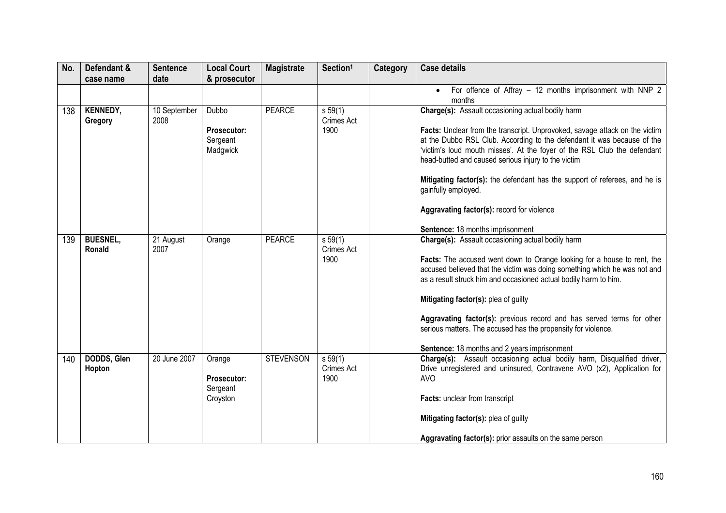| No. | Defendant &                | <b>Sentence</b>      | <b>Local Court</b>                                   | <b>Magistrate</b> | Section <sup>1</sup>                 | Category | <b>Case details</b>                                                                                                                                                                                                                                                                                                                                                                                                                                                                                                                   |
|-----|----------------------------|----------------------|------------------------------------------------------|-------------------|--------------------------------------|----------|---------------------------------------------------------------------------------------------------------------------------------------------------------------------------------------------------------------------------------------------------------------------------------------------------------------------------------------------------------------------------------------------------------------------------------------------------------------------------------------------------------------------------------------|
|     | case name                  | date                 | & prosecutor                                         |                   |                                      |          |                                                                                                                                                                                                                                                                                                                                                                                                                                                                                                                                       |
|     |                            |                      |                                                      |                   |                                      |          | For offence of Affray - 12 months imprisonment with NNP 2<br>$\bullet$<br>months                                                                                                                                                                                                                                                                                                                                                                                                                                                      |
| 138 | <b>KENNEDY,</b><br>Gregory | 10 September<br>2008 | Dubbo<br><b>Prosecutor:</b><br>Sergeant<br>Madgwick  | <b>PEARCE</b>     | s 59(1)<br><b>Crimes Act</b><br>1900 |          | Charge(s): Assault occasioning actual bodily harm<br>Facts: Unclear from the transcript. Unprovoked, savage attack on the victim<br>at the Dubbo RSL Club. According to the defendant it was because of the<br>'victim's loud mouth misses'. At the foyer of the RSL Club the defendant<br>head-butted and caused serious injury to the victim<br>Mitigating factor(s): the defendant has the support of referees, and he is<br>gainfully employed.<br>Aggravating factor(s): record for violence<br>Sentence: 18 months imprisonment |
| 139 | <b>BUESNEL,</b><br>Ronald  | 21 August<br>2007    | Orange                                               | <b>PEARCE</b>     | s 59(1)<br>Crimes Act<br>1900        |          | Charge(s): Assault occasioning actual bodily harm<br>Facts: The accused went down to Orange looking for a house to rent, the<br>accused believed that the victim was doing something which he was not and<br>as a result struck him and occasioned actual bodily harm to him.<br>Mitigating factor(s): plea of guilty<br>Aggravating factor(s): previous record and has served terms for other<br>serious matters. The accused has the propensity for violence.<br>Sentence: 18 months and 2 years imprisonment                       |
| 140 | DODDS, Glen<br>Hopton      | 20 June 2007         | Orange<br><b>Prosecutor:</b><br>Sergeant<br>Croyston | <b>STEVENSON</b>  | s 59(1)<br>Crimes Act<br>1900        |          | Charge(s): Assault occasioning actual bodily harm, Disqualified driver,<br>Drive unregistered and uninsured, Contravene AVO (x2), Application for<br><b>AVO</b><br>Facts: unclear from transcript<br>Mitigating factor(s): plea of guilty<br>Aggravating factor(s): prior assaults on the same person                                                                                                                                                                                                                                 |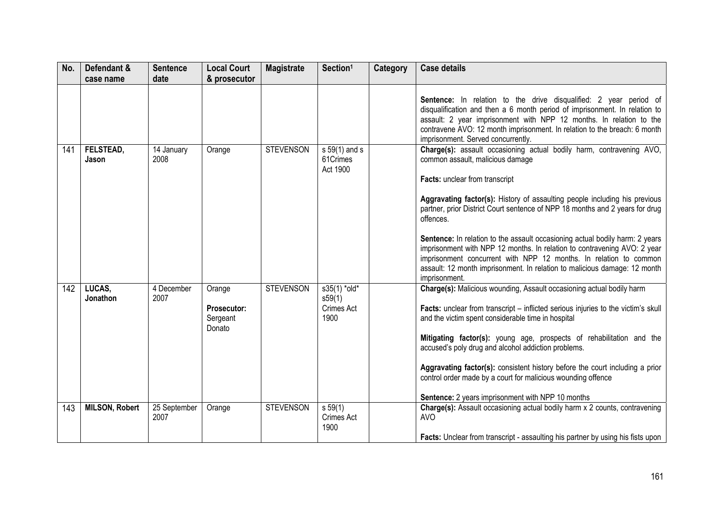| No. | Defendant &<br>case name | <b>Sentence</b><br>date | <b>Local Court</b><br>& prosecutor                 | <b>Magistrate</b> | Section <sup>1</sup>                         | Category | <b>Case details</b>                                                                                                                                                                                                                                                                                                                                                                                                                                                                                                                                                                                                                                                       |
|-----|--------------------------|-------------------------|----------------------------------------------------|-------------------|----------------------------------------------|----------|---------------------------------------------------------------------------------------------------------------------------------------------------------------------------------------------------------------------------------------------------------------------------------------------------------------------------------------------------------------------------------------------------------------------------------------------------------------------------------------------------------------------------------------------------------------------------------------------------------------------------------------------------------------------------|
|     |                          |                         |                                                    |                   |                                              |          | Sentence: In relation to the drive disqualified: 2 year period of<br>disqualification and then a 6 month period of imprisonment. In relation to<br>assault: 2 year imprisonment with NPP 12 months. In relation to the<br>contravene AVO: 12 month imprisonment. In relation to the breach: 6 month                                                                                                                                                                                                                                                                                                                                                                       |
| 141 | FELSTEAD,<br>Jason       | 14 January<br>2008      | Orange                                             | <b>STEVENSON</b>  | $s 59(1)$ and s<br>61Crimes<br>Act 1900      |          | imprisonment. Served concurrently.<br>Charge(s): assault occasioning actual bodily harm, contravening AVO,<br>common assault, malicious damage<br>Facts: unclear from transcript<br>Aggravating factor(s): History of assaulting people including his previous<br>partner, prior District Court sentence of NPP 18 months and 2 years for drug<br>offences.<br>Sentence: In relation to the assault occasioning actual bodily harm: 2 years<br>imprisonment with NPP 12 months. In relation to contravening AVO: 2 year<br>imprisonment concurrent with NPP 12 months. In relation to common<br>assault: 12 month imprisonment. In relation to malicious damage: 12 month |
| 142 | LUCAS.<br>Jonathon       | 4 December<br>2007      | Orange<br><b>Prosecutor:</b><br>Sergeant<br>Donato | <b>STEVENSON</b>  | s35(1) *old*<br>s59(1)<br>Crimes Act<br>1900 |          | imprisonment.<br>Charge(s): Malicious wounding, Assault occasioning actual bodily harm<br>Facts: unclear from transcript – inflicted serious injuries to the victim's skull<br>and the victim spent considerable time in hospital<br>Mitigating factor(s): young age, prospects of rehabilitation and the<br>accused's poly drug and alcohol addiction problems.<br>Aggravating factor(s): consistent history before the court including a prior<br>control order made by a court for malicious wounding offence<br>Sentence: 2 years imprisonment with NPP 10 months                                                                                                     |
| 143 | <b>MILSON, Robert</b>    | 25 September<br>2007    | Orange                                             | <b>STEVENSON</b>  | $s\,59(1)$<br>Crimes Act<br>1900             |          | <b>Charge(s):</b> Assault occasioning actual bodily harm x 2 counts, contravening<br><b>AVO</b><br>Facts: Unclear from transcript - assaulting his partner by using his fists upon                                                                                                                                                                                                                                                                                                                                                                                                                                                                                        |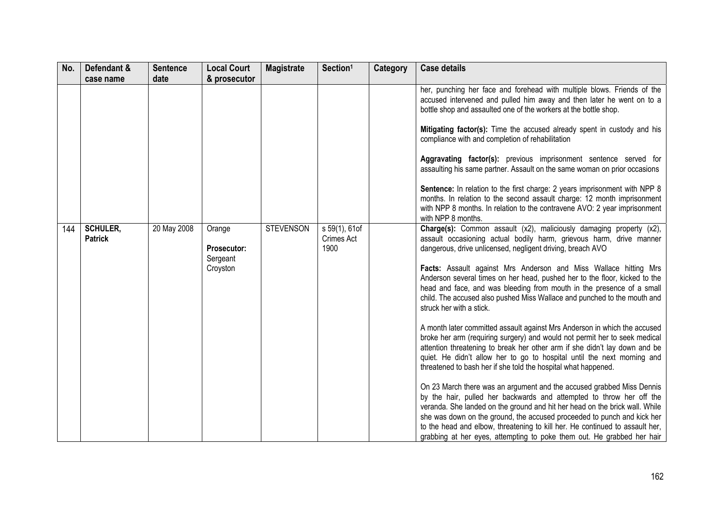| No. | Defendant &                       | <b>Sentence</b> | <b>Local Court</b>                | <b>Magistrate</b> | Section <sup>1</sup>                | Category | <b>Case details</b>                                                                                                                                                                                                                                                                                                                                                                                                                                               |
|-----|-----------------------------------|-----------------|-----------------------------------|-------------------|-------------------------------------|----------|-------------------------------------------------------------------------------------------------------------------------------------------------------------------------------------------------------------------------------------------------------------------------------------------------------------------------------------------------------------------------------------------------------------------------------------------------------------------|
|     | case name                         | date            | & prosecutor                      |                   |                                     |          |                                                                                                                                                                                                                                                                                                                                                                                                                                                                   |
|     |                                   |                 |                                   |                   |                                     |          | her, punching her face and forehead with multiple blows. Friends of the<br>accused intervened and pulled him away and then later he went on to a<br>bottle shop and assaulted one of the workers at the bottle shop.                                                                                                                                                                                                                                              |
|     |                                   |                 |                                   |                   |                                     |          | Mitigating factor(s): Time the accused already spent in custody and his<br>compliance with and completion of rehabilitation                                                                                                                                                                                                                                                                                                                                       |
|     |                                   |                 |                                   |                   |                                     |          | Aggravating factor(s): previous imprisonment sentence served for<br>assaulting his same partner. Assault on the same woman on prior occasions                                                                                                                                                                                                                                                                                                                     |
|     |                                   |                 |                                   |                   |                                     |          | Sentence: In relation to the first charge: 2 years imprisonment with NPP 8<br>months. In relation to the second assault charge: 12 month imprisonment<br>with NPP 8 months. In relation to the contravene AVO: 2 year imprisonment<br>with NPP 8 months.                                                                                                                                                                                                          |
| 144 | <b>SCHULER,</b><br><b>Patrick</b> | 20 May 2008     | Orange<br>Prosecutor:<br>Sergeant | <b>STEVENSON</b>  | s 59(1), 61of<br>Crimes Act<br>1900 |          | Charge(s): Common assault (x2), maliciously damaging property (x2),<br>assault occasioning actual bodily harm, grievous harm, drive manner<br>dangerous, drive unlicensed, negligent driving, breach AVO                                                                                                                                                                                                                                                          |
|     |                                   |                 | Croyston                          |                   |                                     |          | Facts: Assault against Mrs Anderson and Miss Wallace hitting Mrs<br>Anderson several times on her head, pushed her to the floor, kicked to the<br>head and face, and was bleeding from mouth in the presence of a small<br>child. The accused also pushed Miss Wallace and punched to the mouth and<br>struck her with a stick.                                                                                                                                   |
|     |                                   |                 |                                   |                   |                                     |          | A month later committed assault against Mrs Anderson in which the accused<br>broke her arm (requiring surgery) and would not permit her to seek medical<br>attention threatening to break her other arm if she didn't lay down and be<br>quiet. He didn't allow her to go to hospital until the next morning and<br>threatened to bash her if she told the hospital what happened.                                                                                |
|     |                                   |                 |                                   |                   |                                     |          | On 23 March there was an argument and the accused grabbed Miss Dennis<br>by the hair, pulled her backwards and attempted to throw her off the<br>veranda. She landed on the ground and hit her head on the brick wall. While<br>she was down on the ground, the accused proceeded to punch and kick her<br>to the head and elbow, threatening to kill her. He continued to assault her,<br>grabbing at her eyes, attempting to poke them out. He grabbed her hair |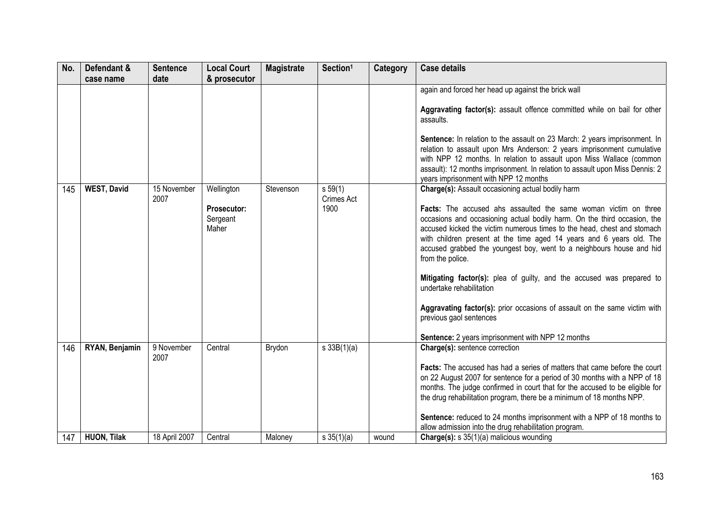| No. | Defendant &<br>case name | <b>Sentence</b><br>date | <b>Local Court</b><br>& prosecutor | <b>Magistrate</b> | Section <sup>1</sup>     | Category | <b>Case details</b>                                                                                                                                    |
|-----|--------------------------|-------------------------|------------------------------------|-------------------|--------------------------|----------|--------------------------------------------------------------------------------------------------------------------------------------------------------|
|     |                          |                         |                                    |                   |                          |          | again and forced her head up against the brick wall<br>Aggravating factor(s): assault offence committed while on bail for other                        |
|     |                          |                         |                                    |                   |                          |          | assaults.                                                                                                                                              |
|     |                          |                         |                                    |                   |                          |          | Sentence: In relation to the assault on 23 March: 2 years imprisonment. In<br>relation to assault upon Mrs Anderson: 2 years imprisonment cumulative   |
|     |                          |                         |                                    |                   |                          |          | with NPP 12 months. In relation to assault upon Miss Wallace (common<br>assault): 12 months imprisonment. In relation to assault upon Miss Dennis: 2   |
|     |                          |                         |                                    |                   |                          |          | years imprisonment with NPP 12 months                                                                                                                  |
| 145 | <b>WEST, David</b>       | 15 November<br>2007     | Wellington                         | Stevenson         | $s\,59(1)$<br>Crimes Act |          | Charge(s): Assault occasioning actual bodily harm                                                                                                      |
|     |                          |                         | <b>Prosecutor:</b><br>Sergeant     |                   | 1900                     |          | Facts: The accused ahs assaulted the same woman victim on three<br>occasions and occasioning actual bodily harm. On the third occasion, the            |
|     |                          |                         | Maher                              |                   |                          |          | accused kicked the victim numerous times to the head, chest and stomach<br>with children present at the time aged 14 years and 6 years old. The        |
|     |                          |                         |                                    |                   |                          |          | accused grabbed the youngest boy, went to a neighbours house and hid                                                                                   |
|     |                          |                         |                                    |                   |                          |          | from the police.                                                                                                                                       |
|     |                          |                         |                                    |                   |                          |          | Mitigating factor(s): plea of guilty, and the accused was prepared to<br>undertake rehabilitation                                                      |
|     |                          |                         |                                    |                   |                          |          | Aggravating factor(s): prior occasions of assault on the same victim with<br>previous gaol sentences                                                   |
|     |                          |                         |                                    |                   |                          |          | <b>Sentence:</b> 2 years imprisonment with NPP 12 months                                                                                               |
| 146 | RYAN, Benjamin           | 9 November<br>2007      | Central                            | Brydon            | s 33B(1)(a)              |          | Charge(s): sentence correction                                                                                                                         |
|     |                          |                         |                                    |                   |                          |          | Facts: The accused has had a series of matters that came before the court<br>on 22 August 2007 for sentence for a period of 30 months with a NPP of 18 |
|     |                          |                         |                                    |                   |                          |          | months. The judge confirmed in court that for the accused to be eligible for                                                                           |
|     |                          |                         |                                    |                   |                          |          | the drug rehabilitation program, there be a minimum of 18 months NPP.                                                                                  |
|     |                          |                         |                                    |                   |                          |          | Sentence: reduced to 24 months imprisonment with a NPP of 18 months to<br>allow admission into the drug rehabilitation program.                        |
| 147 | <b>HUON, Tilak</b>       | 18 April 2007           | Central                            | Maloney           | $s \, 35(1)(a)$          | wound    | Charge(s): s 35(1)(a) malicious wounding                                                                                                               |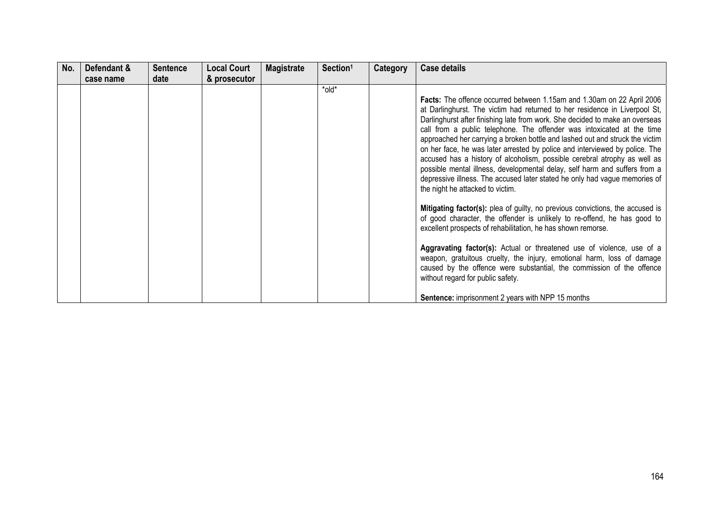| No. | Defendant &<br>case name | <b>Sentence</b><br>date | <b>Local Court</b><br>& prosecutor | <b>Magistrate</b> | Section <sup>1</sup> | Category | <b>Case details</b>                                                                                                                                                                                                                                                                                                                                                                                                                                                                                                                                                                                                                                                                                                                                        |
|-----|--------------------------|-------------------------|------------------------------------|-------------------|----------------------|----------|------------------------------------------------------------------------------------------------------------------------------------------------------------------------------------------------------------------------------------------------------------------------------------------------------------------------------------------------------------------------------------------------------------------------------------------------------------------------------------------------------------------------------------------------------------------------------------------------------------------------------------------------------------------------------------------------------------------------------------------------------------|
|     |                          |                         |                                    |                   | *old*                |          | Facts: The offence occurred between 1.15am and 1.30am on 22 April 2006<br>at Darlinghurst. The victim had returned to her residence in Liverpool St,<br>Darlinghurst after finishing late from work. She decided to make an overseas<br>call from a public telephone. The offender was intoxicated at the time<br>approached her carrying a broken bottle and lashed out and struck the victim<br>on her face, he was later arrested by police and interviewed by police. The<br>accused has a history of alcoholism, possible cerebral atrophy as well as<br>possible mental illness, developmental delay, self harm and suffers from a<br>depressive illness. The accused later stated he only had vague memories of<br>the night he attacked to victim. |
|     |                          |                         |                                    |                   |                      |          | Mitigating factor(s): plea of guilty, no previous convictions, the accused is<br>of good character, the offender is unlikely to re-offend, he has good to<br>excellent prospects of rehabilitation, he has shown remorse.                                                                                                                                                                                                                                                                                                                                                                                                                                                                                                                                  |
|     |                          |                         |                                    |                   |                      |          | Aggravating factor(s): Actual or threatened use of violence, use of a<br>weapon, gratuitous cruelty, the injury, emotional harm, loss of damage<br>caused by the offence were substantial, the commission of the offence<br>without regard for public safety.                                                                                                                                                                                                                                                                                                                                                                                                                                                                                              |
|     |                          |                         |                                    |                   |                      |          | <b>Sentence:</b> imprisonment 2 years with NPP 15 months                                                                                                                                                                                                                                                                                                                                                                                                                                                                                                                                                                                                                                                                                                   |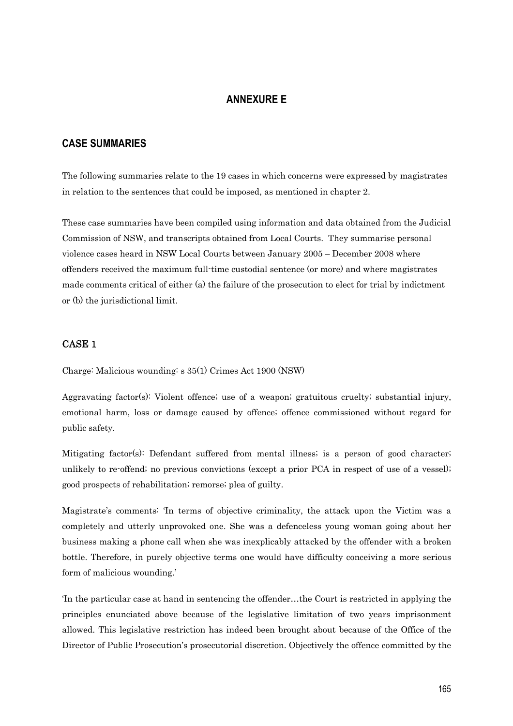# **ANNEXURE E**

## **CASE SUMMARIES**

The following summaries relate to the 19 cases in which concerns were expressed by magistrates in relation to the sentences that could be imposed, as mentioned in chapter 2.

These case summaries have been compiled using information and data obtained from the Judicial Commission of NSW, and transcripts obtained from Local Courts. They summarise personal violence cases heard in NSW Local Courts between January 2005 – December 2008 where offenders received the maximum full-time custodial sentence (or more) and where magistrates made comments critical of either (a) the failure of the prosecution to elect for trial by indictment or (b) the jurisdictional limit.

### CASE 1

Charge: Malicious wounding: s 35(1) Crimes Act 1900 (NSW)

Aggravating factor(s): Violent offence; use of a weapon; gratuitous cruelty; substantial injury, emotional harm, loss or damage caused by offence; offence commissioned without regard for public safety.

Mitigating factor(s): Defendant suffered from mental illness; is a person of good character; unlikely to re-offend; no previous convictions (except a prior PCA in respect of use of a vessel); good prospects of rehabilitation; remorse; plea of guilty.

Magistrate's comments: 'In terms of objective criminality, the attack upon the Victim was a completely and utterly unprovoked one. She was a defenceless young woman going about her business making a phone call when she was inexplicably attacked by the offender with a broken bottle. Therefore, in purely objective terms one would have difficulty conceiving a more serious form of malicious wounding.'

'In the particular case at hand in sentencing the offender…the Court is restricted in applying the principles enunciated above because of the legislative limitation of two years imprisonment allowed. This legislative restriction has indeed been brought about because of the Office of the Director of Public Prosecution's prosecutorial discretion. Objectively the offence committed by the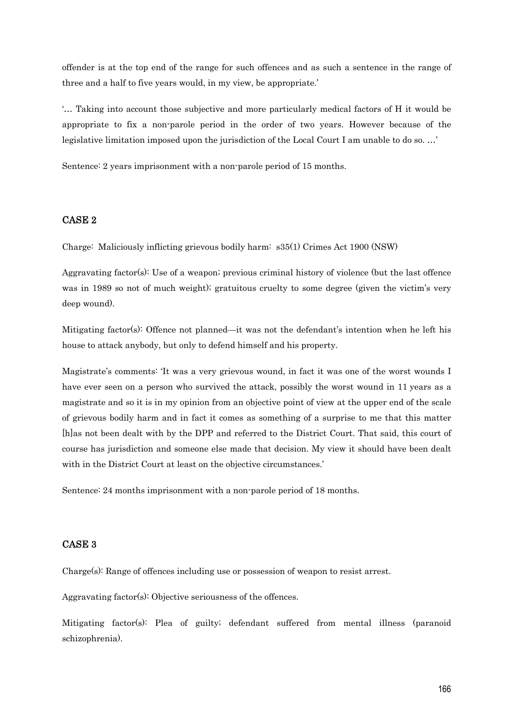offender is at the top end of the range for such offences and as such a sentence in the range of three and a half to five years would, in my view, be appropriate.'

'… Taking into account those subjective and more particularly medical factors of H it would be appropriate to fix a non-parole period in the order of two years. However because of the legislative limitation imposed upon the jurisdiction of the Local Court I am unable to do so. …'

Sentence: 2 years imprisonment with a non-parole period of 15 months.

#### CASE 2

Charge: Maliciously inflicting grievous bodily harm: s35(1) Crimes Act 1900 (NSW)

Aggravating factor(s): Use of a weapon; previous criminal history of violence (but the last offence was in 1989 so not of much weight); gratuitous cruelty to some degree (given the victim's very deep wound).

Mitigating factor(s): Offence not planned—it was not the defendant's intention when he left his house to attack anybody, but only to defend himself and his property.

Magistrate's comments: 'It was a very grievous wound, in fact it was one of the worst wounds I have ever seen on a person who survived the attack, possibly the worst wound in 11 years as a magistrate and so it is in my opinion from an objective point of view at the upper end of the scale of grievous bodily harm and in fact it comes as something of a surprise to me that this matter [h]as not been dealt with by the DPP and referred to the District Court. That said, this court of course has jurisdiction and someone else made that decision. My view it should have been dealt with in the District Court at least on the objective circumstances.'

Sentence: 24 months imprisonment with a non-parole period of 18 months.

#### CASE 3

Charge(s): Range of offences including use or possession of weapon to resist arrest.

Aggravating factor(s): Objective seriousness of the offences.

Mitigating factor(s): Plea of guilty; defendant suffered from mental illness (paranoid schizophrenia).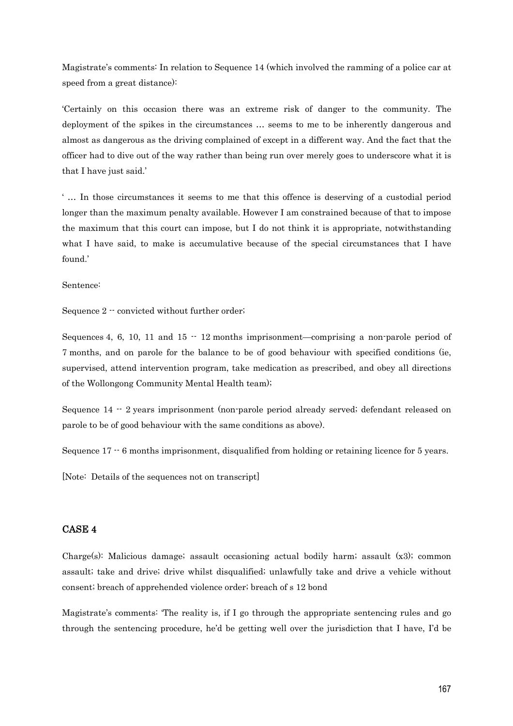Magistrate's comments: In relation to Sequence 14 (which involved the ramming of a police car at speed from a great distance):

'Certainly on this occasion there was an extreme risk of danger to the community. The deployment of the spikes in the circumstances … seems to me to be inherently dangerous and almost as dangerous as the driving complained of except in a different way. And the fact that the officer had to dive out of the way rather than being run over merely goes to underscore what it is that I have just said.'

' … In those circumstances it seems to me that this offence is deserving of a custodial period longer than the maximum penalty available. However I am constrained because of that to impose the maximum that this court can impose, but I do not think it is appropriate, notwithstanding what I have said, to make is accumulative because of the special circumstances that I have found.'

Sentence:

Sequence 2 -- convicted without further order;

Sequences 4, 6, 10, 11 and  $15 - 12$  months imprisonment—comprising a non-parole period of 7 months, and on parole for the balance to be of good behaviour with specified conditions (ie, supervised, attend intervention program, take medication as prescribed, and obey all directions of the Wollongong Community Mental Health team);

Sequence 14 -- 2 years imprisonment (non-parole period already served; defendant released on parole to be of good behaviour with the same conditions as above).

Sequence 17  $\cdot$  6 months imprisonment, disqualified from holding or retaining licence for 5 years.

[Note: Details of the sequences not on transcript]

## CASE 4

Charge(s): Malicious damage; assault occasioning actual bodily harm; assault (x3); common assault; take and drive; drive whilst disqualified; unlawfully take and drive a vehicle without consent; breach of apprehended violence order; breach of s 12 bond

Magistrate's comments: 'The reality is, if I go through the appropriate sentencing rules and go through the sentencing procedure, he'd be getting well over the jurisdiction that I have, I'd be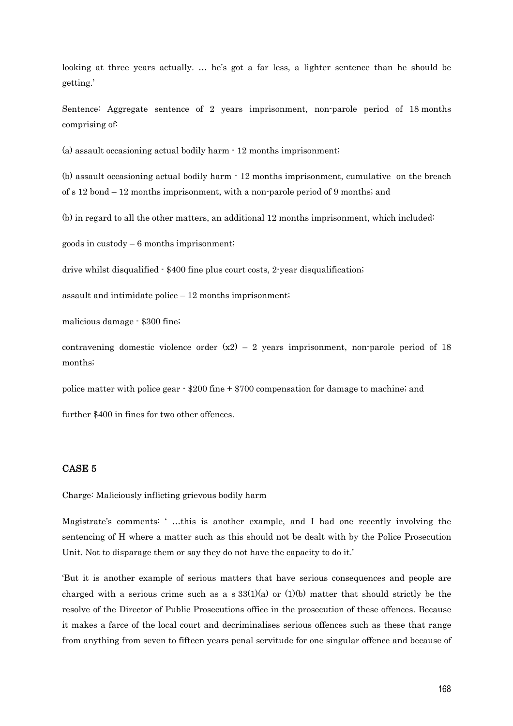looking at three years actually. … he's got a far less, a lighter sentence than he should be getting.'

Sentence: Aggregate sentence of 2 years imprisonment, non-parole period of 18 months comprising of:

(a) assault occasioning actual bodily harm - 12 months imprisonment;

(b) assault occasioning actual bodily harm - 12 months imprisonment, cumulative on the breach of s 12 bond – 12 months imprisonment, with a non-parole period of 9 months; and

(b) in regard to all the other matters, an additional 12 months imprisonment, which included:

goods in custody  $-6$  months imprisonment;

drive whilst disqualified - \$400 fine plus court costs, 2-year disqualification;

assault and intimidate police – 12 months imprisonment;

malicious damage - \$300 fine;

contravening domestic violence order  $(x2) - 2$  years imprisonment, non-parole period of 18 months;

police matter with police gear - \$200 fine + \$700 compensation for damage to machine; and

further \$400 in fines for two other offences.

### CASE 5

Charge: Maliciously inflicting grievous bodily harm

Magistrate's comments: ' …this is another example, and I had one recently involving the sentencing of H where a matter such as this should not be dealt with by the Police Prosecution Unit. Not to disparage them or say they do not have the capacity to do it.'

'But it is another example of serious matters that have serious consequences and people are charged with a serious crime such as a  $s$  33(1)(a) or (1)(b) matter that should strictly be the resolve of the Director of Public Prosecutions office in the prosecution of these offences. Because it makes a farce of the local court and decriminalises serious offences such as these that range from anything from seven to fifteen years penal servitude for one singular offence and because of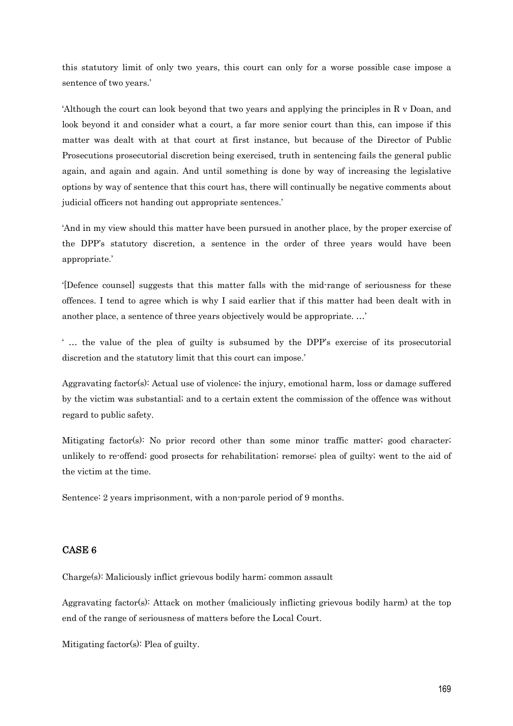this statutory limit of only two years, this court can only for a worse possible case impose a sentence of two years.'

'Although the court can look beyond that two years and applying the principles in R v Doan, and look beyond it and consider what a court, a far more senior court than this, can impose if this matter was dealt with at that court at first instance, but because of the Director of Public Prosecutions prosecutorial discretion being exercised, truth in sentencing fails the general public again, and again and again. And until something is done by way of increasing the legislative options by way of sentence that this court has, there will continually be negative comments about judicial officers not handing out appropriate sentences.'

'And in my view should this matter have been pursued in another place, by the proper exercise of the DPP's statutory discretion, a sentence in the order of three years would have been appropriate.'

'[Defence counsel] suggests that this matter falls with the mid-range of seriousness for these offences. I tend to agree which is why I said earlier that if this matter had been dealt with in another place, a sentence of three years objectively would be appropriate. …'

' … the value of the plea of guilty is subsumed by the DPP's exercise of its prosecutorial discretion and the statutory limit that this court can impose.'

Aggravating factor(s): Actual use of violence; the injury, emotional harm, loss or damage suffered by the victim was substantial; and to a certain extent the commission of the offence was without regard to public safety.

Mitigating factor(s): No prior record other than some minor traffic matter; good character; unlikely to re-offend; good prosects for rehabilitation; remorse; plea of guilty; went to the aid of the victim at the time.

Sentence: 2 years imprisonment, with a non-parole period of 9 months.

### CASE 6

Charge(s): Maliciously inflict grievous bodily harm; common assault

Aggravating factor(s): Attack on mother (maliciously inflicting grievous bodily harm) at the top end of the range of seriousness of matters before the Local Court.

Mitigating factor(s): Plea of guilty.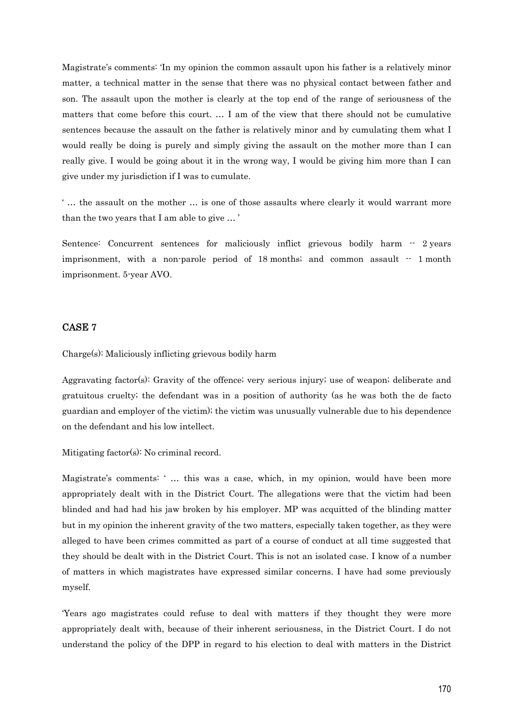Magistrate's comments: 'In my opinion the common assault upon his father is a relatively minor matter, a technical matter in the sense that there was no physical contact between father and son. The assault upon the mother is clearly at the top end of the range of seriousness of the matters that come before this court. … I am of the view that there should not be cumulative sentences because the assault on the father is relatively minor and by cumulating them what I would really be doing is purely and simply giving the assault on the mother more than I can really give. I would be going about it in the wrong way, I would be giving him more than I can give under my jurisdiction if I was to cumulate.

' … the assault on the mother … is one of those assaults where clearly it would warrant more than the two years that I am able to give … '

Sentence: Concurrent sentences for maliciously inflict grievous bodily harm  $\cdot$  2 years imprisonment, with a non-parole period of  $18$  months; and common assault  $-1$  month imprisonment. 5-year AVO.

## CASE 7

Charge(s): Maliciously inflicting grievous bodily harm

Aggravating factor(s): Gravity of the offence; very serious injury; use of weapon; deliberate and gratuitous cruelty; the defendant was in a position of authority (as he was both the de facto guardian and employer of the victim); the victim was unusually vulnerable due to his dependence on the defendant and his low intellect.

Mitigating factor(s): No criminal record.

Magistrate's comments: '... this was a case, which, in my opinion, would have been more appropriately dealt with in the District Court. The allegations were that the victim had been blinded and had had his jaw broken by his employer. MP was acquitted of the blinding matter but in my opinion the inherent gravity of the two matters, especially taken together, as they were alleged to have been crimes committed as part of a course of conduct at all time suggested that they should be dealt with in the District Court. This is not an isolated case. I know of a number of matters in which magistrates have expressed similar concerns. I have had some previously myself.

'Years ago magistrates could refuse to deal with matters if they thought they were more appropriately dealt with, because of their inherent seriousness, in the District Court. I do not understand the policy of the DPP in regard to his election to deal with matters in the District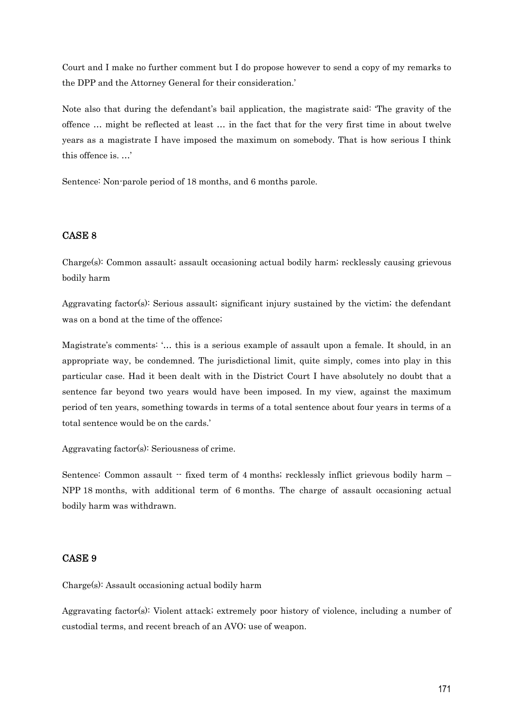Court and I make no further comment but I do propose however to send a copy of my remarks to the DPP and the Attorney General for their consideration.'

Note also that during the defendant's bail application, the magistrate said: 'The gravity of the offence … might be reflected at least … in the fact that for the very first time in about twelve years as a magistrate I have imposed the maximum on somebody. That is how serious I think this offence is. …'

Sentence: Non-parole period of 18 months, and 6 months parole.

## CASE 8

Charge(s): Common assault; assault occasioning actual bodily harm; recklessly causing grievous bodily harm

Aggravating factor(s): Serious assault; significant injury sustained by the victim; the defendant was on a bond at the time of the offence;

Magistrate's comments: '… this is a serious example of assault upon a female. It should, in an appropriate way, be condemned. The jurisdictional limit, quite simply, comes into play in this particular case. Had it been dealt with in the District Court I have absolutely no doubt that a sentence far beyond two years would have been imposed. In my view, against the maximum period of ten years, something towards in terms of a total sentence about four years in terms of a total sentence would be on the cards.'

Aggravating factor(s): Seriousness of crime.

Sentence: Common assault  $-$  fixed term of 4 months; recklessly inflict grievous bodily harm  $-$ NPP 18 months, with additional term of 6 months. The charge of assault occasioning actual bodily harm was withdrawn.

#### CASE 9

Charge(s): Assault occasioning actual bodily harm

Aggravating factor(s): Violent attack; extremely poor history of violence, including a number of custodial terms, and recent breach of an AVO; use of weapon.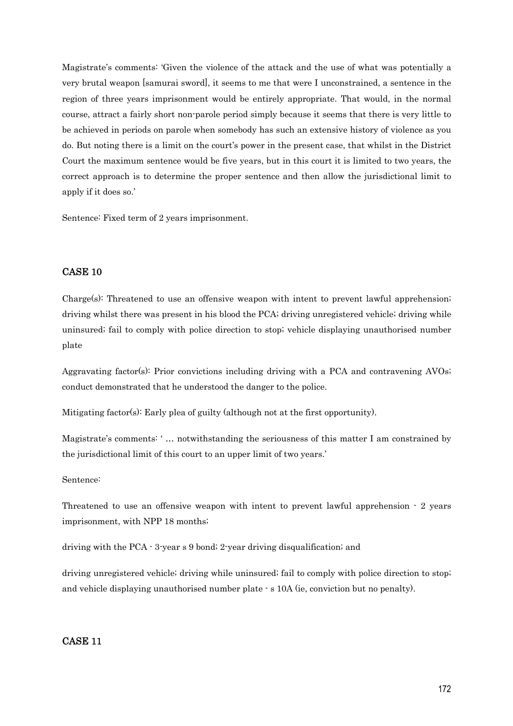Magistrate's comments: 'Given the violence of the attack and the use of what was potentially a very brutal weapon [samurai sword], it seems to me that were I unconstrained, a sentence in the region of three years imprisonment would be entirely appropriate. That would, in the normal course, attract a fairly short non-parole period simply because it seems that there is very little to be achieved in periods on parole when somebody has such an extensive history of violence as you do. But noting there is a limit on the court's power in the present case, that whilst in the District Court the maximum sentence would be five years, but in this court it is limited to two years, the correct approach is to determine the proper sentence and then allow the jurisdictional limit to apply if it does so.'

Sentence: Fixed term of 2 years imprisonment.

## CASE 10

Charge(s): Threatened to use an offensive weapon with intent to prevent lawful apprehension; driving whilst there was present in his blood the PCA; driving unregistered vehicle; driving while uninsured; fail to comply with police direction to stop; vehicle displaying unauthorised number plate

Aggravating factor(s): Prior convictions including driving with a PCA and contravening AVOs; conduct demonstrated that he understood the danger to the police.

Mitigating factor(s): Early plea of guilty (although not at the first opportunity).

Magistrate's comments: ' … notwithstanding the seriousness of this matter I am constrained by the jurisdictional limit of this court to an upper limit of two years.'

#### Sentence:

Threatened to use an offensive weapon with intent to prevent lawful apprehension - 2 years imprisonment, with NPP 18 months;

driving with the PCA - 3-year s 9 bond; 2-year driving disqualification; and

driving unregistered vehicle; driving while uninsured; fail to comply with police direction to stop; and vehicle displaying unauthorised number plate - s 10A (ie, conviction but no penalty).

### CASE 11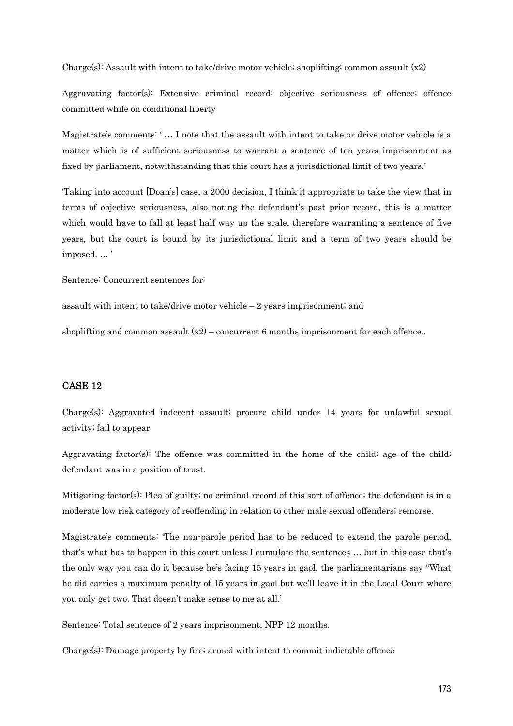Charge(s): Assault with intent to take/drive motor vehicle; shoplifting; common assault  $(x2)$ 

Aggravating factor(s): Extensive criminal record; objective seriousness of offence; offence committed while on conditional liberty

Magistrate's comments: ' … I note that the assault with intent to take or drive motor vehicle is a matter which is of sufficient seriousness to warrant a sentence of ten years imprisonment as fixed by parliament, notwithstanding that this court has a jurisdictional limit of two years.'

'Taking into account [Doan's] case, a 2000 decision, I think it appropriate to take the view that in terms of objective seriousness, also noting the defendant's past prior record, this is a matter which would have to fall at least half way up the scale, therefore warranting a sentence of five years, but the court is bound by its jurisdictional limit and a term of two years should be imposed. … '

Sentence: Concurrent sentences for:

assault with intent to take/drive motor vehicle – 2 years imprisonment; and

shoplifting and common assault  $(x2)$  – concurrent 6 months imprisonment for each offence..

## CASE 12

Charge(s): Aggravated indecent assault; procure child under 14 years for unlawful sexual activity; fail to appear

Aggravating factor(s): The offence was committed in the home of the child; age of the child; defendant was in a position of trust.

Mitigating factor(s): Plea of guilty; no criminal record of this sort of offence; the defendant is in a moderate low risk category of reoffending in relation to other male sexual offenders; remorse.

Magistrate's comments: 'The non-parole period has to be reduced to extend the parole period, that's what has to happen in this court unless I cumulate the sentences … but in this case that's the only way you can do it because he's facing 15 years in gaol, the parliamentarians say "What he did carries a maximum penalty of 15 years in gaol but we'll leave it in the Local Court where you only get two. That doesn't make sense to me at all.'

Sentence: Total sentence of 2 years imprisonment, NPP 12 months.

Charge(s): Damage property by fire; armed with intent to commit indictable offence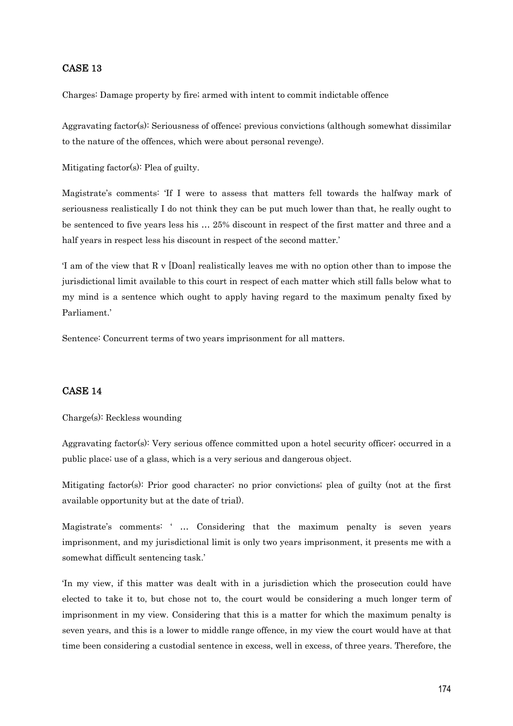### CASE 13

Charges: Damage property by fire; armed with intent to commit indictable offence

Aggravating factor(s): Seriousness of offence; previous convictions (although somewhat dissimilar to the nature of the offences, which were about personal revenge).

Mitigating factor(s): Plea of guilty.

Magistrate's comments: 'If I were to assess that matters fell towards the halfway mark of seriousness realistically I do not think they can be put much lower than that, he really ought to be sentenced to five years less his … 25% discount in respect of the first matter and three and a half years in respect less his discount in respect of the second matter.'

'I am of the view that R v [Doan] realistically leaves me with no option other than to impose the jurisdictional limit available to this court in respect of each matter which still falls below what to my mind is a sentence which ought to apply having regard to the maximum penalty fixed by Parliament.'

Sentence: Concurrent terms of two years imprisonment for all matters.

## CASE 14

Charge(s): Reckless wounding

Aggravating factor(s): Very serious offence committed upon a hotel security officer; occurred in a public place; use of a glass, which is a very serious and dangerous object.

Mitigating factor(s): Prior good character; no prior convictions; plea of guilty (not at the first available opportunity but at the date of trial).

Magistrate's comments: ' … Considering that the maximum penalty is seven years imprisonment, and my jurisdictional limit is only two years imprisonment, it presents me with a somewhat difficult sentencing task.'

'In my view, if this matter was dealt with in a jurisdiction which the prosecution could have elected to take it to, but chose not to, the court would be considering a much longer term of imprisonment in my view. Considering that this is a matter for which the maximum penalty is seven years, and this is a lower to middle range offence, in my view the court would have at that time been considering a custodial sentence in excess, well in excess, of three years. Therefore, the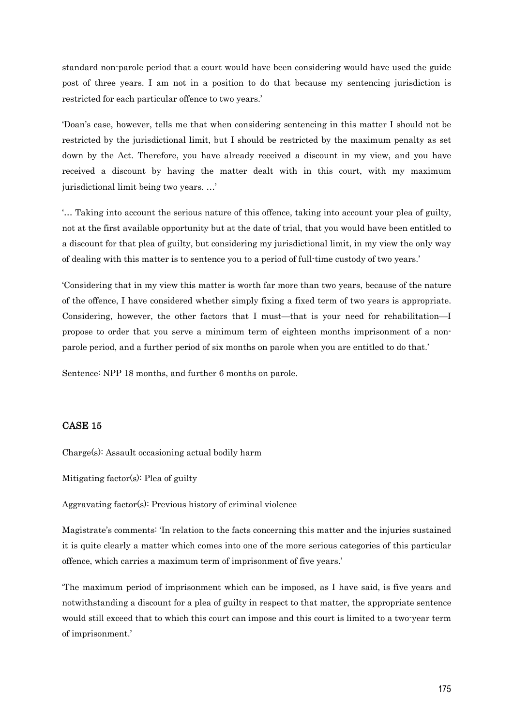standard non-parole period that a court would have been considering would have used the guide post of three years. I am not in a position to do that because my sentencing jurisdiction is restricted for each particular offence to two years.'

'Doan's case, however, tells me that when considering sentencing in this matter I should not be restricted by the jurisdictional limit, but I should be restricted by the maximum penalty as set down by the Act. Therefore, you have already received a discount in my view, and you have received a discount by having the matter dealt with in this court, with my maximum jurisdictional limit being two years. …'

'… Taking into account the serious nature of this offence, taking into account your plea of guilty, not at the first available opportunity but at the date of trial, that you would have been entitled to a discount for that plea of guilty, but considering my jurisdictional limit, in my view the only way of dealing with this matter is to sentence you to a period of full-time custody of two years.'

'Considering that in my view this matter is worth far more than two years, because of the nature of the offence, I have considered whether simply fixing a fixed term of two years is appropriate. Considering, however, the other factors that I must—that is your need for rehabilitation—I propose to order that you serve a minimum term of eighteen months imprisonment of a nonparole period, and a further period of six months on parole when you are entitled to do that.'

Sentence: NPP 18 months, and further 6 months on parole.

### CASE 15

Charge(s): Assault occasioning actual bodily harm

Mitigating factor(s): Plea of guilty

Aggravating factor(s): Previous history of criminal violence

Magistrate's comments: 'In relation to the facts concerning this matter and the injuries sustained it is quite clearly a matter which comes into one of the more serious categories of this particular offence, which carries a maximum term of imprisonment of five years.'

'The maximum period of imprisonment which can be imposed, as I have said, is five years and notwithstanding a discount for a plea of guilty in respect to that matter, the appropriate sentence would still exceed that to which this court can impose and this court is limited to a two-year term of imprisonment.'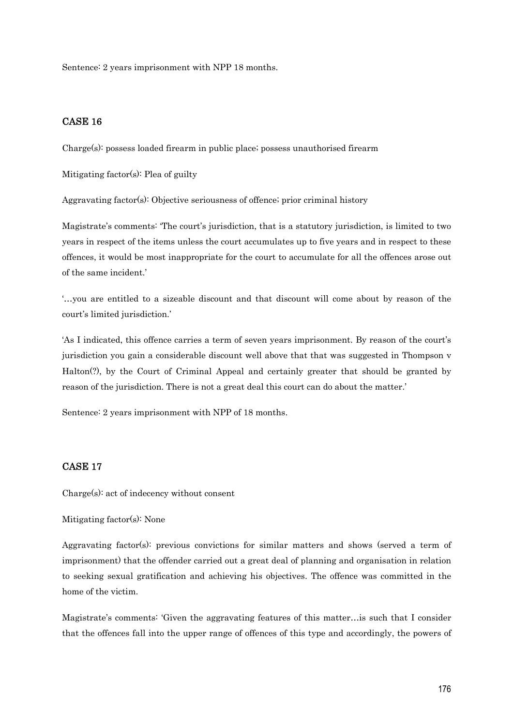Sentence: 2 years imprisonment with NPP 18 months.

## CASE 16

Charge(s): possess loaded firearm in public place; possess unauthorised firearm

Mitigating factor(s): Plea of guilty

Aggravating factor(s): Objective seriousness of offence; prior criminal history

Magistrate's comments: 'The court's jurisdiction, that is a statutory jurisdiction, is limited to two years in respect of the items unless the court accumulates up to five years and in respect to these offences, it would be most inappropriate for the court to accumulate for all the offences arose out of the same incident.'

'…you are entitled to a sizeable discount and that discount will come about by reason of the court's limited jurisdiction.'

'As I indicated, this offence carries a term of seven years imprisonment. By reason of the court's jurisdiction you gain a considerable discount well above that that was suggested in Thompson v Halton(?), by the Court of Criminal Appeal and certainly greater that should be granted by reason of the jurisdiction. There is not a great deal this court can do about the matter.'

Sentence: 2 years imprisonment with NPP of 18 months.

## CASE 17

Charge(s): act of indecency without consent

Mitigating factor(s): None

Aggravating factor(s): previous convictions for similar matters and shows (served a term of imprisonment) that the offender carried out a great deal of planning and organisation in relation to seeking sexual gratification and achieving his objectives. The offence was committed in the home of the victim.

Magistrate's comments: 'Given the aggravating features of this matter…is such that I consider that the offences fall into the upper range of offences of this type and accordingly, the powers of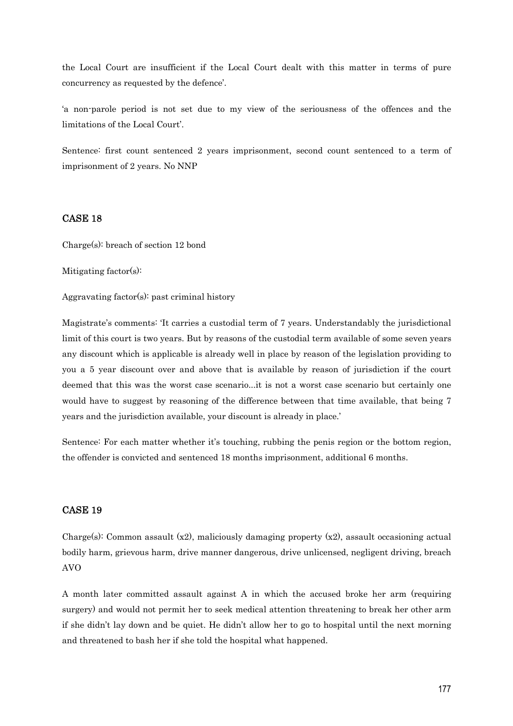the Local Court are insufficient if the Local Court dealt with this matter in terms of pure concurrency as requested by the defence'.

'a non-parole period is not set due to my view of the seriousness of the offences and the limitations of the Local Court'.

Sentence: first count sentenced 2 years imprisonment, second count sentenced to a term of imprisonment of 2 years. No NNP

## CASE 18

Charge(s): breach of section 12 bond

Mitigating factor(s):

Aggravating factor(s): past criminal history

Magistrate's comments: 'It carries a custodial term of 7 years. Understandably the jurisdictional limit of this court is two years. But by reasons of the custodial term available of some seven years any discount which is applicable is already well in place by reason of the legislation providing to you a 5 year discount over and above that is available by reason of jurisdiction if the court deemed that this was the worst case scenario...it is not a worst case scenario but certainly one would have to suggest by reasoning of the difference between that time available, that being 7 years and the jurisdiction available, your discount is already in place.'

Sentence: For each matter whether it's touching, rubbing the penis region or the bottom region, the offender is convicted and sentenced 18 months imprisonment, additional 6 months.

### CASE 19

Charge(s): Common assault  $(x2)$ , maliciously damaging property  $(x2)$ , assault occasioning actual bodily harm, grievous harm, drive manner dangerous, drive unlicensed, negligent driving, breach AVO

A month later committed assault against A in which the accused broke her arm (requiring surgery) and would not permit her to seek medical attention threatening to break her other arm if she didn't lay down and be quiet. He didn't allow her to go to hospital until the next morning and threatened to bash her if she told the hospital what happened.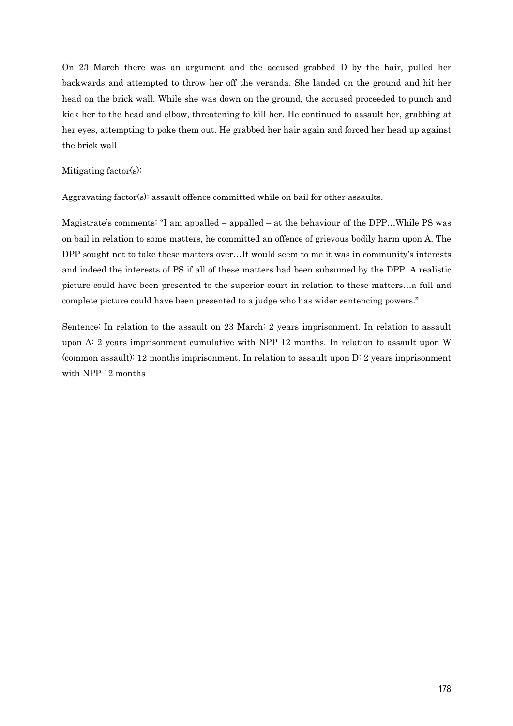On 23 March there was an argument and the accused grabbed D by the hair, pulled her backwards and attempted to throw her off the veranda. She landed on the ground and hit her head on the brick wall. While she was down on the ground, the accused proceeded to punch and kick her to the head and elbow, threatening to kill her. He continued to assault her, grabbing at her eyes, attempting to poke them out. He grabbed her hair again and forced her head up against the brick wall

#### Mitigating factor(s):

Aggravating factor(s): assault offence committed while on bail for other assaults.

Magistrate's comments: "I am appalled – appalled – at the behaviour of the DPP…While PS was on bail in relation to some matters, he committed an offence of grievous bodily harm upon A. The DPP sought not to take these matters over…It would seem to me it was in community's interests and indeed the interests of PS if all of these matters had been subsumed by the DPP. A realistic picture could have been presented to the superior court in relation to these matters…a full and complete picture could have been presented to a judge who has wider sentencing powers."

Sentence: In relation to the assault on 23 March: 2 years imprisonment. In relation to assault upon A: 2 years imprisonment cumulative with NPP 12 months. In relation to assault upon W (common assault): 12 months imprisonment. In relation to assault upon D: 2 years imprisonment with NPP 12 months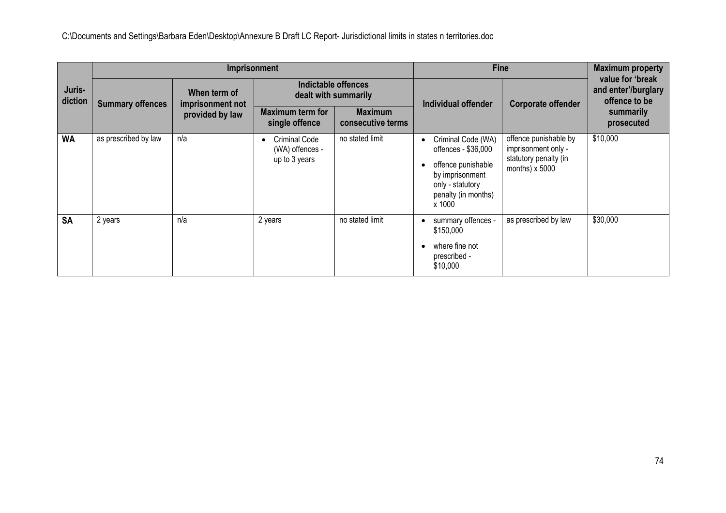|                   |                         |                                  | Imprisonment                                      |                                             |                                                                                                                                         | <b>Fine</b>                                                                                    | <b>Maximum property</b>                                  |
|-------------------|-------------------------|----------------------------------|---------------------------------------------------|---------------------------------------------|-----------------------------------------------------------------------------------------------------------------------------------------|------------------------------------------------------------------------------------------------|----------------------------------------------------------|
| Juris-<br>diction | <b>Summary offences</b> | When term of<br>imprisonment not |                                                   | Indictable offences<br>dealt with summarily | Individual offender                                                                                                                     | <b>Corporate offender</b>                                                                      | value for 'break<br>and enter'/burglary<br>offence to be |
|                   |                         | provided by law                  | <b>Maximum term for</b><br>single offence         | <b>Maximum</b><br>consecutive terms         |                                                                                                                                         |                                                                                                | summarily<br>prosecuted                                  |
| <b>WA</b>         | as prescribed by law    | n/a                              | Criminal Code<br>(WA) offences -<br>up to 3 years | no stated limit                             | Criminal Code (WA)<br>offences - \$36,000<br>offence punishable<br>by imprisonment<br>only - statutory<br>penalty (in months)<br>x 1000 | offence punishable by<br>imprisonment only -<br>statutory penalty (in<br>months) $\times$ 5000 | \$10,000                                                 |
| <b>SA</b>         | 2 years                 | n/a                              | 2 years                                           | no stated limit                             | summary offences -<br>\$150,000<br>where fine not<br>prescribed -<br>\$10,000                                                           | as prescribed by law                                                                           | \$30,000                                                 |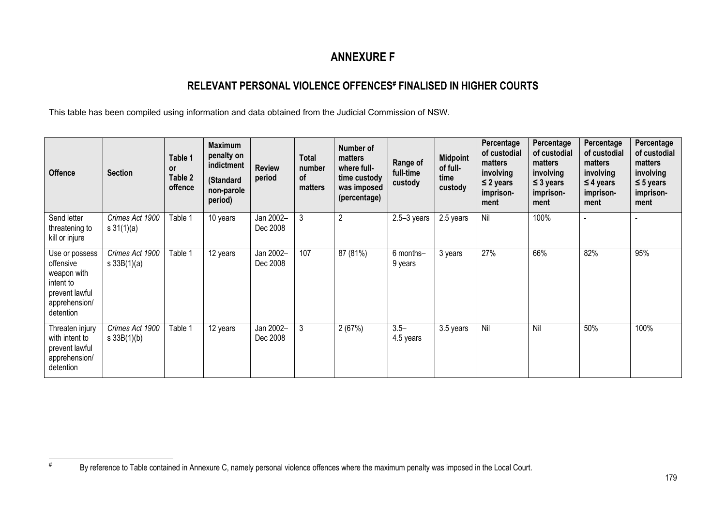# **ANNEXURE F**

## **RELEVANT PERSONAL VIOLENCE OFFENCES# FINALISED IN HIGHER COURTS**

This table has been compiled using information and data obtained from the Judicial Commission of NSW.

| <b>Offence</b>                                                                                          | <b>Section</b>                         | Table 1<br><b>or</b><br>Table 2<br>offence | <b>Maximum</b><br>penalty on<br>indictment<br>(Standard<br>non-parole<br>period) | <b>Review</b><br>period | <b>Total</b><br>number<br><b>of</b><br>matters | Number of<br>matters<br>where full-<br>time custody<br>was imposed<br>(percentage) | Range of<br>full-time<br>custody | <b>Midpoint</b><br>of full-<br>time<br>custody | Percentage<br>of custodial<br>matters<br>involving<br>$\leq$ 2 years<br>imprison-<br>ment | Percentage<br>of custodial<br>matters<br>involving<br>$\leq$ 3 years<br>imprison-<br>ment | Percentage<br>of custodial<br>matters<br>involving<br>$\leq$ 4 years<br>imprison-<br>ment | Percentage<br>of custodial<br>matters<br>involving<br>$\leq$ 5 years<br>imprison-<br>ment |
|---------------------------------------------------------------------------------------------------------|----------------------------------------|--------------------------------------------|----------------------------------------------------------------------------------|-------------------------|------------------------------------------------|------------------------------------------------------------------------------------|----------------------------------|------------------------------------------------|-------------------------------------------------------------------------------------------|-------------------------------------------------------------------------------------------|-------------------------------------------------------------------------------------------|-------------------------------------------------------------------------------------------|
| Send letter<br>threatening to<br>kill or injure                                                         | Crimes Act 1900<br>$s \frac{31(1)}{a}$ | Table 1                                    | 10 years                                                                         | Jan 2002-<br>Dec 2008   | 3                                              | $\overline{2}$                                                                     | $2.5 - 3$ years                  | 2.5 years                                      | Nil                                                                                       | 100%                                                                                      |                                                                                           |                                                                                           |
| Use or possess<br>offensive<br>weapon with<br>intent to<br>prevent lawful<br>apprehension/<br>detention | Crimes Act 1900<br>$s \, 33B(1)(a)$    | Table 1                                    | 12 years                                                                         | Jan 2002-<br>Dec 2008   | 107                                            | 87 (81%)                                                                           | 6 months-<br>9 years             | 3 years                                        | 27%                                                                                       | 66%                                                                                       | 82%                                                                                       | 95%                                                                                       |
| Threaten injury<br>with intent to<br>prevent lawful<br>apprehension/<br>detention                       | Crimes Act 1900<br>$s \, 33B(1)(b)$    | Table 1                                    | 12 years                                                                         | Jan 2002-<br>Dec 2008   | 3                                              | 2(67%)                                                                             | $3.5 -$<br>4.5 years             | 3.5 years                                      | Nil                                                                                       | Nil                                                                                       | 50%                                                                                       | 100%                                                                                      |

#

By reference to Table contained in Annexure C, namely personal violence offences where the maximum penalty was imposed in the Local Court.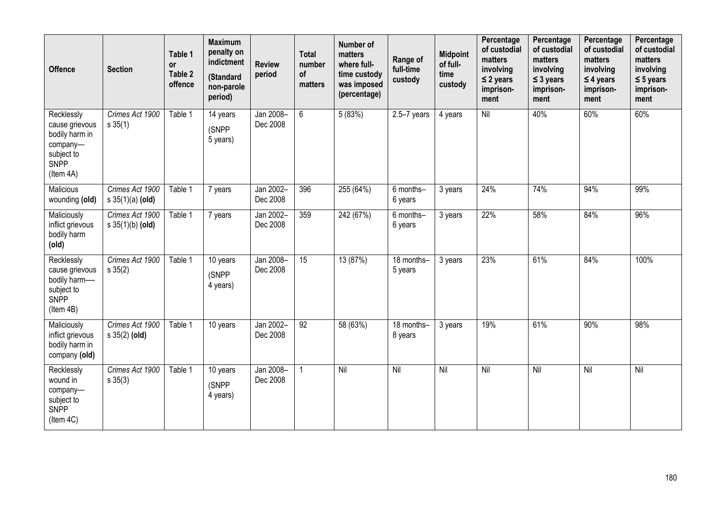| <b>Offence</b>                                                                                       | <b>Section</b>                           | Table 1<br><b>or</b><br>Table 2<br>offence | <b>Maximum</b><br>penalty on<br>indictment<br>(Standard<br>non-parole<br>period) | <b>Review</b><br>period | <b>Total</b><br>number<br>of<br>matters | Number of<br>matters<br>where full-<br>time custody<br>was imposed<br>(percentage) | Range of<br>full-time<br>custody | <b>Midpoint</b><br>of full-<br>time<br>custody | Percentage<br>of custodial<br>matters<br>involving<br>$\leq$ 2 years<br>imprison-<br>ment | Percentage<br>of custodial<br>matters<br>involving<br>$\leq$ 3 years<br>imprison-<br>ment | Percentage<br>of custodial<br>matters<br>involving<br>$\leq$ 4 years<br>imprison-<br>ment | Percentage<br>of custodial<br>matters<br>involving<br>$\leq$ 5 years<br>imprison-<br>ment |
|------------------------------------------------------------------------------------------------------|------------------------------------------|--------------------------------------------|----------------------------------------------------------------------------------|-------------------------|-----------------------------------------|------------------------------------------------------------------------------------|----------------------------------|------------------------------------------------|-------------------------------------------------------------------------------------------|-------------------------------------------------------------------------------------------|-------------------------------------------------------------------------------------------|-------------------------------------------------------------------------------------------|
| Recklessly<br>cause grievous<br>bodily harm in<br>company-<br>subject to<br><b>SNPP</b><br>(Item 4A) | Crimes Act 1900<br>$s \, 35(1)$          | Table 1                                    | 14 years<br>(SNPP<br>5 years)                                                    | Jan 2008-<br>Dec 2008   | 6                                       | 5(83%)                                                                             | $2.5 - 7$ years                  | 4 years                                        | $\overline{N}$                                                                            | 40%                                                                                       | 60%                                                                                       | 60%                                                                                       |
| Malicious<br>wounding (old)                                                                          | Crimes Act 1900<br>$s \, 35(1)(a)$ (old) | Table 1                                    | 7 years                                                                          | Jan 2002-<br>Dec 2008   | 396                                     | 255 (64%)                                                                          | 6 months-<br>6 years             | 3 years                                        | 24%                                                                                       | 74%                                                                                       | 94%                                                                                       | 99%                                                                                       |
| Maliciously<br>inflict grievous<br>bodily harm<br>(old)                                              | Crimes Act 1900<br>$s \, 35(1)(b)$ (old) | Table 1                                    | 7 years                                                                          | Jan 2002-<br>Dec 2008   | 359                                     | 242 (67%)                                                                          | 6 months-<br>6 years             | 3 years                                        | 22%                                                                                       | 58%                                                                                       | 84%                                                                                       | 96%                                                                                       |
| Recklessly<br>cause grievous<br>bodily harm-<br>subject to<br>SNPP<br>(Item 4B)                      | Crimes Act 1900<br>$s \, 35(2)$          | Table 1                                    | $\overline{10}$ years<br>(SNPP<br>4 years)                                       | Jan 2008-<br>Dec 2008   | $\overline{15}$                         | 13 (87%)                                                                           | 18 months-<br>5 years            | 3 years                                        | 23%                                                                                       | 61%                                                                                       | 84%                                                                                       | 100%                                                                                      |
| Maliciously<br>inflict grievous<br>bodily harm in<br>company (old)                                   | Crimes Act 1900<br>$s \, 35(2)$ (old)    | Table 1                                    | 10 years                                                                         | Jan 2002-<br>Dec 2008   | 92                                      | 58 (63%)                                                                           | 18 months-<br>8 years            | 3 years                                        | 19%                                                                                       | 61%                                                                                       | 90%                                                                                       | 98%                                                                                       |
| Recklessly<br>wound in<br>company-<br>subject to<br>SNPP<br>(Item 4C)                                | Crimes Act 1900<br>$s \, 35(3)$          | Table 1                                    | $\overline{10}$ years<br>(SNPP<br>4 years)                                       | Jan 2008-<br>Dec 2008   | $\mathbf{1}$                            | Nil                                                                                | Nil                              | Nil                                            | Nil                                                                                       | Nil                                                                                       | Nil                                                                                       | Nil                                                                                       |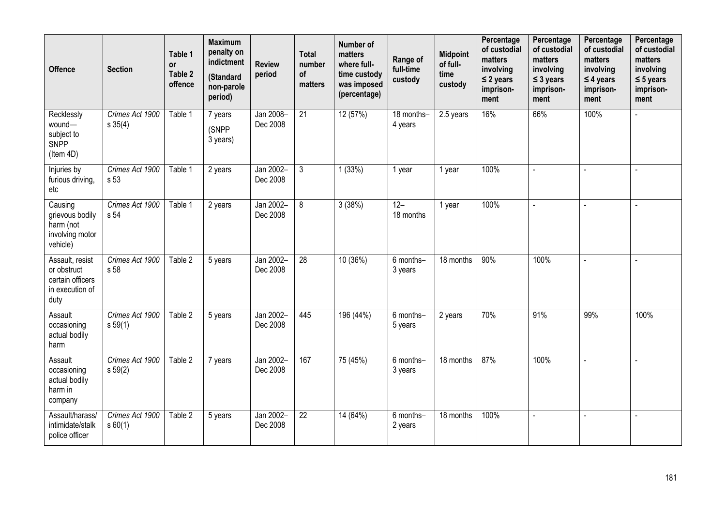| <b>Offence</b>                                                                | <b>Section</b>                  | Table 1<br><b>or</b><br>Table 2<br>offence | <b>Maximum</b><br>penalty on<br>indictment<br>(Standard<br>non-parole<br>period) | <b>Review</b><br>period | <b>Total</b><br>number<br>of<br>matters | Number of<br>matters<br>where full-<br>time custody<br>was imposed<br>(percentage) | Range of<br>full-time<br>custody | <b>Midpoint</b><br>of full-<br>time<br>custody | Percentage<br>of custodial<br>matters<br>involving<br>$\leq$ 2 years<br>imprison-<br>ment | Percentage<br>of custodial<br>matters<br>involving<br>$\leq$ 3 years<br>imprison-<br>ment | Percentage<br>of custodial<br>matters<br>involving<br>$\leq$ 4 years<br>imprison-<br>ment | Percentage<br>of custodial<br>matters<br>involving<br>$\leq$ 5 years<br>imprison-<br>ment |
|-------------------------------------------------------------------------------|---------------------------------|--------------------------------------------|----------------------------------------------------------------------------------|-------------------------|-----------------------------------------|------------------------------------------------------------------------------------|----------------------------------|------------------------------------------------|-------------------------------------------------------------------------------------------|-------------------------------------------------------------------------------------------|-------------------------------------------------------------------------------------------|-------------------------------------------------------------------------------------------|
| Recklessly<br>wound-<br>subject to<br><b>SNPP</b><br>(Item 4D)                | Crimes Act 1900<br>$s \, 35(4)$ | Table 1                                    | 7 years<br>(SNPP<br>3 years)                                                     | Jan 2008-<br>Dec 2008   | $\overline{21}$                         | 12 (57%)                                                                           | 18 months-<br>4 years            | 2.5 years                                      | 16%                                                                                       | 66%                                                                                       | 100%                                                                                      |                                                                                           |
| Injuries by<br>furious driving,<br>etc                                        | Crimes Act 1900<br>s 53         | Table 1                                    | 2 years                                                                          | Jan 2002-<br>Dec 2008   | $\mathfrak{Z}$                          | 1(33%)                                                                             | 1 year                           | 1 year                                         | 100%                                                                                      |                                                                                           |                                                                                           |                                                                                           |
| Causing<br>grievous bodily<br>harm (not<br>involving motor<br>vehicle)        | Crimes Act 1900<br>s 54         | Table 1                                    | 2 years                                                                          | Jan 2002-<br>Dec 2008   | 8                                       | 3(38%)                                                                             | $12 -$<br>18 months              | 1 year                                         | 100%                                                                                      | ä,                                                                                        | $\blacksquare$                                                                            | $\blacksquare$                                                                            |
| Assault, resist<br>or obstruct<br>certain officers<br>in execution of<br>duty | Crimes Act 1900<br>s 58         | Table 2                                    | 5 years                                                                          | Jan 2002-<br>Dec 2008   | 28                                      | 10 (36%)                                                                           | 6 months-<br>3 years             | 18 months                                      | 90%                                                                                       | 100%                                                                                      | $\overline{a}$                                                                            | L.                                                                                        |
| Assault<br>occasioning<br>actual bodily<br>harm                               | Crimes Act 1900<br>s 59(1)      | Table 2                                    | 5 years                                                                          | Jan 2002-<br>Dec 2008   | 445                                     | 196 (44%)                                                                          | 6 months-<br>5 years             | 2 years                                        | 70%                                                                                       | 91%                                                                                       | 99%                                                                                       | 100%                                                                                      |
| Assault<br>occasioning<br>actual bodily<br>harm in<br>company                 | Crimes Act 1900<br>s 59(2)      | Table 2                                    | 7 years                                                                          | Jan 2002-<br>Dec 2008   | 167                                     | 75 (45%)                                                                           | 6 months-<br>3 years             | 18 months                                      | 87%                                                                                       | 100%                                                                                      | $\mathbf{r}$                                                                              | $\overline{a}$                                                                            |
| Assault/harass/<br>intimidate/stalk<br>police officer                         | Crimes Act 1900<br>s 60(1)      | Table 2                                    | 5 years                                                                          | Jan 2002-<br>Dec 2008   | 22                                      | 14 (64%)                                                                           | 6 months-<br>2 years             | 18 months                                      | 100%                                                                                      | $\sim$                                                                                    | $\blacksquare$                                                                            | $\overline{a}$                                                                            |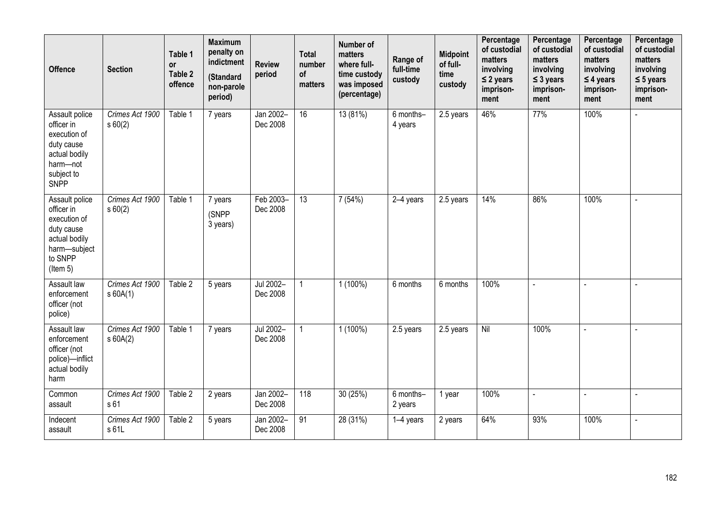| <b>Offence</b>                                                                                                           | <b>Section</b>                | Table 1<br><b>or</b><br>Table 2<br>offence | <b>Maximum</b><br>penalty on<br>indictment<br>(Standard<br>non-parole<br>period) | <b>Review</b><br>period | <b>Total</b><br>number<br>of<br>matters | Number of<br>matters<br>where full-<br>time custody<br>was imposed<br>(percentage) | Range of<br>full-time<br>custody | <b>Midpoint</b><br>of full-<br>time<br>custody | Percentage<br>of custodial<br>matters<br>involving<br>$\leq$ 2 years<br>imprison-<br>ment | Percentage<br>of custodial<br>matters<br>involving<br>$\leq$ 3 years<br>imprison-<br>ment | Percentage<br>of custodial<br>matters<br>involving<br>$\leq$ 4 years<br>imprison-<br>ment | Percentage<br>of custodial<br>matters<br>involving<br>$\leq$ 5 years<br>imprison-<br>ment |
|--------------------------------------------------------------------------------------------------------------------------|-------------------------------|--------------------------------------------|----------------------------------------------------------------------------------|-------------------------|-----------------------------------------|------------------------------------------------------------------------------------|----------------------------------|------------------------------------------------|-------------------------------------------------------------------------------------------|-------------------------------------------------------------------------------------------|-------------------------------------------------------------------------------------------|-------------------------------------------------------------------------------------------|
| Assault police<br>officer in<br>execution of<br>duty cause<br>actual bodily<br>harm-not<br>subject to<br>SNPP            | Crimes Act 1900<br>s 60(2)    | Table 1                                    | 7 years                                                                          | Jan 2002-<br>Dec 2008   | $\overline{16}$                         | 13 (81%)                                                                           | 6 months-<br>4 years             | 2.5 years                                      | 46%                                                                                       | 77%                                                                                       | 100%                                                                                      | $\overline{a}$                                                                            |
| Assault police<br>officer in<br>execution of<br>duty cause<br>actual bodily<br>harm-subject<br>to SNPP<br>$($ ltem 5 $)$ | Crimes Act 1900<br>s 60(2)    | Table 1                                    | 7 years<br>(SNPP<br>3 years)                                                     | Feb 2003-<br>Dec 2008   | $\overline{13}$                         | 7(54%)                                                                             | 2-4 years                        | 2.5 years                                      | 14%                                                                                       | 86%                                                                                       | 100%                                                                                      | $\sim$                                                                                    |
| Assault law<br>enforcement<br>officer (not<br>police)                                                                    | Crimes Act 1900<br>s60A(1)    | Table 2                                    | 5 years                                                                          | Jul 2002-<br>Dec 2008   | $\mathbf{1}$                            | $1(100\%)$                                                                         | 6 months                         | 6 months                                       | 100%                                                                                      | $\overline{a}$                                                                            | $\overline{a}$                                                                            | $\overline{a}$                                                                            |
| Assault law<br>enforcement<br>officer (not<br>police)-inflict<br>actual bodily<br>harm                                   | Crimes Act 1900<br>$s$ 60A(2) | Table 1                                    | 7 years                                                                          | Jul 2002-<br>Dec 2008   | $\mathbf{1}$                            | $1(100\%)$                                                                         | 2.5 years                        | 2.5 years                                      | $\overline{N}$                                                                            | 100%                                                                                      | $\sim$                                                                                    | $\sim$                                                                                    |
| Common<br>assault                                                                                                        | Crimes Act 1900<br>s 61       | Table 2                                    | 2 years                                                                          | Jan 2002-<br>Dec 2008   | 118                                     | 30(25%)                                                                            | 6 months-<br>2 years             | 1 year                                         | 100%                                                                                      | $\overline{a}$                                                                            | $\overline{a}$                                                                            | L,                                                                                        |
| Indecent<br>assault                                                                                                      | Crimes Act 1900<br>s 61L      | Table 2                                    | 5 years                                                                          | Jan 2002-<br>Dec 2008   | 91                                      | 28 (31%)                                                                           | 1-4 years                        | 2 years                                        | 64%                                                                                       | 93%                                                                                       | 100%                                                                                      | $\blacksquare$                                                                            |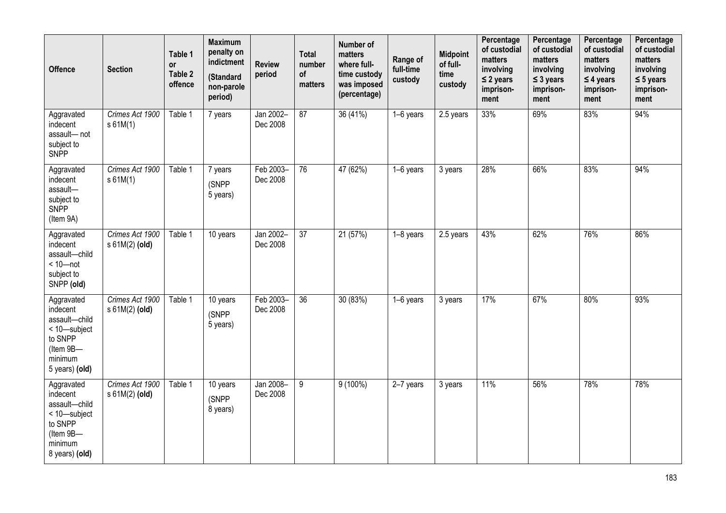| <b>Offence</b>                                                                                               | <b>Section</b>                      | Table 1<br><b>or</b><br>Table 2<br>offence | <b>Maximum</b><br>penalty on<br>indictment<br>(Standard<br>non-parole<br>period) | <b>Review</b><br>period | Total<br>number<br>of<br>matters | <b>Number of</b><br>matters<br>where full-<br>time custody<br>was imposed<br>(percentage) | Range of<br>full-time<br>custody | <b>Midpoint</b><br>of full-<br>time<br>custody | Percentage<br>of custodial<br>matters<br>involving<br>$\leq$ 2 years<br>imprison-<br>ment | Percentage<br>of custodial<br>matters<br>involving<br>$\leq$ 3 years<br>imprison-<br>ment | Percentage<br>of custodial<br>matters<br>involving<br>$\leq$ 4 years<br>imprison-<br>ment | Percentage<br>of custodial<br>matters<br>involving<br>$\leq$ 5 years<br>imprison-<br>ment |
|--------------------------------------------------------------------------------------------------------------|-------------------------------------|--------------------------------------------|----------------------------------------------------------------------------------|-------------------------|----------------------------------|-------------------------------------------------------------------------------------------|----------------------------------|------------------------------------------------|-------------------------------------------------------------------------------------------|-------------------------------------------------------------------------------------------|-------------------------------------------------------------------------------------------|-------------------------------------------------------------------------------------------|
| Aggravated<br>indecent<br>assault-not<br>subject to<br>SNPP                                                  | Crimes Act 1900<br>s 61M(1)         | Table 1                                    | 7 years                                                                          | Jan 2002-<br>Dec 2008   | $\overline{87}$                  | 36 (41%)                                                                                  | 1-6 years                        | 2.5 years                                      | 33%                                                                                       | 69%                                                                                       | 83%                                                                                       | 94%                                                                                       |
| Aggravated<br>indecent<br>assault-<br>subject to<br>SNPP<br>(Item 9A)                                        | Crimes Act 1900<br>s 61M(1)         | Table 1                                    | 7 years<br>(SNPP<br>5 years)                                                     | Feb 2003-<br>Dec 2008   | $\overline{76}$                  | 47 (62%)                                                                                  | 1-6 years                        | 3 years                                        | 28%                                                                                       | 66%                                                                                       | 83%                                                                                       | 94%                                                                                       |
| Aggravated<br>indecent<br>assault-child<br>$< 10$ -not<br>subject to<br>SNPP (old)                           | Crimes Act 1900<br>$s 61M(2)$ (old) | Table 1                                    | 10 years                                                                         | Jan 2002-<br>Dec 2008   | 37                               | 21 (57%)                                                                                  | 1-8 years                        | $2.5$ years                                    | 43%                                                                                       | 62%                                                                                       | 76%                                                                                       | 86%                                                                                       |
| Aggravated<br>indecent<br>assault-child<br>< 10-subject<br>to SNPP<br>(Item 9B-<br>minimum<br>5 years) (old) | Crimes Act 1900<br>s 61M(2) (old)   | Table 1                                    | 10 years<br>(SNPP<br>5 years)                                                    | Feb 2003-<br>Dec 2008   | $\overline{36}$                  | 30 (83%)                                                                                  | 1-6 years                        | 3 years                                        | 17%                                                                                       | 67%                                                                                       | 80%                                                                                       | 93%                                                                                       |
| Aggravated<br>indecent<br>assault-child<br>< 10-subject<br>to SNPP<br>(Item 9B-<br>minimum<br>8 years) (old) | Crimes Act 1900<br>$s 61M(2)$ (old) | Table 1                                    | 10 years<br>(SNPP<br>8 years)                                                    | Jan 2008-<br>Dec 2008   | $\overline{9}$                   | $9(100\%)$                                                                                | 2-7 years                        | 3 years                                        | 11%                                                                                       | 56%                                                                                       | 78%                                                                                       | 78%                                                                                       |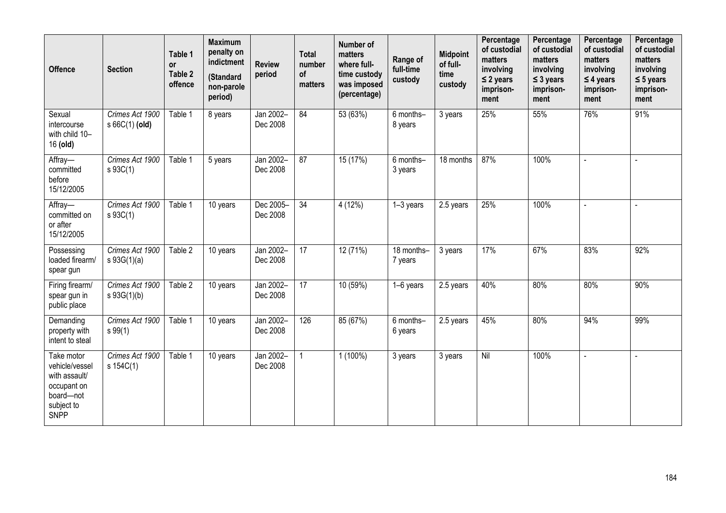| <b>Offence</b>                                                                                         | <b>Section</b>                      | Table 1<br><b>or</b><br>Table 2<br>offence | <b>Maximum</b><br>penalty on<br>indictment<br>(Standard<br>non-parole<br>period) | <b>Review</b><br>period | <b>Total</b><br>number<br>of<br>matters | Number of<br>matters<br>where full-<br>time custody<br>was imposed<br>(percentage) | Range of<br>full-time<br>custody | <b>Midpoint</b><br>of full-<br>time<br>custody | Percentage<br>of custodial<br>matters<br>involving<br>$\leq$ 2 years<br>imprison-<br>ment | Percentage<br>of custodial<br>matters<br>involving<br>$\leq$ 3 years<br>imprison-<br>ment | Percentage<br>of custodial<br>matters<br>involving<br>$\leq$ 4 years<br>imprison-<br>ment | Percentage<br>of custodial<br>matters<br>involving<br>$\leq$ 5 years<br>imprison-<br>ment |
|--------------------------------------------------------------------------------------------------------|-------------------------------------|--------------------------------------------|----------------------------------------------------------------------------------|-------------------------|-----------------------------------------|------------------------------------------------------------------------------------|----------------------------------|------------------------------------------------|-------------------------------------------------------------------------------------------|-------------------------------------------------------------------------------------------|-------------------------------------------------------------------------------------------|-------------------------------------------------------------------------------------------|
| Sexual<br>intercourse<br>with child 10-<br>16 (old)                                                    | Crimes Act 1900<br>$s66C(1)$ (old)  | Table 1                                    | 8 years                                                                          | Jan 2002-<br>Dec 2008   | 84                                      | 53 (63%)                                                                           | 6 months-<br>8 years             | 3 years                                        | 25%                                                                                       | 55%                                                                                       | 76%                                                                                       | 91%                                                                                       |
| Affray-<br>committed<br>before<br>15/12/2005                                                           | Crimes Act 1900<br>$s \, 93C(1)$    | Table 1                                    | 5 years                                                                          | Jan 2002-<br>Dec 2008   | 87                                      | 15 (17%)                                                                           | 6 months-<br>3 years             | 18 months                                      | 87%                                                                                       | 100%                                                                                      | ä,                                                                                        | L.                                                                                        |
| Affray-<br>committed on<br>or after<br>15/12/2005                                                      | Crimes Act 1900<br>$s \, 93C(1)$    | Table 1                                    | $\overline{10}$ years                                                            | Dec 2005-<br>Dec 2008   | 34                                      | 4(12%)                                                                             | 1-3 years                        | 2.5 years                                      | 25%                                                                                       | 100%                                                                                      |                                                                                           |                                                                                           |
| Possessing<br>loaded firearm/<br>spear gun                                                             | Crimes Act 1900<br>$s \, 93G(1)(a)$ | Table 2                                    | 10 years                                                                         | Jan 2002-<br>Dec 2008   | $\overline{17}$                         | 12 (71%)                                                                           | 18 months-<br>7 years            | 3 years                                        | 17%                                                                                       | 67%                                                                                       | 83%                                                                                       | 92%                                                                                       |
| Firing firearm/<br>spear gun in<br>public place                                                        | Crimes Act 1900<br>s 93G(1)(b)      | Table 2                                    | 10 years                                                                         | Jan 2002-<br>Dec 2008   | 17                                      | 10 (59%)                                                                           | $1-6$ years                      | $2.5$ years                                    | 40%                                                                                       | 80%                                                                                       | 80%                                                                                       | 90%                                                                                       |
| Demanding<br>property with<br>intent to steal                                                          | Crimes Act 1900<br>s 99(1)          | Table 1                                    | 10 years                                                                         | Jan 2002-<br>Dec 2008   | 126                                     | 85 (67%)                                                                           | 6 months-<br>6 years             | 2.5 years                                      | 45%                                                                                       | 80%                                                                                       | 94%                                                                                       | 99%                                                                                       |
| Take motor<br>vehicle/vessel<br>with assault/<br>occupant on<br>board-not<br>subject to<br><b>SNPP</b> | Crimes Act 1900<br>s 154C(1)        | Table 1                                    | 10 years                                                                         | Jan 2002-<br>Dec 2008   | $\mathbf{1}$                            | $1(100\%)$                                                                         | 3 years                          | 3 years                                        | Nil                                                                                       | 100%                                                                                      | $\overline{a}$                                                                            |                                                                                           |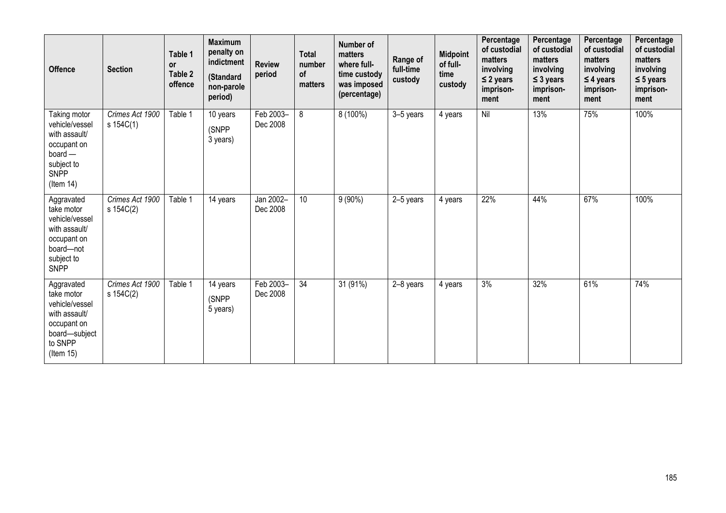| <b>Offence</b>                                                                                                            | <b>Section</b>               | Table 1<br><b>or</b><br>Table 2<br>offence | <b>Maximum</b><br>penalty on<br>indictment<br>(Standard<br>non-parole<br>period) | <b>Review</b><br>period | <b>Total</b><br>number<br><b>of</b><br>matters | <b>Number of</b><br>matters<br>where full-<br>time custody<br>was imposed<br>(percentage) | Range of<br>full-time<br>custody | <b>Midpoint</b><br>of full-<br>time<br>custody | Percentage<br>of custodial<br>matters<br>involving<br>$\leq$ 2 years<br>imprison-<br>ment | Percentage<br>of custodial<br>matters<br>involving<br>$\leq$ 3 years<br>imprison-<br>ment | Percentage<br>of custodial<br>matters<br>involving<br>$\leq$ 4 years<br>imprison-<br>ment | Percentage<br>of custodial<br>matters<br>involving<br>$\leq$ 5 years<br>imprison-<br>ment |
|---------------------------------------------------------------------------------------------------------------------------|------------------------------|--------------------------------------------|----------------------------------------------------------------------------------|-------------------------|------------------------------------------------|-------------------------------------------------------------------------------------------|----------------------------------|------------------------------------------------|-------------------------------------------------------------------------------------------|-------------------------------------------------------------------------------------------|-------------------------------------------------------------------------------------------|-------------------------------------------------------------------------------------------|
| Taking motor<br>vehicle/vessel<br>with assault/<br>occupant on<br>$board -$<br>subject to<br>SNPP<br>$($ ltem 14 $)$      | Crimes Act 1900<br>s 154C(1) | Table 1                                    | 10 years<br>(SNPP<br>3 years)                                                    | Feb 2003-<br>Dec 2008   | 8                                              | 8 (100%)                                                                                  | 3-5 years                        | 4 years                                        | Nil                                                                                       | 13%                                                                                       | 75%                                                                                       | 100%                                                                                      |
| Aggravated<br>take motor<br>vehicle/vessel<br>with assault/<br>occupant on<br>board-not<br>subject to<br><b>SNPP</b>      | Crimes Act 1900<br>s 154C(2) | Table 1                                    | 14 years                                                                         | Jan 2002-<br>Dec 2008   | 10                                             | $9(90\%)$                                                                                 | 2-5 years                        | 4 years                                        | 22%                                                                                       | 44%                                                                                       | 67%                                                                                       | 100%                                                                                      |
| Aggravated<br>take motor<br>vehicle/vessel<br>with assault/<br>occupant on<br>board-subject<br>to SNPP<br>$($ ltem 15 $)$ | Crimes Act 1900<br>s 154C(2) | Table 1                                    | 14 years<br>(SNPP<br>5 years)                                                    | Feb 2003-<br>Dec 2008   | $\overline{34}$                                | 31 (91%)                                                                                  | 2-8 years                        | 4 years                                        | 3%                                                                                        | 32%                                                                                       | 61%                                                                                       | 74%                                                                                       |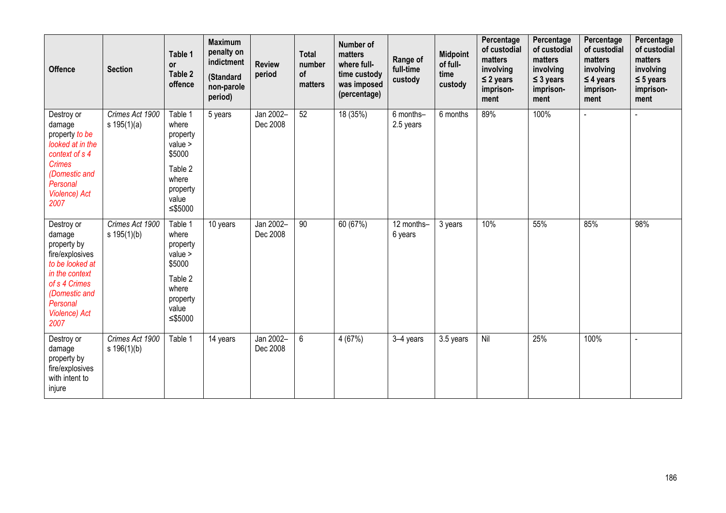| <b>Offence</b>                                                                                                                                                            | <b>Section</b>                   | Table 1<br><b>or</b><br>Table 2<br>offence                                                              | <b>Maximum</b><br>penalty on<br>indictment<br>(Standard<br>non-parole<br>period) | <b>Review</b><br>period | <b>Total</b><br>number<br>of<br>matters | Number of<br>matters<br>where full-<br>time custody<br>was imposed<br>(percentage) | Range of<br>full-time<br>custody | <b>Midpoint</b><br>of full-<br>time<br>custody | Percentage<br>of custodial<br>matters<br>involving<br>$\leq$ 2 years<br>imprison-<br>ment | Percentage<br>of custodial<br>matters<br>involving<br>$\leq$ 3 years<br>imprison-<br>ment | Percentage<br>of custodial<br>matters<br>involving<br>$\leq$ 4 years<br>imprison-<br>ment | Percentage<br>of custodial<br>matters<br>involving<br>$\leq$ 5 years<br>imprison-<br>ment |
|---------------------------------------------------------------------------------------------------------------------------------------------------------------------------|----------------------------------|---------------------------------------------------------------------------------------------------------|----------------------------------------------------------------------------------|-------------------------|-----------------------------------------|------------------------------------------------------------------------------------|----------------------------------|------------------------------------------------|-------------------------------------------------------------------------------------------|-------------------------------------------------------------------------------------------|-------------------------------------------------------------------------------------------|-------------------------------------------------------------------------------------------|
| Destroy or<br>damage<br>property to be<br>looked at in the<br>context of s 4<br><b>Crimes</b><br>(Domestic and<br>Personal<br><b>Violence)</b> Act<br>2007                | Crimes Act 1900<br>s $195(1)(a)$ | Table 1<br>where<br>property<br>$value$ ><br>\$5000<br>Table 2<br>where<br>property<br>value<br>≤\$5000 | 5 years                                                                          | Jan 2002-<br>Dec 2008   | 52                                      | 18 (35%)                                                                           | 6 months-<br>2.5 years           | 6 months                                       | 89%                                                                                       | 100%                                                                                      |                                                                                           |                                                                                           |
| Destroy or<br>damage<br>property by<br>fire/explosives<br>to be looked at<br>in the context<br>of s 4 Crimes<br>(Domestic and<br>Personal<br><b>Violence)</b> Act<br>2007 | Crimes Act 1900<br>s 195(1)(b)   | Table 1<br>where<br>property<br>value<br>\$5000<br>Table 2<br>where<br>property<br>value<br>≤\$5000     | 10 years                                                                         | Jan 2002-<br>Dec 2008   | 90                                      | 60 (67%)                                                                           | 12 months-<br>6 years            | 3 years                                        | 10%                                                                                       | 55%                                                                                       | 85%                                                                                       | 98%                                                                                       |
| Destroy or<br>damage<br>property by<br>fire/explosives<br>with intent to<br>injure                                                                                        | Crimes Act 1900<br>s 196(1)(b)   | Table 1                                                                                                 | 14 years                                                                         | Jan 2002-<br>Dec 2008   | $6\phantom{.}$                          | 4 (67%)                                                                            | 3-4 years                        | 3.5 years                                      | Nil                                                                                       | 25%                                                                                       | 100%                                                                                      |                                                                                           |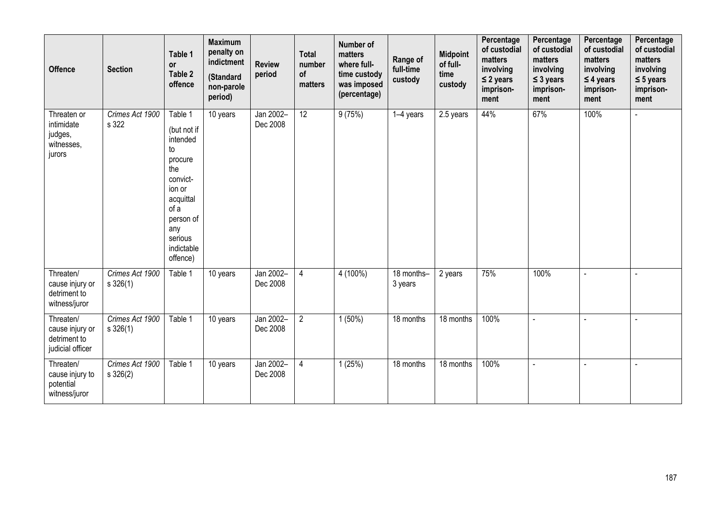| <b>Offence</b>                                                   | <b>Section</b>                   | Table 1<br><b>or</b><br>Table 2<br>offence                                                                                                                     | <b>Maximum</b><br>penalty on<br>indictment<br>(Standard<br>non-parole<br>period) | <b>Review</b><br>period | <b>Total</b><br>number<br>of<br>matters | Number of<br>matters<br>where full-<br>time custody<br>was imposed<br>(percentage) | Range of<br>full-time<br>custody | <b>Midpoint</b><br>of full-<br>time<br>custody | Percentage<br>of custodial<br>matters<br>involving<br>$\leq$ 2 years<br>imprison-<br>ment | Percentage<br>of custodial<br>matters<br>involving<br>$\leq$ 3 years<br>imprison-<br>ment | Percentage<br>of custodial<br>matters<br>involving<br>$\leq$ 4 years<br>imprison-<br>ment | Percentage<br>of custodial<br>matters<br>involving<br>$\leq$ 5 years<br>imprison-<br>ment |
|------------------------------------------------------------------|----------------------------------|----------------------------------------------------------------------------------------------------------------------------------------------------------------|----------------------------------------------------------------------------------|-------------------------|-----------------------------------------|------------------------------------------------------------------------------------|----------------------------------|------------------------------------------------|-------------------------------------------------------------------------------------------|-------------------------------------------------------------------------------------------|-------------------------------------------------------------------------------------------|-------------------------------------------------------------------------------------------|
| Threaten or<br>intimidate<br>judges,<br>witnesses,<br>jurors     | Crimes Act 1900<br>s 322         | Table 1<br>(but not if<br>intended<br>to<br>procure<br>the<br>convict-<br>ion or<br>acquittal<br>of a<br>person of<br>any<br>serious<br>indictable<br>offence) | 10 years                                                                         | Jan 2002-<br>Dec 2008   | 12                                      | 9(75%)                                                                             | 1-4 years                        | 2.5 years                                      | 44%                                                                                       | 67%                                                                                       | 100%                                                                                      | L,                                                                                        |
| Threaten/<br>cause injury or<br>detriment to<br>witness/juror    | Crimes Act 1900<br>$s \, 326(1)$ | Table 1                                                                                                                                                        | 10 years                                                                         | Jan 2002-<br>Dec 2008   | $\overline{4}$                          | $4(100\%)$                                                                         | 18 months-<br>3 years            | 2 years                                        | 75%                                                                                       | 100%                                                                                      |                                                                                           | $\overline{a}$                                                                            |
| Threaten/<br>cause injury or<br>detriment to<br>judicial officer | Crimes Act 1900<br>$s \, 326(1)$ | Table 1                                                                                                                                                        | 10 years                                                                         | Jan 2002-<br>Dec 2008   | $\overline{2}$                          | $1(50\%)$                                                                          | 18 months                        | 18 months                                      | 100%                                                                                      | $\overline{a}$                                                                            | $\overline{a}$                                                                            | $\sim$                                                                                    |
| Threaten/<br>cause injury to<br>potential<br>witness/juror       | Crimes Act 1900<br>$s \, 326(2)$ | Table 1                                                                                                                                                        | 10 years                                                                         | Jan 2002-<br>Dec 2008   | $\overline{4}$                          | 1(25%)                                                                             | 18 months                        | 18 months                                      | 100%                                                                                      |                                                                                           |                                                                                           |                                                                                           |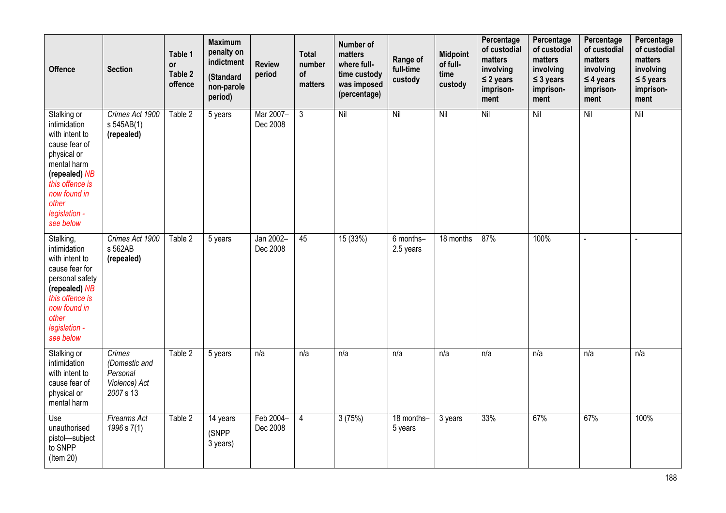| <b>Offence</b>                                                                                                                                                                          | <b>Section</b>                                                    | Table 1<br><b>or</b><br>Table 2<br>offence | <b>Maximum</b><br>penalty on<br>indictment<br>(Standard<br>non-parole<br>period) | <b>Review</b><br>period | <b>Total</b><br>number<br>of<br>matters | Number of<br>matters<br>where full-<br>time custody<br>was imposed<br>(percentage) | Range of<br>full-time<br>custody | <b>Midpoint</b><br>of full-<br>time<br>custody | Percentage<br>of custodial<br>matters<br>involving<br>$\leq$ 2 years<br>imprison-<br>ment | Percentage<br>of custodial<br>matters<br>involving<br>$\leq$ 3 years<br>imprison-<br>ment | Percentage<br>of custodial<br>matters<br>involving<br>$\leq$ 4 years<br>imprison-<br>ment | Percentage<br>of custodial<br>matters<br>involving<br>$\leq$ 5 years<br>imprison-<br>ment |
|-----------------------------------------------------------------------------------------------------------------------------------------------------------------------------------------|-------------------------------------------------------------------|--------------------------------------------|----------------------------------------------------------------------------------|-------------------------|-----------------------------------------|------------------------------------------------------------------------------------|----------------------------------|------------------------------------------------|-------------------------------------------------------------------------------------------|-------------------------------------------------------------------------------------------|-------------------------------------------------------------------------------------------|-------------------------------------------------------------------------------------------|
| Stalking or<br>intimidation<br>with intent to<br>cause fear of<br>physical or<br>mental harm<br>(repealed) NB<br>this offence is<br>now found in<br>other<br>legislation -<br>see below | Crimes Act 1900<br>s 545AB(1)<br>(repealed)                       | Table 2                                    | 5 years                                                                          | Mar 2007-<br>Dec 2008   | 3                                       | Nil                                                                                | $\overline{N}$                   | $\overline{N}$                                 | Nil                                                                                       | $\overline{N}$                                                                            | Nil                                                                                       | Nil                                                                                       |
| Stalking,<br>intimidation<br>with intent to<br>cause fear for<br>personal safety<br>(repealed) NB<br>this offence is<br>now found in<br>other<br>legislation -<br>see below             | Crimes Act 1900<br>s 562AB<br>(repealed)                          | Table 2                                    | 5 years                                                                          | Jan 2002-<br>Dec 2008   | 45                                      | 15(33%)                                                                            | 6 months-<br>2.5 years           | 18 months                                      | 87%                                                                                       | 100%                                                                                      | $\overline{a}$                                                                            | $\overline{a}$                                                                            |
| Stalking or<br>intimidation<br>with intent to<br>cause fear of<br>physical or<br>mental harm                                                                                            | Crimes<br>(Domestic and<br>Personal<br>Violence) Act<br>2007 s 13 | Table 2                                    | 5 years                                                                          | n/a                     | n/a                                     | n/a                                                                                | n/a                              | n/a                                            | n/a                                                                                       | n/a                                                                                       | n/a                                                                                       | n/a                                                                                       |
| Use<br>unauthorised<br>pistol-subject<br>to SNPP<br>(Item 20)                                                                                                                           | <b>Firearms Act</b><br>1996 s 7(1)                                | Table 2                                    | 14 years<br>(SNPP<br>3 years)                                                    | Feb 2004-<br>Dec 2008   | 4                                       | 3(75%)                                                                             | 18 months-<br>5 years            | 3 years                                        | 33%                                                                                       | 67%                                                                                       | 67%                                                                                       | 100%                                                                                      |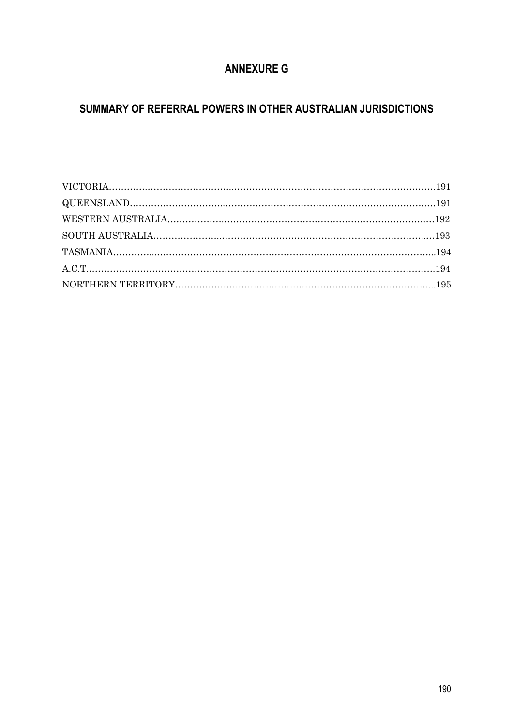# **ANNEXURE G**

# **SUMMARY OF REFERRAL POWERS IN OTHER AUSTRALIAN JURISDICTIONS**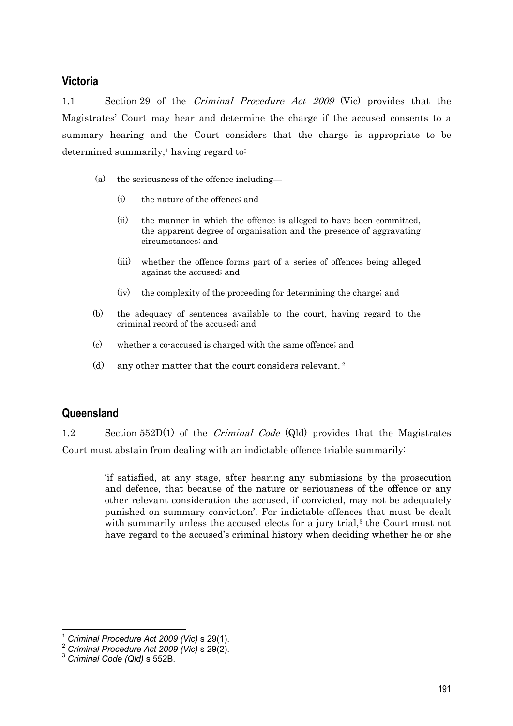## **Victoria**

1.1 Section 29 of the Criminal Procedure Act 2009 (Vic) provides that the Magistrates' Court may hear and determine the charge if the accused consents to a summary hearing and the Court considers that the charge is appropriate to be determined summarily,<sup>1</sup> having regard to:

- (a) the seriousness of the offence including—
	- (i) the nature of the offence; and
	- (ii) the manner in which the offence is alleged to have been committed, the apparent degree of organisation and the presence of aggravating circumstances; and
	- (iii) whether the offence forms part of a series of offences being alleged against the accused; and
	- (iv) the complexity of the proceeding for determining the charge; and
- (b) the adequacy of sentences available to the court, having regard to the criminal record of the accused; and
- (c) whether a co-accused is charged with the same offence; and
- (d) any other matter that the court considers relevant. 2

## **Queensland**

1.2 Section 552D(1) of the *Criminal Code* (Qld) provides that the Magistrates Court must abstain from dealing with an indictable offence triable summarily:

> 'if satisfied, at any stage, after hearing any submissions by the prosecution and defence, that because of the nature or seriousness of the offence or any other relevant consideration the accused, if convicted, may not be adequately punished on summary conviction'. For indictable offences that must be dealt with summarily unless the accused elects for a jury trial,<sup>3</sup> the Court must not have regard to the accused's criminal history when deciding whether he or she

<sup>1</sup> *Criminal Procedure Act 2009 (Vic)* s 29(1). 2 *Criminal Procedure Act 2009 (Vic)* s 29(2). 3 *Criminal Code (Qld)* s 552B.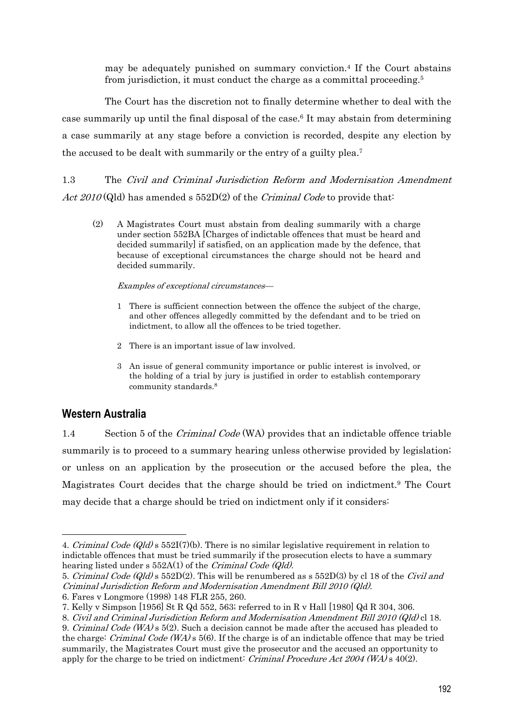may be adequately punished on summary conviction.4 If the Court abstains from jurisdiction, it must conduct the charge as a committal proceeding.5

 The Court has the discretion not to finally determine whether to deal with the case summarily up until the final disposal of the case.6 It may abstain from determining a case summarily at any stage before a conviction is recorded, despite any election by the accused to be dealt with summarily or the entry of a guilty plea.7

1.3 The Civil and Criminal Jurisdiction Reform and Modernisation Amendment Act  $2010$  (Qld) has amended s  $552D(2)$  of the *Criminal Code* to provide that:

(2) A Magistrates Court must abstain from dealing summarily with a charge under section 552BA [Charges of indictable offences that must be heard and decided summarily] if satisfied, on an application made by the defence, that because of exceptional circumstances the charge should not be heard and decided summarily.

### Examples of exceptional circumstances—

- 1 There is sufficient connection between the offence the subject of the charge, and other offences allegedly committed by the defendant and to be tried on indictment, to allow all the offences to be tried together.
- 2 There is an important issue of law involved.
- 3 An issue of general community importance or public interest is involved, or the holding of a trial by jury is justified in order to establish contemporary community standards.8

## **Western Australia**

 $\overline{a}$ 

1.4 Section 5 of the Criminal Code (WA) provides that an indictable offence triable summarily is to proceed to a summary hearing unless otherwise provided by legislation; or unless on an application by the prosecution or the accused before the plea, the Magistrates Court decides that the charge should be tried on indictment.9 The Court may decide that a charge should be tried on indictment only if it considers:

<sup>4.</sup> Criminal Code (Qld)  $\sigma$  552I(7)(b). There is no similar legislative requirement in relation to indictable offences that must be tried summarily if the prosecution elects to have a summary hearing listed under s 552A(1) of the *Criminal Code (Qld)*.

<sup>5.</sup> Criminal Code (Qld) s 552D(2). This will be renumbered as s 552D(3) by cl 18 of the Civil and Criminal Jurisdiction Reform and Modernisation Amendment Bill 2010 (Qld).

<sup>6.</sup> Fares v Longmore (1998) 148 FLR 255, 260.

<sup>7.</sup> Kelly v Simpson [1956] St R Qd 552, 563; referred to in R v Hall [1980] Qd R 304, 306.

<sup>8.</sup> Civil and Criminal Jurisdiction Reform and Modernisation Amendment Bill 2010 (Qld) cl 18.

<sup>9.</sup> Criminal Code (WA)  $\leq 5(2)$ . Such a decision cannot be made after the accused has pleaded to the charge: Criminal Code (WA)  $\epsilon$  5(6). If the charge is of an indictable offence that may be tried summarily, the Magistrates Court must give the prosecutor and the accused an opportunity to apply for the charge to be tried on indictment: *Criminal Procedure Act 2004* ( $WA$ ) s 40(2).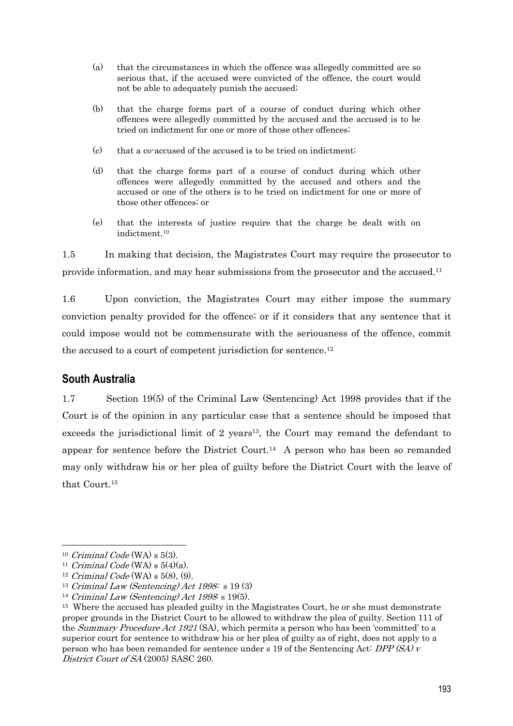- (a) that the circumstances in which the offence was allegedly committed are so serious that, if the accused were convicted of the offence, the court would not be able to adequately punish the accused;
- (b) that the charge forms part of a course of conduct during which other offences were allegedly committed by the accused and the accused is to be tried on indictment for one or more of those other offences;
- (c) that a co-accused of the accused is to be tried on indictment;
- (d) that the charge forms part of a course of conduct during which other offences were allegedly committed by the accused and others and the accused or one of the others is to be tried on indictment for one or more of those other offences; or
- (e) that the interests of justice require that the charge be dealt with on indictment.10

1.5 In making that decision, the Magistrates Court may require the prosecutor to provide information, and may hear submissions from the prosecutor and the accused.11

1.6 Upon conviction, the Magistrates Court may either impose the summary conviction penalty provided for the offence; or if it considers that any sentence that it could impose would not be commensurate with the seriousness of the offence, commit the accused to a court of competent jurisdiction for sentence.<sup>12</sup>

## **South Australia**

1.7 Section 19(5) of the Criminal Law (Sentencing) Act 1998 provides that if the Court is of the opinion in any particular case that a sentence should be imposed that exceeds the jurisdictional limit of 2 years<sup>13</sup>, the Court may remand the defendant to appear for sentence before the District Court.14 A person who has been so remanded may only withdraw his or her plea of guilty before the District Court with the leave of that Court.15

<sup>&</sup>lt;sup>10</sup> Criminal Code (WA) s 5(3).<br><sup>11</sup> Criminal Code (WA) s 5(4)(a).<br><sup>12</sup> Criminal Code (WA) s 5(8), (9).

<sup>&</sup>lt;sup>13</sup> Criminal Law (Sentencing) Act 1998: s 19 $(3)$ 

<sup>&</sup>lt;sup>14</sup> Criminal Law (Sentencing) Act 1998: s 19(5).

<sup>&</sup>lt;sup>15</sup> Where the accused has pleaded guilty in the Magistrates Court, he or she must demonstrate proper grounds in the District Court to be allowed to withdraw the plea of guilty. Section 111 of the *Summary Procedure Act 1921* (SA), which permits a person who has been 'committed' to a superior court for sentence to withdraw his or her plea of guilty as of right, does not apply to a person who has been remanded for sentence under s 19 of the Sentencing Act:  $DPP(SA)$  v District Court of SA (2005) SASC 260.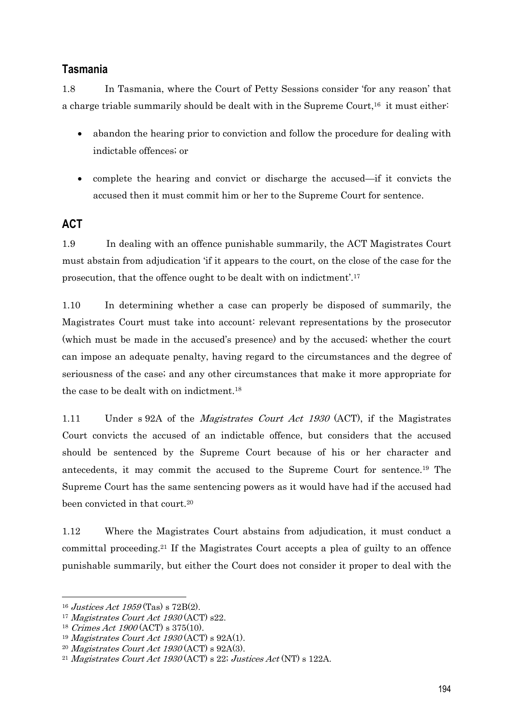## **Tasmania**

1.8 In Tasmania, where the Court of Petty Sessions consider 'for any reason' that a charge triable summarily should be dealt with in the Supreme Court,<sup>16</sup> it must either:

- abandon the hearing prior to conviction and follow the procedure for dealing with indictable offences; or
- complete the hearing and convict or discharge the accused—if it convicts the accused then it must commit him or her to the Supreme Court for sentence.

## **ACT**

1.9 In dealing with an offence punishable summarily, the ACT Magistrates Court must abstain from adjudication 'if it appears to the court, on the close of the case for the prosecution, that the offence ought to be dealt with on indictment'.17

1.10 In determining whether a case can properly be disposed of summarily, the Magistrates Court must take into account: relevant representations by the prosecutor (which must be made in the accused's presence) and by the accused; whether the court can impose an adequate penalty, having regard to the circumstances and the degree of seriousness of the case; and any other circumstances that make it more appropriate for the case to be dealt with on indictment.18

1.11 Under s 92A of the *Magistrates Court Act 1930* (ACT), if the Magistrates Court convicts the accused of an indictable offence, but considers that the accused should be sentenced by the Supreme Court because of his or her character and antecedents, it may commit the accused to the Supreme Court for sentence.19 The Supreme Court has the same sentencing powers as it would have had if the accused had been convicted in that court.20

1.12 Where the Magistrates Court abstains from adjudication, it must conduct a committal proceeding.21 If the Magistrates Court accepts a plea of guilty to an offence punishable summarily, but either the Court does not consider it proper to deal with the

<sup>&</sup>lt;sup>16</sup> Justices Act 1959 (Tas) s 72B(2).

<sup>&</sup>lt;sup>17</sup> Magistrates Court Act 1930 (ACT) s22.

<sup>18</sup> Crimes Act 1900 (ACT) s 375(10).

<sup>&</sup>lt;sup>19</sup> Magistrates Court Act  $1930$  (ACT) s  $92A(1)$ .

<sup>&</sup>lt;sup>20</sup> Magistrates Court Act 1930 (ACT) s 92A(3).<br><sup>21</sup> Magistrates Court Act 1930 (ACT) s 22; Justices Act (NT) s 122A.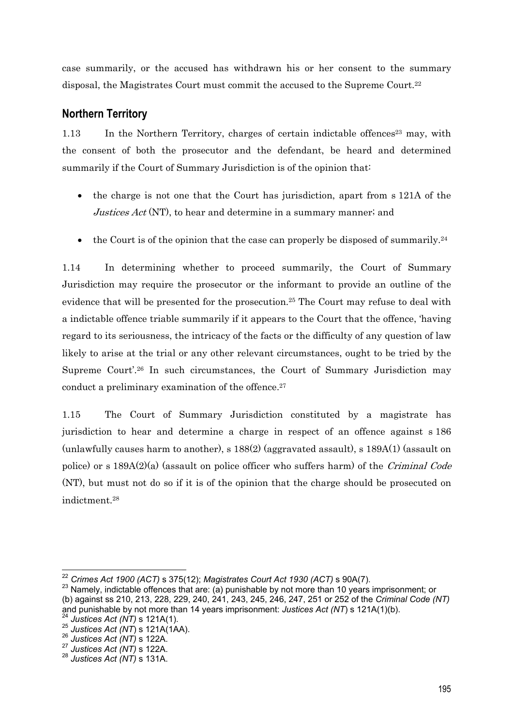case summarily, or the accused has withdrawn his or her consent to the summary disposal, the Magistrates Court must commit the accused to the Supreme Court.22

## **Northern Territory**

1.13 In the Northern Territory, charges of certain indictable offences<sup>23</sup> may, with the consent of both the prosecutor and the defendant, be heard and determined summarily if the Court of Summary Jurisdiction is of the opinion that:

- the charge is not one that the Court has jurisdiction, apart from s 121A of the Justices  $Act$  (NT), to hear and determine in a summary manner; and
- $\bullet$  the Court is of the opinion that the case can properly be disposed of summarily.<sup>24</sup>

1.14 In determining whether to proceed summarily, the Court of Summary Jurisdiction may require the prosecutor or the informant to provide an outline of the evidence that will be presented for the prosecution.25 The Court may refuse to deal with a indictable offence triable summarily if it appears to the Court that the offence, 'having regard to its seriousness, the intricacy of the facts or the difficulty of any question of law likely to arise at the trial or any other relevant circumstances, ought to be tried by the Supreme Court'.26 In such circumstances, the Court of Summary Jurisdiction may conduct a preliminary examination of the offence.<sup>27</sup>

1.15 The Court of Summary Jurisdiction constituted by a magistrate has jurisdiction to hear and determine a charge in respect of an offence against s 186 (unlawfully causes harm to another), s  $188(2)$  (aggravated assault), s  $189A(1)$  (assault on police) or s  $189A(2)(a)$  (assault on police officer who suffers harm) of the *Criminal Code* (NT), but must not do so if it is of the opinion that the charge should be prosecuted on indictment.28

<sup>&</sup>lt;sup>22</sup> Crimes Act 1900 (ACT) s 375(12); *Magistrates Court Act 1930 (ACT)* s 90A(7).<br><sup>23</sup> Namely, indictable offences that are: (a) punishable by not more than 10 years imprisonment; or (b) against ss 210, 213, 228, 229, 240, 241, 243, 245, 246, 247, 251 or 252 of the *Criminal Code (NT)* and punishable by not more than 14 years imprisonment: *Justices Act (NT*) s 121A(1)(b).<br><sup>24</sup> *Justices Act (NT*) s 121A(1).<br><sup>25</sup> *Justices Act (NT*) s 122A.<br><sup>26</sup> *Justices Act (NT*) s 122A.

<sup>27</sup> *Justices Act (NT)* s 122A.

<sup>28</sup> *Justices Act (NT)* s 131A.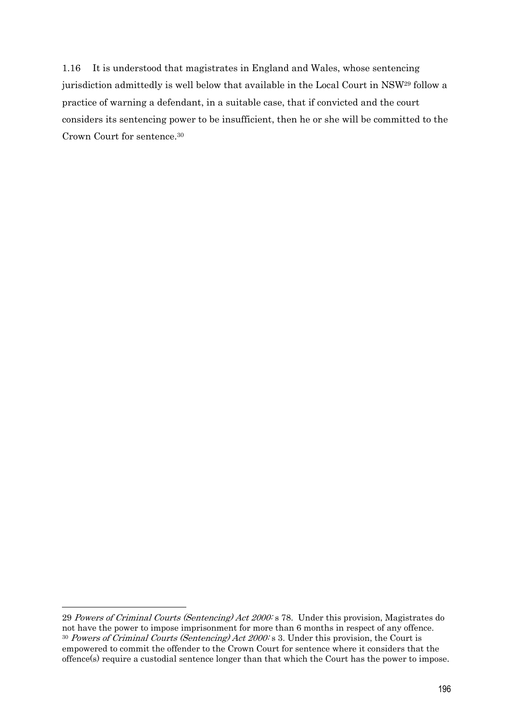1.16 It is understood that magistrates in England and Wales, whose sentencing jurisdiction admittedly is well below that available in the Local Court in NSW29 follow a practice of warning a defendant, in a suitable case, that if convicted and the court considers its sentencing power to be insufficient, then he or she will be committed to the Crown Court for sentence.30

<sup>29</sup> Powers of Criminal Courts (Sentencing) Act 2000: s 78. Under this provision, Magistrates do not have the power to impose imprisonment for more than 6 months in respect of any offence.  $30$  Powers of Criminal Courts (Sentencing) Act 2000: s 3. Under this provision, the Court is empowered to commit the offender to the Crown Court for sentence where it considers that the offence(s) require a custodial sentence longer than that which the Court has the power to impose.